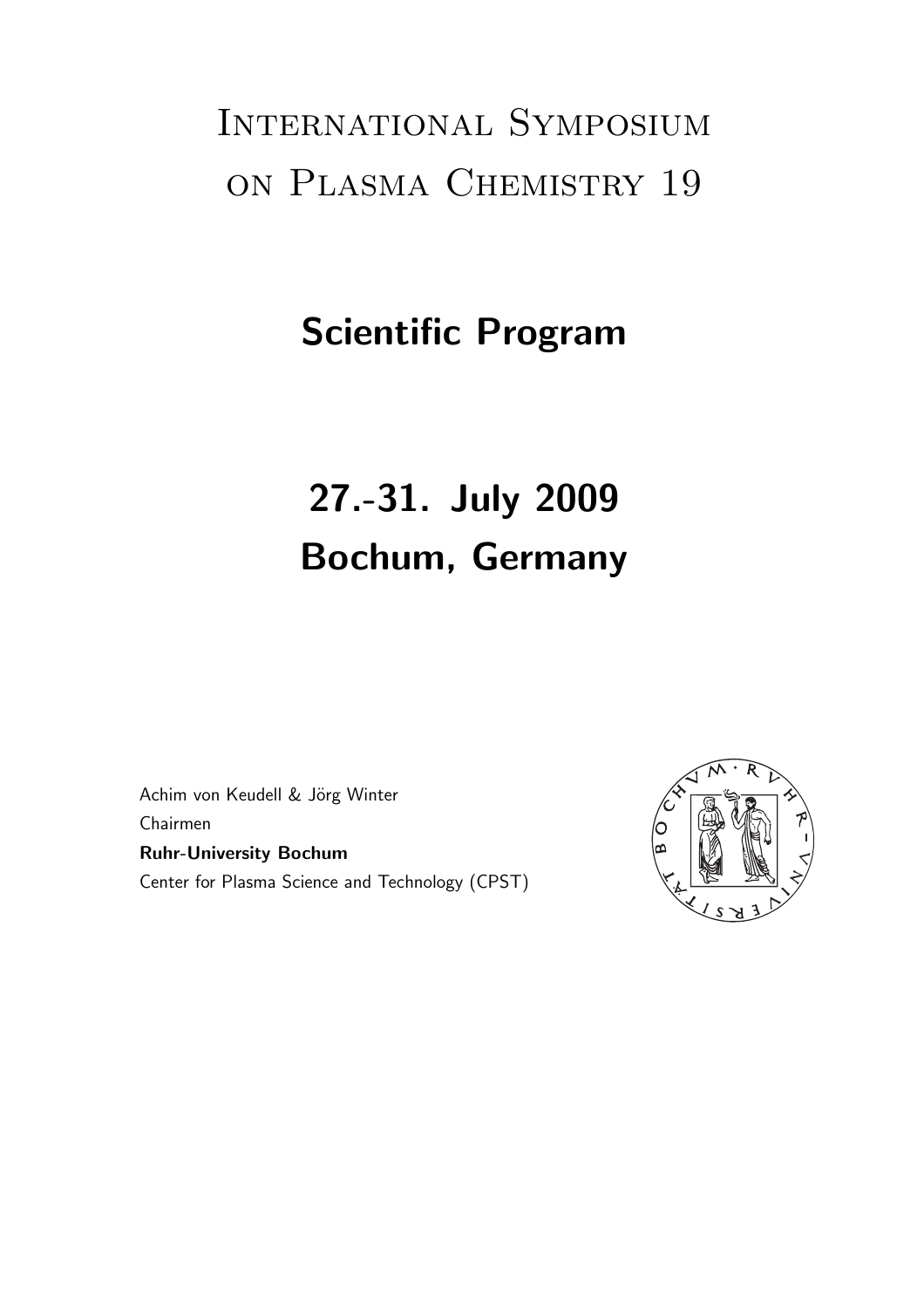# International Symposium on Plasma Chemistry 19

# Scientific Program

# 27.-31. July 2009 Bochum, Germany

Achim von Keudell & Jörg Winter Chairmen Ruhr-University Bochum Center for Plasma Science and Technology (CPST)

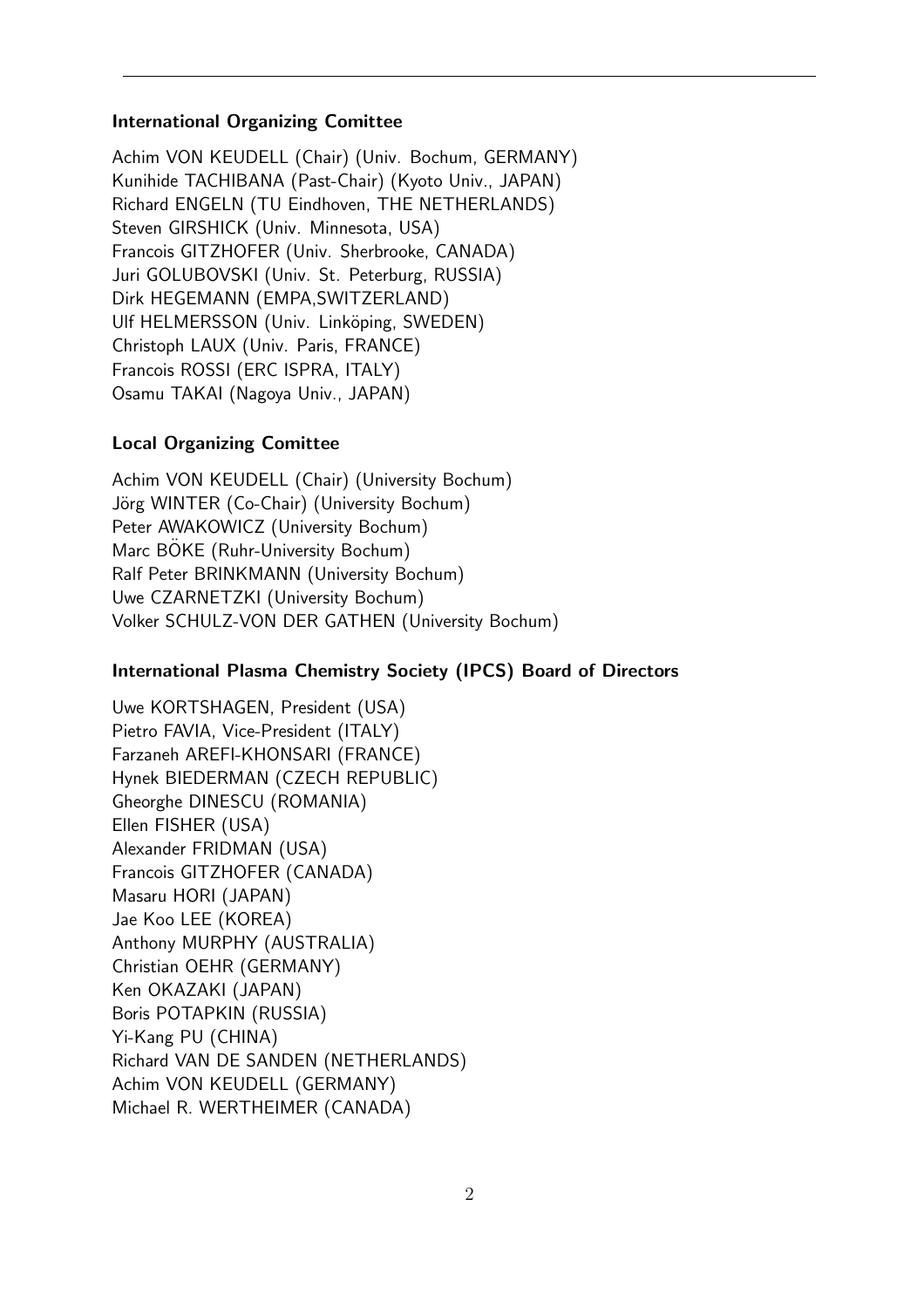#### International Organizing Comittee

Achim VON KEUDELL (Chair) (Univ. Bochum, GERMANY) Kunihide TACHIBANA (Past-Chair) (Kyoto Univ., JAPAN) Richard ENGELN (TU Eindhoven, THE NETHERLANDS) Steven GIRSHICK (Univ. Minnesota, USA) Francois GITZHOFER (Univ. Sherbrooke, CANADA) Juri GOLUBOVSKI (Univ. St. Peterburg, RUSSIA) Dirk HEGEMANN (EMPA,SWITZERLAND) Ulf HELMERSSON (Univ. Linköping, SWEDEN) Christoph LAUX (Univ. Paris, FRANCE) Francois ROSSI (ERC ISPRA, ITALY) Osamu TAKAI (Nagoya Univ., JAPAN)

#### Local Organizing Comittee

Achim VON KEUDELL (Chair) (University Bochum) Jörg WINTER (Co-Chair) (University Bochum) Peter AWAKOWICZ (University Bochum) Marc BOKE (Ruhr-University Bochum) Ralf Peter BRINKMANN (University Bochum) Uwe CZARNETZKI (University Bochum) Volker SCHULZ-VON DER GATHEN (University Bochum)

#### International Plasma Chemistry Society (IPCS) Board of Directors

Uwe KORTSHAGEN, President (USA) Pietro FAVIA, Vice-President (ITALY) Farzaneh AREFI-KHONSARI (FRANCE) Hynek BIEDERMAN (CZECH REPUBLIC) Gheorghe DINESCU (ROMANIA) Ellen FISHER (USA) Alexander FRIDMAN (USA) Francois GITZHOFER (CANADA) Masaru HORI (JAPAN) Jae Koo LEE (KOREA) Anthony MURPHY (AUSTRALIA) Christian OEHR (GERMANY) Ken OKAZAKI (JAPAN) Boris POTAPKIN (RUSSIA) Yi-Kang PU (CHINA) Richard VAN DE SANDEN (NETHERLANDS) Achim VON KEUDELL (GERMANY) Michael R. WERTHEIMER (CANADA)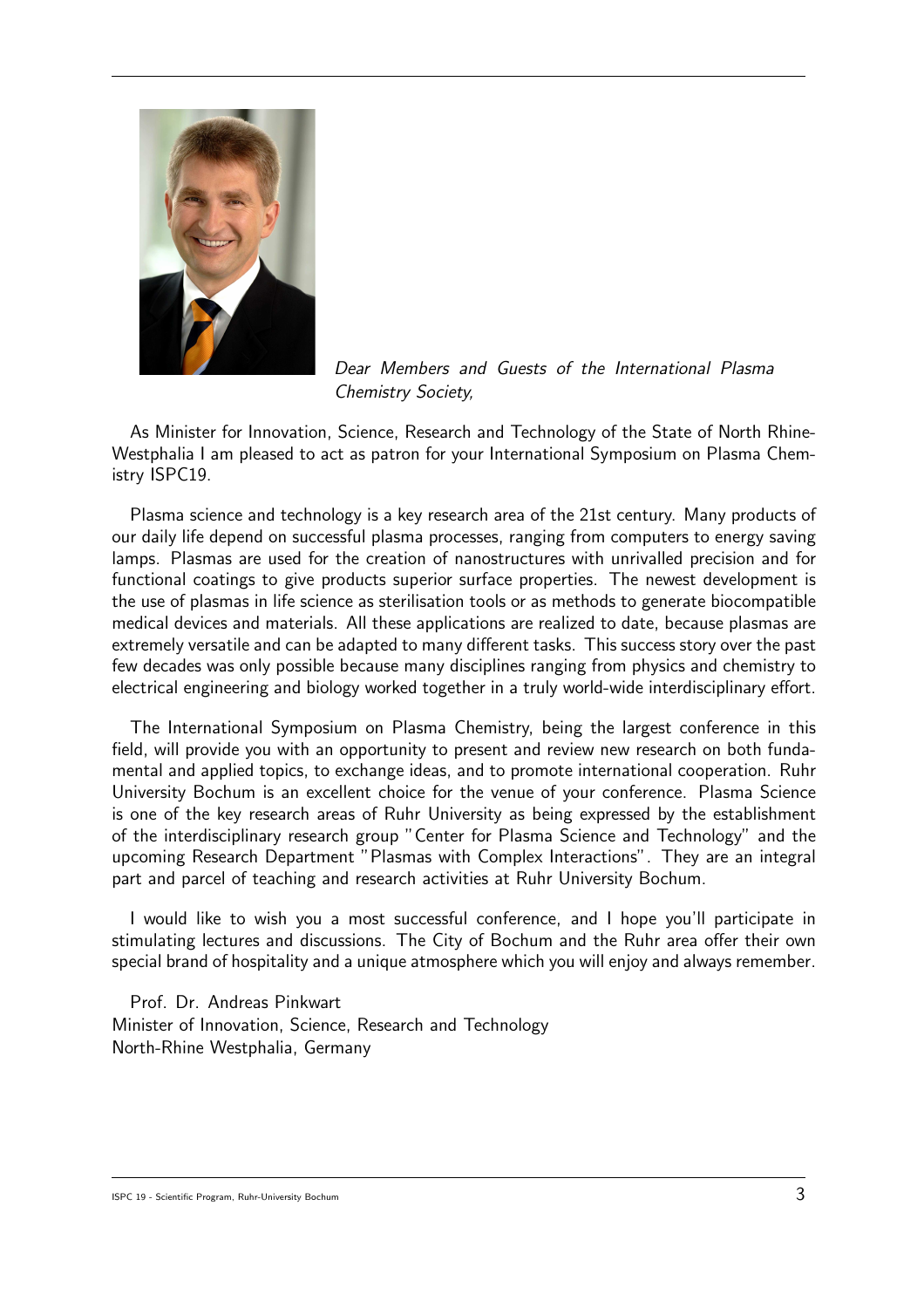

Dear Members and Guests of the International Plasma Chemistry Society,

As Minister for Innovation, Science, Research and Technology of the State of North Rhine-Westphalia I am pleased to act as patron for your International Symposium on Plasma Chemistry ISPC19.

Plasma science and technology is a key research area of the 21st century. Many products of our daily life depend on successful plasma processes, ranging from computers to energy saving lamps. Plasmas are used for the creation of nanostructures with unrivalled precision and for functional coatings to give products superior surface properties. The newest development is the use of plasmas in life science as sterilisation tools or as methods to generate biocompatible medical devices and materials. All these applications are realized to date, because plasmas are extremely versatile and can be adapted to many different tasks. This success story over the past few decades was only possible because many disciplines ranging from physics and chemistry to electrical engineering and biology worked together in a truly world-wide interdisciplinary effort.

The International Symposium on Plasma Chemistry, being the largest conference in this field, will provide you with an opportunity to present and review new research on both fundamental and applied topics, to exchange ideas, and to promote international cooperation. Ruhr University Bochum is an excellent choice for the venue of your conference. Plasma Science is one of the key research areas of Ruhr University as being expressed by the establishment of the interdisciplinary research group "Center for Plasma Science and Technology" and the upcoming Research Department "Plasmas with Complex Interactions". They are an integral part and parcel of teaching and research activities at Ruhr University Bochum.

I would like to wish you a most successful conference, and I hope you'll participate in stimulating lectures and discussions. The City of Bochum and the Ruhr area offer their own special brand of hospitality and a unique atmosphere which you will enjoy and always remember.

Prof. Dr. Andreas Pinkwart Minister of Innovation, Science, Research and Technology North-Rhine Westphalia, Germany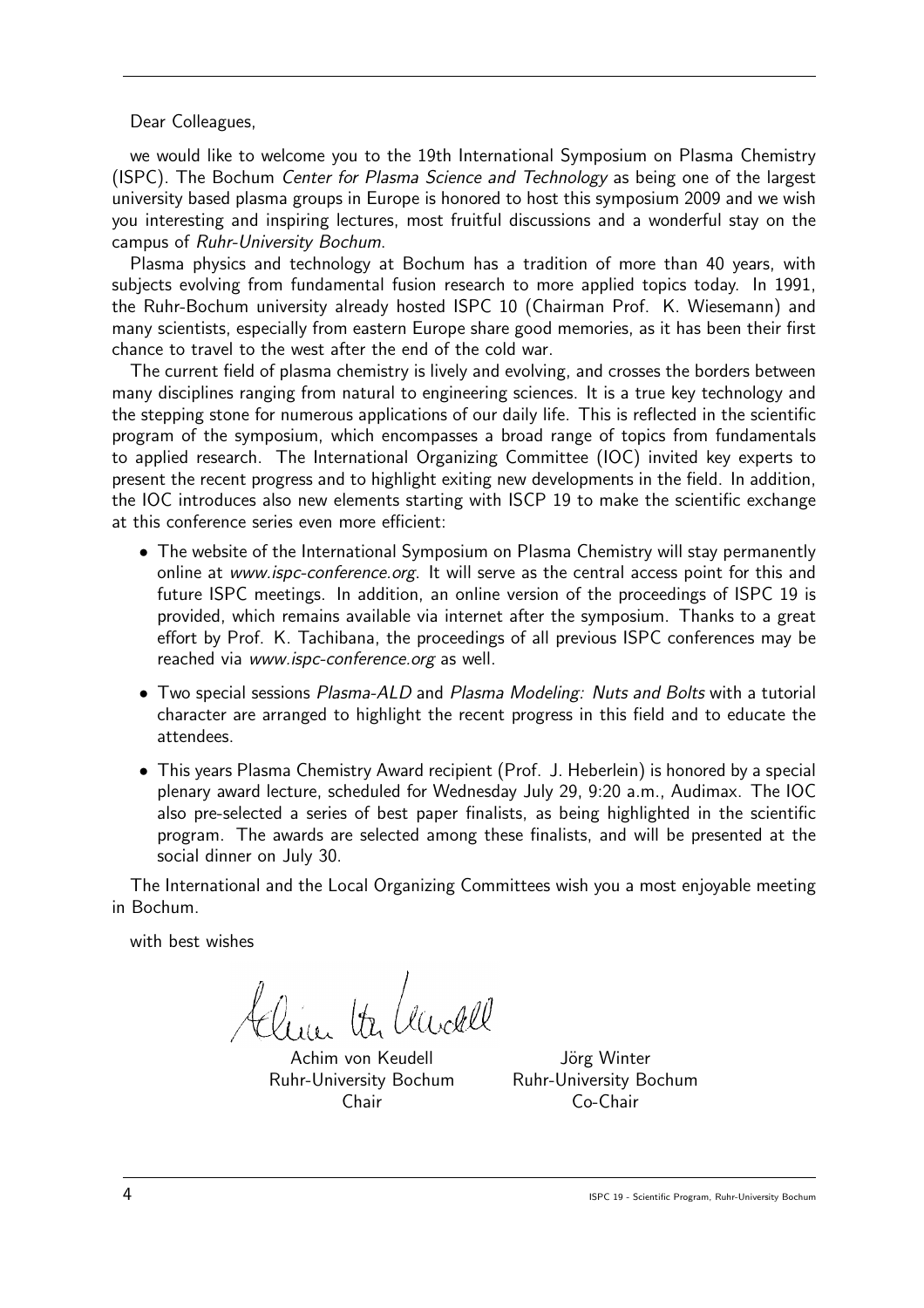Dear Colleagues,

we would like to welcome you to the 19th International Symposium on Plasma Chemistry (ISPC). The Bochum *Center for Plasma Science and Technology* as being one of the largest university based plasma groups in Europe is honored to host this symposium 2009 and we wish you interesting and inspiring lectures, most fruitful discussions and a wonderful stay on the campus of Ruhr-University Bochum.

Plasma physics and technology at Bochum has a tradition of more than 40 years, with subjects evolving from fundamental fusion research to more applied topics today. In 1991, the Ruhr-Bochum university already hosted ISPC 10 (Chairman Prof. K. Wiesemann) and many scientists, especially from eastern Europe share good memories, as it has been their first chance to travel to the west after the end of the cold war.

The current field of plasma chemistry is lively and evolving, and crosses the borders between many disciplines ranging from natural to engineering sciences. It is a true key technology and the stepping stone for numerous applications of our daily life. This is reflected in the scientific program of the symposium, which encompasses a broad range of topics from fundamentals to applied research. The International Organizing Committee (IOC) invited key experts to present the recent progress and to highlight exiting new developments in the field. In addition, the IOC introduces also new elements starting with ISCP 19 to make the scientific exchange at this conference series even more efficient:

- The website of the International Symposium on Plasma Chemistry will stay permanently online at www.ispc-conference.org. It will serve as the central access point for this and future ISPC meetings. In addition, an online version of the proceedings of ISPC 19 is provided, which remains available via internet after the symposium. Thanks to a great effort by Prof. K. Tachibana, the proceedings of all previous ISPC conferences may be reached via www.ispc-conference.org as well.
- Two special sessions Plasma-ALD and Plasma Modeling: Nuts and Bolts with a tutorial character are arranged to highlight the recent progress in this field and to educate the attendees.
- This years Plasma Chemistry Award recipient (Prof. J. Heberlein) is honored by a special plenary award lecture, scheduled for Wednesday July 29, 9:20 a.m., Audimax. The IOC also pre-selected a series of best paper finalists, as being highlighted in the scientific program. The awards are selected among these finalists, and will be presented at the social dinner on July 30.

The International and the Local Organizing Committees wish you a most enjoyable meeting in Bochum.

with best wishes

lin ta hudel

Achim von Keudell Jörg Winter Ruhr-University Bochum Ruhr-University Bochum

Chair Co-Chair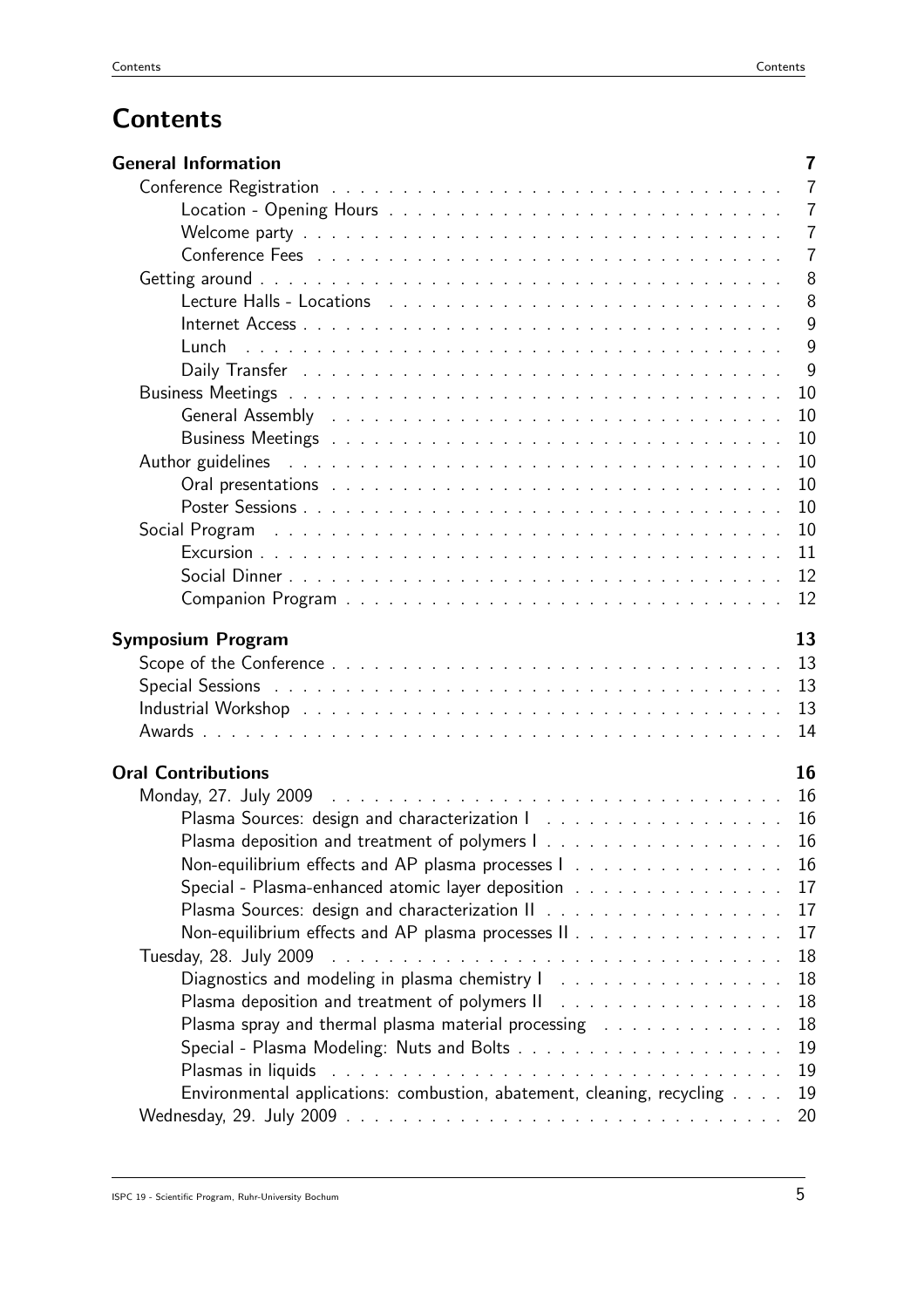# **Contents**

| <b>General Information</b>                                                                                     | $\overline{7}$ |
|----------------------------------------------------------------------------------------------------------------|----------------|
|                                                                                                                | $\overline{7}$ |
|                                                                                                                | $\overline{7}$ |
|                                                                                                                | $\overline{7}$ |
|                                                                                                                | $\overline{7}$ |
|                                                                                                                | 8              |
| Lecture Halls - Locations enterprise research and contained a series of the series of the series of the series | 8              |
|                                                                                                                | 9              |
|                                                                                                                | 9              |
|                                                                                                                | 9              |
|                                                                                                                | 10             |
| General Assembly Albert Library Albert Library Albert Library Albert Library Albert Library Albert Library Alb | 10             |
|                                                                                                                | 10             |
| Author guidelines                                                                                              | 10             |
|                                                                                                                | 10             |
|                                                                                                                | 10             |
| Social Program                                                                                                 | 10             |
|                                                                                                                | 11             |
|                                                                                                                | 12             |
|                                                                                                                | 12             |
|                                                                                                                |                |
| Symposium Program                                                                                              | 13             |
|                                                                                                                | 13             |
|                                                                                                                | 13             |
|                                                                                                                | 13             |
|                                                                                                                | 14             |
| <b>Oral Contributions</b>                                                                                      | 16             |
|                                                                                                                | 16             |
|                                                                                                                | 16             |
|                                                                                                                | 16             |
| Non-equilibrium effects and AP plasma processes 1                                                              | 16             |
| Special - Plasma-enhanced atomic layer deposition                                                              | 17             |
|                                                                                                                | 17             |
| Non-equilibrium effects and AP plasma processes II                                                             | 17             |
|                                                                                                                |                |
|                                                                                                                | 18             |
| Diagnostics and modeling in plasma chemistry I                                                                 | 18             |
| Plasma deposition and treatment of polymers II Almanda, Almanda, Almanda, Almanda, Almanda, Almanda, Almanda,  | 18             |
| Plasma spray and thermal plasma material processing resonances and such a set of the                           | 18             |
|                                                                                                                | 19             |
|                                                                                                                | 19             |
| Environmental applications: combustion, abatement, cleaning, recycling                                         | 19             |
|                                                                                                                | 20             |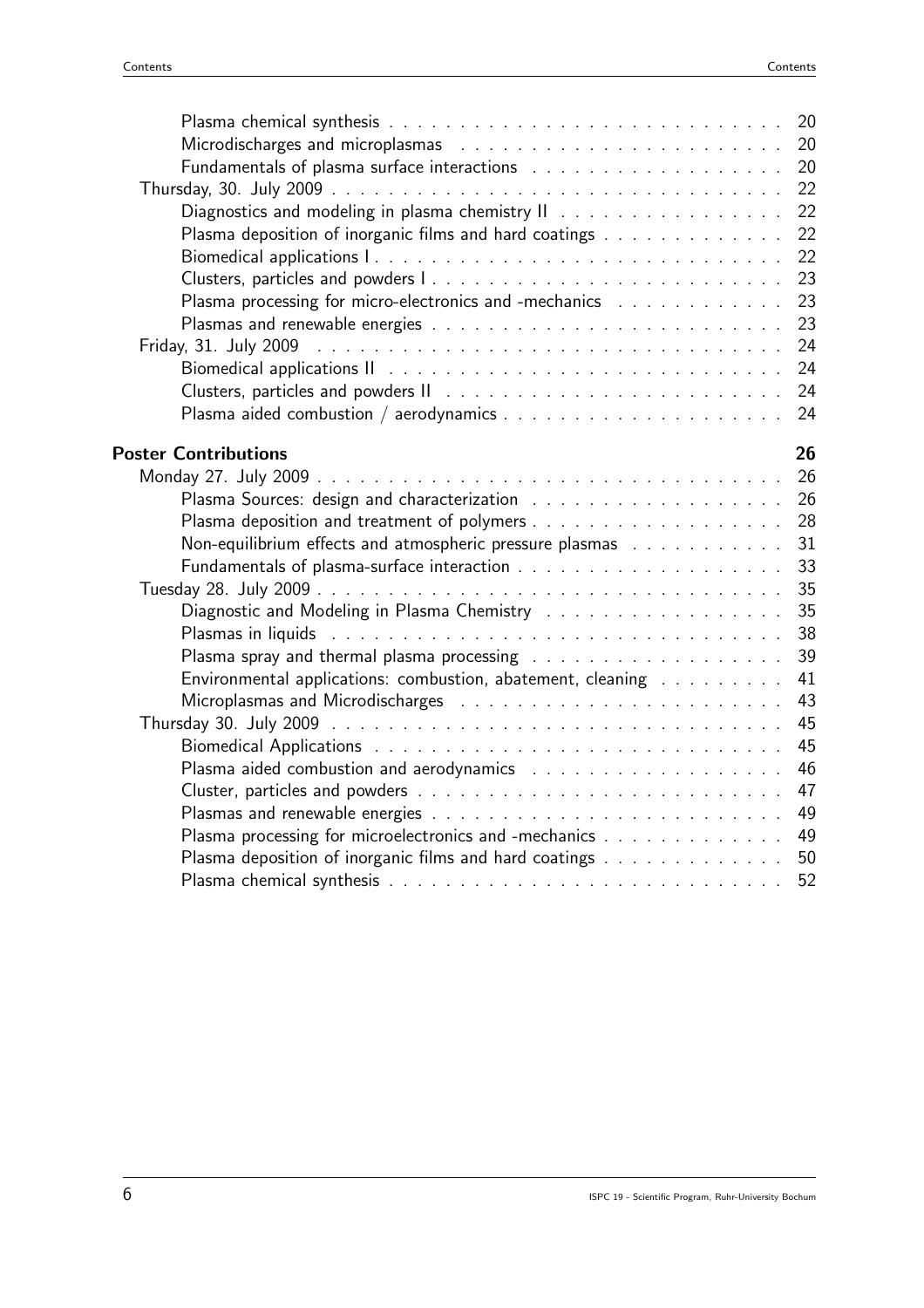| Microdischarges and microplasmas resonances and contained a series and microplasmas resonances and contained a                                          |          |
|---------------------------------------------------------------------------------------------------------------------------------------------------------|----------|
|                                                                                                                                                         |          |
|                                                                                                                                                         | 22       |
|                                                                                                                                                         | 22       |
| Plasma deposition of inorganic films and hard coatings                                                                                                  | 22       |
|                                                                                                                                                         | 22       |
|                                                                                                                                                         | 23       |
| Plasma processing for micro-electronics and -mechanics (Alexandra Alexandra Alexandra Alexandra Alexandra Alex                                          | 23       |
|                                                                                                                                                         | 23       |
|                                                                                                                                                         | 24       |
|                                                                                                                                                         | 24       |
|                                                                                                                                                         | 24<br>24 |
|                                                                                                                                                         |          |
| <b>Poster Contributions</b>                                                                                                                             | 26       |
|                                                                                                                                                         | 26       |
|                                                                                                                                                         | 26       |
|                                                                                                                                                         | 28       |
| Non-equilibrium effects and atmospheric pressure plasmas resonance and all the equilibrium effects and atmospheric pressure all the equilibrium effects | 31       |
|                                                                                                                                                         | 33       |
|                                                                                                                                                         | 35       |
|                                                                                                                                                         | 35       |
| Plasmas in liquids and a subsequently and a subsequently and a subsequently set of the subsequently set of the                                          | 38       |
|                                                                                                                                                         | 39       |
| Environmental applications: combustion, abatement, cleaning                                                                                             | 41       |
|                                                                                                                                                         | 43       |
|                                                                                                                                                         | 45       |
|                                                                                                                                                         | 45       |
|                                                                                                                                                         | 46       |
|                                                                                                                                                         | 47       |
|                                                                                                                                                         | 49       |
| Plasma processing for microelectronics and -mechanics                                                                                                   | 49       |
| Plasma deposition of inorganic films and hard coatings                                                                                                  | 50       |
|                                                                                                                                                         | 52       |
|                                                                                                                                                         |          |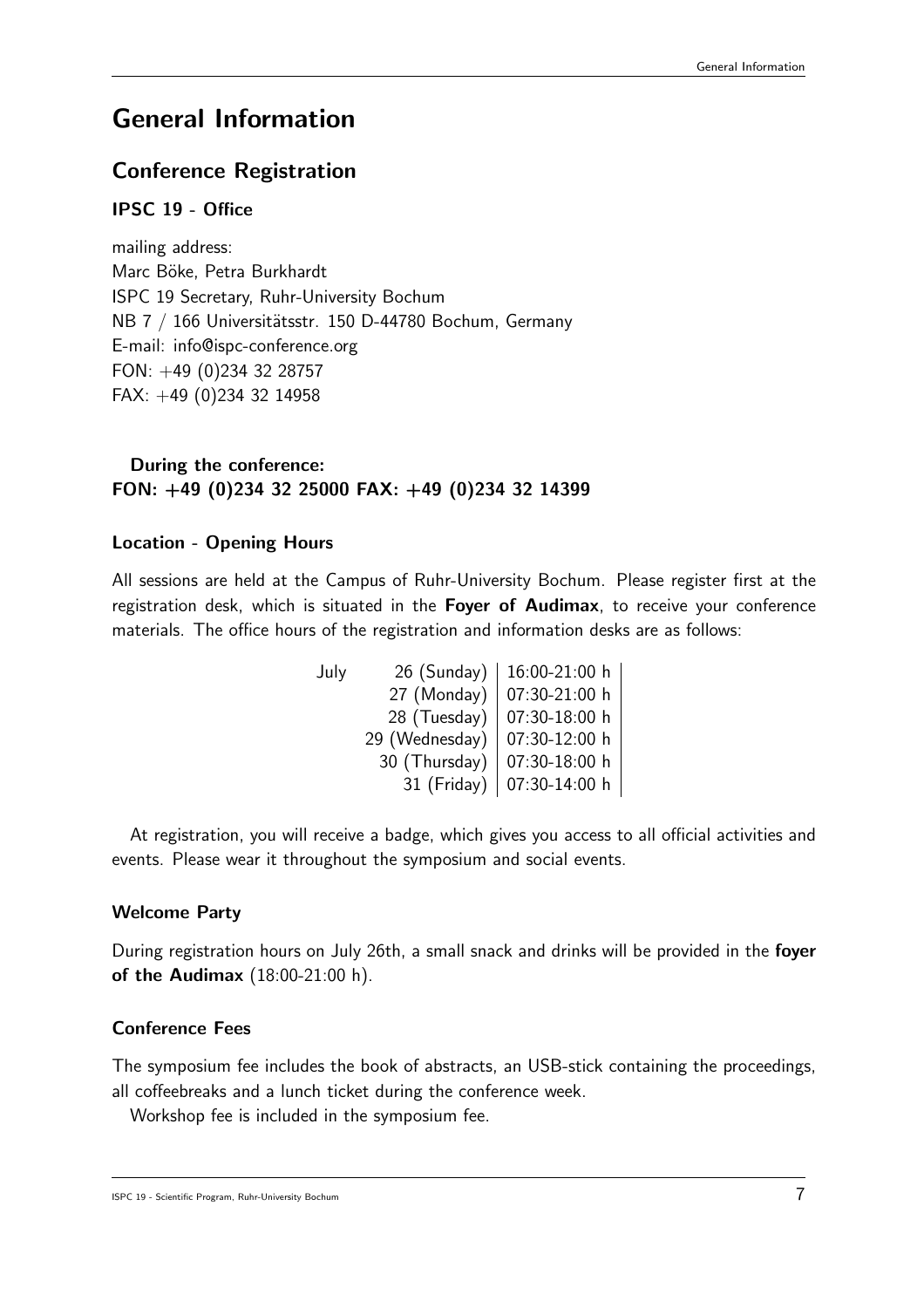# General Information

## Conference Registration

#### IPSC 19 - Office

mailing address: Marc Böke, Petra Burkhardt ISPC 19 Secretary, Ruhr-University Bochum NB 7 / 166 Universitätsstr. 150 D-44780 Bochum, Germany E-mail: info@ispc-conference.org FON: +49 (0)234 32 28757 FAX: +49 (0)234 32 14958

#### During the conference: FON: +49 (0)234 32 25000 FAX: +49 (0)234 32 14399

#### Location - Opening Hours

All sessions are held at the Campus of Ruhr-University Bochum. Please register first at the registration desk, which is situated in the Foyer of Audimax, to receive your conference materials. The office hours of the registration and information desks are as follows:

| 26 (Sunday)    | 16:00-21:00 h |
|----------------|---------------|
| 27 (Monday)    | 07:30-21:00 h |
| 28 (Tuesday)   | 07:30-18:00 h |
| 29 (Wednesday) | 07:30-12:00 h |
| 30 (Thursday)  | 07:30-18:00 h |
| 31 (Friday)    | 07:30-14:00 h |
|                |               |

At registration, you will receive a badge, which gives you access to all official activities and events. Please wear it throughout the symposium and social events.

#### Welcome Party

During registration hours on July 26th, a small snack and drinks will be provided in the foyer of the Audimax (18:00-21:00 h).

#### Conference Fees

The symposium fee includes the book of abstracts, an USB-stick containing the proceedings, all coffeebreaks and a lunch ticket during the conference week.

Workshop fee is included in the symposium fee.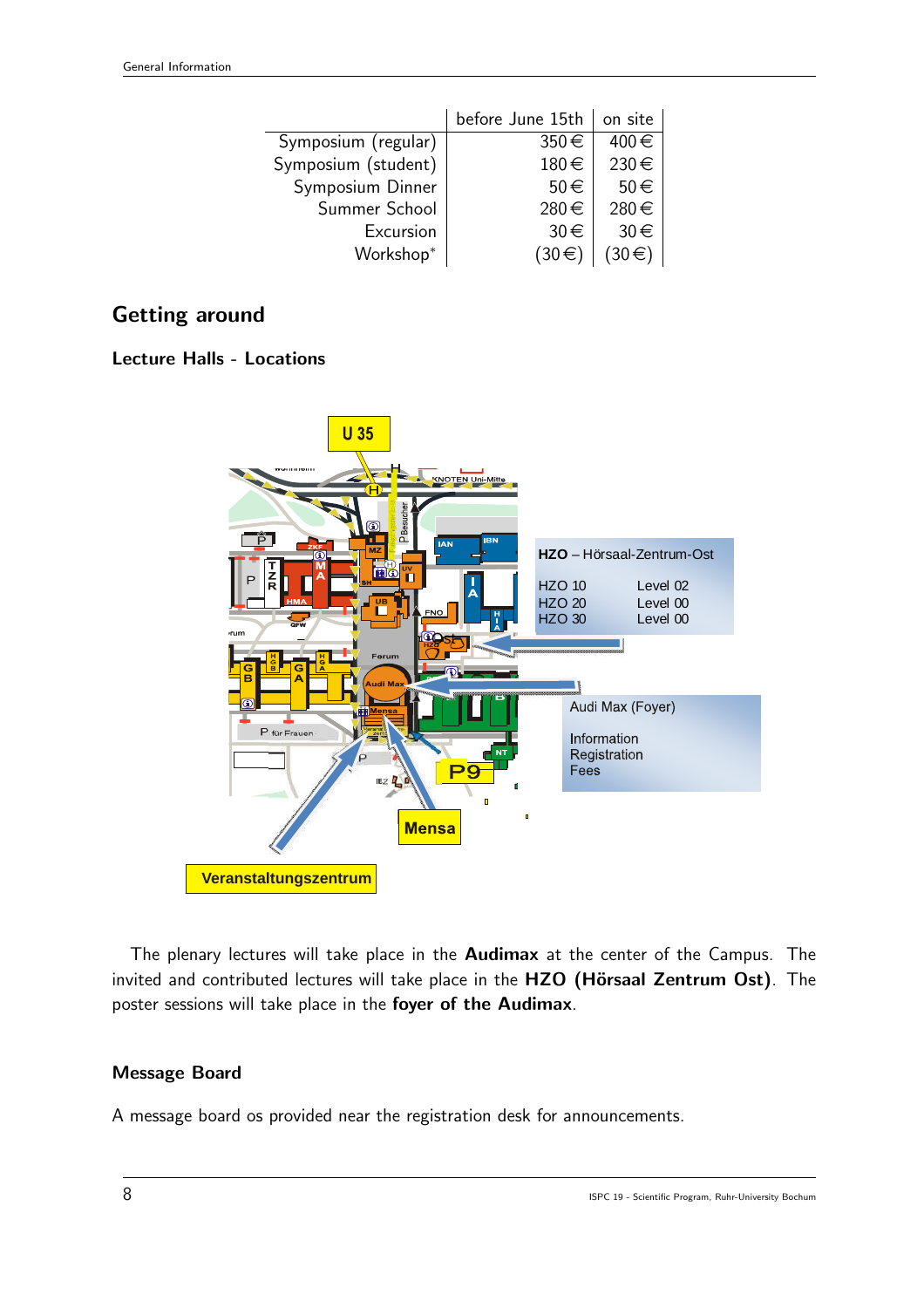|                     | before June 15th      | on site              |
|---------------------|-----------------------|----------------------|
| Symposium (regular) | 350€                  | 400€                 |
| Symposium (student) | 180€                  | 230€                 |
| Symposium Dinner    | 50€                   | $50 \in$             |
| Summer School       | 280€                  | 280€                 |
| Excursion           | $30 \in$              | $30 \in$             |
| Workshop*           | $(30 \in \mathbb{R})$ | $30 \in \mathcal{C}$ |

## Getting around

#### Lecture Halls - Locations



The plenary lectures will take place in the **Audimax** at the center of the Campus. The invited and contributed lectures will take place in the HZO (Hörsaal Zentrum Ost). The poster sessions will take place in the foyer of the Audimax.

#### Message Board

A message board os provided near the registration desk for announcements.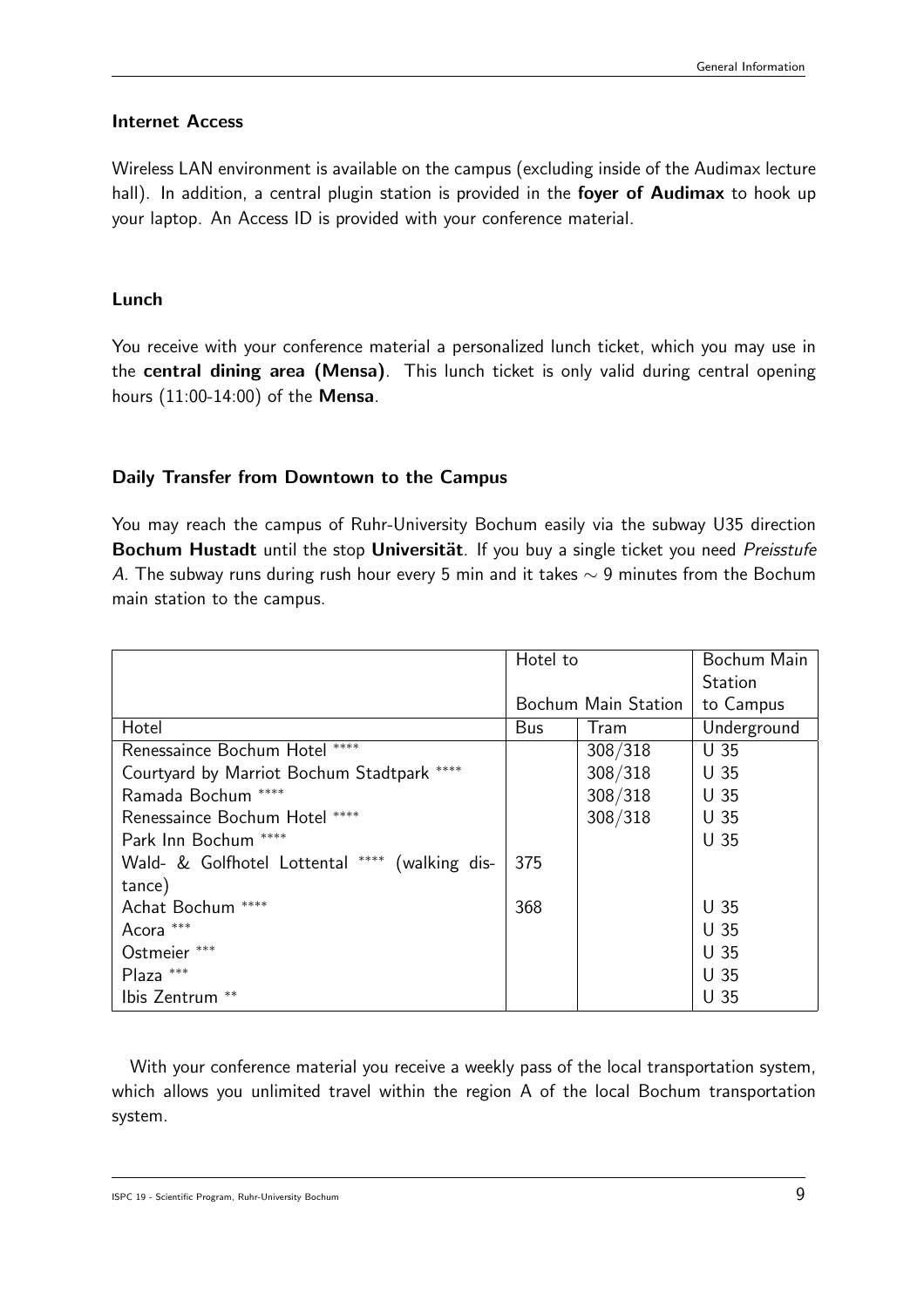#### Internet Access

Wireless LAN environment is available on the campus (excluding inside of the Audimax lecture hall). In addition, a central plugin station is provided in the foyer of Audimax to hook up your laptop. An Access ID is provided with your conference material.

#### Lunch

You receive with your conference material a personalized lunch ticket, which you may use in the central dining area (Mensa). This lunch ticket is only valid during central opening hours (11:00-14:00) of the Mensa.

#### Daily Transfer from Downtown to the Campus

You may reach the campus of Ruhr-University Bochum easily via the subway U35 direction Bochum Hustadt until the stop Universität. If you buy a single ticket you need Preisstufe A. The subway runs during rush hour every 5 min and it takes  $\sim$  9 minutes from the Bochum main station to the campus.

|                                                | Hotel to            |         | Bochum Main     |
|------------------------------------------------|---------------------|---------|-----------------|
|                                                |                     |         | <b>Station</b>  |
|                                                | Bochum Main Station |         | to Campus       |
| Hotel                                          | Bus                 | Tram    | Underground     |
| Renessaince Bochum Hotel ****                  |                     | 308/318 | U <sub>35</sub> |
| Courtyard by Marriot Bochum Stadtpark ****     |                     | 308/318 | U <sub>35</sub> |
| Ramada Bochum ****                             |                     | 308/318 | U <sub>35</sub> |
| Renessaince Bochum Hotel ****                  |                     | 308/318 | U <sub>35</sub> |
| Park Inn Bochum ****                           |                     |         | U <sub>35</sub> |
| Wald- & Golfhotel Lottental **** (walking dis- | 375                 |         |                 |
| tance)                                         |                     |         |                 |
| Achat Bochum ****                              | 368                 |         | U <sub>35</sub> |
| Acora ***                                      |                     |         | U <sub>35</sub> |
| Ostmeier ***                                   |                     |         | U <sub>35</sub> |
| Plaza ***                                      |                     |         | U <sub>35</sub> |
| Ibis Zentrum **                                |                     |         | U <sub>35</sub> |

With your conference material you receive a weekly pass of the local transportation system, which allows you unlimited travel within the region A of the local Bochum transportation system.

ISPC 19 - Scientific Program, Ruhr-University Bochum  $9$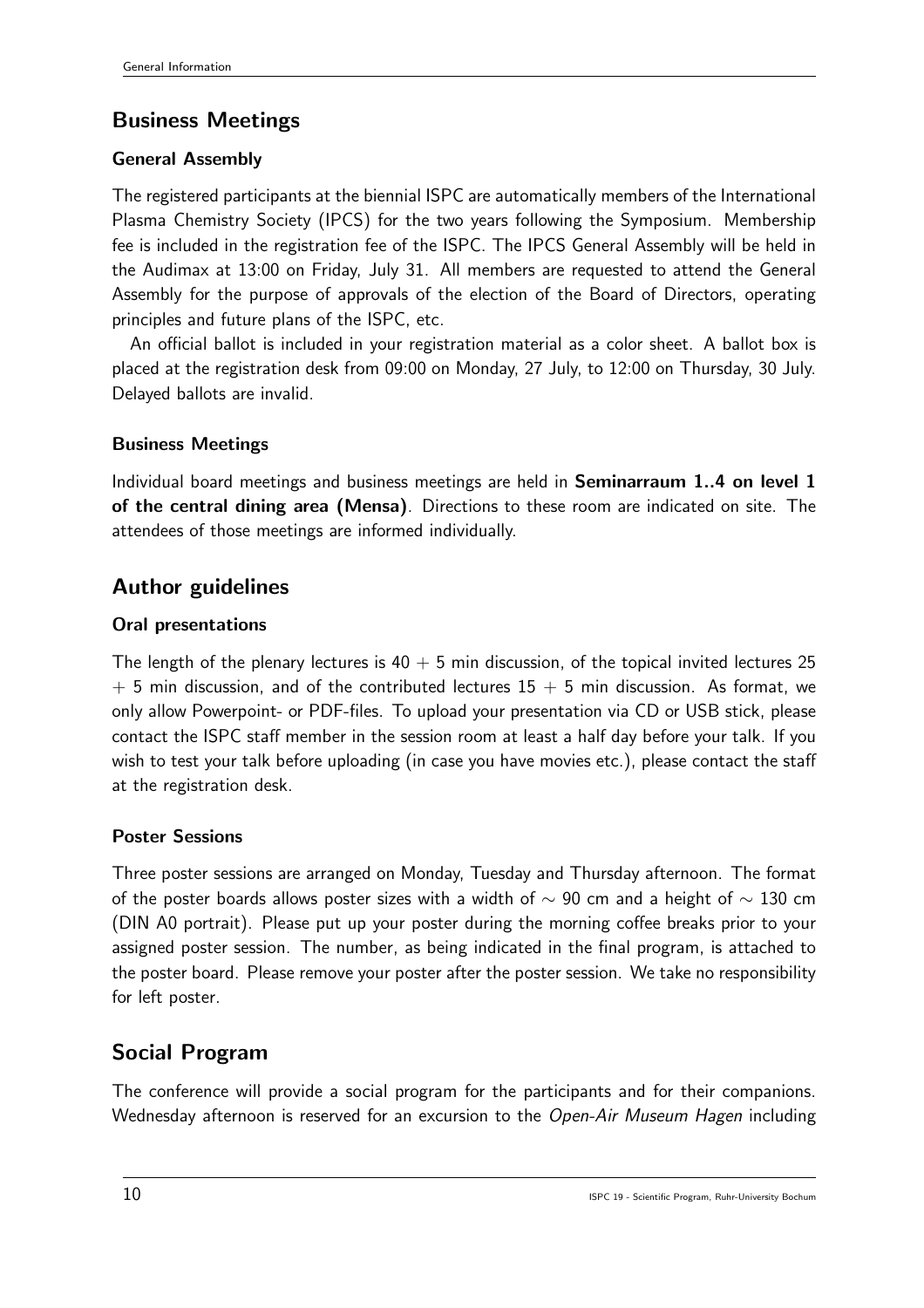# Business Meetings

### General Assembly

The registered participants at the biennial ISPC are automatically members of the International Plasma Chemistry Society (IPCS) for the two years following the Symposium. Membership fee is included in the registration fee of the ISPC. The IPCS General Assembly will be held in the Audimax at 13:00 on Friday, July 31. All members are requested to attend the General Assembly for the purpose of approvals of the election of the Board of Directors, operating principles and future plans of the ISPC, etc.

An official ballot is included in your registration material as a color sheet. A ballot box is placed at the registration desk from 09:00 on Monday, 27 July, to 12:00 on Thursday, 30 July. Delayed ballots are invalid.

### Business Meetings

Individual board meetings and business meetings are held in **Seminarraum 1.4 on level 1** of the central dining area (Mensa). Directions to these room are indicated on site. The attendees of those meetings are informed individually.

# Author guidelines

### Oral presentations

The length of the plenary lectures is  $40 + 5$  min discussion, of the topical invited lectures 25  $+$  5 min discussion, and of the contributed lectures 15  $+$  5 min discussion. As format, we only allow Powerpoint- or PDF-files. To upload your presentation via CD or USB stick, please contact the ISPC staff member in the session room at least a half day before your talk. If you wish to test your talk before uploading (in case you have movies etc.), please contact the staff at the registration desk.

#### Poster Sessions

Three poster sessions are arranged on Monday, Tuesday and Thursday afternoon. The format of the poster boards allows poster sizes with a width of  $\sim$  90 cm and a height of  $\sim$  130 cm (DIN A0 portrait). Please put up your poster during the morning coffee breaks prior to your assigned poster session. The number, as being indicated in the final program, is attached to the poster board. Please remove your poster after the poster session. We take no responsibility for left poster.

# Social Program

The conference will provide a social program for the participants and for their companions. Wednesday afternoon is reserved for an excursion to the Open-Air Museum Hagen including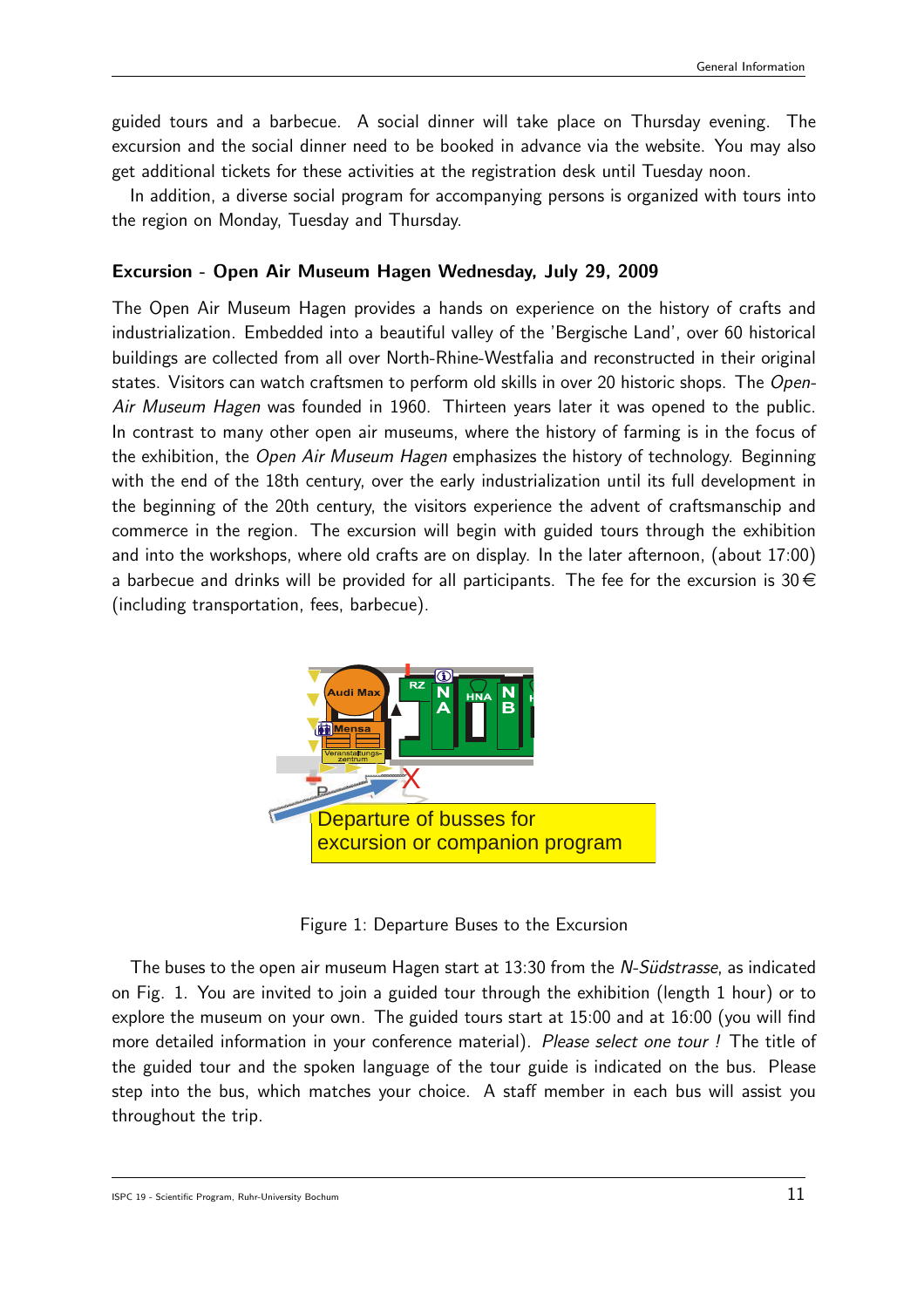guided tours and a barbecue. A social dinner will take place on Thursday evening. The excursion and the social dinner need to be booked in advance via the website. You may also get additional tickets for these activities at the registration desk until Tuesday noon.

In addition, a diverse social program for accompanying persons is organized with tours into the region on Monday, Tuesday and Thursday.

#### Excursion - Open Air Museum Hagen Wednesday, July 29, 2009

The Open Air Museum Hagen provides a hands on experience on the history of crafts and industrialization. Embedded into a beautiful valley of the 'Bergische Land', over 60 historical buildings are collected from all over North-Rhine-Westfalia and reconstructed in their original states. Visitors can watch craftsmen to perform old skills in over 20 historic shops. The Open-Air Museum Hagen was founded in 1960. Thirteen years later it was opened to the public. In contrast to many other open air museums, where the history of farming is in the focus of the exhibition, the *Open Air Museum Hagen* emphasizes the history of technology. Beginning with the end of the 18th century, over the early industrialization until its full development in the beginning of the 20th century, the visitors experience the advent of craftsmanschip and commerce in the region. The excursion will begin with guided tours through the exhibition and into the workshops, where old crafts are on display. In the later afternoon, (about 17:00) a barbecue and drinks will be provided for all participants. The fee for the excursion is  $30 \in$ (including transportation, fees, barbecue).



Figure 1: Departure Buses to the Excursion

The buses to the open air museum Hagen start at 13:30 from the *N-Südstrasse*, as indicated on Fig. 1. You are invited to join a guided tour through the exhibition (length 1 hour) or to explore the museum on your own. The guided tours start at 15:00 and at 16:00 (you will find more detailed information in your conference material). Please select one tour ! The title of the guided tour and the spoken language of the tour guide is indicated on the bus. Please step into the bus, which matches your choice. A staff member in each bus will assist you throughout the trip.

ISPC 19 - Scientific Program, Ruhr-University Bochum  $11$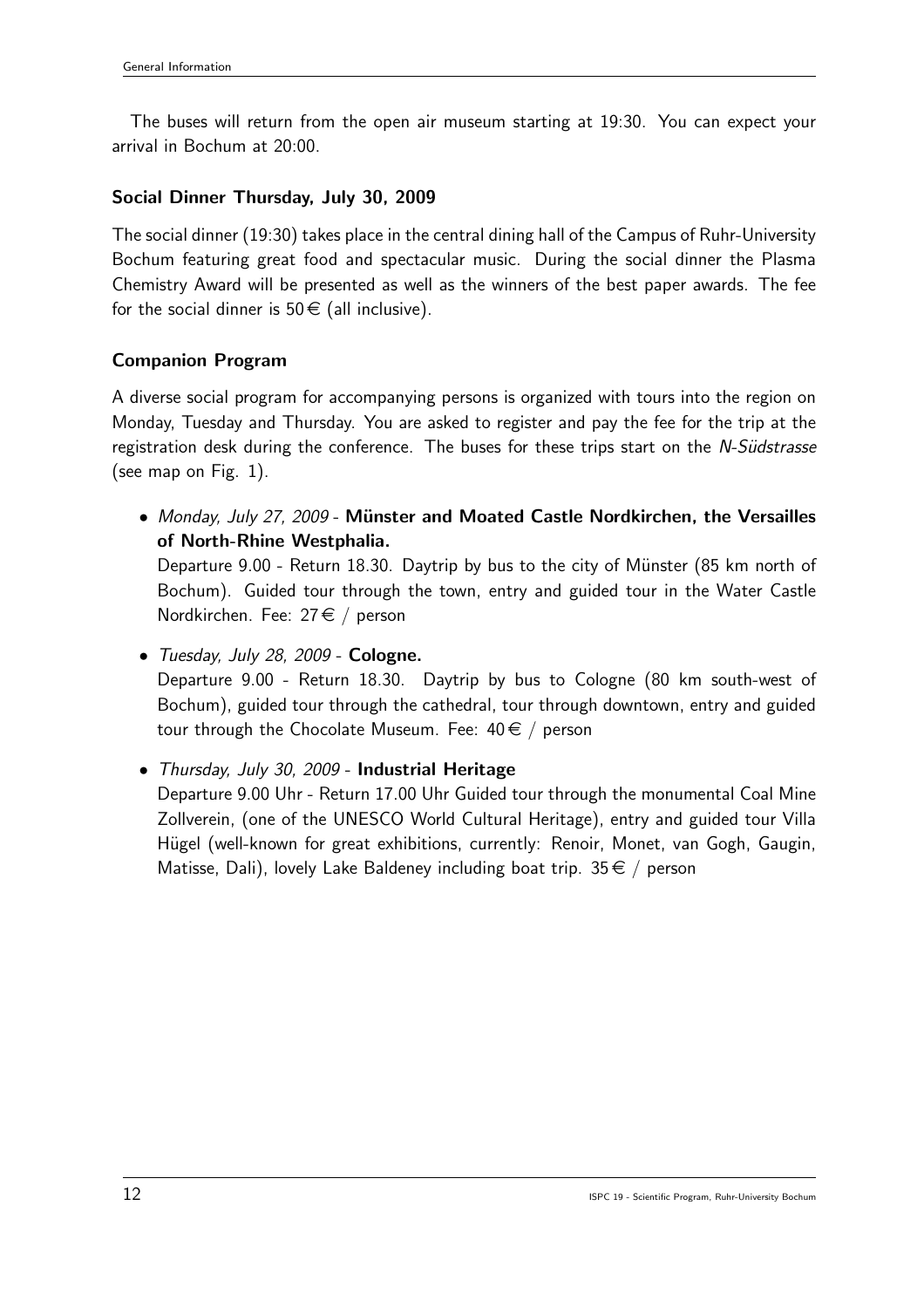The buses will return from the open air museum starting at 19:30. You can expect your arrival in Bochum at 20:00.

#### Social Dinner Thursday, July 30, 2009

The social dinner (19:30) takes place in the central dining hall of the Campus of Ruhr-University Bochum featuring great food and spectacular music. During the social dinner the Plasma Chemistry Award will be presented as well as the winners of the best paper awards. The fee for the social dinner is  $50 \in (all$  inclusive).

#### Companion Program

A diverse social program for accompanying persons is organized with tours into the region on Monday, Tuesday and Thursday. You are asked to register and pay the fee for the trip at the registration desk during the conference. The buses for these trips start on the N-Südstrasse (see map on Fig. 1).

- Monday, July 27, 2009 Münster and Moated Castle Nordkirchen, the Versailles of North-Rhine Westphalia. Departure  $9.00$  - Return 18.30. Daytrip by bus to the city of Münster (85 km north of Bochum). Guided tour through the town, entry and guided tour in the Water Castle Nordkirchen. Fee:  $27 \in /$  person
- Tuesday, July 28, 2009 Cologne. Departure 9.00 - Return 18.30. Daytrip by bus to Cologne (80 km south-west of Bochum), guided tour through the cathedral, tour through downtown, entry and guided tour through the Chocolate Museum. Fee:  $40 \in /$  person
- Thursday, July 30, 2009 Industrial Heritage
	- Departure 9.00 Uhr Return 17.00 Uhr Guided tour through the monumental Coal Mine Zollverein, (one of the UNESCO World Cultural Heritage), entry and guided tour Villa Hügel (well-known for great exhibitions, currently: Renoir, Monet, van Gogh, Gaugin, Matisse, Dali), lovely Lake Baldeney including boat trip.  $35 \in /$  person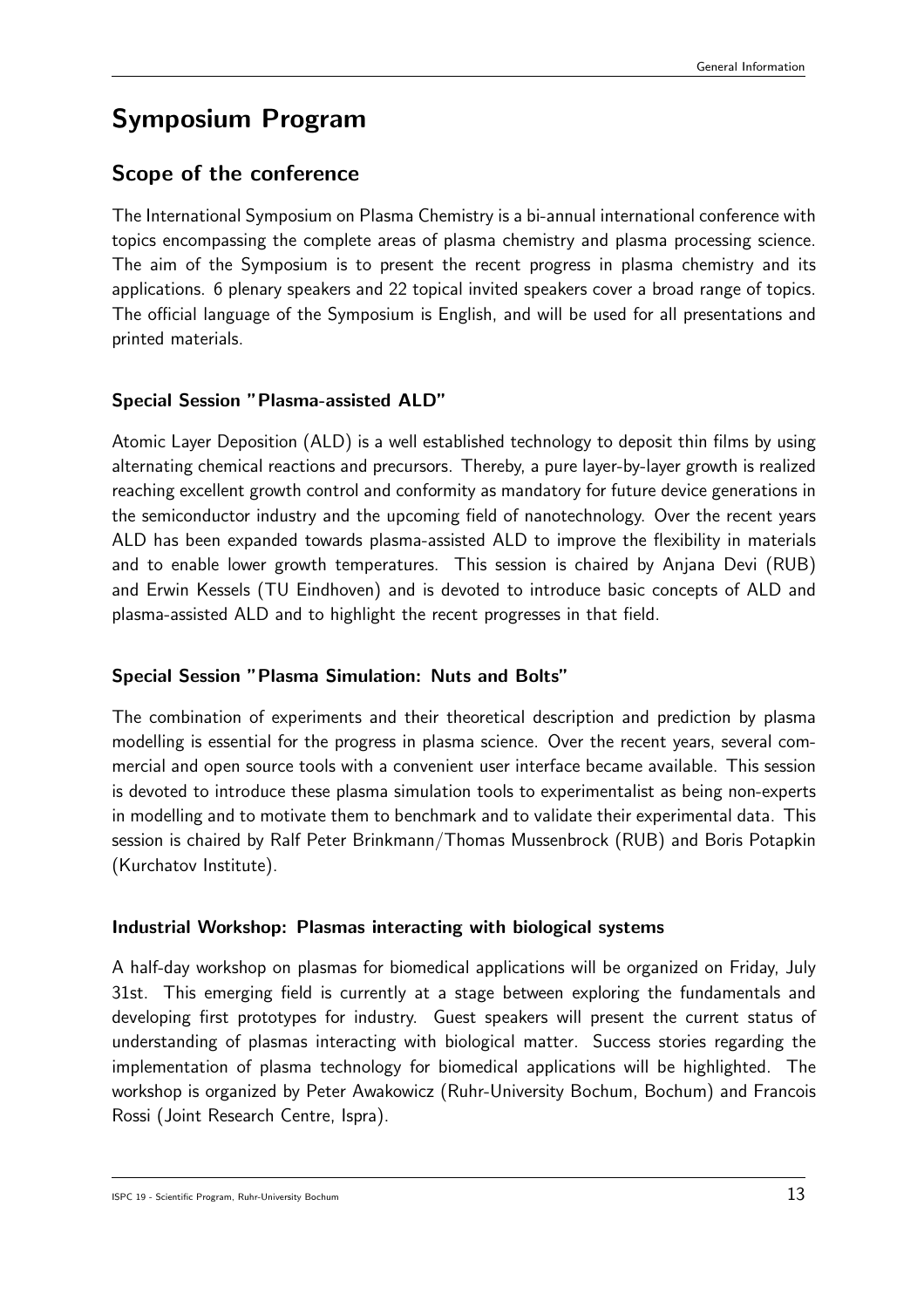# Symposium Program

## Scope of the conference

The International Symposium on Plasma Chemistry is a bi-annual international conference with topics encompassing the complete areas of plasma chemistry and plasma processing science. The aim of the Symposium is to present the recent progress in plasma chemistry and its applications. 6 plenary speakers and 22 topical invited speakers cover a broad range of topics. The official language of the Symposium is English, and will be used for all presentations and printed materials.

#### Special Session "Plasma-assisted ALD"

Atomic Layer Deposition (ALD) is a well established technology to deposit thin films by using alternating chemical reactions and precursors. Thereby, a pure layer-by-layer growth is realized reaching excellent growth control and conformity as mandatory for future device generations in the semiconductor industry and the upcoming field of nanotechnology. Over the recent years ALD has been expanded towards plasma-assisted ALD to improve the flexibility in materials and to enable lower growth temperatures. This session is chaired by Anjana Devi (RUB) and Erwin Kessels (TU Eindhoven) and is devoted to introduce basic concepts of ALD and plasma-assisted ALD and to highlight the recent progresses in that field.

#### Special Session "Plasma Simulation: Nuts and Bolts"

The combination of experiments and their theoretical description and prediction by plasma modelling is essential for the progress in plasma science. Over the recent years, several commercial and open source tools with a convenient user interface became available. This session is devoted to introduce these plasma simulation tools to experimentalist as being non-experts in modelling and to motivate them to benchmark and to validate their experimental data. This session is chaired by Ralf Peter Brinkmann/Thomas Mussenbrock (RUB) and Boris Potapkin (Kurchatov Institute).

#### Industrial Workshop: Plasmas interacting with biological systems

A half-day workshop on plasmas for biomedical applications will be organized on Friday, July 31st. This emerging field is currently at a stage between exploring the fundamentals and developing first prototypes for industry. Guest speakers will present the current status of understanding of plasmas interacting with biological matter. Success stories regarding the implementation of plasma technology for biomedical applications will be highlighted. The workshop is organized by Peter Awakowicz (Ruhr-University Bochum, Bochum) and Francois Rossi (Joint Research Centre, Ispra).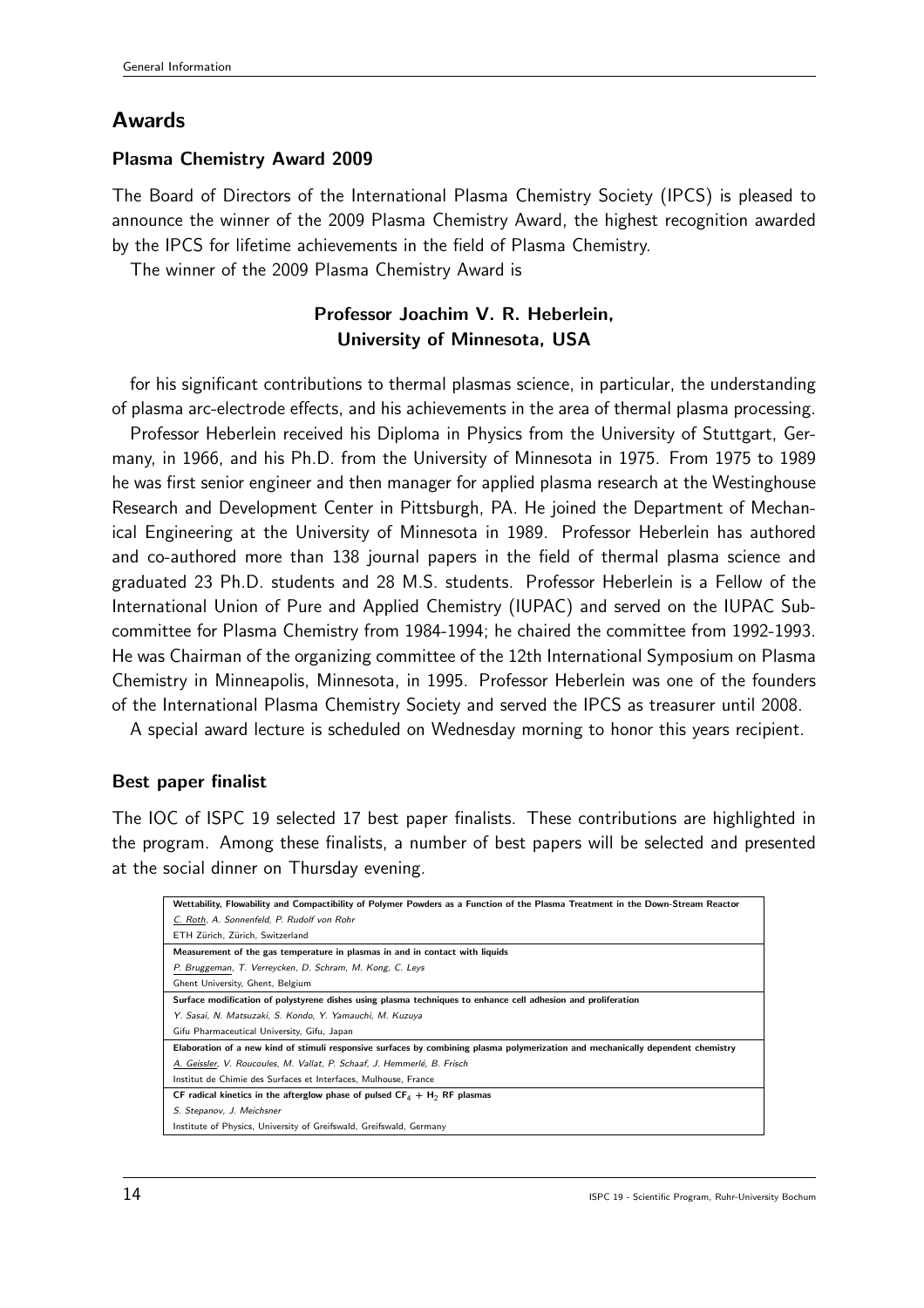## Awards

#### Plasma Chemistry Award 2009

The Board of Directors of the International Plasma Chemistry Society (IPCS) is pleased to announce the winner of the 2009 Plasma Chemistry Award, the highest recognition awarded by the IPCS for lifetime achievements in the field of Plasma Chemistry.

The winner of the 2009 Plasma Chemistry Award is

#### Professor Joachim V. R. Heberlein, University of Minnesota, USA

for his significant contributions to thermal plasmas science, in particular, the understanding of plasma arc-electrode effects, and his achievements in the area of thermal plasma processing.

Professor Heberlein received his Diploma in Physics from the University of Stuttgart, Germany, in 1966, and his Ph.D. from the University of Minnesota in 1975. From 1975 to 1989 he was first senior engineer and then manager for applied plasma research at the Westinghouse Research and Development Center in Pittsburgh, PA. He joined the Department of Mechanical Engineering at the University of Minnesota in 1989. Professor Heberlein has authored and co-authored more than 138 journal papers in the field of thermal plasma science and graduated 23 Ph.D. students and 28 M.S. students. Professor Heberlein is a Fellow of the International Union of Pure and Applied Chemistry (IUPAC) and served on the IUPAC Subcommittee for Plasma Chemistry from 1984-1994; he chaired the committee from 1992-1993. He was Chairman of the organizing committee of the 12th International Symposium on Plasma Chemistry in Minneapolis, Minnesota, in 1995. Professor Heberlein was one of the founders of the International Plasma Chemistry Society and served the IPCS as treasurer until 2008.

A special award lecture is scheduled on Wednesday morning to honor this years recipient.

#### Best paper finalist

The IOC of ISPC 19 selected 17 best paper finalists. These contributions are highlighted in the program. Among these finalists, a number of best papers will be selected and presented at the social dinner on Thursday evening.

| Wettability, Flowability and Compactibility of Polymer Powders as a Function of the Plasma Treatment in the Down-Stream Reactor  |
|----------------------------------------------------------------------------------------------------------------------------------|
| C. Roth, A. Sonnenfeld, P. Rudolf von Rohr                                                                                       |
| ETH Zürich, Zürich, Switzerland                                                                                                  |
| Measurement of the gas temperature in plasmas in and in contact with liquids                                                     |
| P. Bruggeman, T. Verreycken, D. Schram, M. Kong, C. Leys                                                                         |
| Ghent University, Ghent, Belgium                                                                                                 |
| Surface modification of polystyrene dishes using plasma techniques to enhance cell adhesion and proliferation                    |
| Y. Sasai, N. Matsuzaki, S. Kondo, Y. Yamauchi, M. Kuzuya                                                                         |
| Gifu Pharmaceutical University, Gifu, Japan                                                                                      |
| Elaboration of a new kind of stimuli responsive surfaces by combining plasma polymerization and mechanically dependent chemistry |
| A. Geissler, V. Roucoules, M. Vallat, P. Schaaf, J. Hemmerlé, B. Frisch                                                          |
| Institut de Chimie des Surfaces et Interfaces, Mulhouse, France                                                                  |
| CF radical kinetics in the afterglow phase of pulsed $CF_4 + H_2$ RF plasmas                                                     |
| S. Stepanov, J. Meichsner                                                                                                        |
| Institute of Physics, University of Greifswald, Greifswald, Germany                                                              |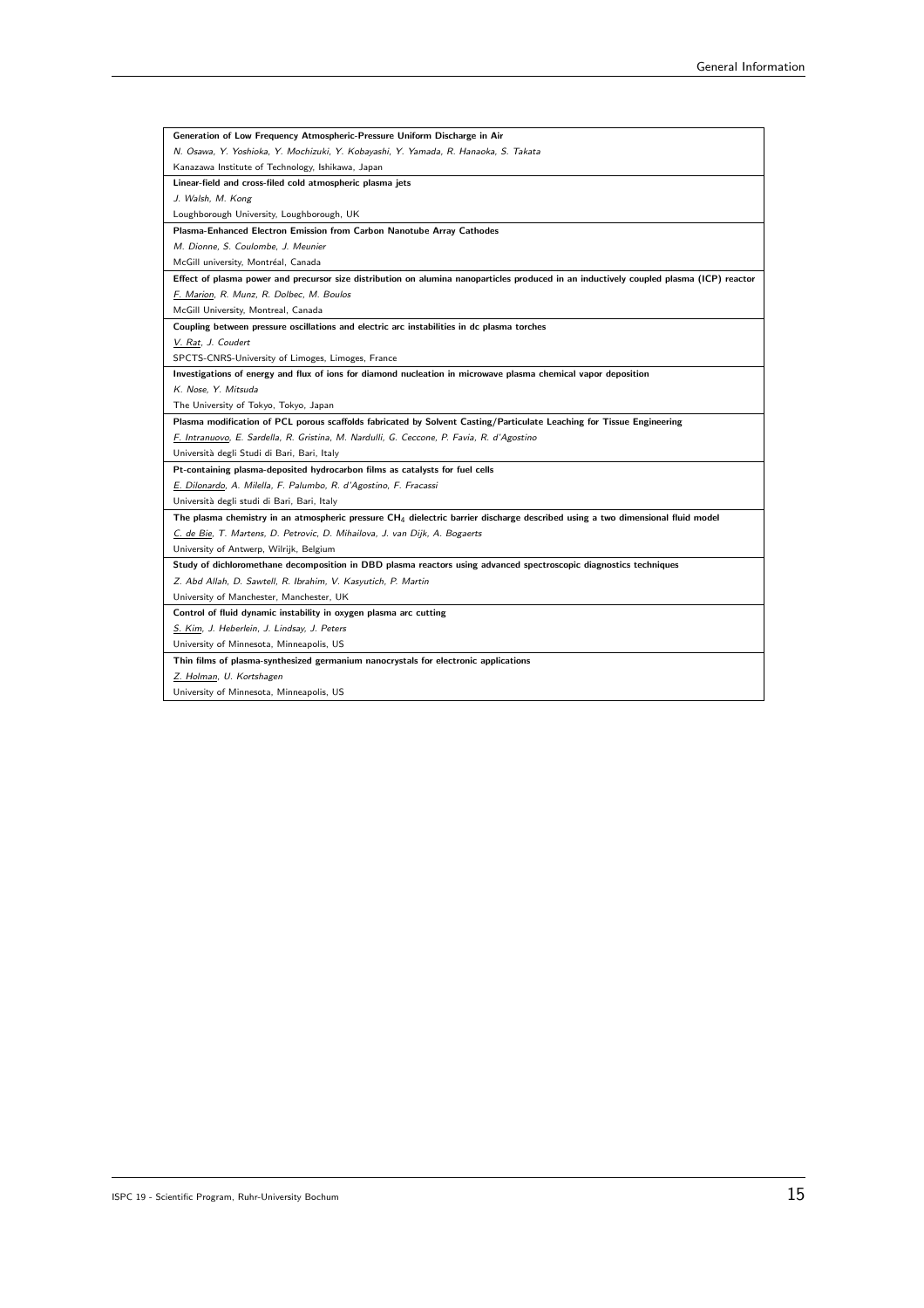| Generation of Low Frequency Atmospheric-Pressure Uniform Discharge in Air                                                               |
|-----------------------------------------------------------------------------------------------------------------------------------------|
| N. Osawa, Y. Yoshioka, Y. Mochizuki, Y. Kobayashi, Y. Yamada, R. Hanaoka, S. Takata                                                     |
| Kanazawa Institute of Technology, Ishikawa, Japan                                                                                       |
| Linear-field and cross-filed cold atmospheric plasma jets                                                                               |
| J. Walsh, M. Kong                                                                                                                       |
| Loughborough University, Loughborough, UK                                                                                               |
| Plasma-Enhanced Electron Emission from Carbon Nanotube Array Cathodes                                                                   |
| M. Dionne, S. Coulombe, J. Meunier                                                                                                      |
| McGill university, Montréal, Canada                                                                                                     |
| Effect of plasma power and precursor size distribution on alumina nanoparticles produced in an inductively coupled plasma (ICP) reactor |
| F. Marion, R. Munz, R. Dolbec, M. Boulos                                                                                                |
| McGill University, Montreal, Canada                                                                                                     |
| Coupling between pressure oscillations and electric arc instabilities in dc plasma torches                                              |
| V. Rat, J. Coudert                                                                                                                      |
| SPCTS-CNRS-University of Limoges, Limoges, France                                                                                       |
| Investigations of energy and flux of ions for diamond nucleation in microwave plasma chemical vapor deposition                          |
| K. Nose, Y. Mitsuda                                                                                                                     |
| The University of Tokyo, Tokyo, Japan                                                                                                   |
| Plasma modification of PCL porous scaffolds fabricated by Solvent Casting/Particulate Leaching for Tissue Engineering                   |
| F. Intranuovo, E. Sardella, R. Gristina, M. Nardulli, G. Ceccone, P. Favia, R. d'Agostino                                               |
| Università degli Studi di Bari, Bari, Italy                                                                                             |
| Pt-containing plasma-deposited hydrocarbon films as catalysts for fuel cells                                                            |
| E. Dilonardo, A. Milella, F. Palumbo, R. d'Agostino, F. Fracassi                                                                        |
| Università degli studi di Bari, Bari, Italy                                                                                             |
| The plasma chemistry in an atmospheric pressure $CH_4$ dielectric barrier discharge described using a two dimensional fluid model       |
| C. de Bie, T. Martens, D. Petrovic, D. Mihailova, J. van Dijk, A. Bogaerts                                                              |
| University of Antwerp, Wilrijk, Belgium                                                                                                 |
| Study of dichloromethane decomposition in DBD plasma reactors using advanced spectroscopic diagnostics techniques                       |
| Z. Abd Allah, D. Sawtell, R. Ibrahim, V. Kasyutich, P. Martin                                                                           |
| University of Manchester, Manchester, UK                                                                                                |
| Control of fluid dynamic instability in oxygen plasma arc cutting                                                                       |
| S. Kim, J. Heberlein, J. Lindsay, J. Peters                                                                                             |
| University of Minnesota, Minneapolis, US                                                                                                |
| Thin films of plasma-synthesized germanium nanocrystals for electronic applications                                                     |
| Z. Holman, U. Kortshagen                                                                                                                |
| University of Minnesota, Minneapolis, US                                                                                                |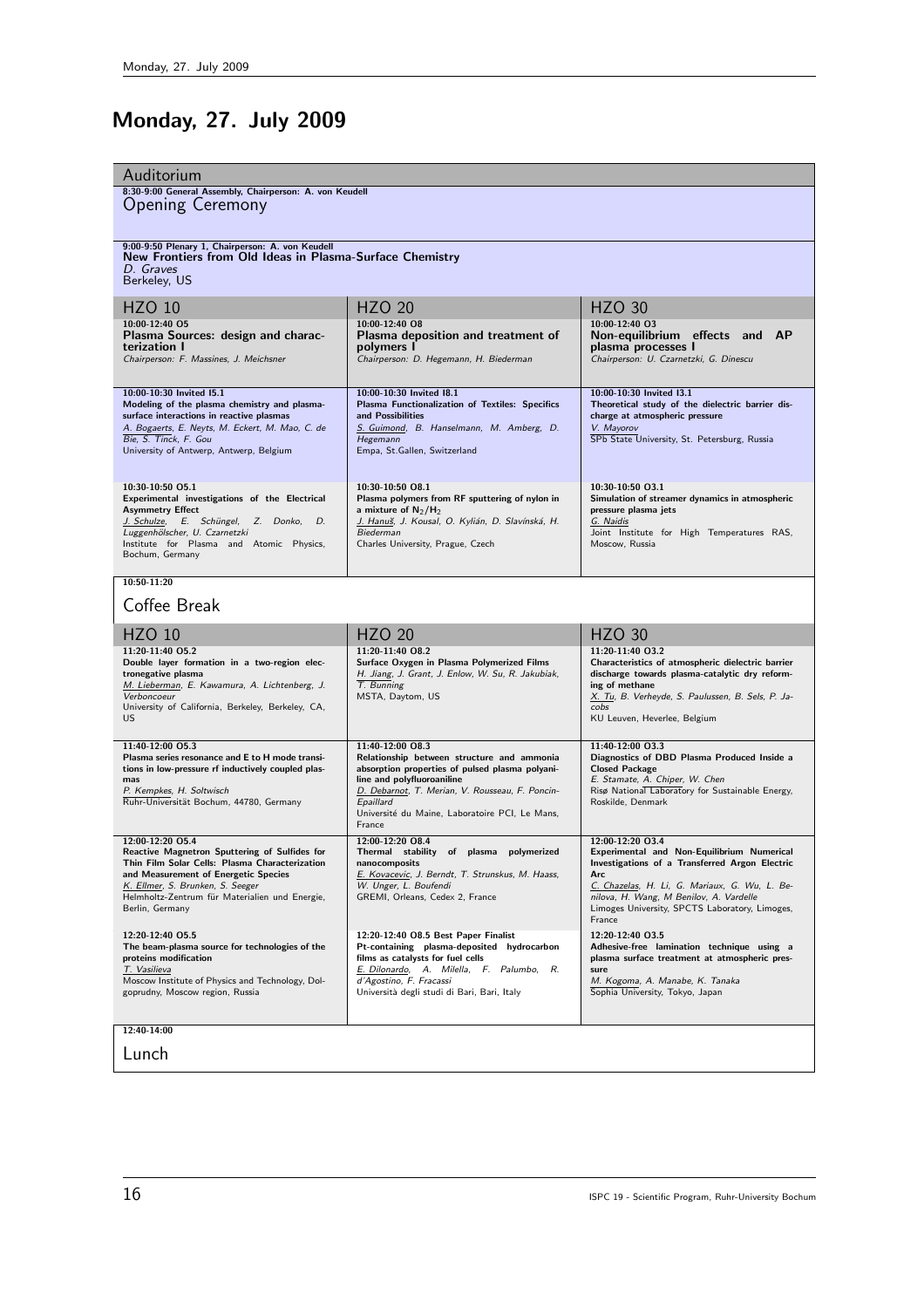# Monday, 27. July 2009

| Auditorium                                                                                                                                                                                                                                                           |                                                                                                                                                                                                                                                                             |                                                                                                                                                                                                                                                                                 |  |
|----------------------------------------------------------------------------------------------------------------------------------------------------------------------------------------------------------------------------------------------------------------------|-----------------------------------------------------------------------------------------------------------------------------------------------------------------------------------------------------------------------------------------------------------------------------|---------------------------------------------------------------------------------------------------------------------------------------------------------------------------------------------------------------------------------------------------------------------------------|--|
| 8:30-9:00 General Assembly, Chairperson: A. von Keudell<br><b>Opening Ceremony</b>                                                                                                                                                                                   |                                                                                                                                                                                                                                                                             |                                                                                                                                                                                                                                                                                 |  |
| 9:00-9:50 Plenary 1, Chairperson: A. von Keudell<br>New Frontiers from Old Ideas in Plasma-Surface Chemistry<br>D. Graves<br>Berkeley, US                                                                                                                            |                                                                                                                                                                                                                                                                             |                                                                                                                                                                                                                                                                                 |  |
| HZO 10                                                                                                                                                                                                                                                               | <b>HZO 20</b>                                                                                                                                                                                                                                                               | <b>HZO 30</b>                                                                                                                                                                                                                                                                   |  |
| 10:00-12:40 05<br>Plasma Sources: design and charac-<br>terization I<br>Chairperson: F. Massines, J. Meichsner                                                                                                                                                       | $10:00-12:40$ QB<br>Plasma deposition and treatment of<br>polymers I<br>Chairperson: D. Hegemann, H. Biederman                                                                                                                                                              | 10:00-12:40 03<br>Non-equilibrium effects and AP<br>plasma processes I<br>Chairperson: U. Czarnetzki, G. Dinescu                                                                                                                                                                |  |
| 10:00-10:30 Invited I5.1<br>Modeling of the plasma chemistry and plasma-<br>surface interactions in reactive plasmas<br>A. Bogaerts, E. Neyts, M. Eckert, M. Mao, C. de<br>Bie, S. Tinck, F. Gou<br>University of Antwerp, Antwerp, Belgium                          | 10:00-10:30 Invited I8.1<br>Plasma Functionalization of Textiles: Specifics<br>and Possibilities<br>S. Guimond, B. Hanselmann, M. Amberg, D.<br>Hegemann<br>Empa, St. Gallen, Switzerland                                                                                   | 10:00-10:30 Invited I3.1<br>Theoretical study of the dielectric barrier dis-<br>charge at atmospheric pressure<br>V. Mayorov<br>SPb State University, St. Petersburg, Russia                                                                                                    |  |
| 10:30-10:50 05.1<br>Experimental investigations of the Electrical<br><b>Asymmetry Effect</b><br>J. Schulze, E. Schüngel, Z. Donko, D.<br>Luggenhölscher, U. Czarnetzki<br>Institute for Plasma and Atomic Physics,<br>Bochum, Germany                                | 10:30-10:50 08.1<br>Plasma polymers from RF sputtering of nylon in<br>a mixture of $N_2/H_2$<br>J. Hanuš, J. Kousal, O. Kylián, D. Slavínská, H.<br>Biederman<br>Charles University, Prague, Czech                                                                          | 10:30-10:50 03.1<br>Simulation of streamer dynamics in atmospheric<br>pressure plasma jets<br>G. Naidis<br>Joint Institute for High Temperatures RAS,<br>Moscow, Russia                                                                                                         |  |
| $10:50-11:20$                                                                                                                                                                                                                                                        |                                                                                                                                                                                                                                                                             |                                                                                                                                                                                                                                                                                 |  |
| Coffee Break                                                                                                                                                                                                                                                         |                                                                                                                                                                                                                                                                             |                                                                                                                                                                                                                                                                                 |  |
| <b>HZO 10</b>                                                                                                                                                                                                                                                        | <b>HZO 20</b>                                                                                                                                                                                                                                                               | <b>HZO 30</b>                                                                                                                                                                                                                                                                   |  |
| 11:20-11:40 05.2<br>Double layer formation in a two-region elec-<br>tronegative plasma<br>M. Lieberman, E. Kawamura, A. Lichtenberg, J.<br>Verboncoeur<br>University of California, Berkeley, Berkeley, CA,<br>US                                                    | 11:20-11:40 08.2<br>Surface Oxygen in Plasma Polymerized Films<br>H. Jiang, J. Grant, J. Enlow, W. Su, R. Jakubiak,<br>T. Bunning<br>MSTA, Daytom, US                                                                                                                       | 11:20-11:40 03.2<br>Characteristics of atmospheric dielectric barrier<br>discharge towards plasma-catalytic dry reform-<br>ing of methane<br>X. Tu, B. Verheyde, S. Paulussen, B. Sels, P. Ja-<br>cobs<br>KU Leuven, Heverlee, Belgium                                          |  |
| 11:40-12:00 05.3<br>Plasma series resonance and E to H mode transi-<br>tions in low-pressure rf inductively coupled plas-<br>mas<br>P. Kempkes, H. Soltwisch<br>Ruhr-Universität Bochum, 44780, Germany                                                              | 11:40-12:00 08.3<br>Relationship between structure and ammonia<br>absorption properties of pulsed plasma polyani-<br>line and polyfluoroaniline<br>D. Debarnot, T. Merian, V. Rousseau, F. Poncin-<br>Epaillard<br>Université du Maine, Laboratoire PCI, Le Mans,<br>France | 11:40-12:00 03.3<br>Diagnostics of DBD Plasma Produced Inside a<br><b>Closed Package</b><br>E. Stamate, A. Chiper, W. Chen<br>Risø National Laboratory for Sustainable Energy,<br>Roskilde, Denmark                                                                             |  |
| 12:00-12:20 05.4<br>Reactive Magnetron Sputtering of Sulfides for<br>Thin Film Solar Cells: Plasma Characterization<br>and Measurement of Energetic Species<br>K. Ellmer, S. Brunken, S. Seeger<br>Helmholtz-Zentrum für Materialien und Energie,<br>Berlin, Germany | 12:00-12:20 08.4<br>Thermal stability of plasma<br>polymerized<br>nanocomposits<br>E. Kovacevic, J. Berndt, T. Strunskus, M. Haass,<br>W. Unger, L. Boufendi<br>GREMI, Orleans, Cedex 2, France                                                                             | 12:00-12:20 03.4<br>Experimental and Non-Equilibrium Numerical<br>Investigations of a Transferred Argon Electric<br>Arc<br>C. Chazelas, H. Li, G. Mariaux, G. Wu, L. Be-<br>nilova, H. Wang, M Benilov, A. Vardelle<br>Limoges University, SPCTS Laboratory, Limoges,<br>France |  |
| 12:20-12:40 05.5<br>The beam-plasma source for technologies of the<br>proteins modification<br>T. Vasilieva<br>Moscow Institute of Physics and Technology, Dol-<br>goprudny, Moscow region, Russia                                                                   | 12:20-12:40 O8.5 Best Paper Finalist<br>Pt-containing plasma-deposited hydrocarbon<br>films as catalysts for fuel cells<br>E. Dilonardo, A. Milella, F. Palumbo, R.<br>d'Agostino, F. Fracassi<br>Università degli studi di Bari, Bari, Italy                               | 12:20-12:40 03.5<br>Adhesive-free lamination technique using a<br>plasma surface treatment at atmospheric pres-<br>sure<br>M. Kogoma, A. Manabe, K. Tanaka<br>Sophia University, Tokyo, Japan                                                                                   |  |
| 12:40-14:00                                                                                                                                                                                                                                                          |                                                                                                                                                                                                                                                                             |                                                                                                                                                                                                                                                                                 |  |
| Lunch                                                                                                                                                                                                                                                                |                                                                                                                                                                                                                                                                             |                                                                                                                                                                                                                                                                                 |  |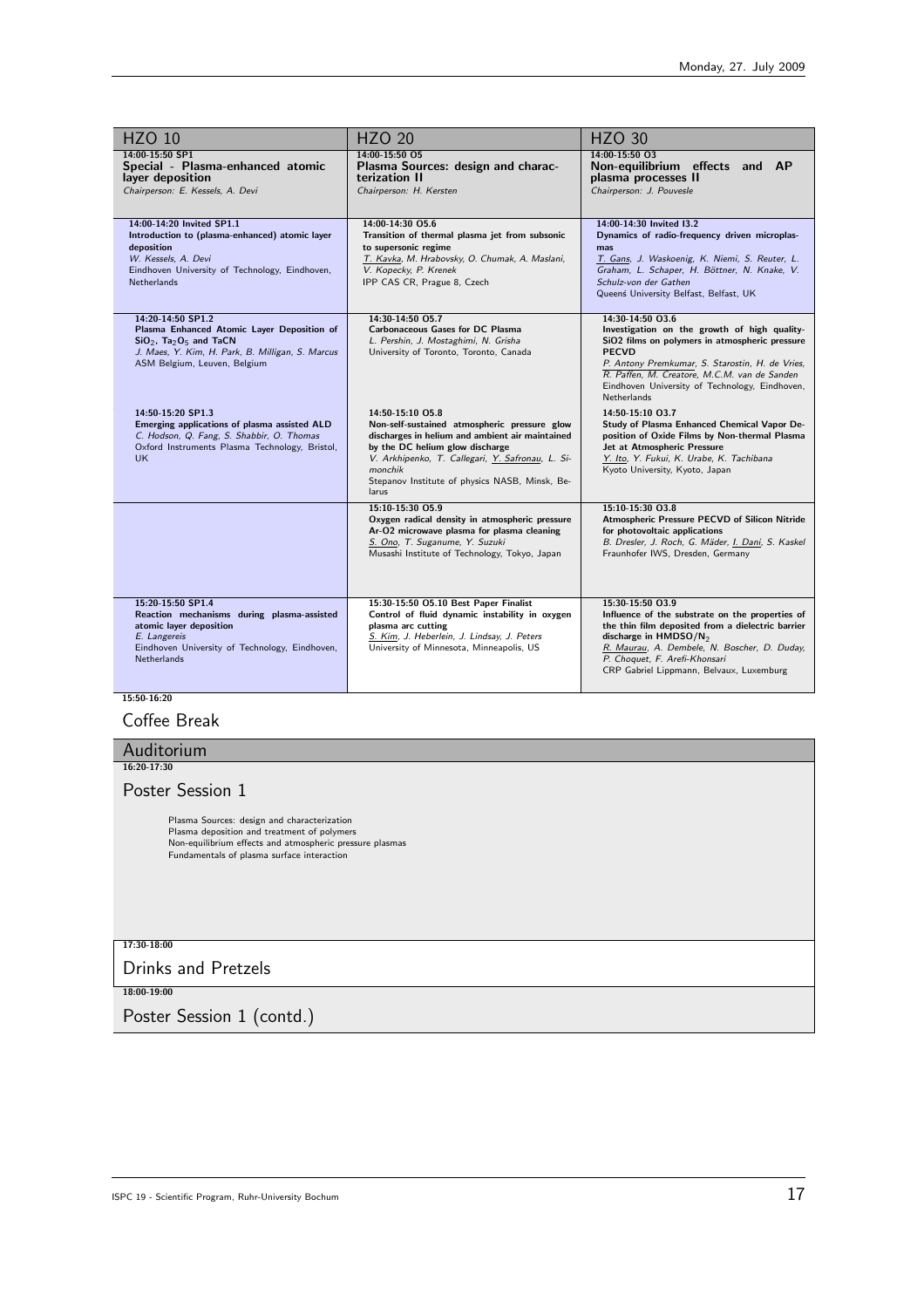| <b>HZO 10</b>                                                                                                                                                                                           | <b>HZO 20</b>                                                                                                                                                                                                                                                                    | <b>HZO 30</b>                                                                                                                                                                                                                                                                                          |
|---------------------------------------------------------------------------------------------------------------------------------------------------------------------------------------------------------|----------------------------------------------------------------------------------------------------------------------------------------------------------------------------------------------------------------------------------------------------------------------------------|--------------------------------------------------------------------------------------------------------------------------------------------------------------------------------------------------------------------------------------------------------------------------------------------------------|
| 14:00-15:50 SP1<br>Special - Plasma-enhanced atomic<br>layer deposition<br>Chairperson: E. Kessels, A. Devi                                                                                             | 14:00-15:50 O5<br>Plasma Sources: design and charac-<br>terization II<br>Chairperson: H. Kersten                                                                                                                                                                                 | 14:00-15:50 03<br>Non-equilibrium effects and AP<br>plasma processes II<br>Chairperson: J. Pouvesle                                                                                                                                                                                                    |
| 14:00-14:20 Invited SP1.1<br>Introduction to (plasma-enhanced) atomic layer<br>deposition<br>W. Kessels, A. Devi<br>Eindhoven University of Technology, Eindhoven,<br><b>Netherlands</b>                | 14:00-14:30 05.6<br>Transition of thermal plasma jet from subsonic<br>to supersonic regime<br>T. Kavka, M. Hrabovsky, O. Chumak, A. Maslani,<br>V. Kopecky, P. Krenek<br>IPP CAS CR, Prague 8, Czech                                                                             | 14:00-14:30 Invited 13.2<br>Dynamics of radio-frequency driven microplas-<br>mas<br>T. Gans, J. Waskoenig, K. Niemi, S. Reuter, L.<br>Graham, L. Schaper, H. Böttner, N. Knake, V.<br>Schulz-von der Gathen<br>Queenś University Belfast, Belfast, UK                                                  |
| 14:20-14:50 SP1.2<br>Plasma Enhanced Atomic Layer Deposition of<br>$SiO2$ , Ta <sub>2</sub> O <sub>5</sub> and TaCN<br>J. Maes, Y. Kim, H. Park, B. Milligan, S. Marcus<br>ASM Belgium, Leuven, Belgium | 14:30-14:50 O5.7<br><b>Carbonaceous Gases for DC Plasma</b><br>L. Pershin, J. Mostaghimi, N. Grisha<br>University of Toronto, Toronto, Canada                                                                                                                                    | 14:30-14:50 03.6<br>Investigation on the growth of high quality-<br>SiO2 films on polymers in atmospheric pressure<br><b>PECVD</b><br>P. Antony Premkumar, S. Starostin, H. de Vries,<br>R. Paffen, M. Creatore, M.C.M. van de Sanden<br>Eindhoven University of Technology, Eindhoven,<br>Netherlands |
| 14:50-15:20 SP1.3<br>Emerging applications of plasma assisted ALD<br>C. Hodson, Q. Fang, S. Shabbir, O. Thomas<br>Oxford Instruments Plasma Technology, Bristol,<br>UK.                                 | 14:50-15:10 05.8<br>Non-self-sustained atmospheric pressure glow<br>discharges in helium and ambient air maintained<br>by the DC helium glow discharge<br>V. Arkhipenko, T. Callegari, Y. Safronau, L. Si-<br>monchik<br>Stepanov Institute of physics NASB, Minsk, Be-<br>larus | 14:50-15:10 03.7<br>Study of Plasma Enhanced Chemical Vapor De-<br>position of Oxide Films by Non-thermal Plasma<br>Jet at Atmospheric Pressure<br>Y. Ito, Y. Fukui, K. Urabe, K. Tachibana<br>Kyoto University, Kyoto, Japan                                                                          |
|                                                                                                                                                                                                         | 15:10-15:30 05.9<br>Oxygen radical density in atmospheric pressure<br>Ar-O2 microwave plasma for plasma cleaning<br>S. Ono, T. Suganume, Y. Suzuki<br>Musashi Institute of Technology, Tokyo, Japan                                                                              | 15:10-15:30 03.8<br>Atmospheric Pressure PECVD of Silicon Nitride<br>for photovoltaic applications<br>B. Dresler, J. Roch, G. Mäder, I. Dani, S. Kaskel<br>Fraunhofer IWS, Dresden, Germany                                                                                                            |
| 15:20-15:50 SP1.4<br>Reaction mechanisms during plasma-assisted<br>atomic layer deposition<br>E. Langereis<br>Eindhoven University of Technology, Eindhoven,<br><b>Netherlands</b>                      | 15:30-15:50 O5.10 Best Paper Finalist<br>Control of fluid dynamic instability in oxygen<br>plasma arc cutting<br>S. Kim, J. Heberlein, J. Lindsay, J. Peters<br>University of Minnesota, Minneapolis, US                                                                         | 15:30-15:50 03.9<br>Influence of the substrate on the properties of<br>the thin film deposited from a dielectric barrier<br>discharge in HMDSO/N <sub>2</sub><br>R. Maurau, A. Dembele, N. Boscher, D. Duday,<br>P. Choquet, F. Arefi-Khonsari<br>CRP Gabriel Lippmann, Belvaux, Luxemburg             |

 $\frac{15:50-16:20}{15:50-16:20}$ 

## Coffee Break

| Auditorium                                                                                                                                                                                           |
|------------------------------------------------------------------------------------------------------------------------------------------------------------------------------------------------------|
| 16:20-17:30                                                                                                                                                                                          |
| Poster Session 1                                                                                                                                                                                     |
| Plasma Sources: design and characterization<br>Plasma deposition and treatment of polymers<br>Non-equilibrium effects and atmospheric pressure plasmas<br>Fundamentals of plasma surface interaction |
| 17:30-18:00                                                                                                                                                                                          |
| <b>Drinks and Pretzels</b>                                                                                                                                                                           |
| 18:00-19:00                                                                                                                                                                                          |
| Poster Session 1 (contd.)                                                                                                                                                                            |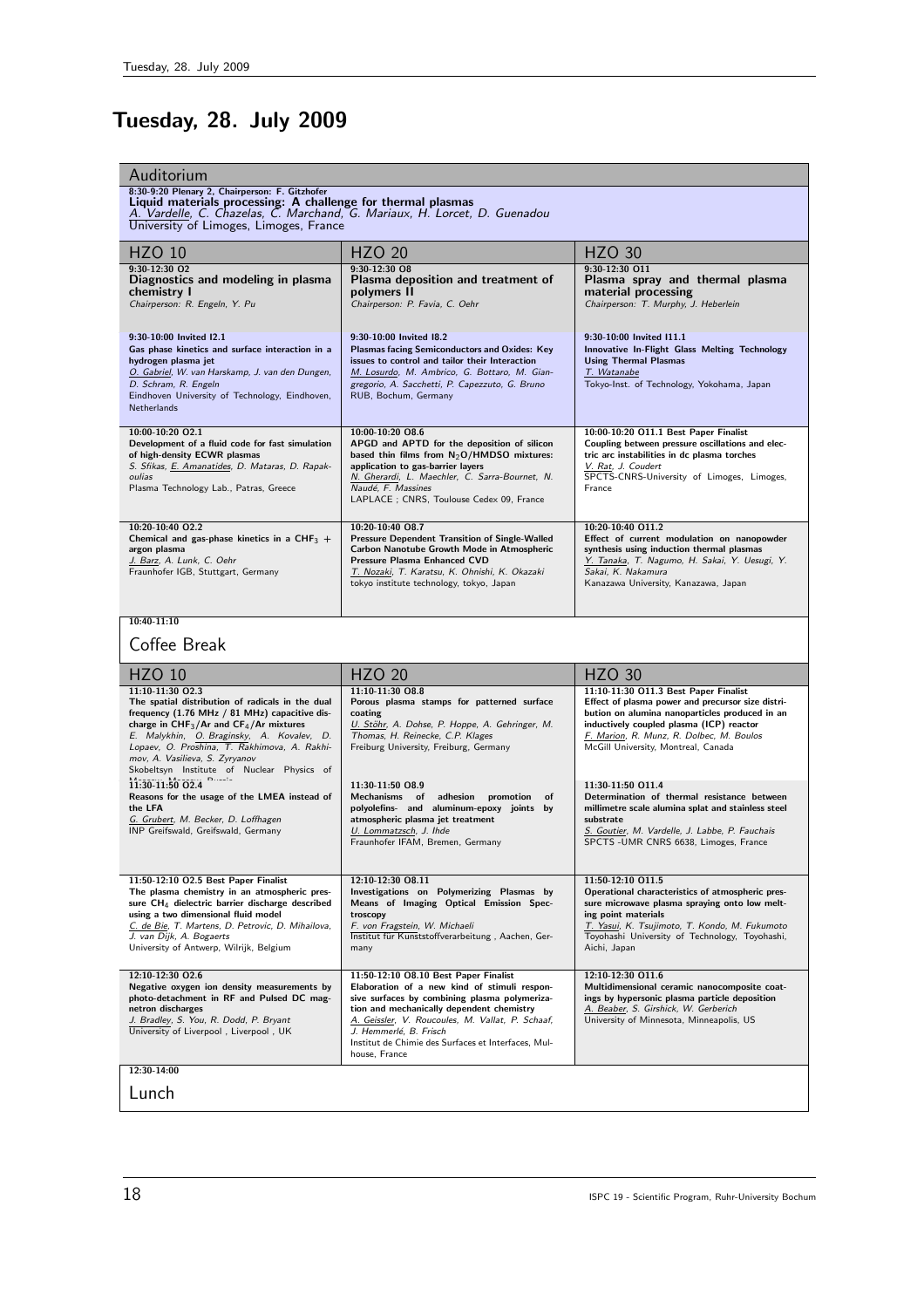# Tuesday, 28. July 2009

| Auditorium<br>8:30-9:20 Plenary 2, Chairperson: F. Gitzhofer<br>Liquid materials processing: A challenge for thermal plasmas<br>A. Vardelle, C. Chazelas, C. Marchand, G. Mariaux, H. Lorcet, D. Guenadou<br>University of Limoges, Limoges, France                                                                                               |                                                                                                                                                                                                                                                                                                                                           |                                                                                                                                                                                                                                                                             |  |
|---------------------------------------------------------------------------------------------------------------------------------------------------------------------------------------------------------------------------------------------------------------------------------------------------------------------------------------------------|-------------------------------------------------------------------------------------------------------------------------------------------------------------------------------------------------------------------------------------------------------------------------------------------------------------------------------------------|-----------------------------------------------------------------------------------------------------------------------------------------------------------------------------------------------------------------------------------------------------------------------------|--|
| <b>HZO 10</b>                                                                                                                                                                                                                                                                                                                                     | <b>HZO 20</b>                                                                                                                                                                                                                                                                                                                             | <b>HZO 30</b>                                                                                                                                                                                                                                                               |  |
| $9:30-12:30$ O <sub>2</sub><br>Diagnostics and modeling in plasma<br>chemistry I<br>Chairperson: R. Engeln, Y. Pu                                                                                                                                                                                                                                 | $9:30-12:30$ O8<br>Plasma deposition and treatment of<br>polymers II<br>Chairperson: P. Favia, C. Oehr                                                                                                                                                                                                                                    | 9:30-12:30 011<br>Plasma spray and thermal plasma<br>material processing<br>Chairperson: T. Murphy, J. Heberlein                                                                                                                                                            |  |
| 9:30-10:00 Invited I2.1<br>Gas phase kinetics and surface interaction in a<br>hydrogen plasma jet<br>O. Gabriel, W. van Harskamp, J. van den Dungen,<br>D. Schram, R. Engeln<br>Eindhoven University of Technology, Eindhoven,<br>Netherlands                                                                                                     | 9:30-10:00 Invited 18.2<br><b>Plasmas facing Semiconductors and Oxides: Key</b><br>issues to control and tailor their Interaction<br>M. Losurdo, M. Ambrico, G. Bottaro, M. Gian-<br>gregorio, A. Sacchetti, P. Capezzuto, G. Bruno<br>RUB, Bochum, Germany                                                                               | 9:30-10:00 Invited I11.1<br>Innovative In-Flight Glass Melting Technology<br><b>Using Thermal Plasmas</b><br>T. Watanabe<br>Tokyo-Inst. of Technology, Yokohama, Japan                                                                                                      |  |
| 10:00-10:20 O2.1<br>Development of a fluid code for fast simulation<br>of high-density ECWR plasmas<br>S. Sfikas, E. Amanatides, D. Mataras, D. Rapak-<br>oulias<br>Plasma Technology Lab., Patras, Greece                                                                                                                                        | 10:00-10:20 08.6<br>APGD and APTD for the deposition of silicon<br>based thin films from $N_2O/HMDSO$ mixtures:<br>application to gas-barrier layers<br>N. Gherardi, L. Maechler, C. Sarra-Bournet, N.<br>Naudé, F. Massines<br>LAPLACE ; CNRS, Toulouse Cedex 09, France                                                                 | 10:00-10:20 O11.1 Best Paper Finalist<br>Coupling between pressure oscillations and elec-<br>tric arc instabilities in dc plasma torches<br>V. Rat, J. Coudert<br>SPCTS-CNRS-University of Limoges, Limoges,<br>France                                                      |  |
| 10:20-10:40 02.2<br>Chemical and gas-phase kinetics in a CHF <sub>3</sub> +<br>argon plasma<br>J. Barz, A. Lunk, C. Oehr<br>Fraunhofer IGB, Stuttgart, Germany                                                                                                                                                                                    | 10:20-10:40 08.7<br><b>Pressure Dependent Transition of Single-Walled</b><br>Carbon Nanotube Growth Mode in Atmospheric<br><b>Pressure Plasma Enhanced CVD</b><br>T. Nozaki, T. Karatsu, K. Ohnishi, K. Okazaki<br>tokyo institute technology, tokyo, Japan                                                                               | 10:20-10:40 011.2<br>Effect of current modulation on nanopowder<br>synthesis using induction thermal plasmas<br>Y. Tanaka, T. Nagumo, H. Sakai, Y. Uesugi, Y.<br>Sakai, K. Nakamura<br>Kanazawa University, Kanazawa, Japan                                                 |  |
| $10:40-11:10$                                                                                                                                                                                                                                                                                                                                     |                                                                                                                                                                                                                                                                                                                                           |                                                                                                                                                                                                                                                                             |  |
|                                                                                                                                                                                                                                                                                                                                                   |                                                                                                                                                                                                                                                                                                                                           |                                                                                                                                                                                                                                                                             |  |
| Coffee Break                                                                                                                                                                                                                                                                                                                                      |                                                                                                                                                                                                                                                                                                                                           |                                                                                                                                                                                                                                                                             |  |
| <b>HZO 10</b>                                                                                                                                                                                                                                                                                                                                     | <b>HZO 20</b>                                                                                                                                                                                                                                                                                                                             | <b>HZO 30</b>                                                                                                                                                                                                                                                               |  |
| 11:10-11:30 02.3<br>The spatial distribution of radicals in the dual<br>frequency (1.76 MHz / 81 MHz) capacitive dis-<br>charge in $CHF_3/Ar$ and $CF_4/Ar$ mixtures<br>E. Malykhin, O. Braginsky, A. Kovalev, D.<br>Lopaev, O. Proshina, T. Rakhimova, A. Rakhi-<br>mov, A. Vasilieva, S. Zyryanov<br>Skobeltsyn Institute of Nuclear Physics of | 11:10-11:30 08.8<br>Porous plasma stamps for patterned surface<br>coating<br>U. Stöhr, A. Dohse, P. Hoppe, A. Gehringer, M.<br>Thomas, H. Reinecke, C.P. Klages<br>Freiburg University, Freiburg, Germany                                                                                                                                 | 11:10-11:30 O11.3 Best Paper Finalist<br>Effect of plasma power and precursor size distri-<br>bution on alumina nanoparticles produced in an<br>inductively coupled plasma (ICP) reactor<br>F. Marion, R. Munz, R. Dolbec, M. Boulos<br>McGill University, Montreal, Canada |  |
| $11:30-11:50$ O2.4<br>Reasons for the usage of the LMEA instead of<br>the LFA<br>G. Grubert, M. Becker, D. Loffhagen<br>INP Greifswald, Greifswald, Germany                                                                                                                                                                                       | 11:30-11:50 08.9<br>Mechanisms of adhesion promotion<br>of<br>polyolefins- and aluminum-epoxy joints by<br>atmospheric plasma jet treatment<br>U. Lommatzsch, J. Ihde<br>Fraunhofer IFAM, Bremen, Germany                                                                                                                                 | 11:30-11:50 011.4<br>Determination of thermal resistance between<br>millimetre scale alumina splat and stainless steel<br>substrate<br>S. Goutier, M. Vardelle, J. Labbe, P. Fauchais<br>SPCTS -UMR CNRS 6638, Limoges, France                                              |  |
| 11:50-12:10 O2.5 Best Paper Finalist<br>The plasma chemistry in an atmospheric pres-<br>sure CH <sub>4</sub> dielectric barrier discharge described<br>using a two dimensional fluid model<br>C. de Bie, T. Martens, D. Petrovic, D. Mihailova,<br>J. van Dijk, A. Bogaerts<br>University of Antwerp, Wilrijk, Belgium                            | 12:10-12:30 08.11<br>Investigations on Polymerizing Plasmas by<br>Means of Imaging Optical Emission Spec-<br>troscopy<br>F. von Fragstein, W. Michaeli<br>Institut für Kunststoffverarbeitung, Aachen, Ger-<br>many                                                                                                                       | 11:50-12:10 011.5<br>Operational characteristics of atmospheric pres-<br>sure microwave plasma spraying onto low melt-<br>ing point materials<br>T. Yasui, K. Tsujimoto, T. Kondo, M. Fukumoto<br>Toyohashi University of Technology, Toyohashi,<br>Aichi, Japan            |  |
| 12:10-12:30 02.6<br>Negative oxygen ion density measurements by<br>photo-detachment in RF and Pulsed DC mag-<br>netron discharges<br>J. Bradley, S. You, R. Dodd, P. Bryant<br>University of Liverpool, Liverpool, UK                                                                                                                             | 11:50-12:10 O8.10 Best Paper Finalist<br>Elaboration of a new kind of stimuli respon-<br>sive surfaces by combining plasma polymeriza-<br>tion and mechanically dependent chemistry<br>A. Geissler, V. Roucoules, M. Vallat, P. Schaaf,<br>J. Hemmerlé, B. Frisch<br>Institut de Chimie des Surfaces et Interfaces, Mul-<br>house, France | 12:10-12:30 011.6<br>Multidimensional ceramic nanocomposite coat-<br>ings by hypersonic plasma particle deposition<br>A. Beaber, S. Girshick, W. Gerberich<br>University of Minnesota, Minneapolis, US                                                                      |  |
| 12:30-14:00<br>Lunch                                                                                                                                                                                                                                                                                                                              |                                                                                                                                                                                                                                                                                                                                           |                                                                                                                                                                                                                                                                             |  |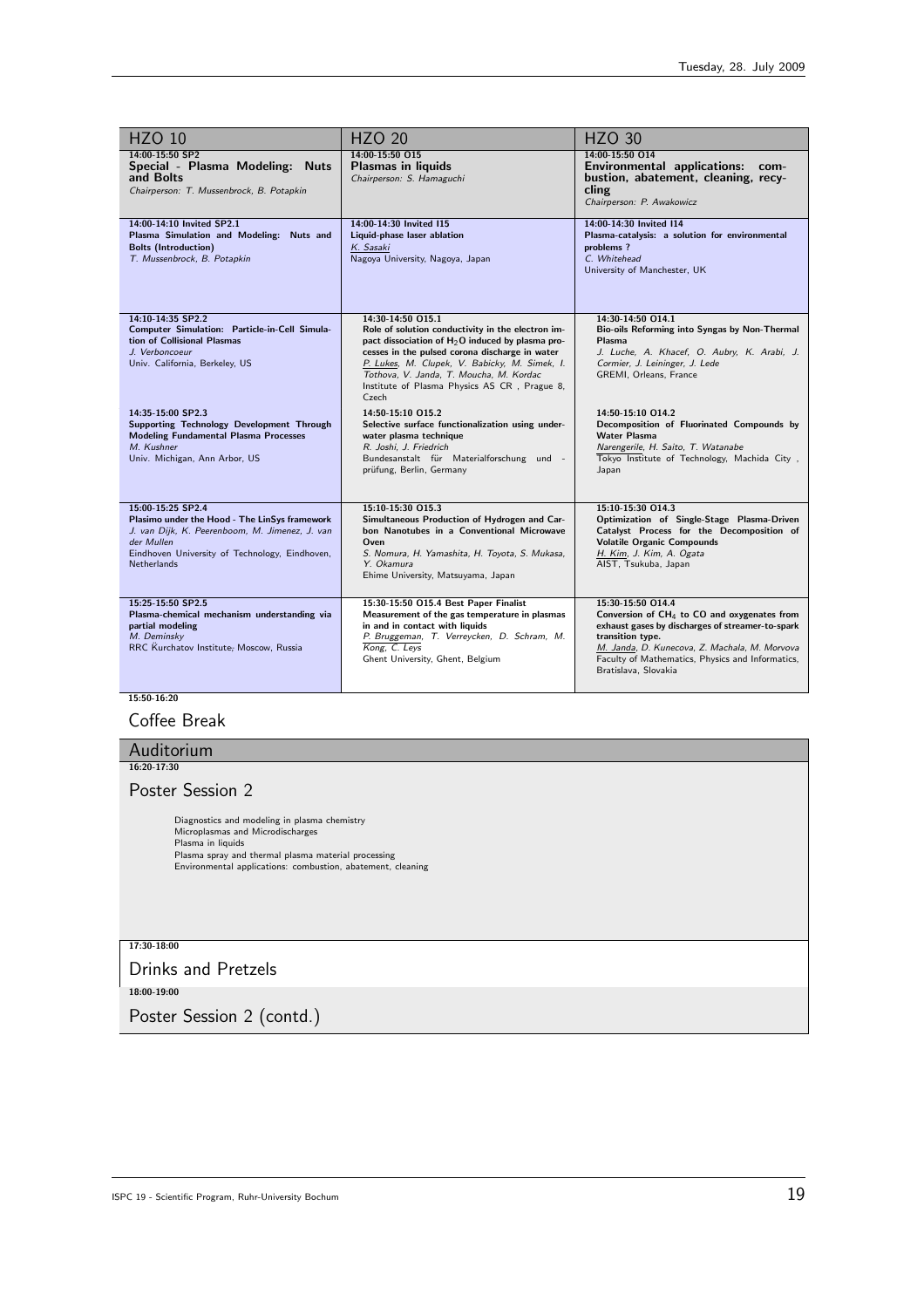| <b>HZO 10</b>                                                                                                                                                                                              | <b>HZO 20</b>                                                                                                                                                                                                                                                                                                                       | <b>HZO 30</b>                                                                                                                                                                                                                                                            |
|------------------------------------------------------------------------------------------------------------------------------------------------------------------------------------------------------------|-------------------------------------------------------------------------------------------------------------------------------------------------------------------------------------------------------------------------------------------------------------------------------------------------------------------------------------|--------------------------------------------------------------------------------------------------------------------------------------------------------------------------------------------------------------------------------------------------------------------------|
| 14:00-15:50 SP2<br>Special - Plasma Modeling: Nuts<br>and Bolts<br>Chairperson: T. Mussenbrock, B. Potapkin                                                                                                | 14:00-15:50 015<br><b>Plasmas in liquids</b><br>Chairperson: S. Hamaguchi                                                                                                                                                                                                                                                           | 14:00-15:50 014<br>Environmental applications: com-<br>bustion, abatement, cleaning, recy-<br>cling<br>Chairperson: P. Awakowicz                                                                                                                                         |
| 14:00-14:10 Invited SP2.1<br>Plasma Simulation and Modeling: Nuts and<br><b>Bolts (Introduction)</b><br>T. Mussenbrock, B. Potapkin                                                                        | 14:00-14:30 Invited 115<br>Liquid-phase laser ablation<br>K. Sasaki<br>Nagoya University, Nagoya, Japan                                                                                                                                                                                                                             | 14:00-14:30 Invited I14<br>Plasma-catalysis: a solution for environmental<br>problems?<br>C. Whitehead<br>University of Manchester, UK                                                                                                                                   |
| 14:10-14:35 SP2.2<br>Computer Simulation: Particle-in-Cell Simula-<br>tion of Collisional Plasmas<br>J. Verboncoeur<br>Univ. California, Berkeley, US                                                      | 14:30-14:50 015.1<br>Role of solution conductivity in the electron im-<br>pact dissociation of $H_2O$ induced by plasma pro-<br>cesses in the pulsed corona discharge in water<br>P. Lukes, M. Clupek, V. Babicky, M. Simek, I.<br>Tothova, V. Janda, T. Moucha, M. Kordac<br>Institute of Plasma Physics AS CR, Prague 8,<br>Czech | 14:30-14:50 O14.1<br>Bio-oils Reforming into Syngas by Non-Thermal<br>Plasma<br>J. Luche, A. Khacef, O. Aubry, K. Arabi, J.<br>Cormier, J. Leininger, J. Lede<br>GREMI, Orleans, France                                                                                  |
| 14:35-15:00 SP2.3<br>Supporting Technology Development Through<br><b>Modeling Fundamental Plasma Processes</b><br>M. Kushner<br>Univ. Michigan, Ann Arbor, US                                              | 14:50-15:10 015.2<br>Selective surface functionalization using under-<br>water plasma technique<br>R. Joshi, J. Friedrich<br>Bundesanstalt für Materialforschung und -<br>prüfung, Berlin, Germany                                                                                                                                  | 14:50-15:10 014.2<br>Decomposition of Fluorinated Compounds by<br><b>Water Plasma</b><br>Narengerile, H. Saito, T. Watanabe<br>Tokyo Institute of Technology, Machida City,<br>Japan                                                                                     |
| 15:00-15:25 SP2.4<br>Plasimo under the Hood - The LinSys framework<br>J. van Dijk, K. Peerenboom, M. Jimenez, J. van<br>der Mullen<br>Eindhoven University of Technology, Eindhoven,<br><b>Netherlands</b> | 15:10-15:30 015.3<br>Simultaneous Production of Hydrogen and Car-<br>bon Nanotubes in a Conventional Microwave<br>Oven<br>S. Nomura, H. Yamashita, H. Toyota, S. Mukasa,<br>Y. Okamura<br>Ehime University, Matsuyama, Japan                                                                                                        | 15:10-15:30 O14.3<br>Optimization of Single-Stage Plasma-Driven<br>Catalyst Process for the Decomposition of<br><b>Volatile Organic Compounds</b><br>H. Kim, J. Kim, A. Ogata<br>AIST, Tsukuba, Japan                                                                    |
| 15:25-15:50 SP2.5<br>Plasma-chemical mechanism understanding via<br>partial modeling<br>M. Deminsky<br>RRC Kurchatov Institute; Moscow, Russia                                                             | 15:30-15:50 O15.4 Best Paper Finalist<br>Measurement of the gas temperature in plasmas<br>in and in contact with liquids<br>P. Bruggeman, T. Verreycken, D. Schram, M.<br>Kong, C. Leys<br>Ghent University, Ghent, Belgium                                                                                                         | 15:30-15:50 O14.4<br>Conversion of $CH_4$ to CO and oxygenates from<br>exhaust gases by discharges of streamer-to-spark<br>transition type.<br>M. Janda, D. Kunecova, Z. Machala, M. Morvova<br>Faculty of Mathematics, Physics and Informatics,<br>Bratislava, Slovakia |

 $\frac{1}{15:50-16:20}$ 

## Coffee Break

| Auditorium                                                                                                                                                                                                                  |
|-----------------------------------------------------------------------------------------------------------------------------------------------------------------------------------------------------------------------------|
| 16:20-17:30                                                                                                                                                                                                                 |
| Poster Session 2                                                                                                                                                                                                            |
| Diagnostics and modeling in plasma chemistry<br>Microplasmas and Microdischarges<br>Plasma in liquids<br>Plasma spray and thermal plasma material processing<br>Environmental applications: combustion, abatement, cleaning |
| 17:30-18:00                                                                                                                                                                                                                 |
| <b>Drinks and Pretzels</b>                                                                                                                                                                                                  |
| 18:00-19:00                                                                                                                                                                                                                 |
| the contract of the contract of the contract of the contract of the contract of the contract of the contract of                                                                                                             |

Poster Session 2 (contd.)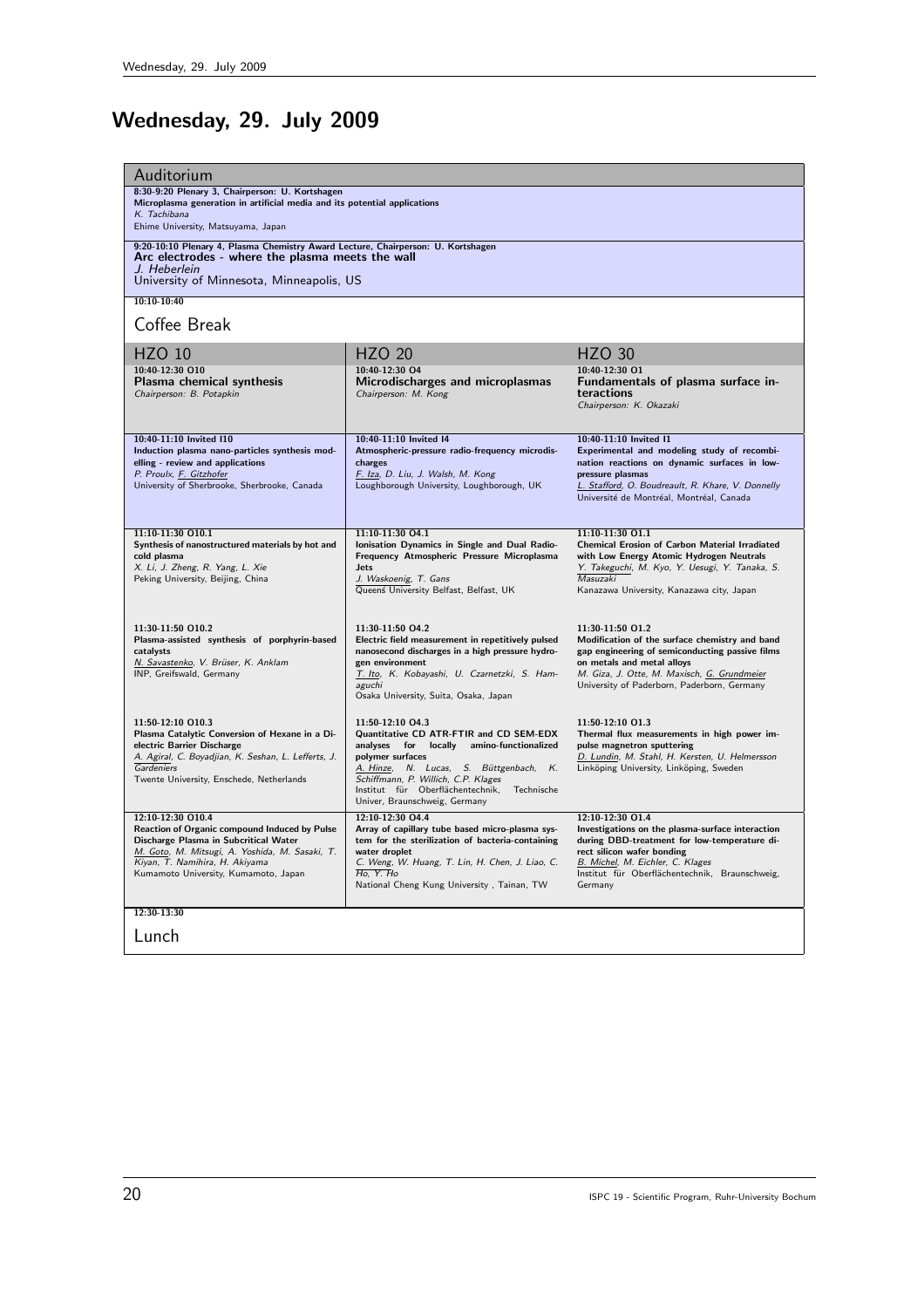# Wednesday, 29. July 2009

| Auditorium                                                                                                                   |                                                                                           |                                                                                            |
|------------------------------------------------------------------------------------------------------------------------------|-------------------------------------------------------------------------------------------|--------------------------------------------------------------------------------------------|
| 8:30-9:20 Plenary 3, Chairperson: U. Kortshagen<br>Microplasma generation in artificial media and its potential applications |                                                                                           |                                                                                            |
| K. Tachibana<br>Ehime University, Matsuyama, Japan                                                                           |                                                                                           |                                                                                            |
| 9:20-10:10 Plenary 4, Plasma Chemistry Award Lecture, Chairperson: U. Kortshagen                                             |                                                                                           |                                                                                            |
| Arc electrodes - where the plasma meets the wall<br>J. Heberlein                                                             |                                                                                           |                                                                                            |
| University of Minnesota, Minneapolis, US                                                                                     |                                                                                           |                                                                                            |
| $10:10-10:40$                                                                                                                |                                                                                           |                                                                                            |
| Coffee Break                                                                                                                 |                                                                                           |                                                                                            |
|                                                                                                                              | <b>HZO 20</b>                                                                             | <b>HZO 30</b>                                                                              |
| <b>HZO 10</b><br>10:40-12:30 010                                                                                             | 10:40-12:30 O4                                                                            | 10:40-12:30 01                                                                             |
| Plasma chemical synthesis                                                                                                    | Microdischarges and microplasmas                                                          | Fundamentals of plasma surface in-                                                         |
| Chairperson: B. Potapkin                                                                                                     | Chairperson: M. Kong                                                                      | teractions<br>Chairperson: K. Okazaki                                                      |
|                                                                                                                              |                                                                                           |                                                                                            |
| 10:40-11:10 Invited I10                                                                                                      | 10:40-11:10 Invited I4                                                                    | 10:40-11:10 Invited I1                                                                     |
| Induction plasma nano-particles synthesis mod-                                                                               | Atmospheric-pressure radio-frequency microdis-                                            | Experimental and modeling study of recombi-                                                |
| elling - review and applications<br>P. Proulx, F. Gitzhofer                                                                  | charges<br>F. Iza, D. Liu, J. Walsh, M. Kong                                              | nation reactions on dynamic surfaces in low-<br>pressure plasmas                           |
| University of Sherbrooke, Sherbrooke, Canada                                                                                 | Loughborough University, Loughborough, UK                                                 | L. Stafford, O. Boudreault, R. Khare, V. Donnelly                                          |
|                                                                                                                              |                                                                                           | Université de Montréal, Montréal, Canada                                                   |
| 11:10-11:30 010.1                                                                                                            | 11:10-11:30 04.1                                                                          | 11:10-11:30 O1.1                                                                           |
| Synthesis of nanostructured materials by hot and                                                                             | Ionisation Dynamics in Single and Dual Radio-                                             | <b>Chemical Erosion of Carbon Material Irradiated</b>                                      |
| cold plasma<br>X. Li, J. Zheng, R. Yang, L. Xie                                                                              | Frequency Atmospheric Pressure Microplasma<br><b>Jets</b>                                 | with Low Energy Atomic Hydrogen Neutrals<br>Y. Takeguchi, M. Kyo, Y. Uesugi, Y. Tanaka, S. |
| Peking University, Beijing, China                                                                                            | J. Waskoenig, T. Gans                                                                     | <b>Masuzaki</b>                                                                            |
|                                                                                                                              | Queenś University Belfast, Belfast, UK                                                    | Kanazawa University, Kanazawa city, Japan                                                  |
|                                                                                                                              |                                                                                           |                                                                                            |
| 11:30-11:50 O10.2<br>Plasma-assisted synthesis of porphyrin-based                                                            | 11:30-11:50 04.2<br>Electric field measurement in repetitively pulsed                     | 11:30-11:50 O1.2<br>Modification of the surface chemistry and band                         |
| catalysts                                                                                                                    | nanosecond discharges in a high pressure hydro-                                           | gap engineering of semiconducting passive films                                            |
| N. Savastenko, V. Brüser, K. Anklam<br>INP, Greifswald, Germany                                                              | gen environment<br>T. Ito, K. Kobayashi, U. Czarnetzki, S. Ham-                           | on metals and metal alloys<br>M. Giza, J. Otte, M. Maxisch, G. Grundmeier                  |
|                                                                                                                              | aguchi                                                                                    | University of Paderborn, Paderborn, Germany                                                |
|                                                                                                                              | Osaka University, Suita, Osaka, Japan                                                     |                                                                                            |
| 11:50-12:10 010.3                                                                                                            | 11:50-12:10 04.3                                                                          | 11:50-12:10 01.3                                                                           |
| Plasma Catalytic Conversion of Hexane in a Di-<br>electric Barrier Discharge                                                 | Quantitative CD ATR-FTIR and CD SEM-EDX<br>locally amino-functionalized<br>analyses for   | Thermal flux measurements in high power im-<br>pulse magnetron sputtering                  |
| A. Agiral, C. Boyadjian, K. Seshan, L. Lefferts, J.                                                                          | polymer surfaces                                                                          | D. Lundin, M. Stahl, H. Kersten, U. Helmersson                                             |
| Gardeniers<br>Twente University, Enschede, Netherlands                                                                       | A. Hinze, N. Lucas, S. Büttgenbach,<br>$K_{\cdot}$<br>Schiffmann, P. Willich, C.P. Klages | Linköping University, Linköping, Sweden                                                    |
|                                                                                                                              | Institut für Oberflächentechnik,<br>Technische                                            |                                                                                            |
| 12:10-12:30 O10.4                                                                                                            | Univer, Braunschweig, Germany<br>12:10-12:30 04.4                                         | 12:10-12:30 01.4                                                                           |
| Reaction of Organic compound Induced by Pulse                                                                                | Array of capillary tube based micro-plasma sys-                                           | Investigations on the plasma-surface interaction                                           |
| Discharge Plasma in Subcritical Water<br>M. Goto, M. Mitsugi, A. Yoshida, M. Sasaki, T.                                      | tem for the sterilization of bacteria-containing<br>water droplet                         | during DBD-treatment for low-temperature di-<br>rect silicon wafer bonding                 |
| Kiyan, T. Namihira, H. Akiyama                                                                                               | C. Weng, W. Huang, T. Lin, H. Chen, J. Liao, C.                                           | B. Michel, M. Eichler, C. Klages                                                           |
| Kumamoto University, Kumamoto, Japan                                                                                         | H <sub>o</sub> , Y. H <sub>o</sub><br>National Cheng Kung University, Tainan, TW          | Institut für Oberflächentechnik, Braunschweig,<br>Germany                                  |
|                                                                                                                              |                                                                                           |                                                                                            |
| 12:30-13:30                                                                                                                  |                                                                                           |                                                                                            |
| Lunch                                                                                                                        |                                                                                           |                                                                                            |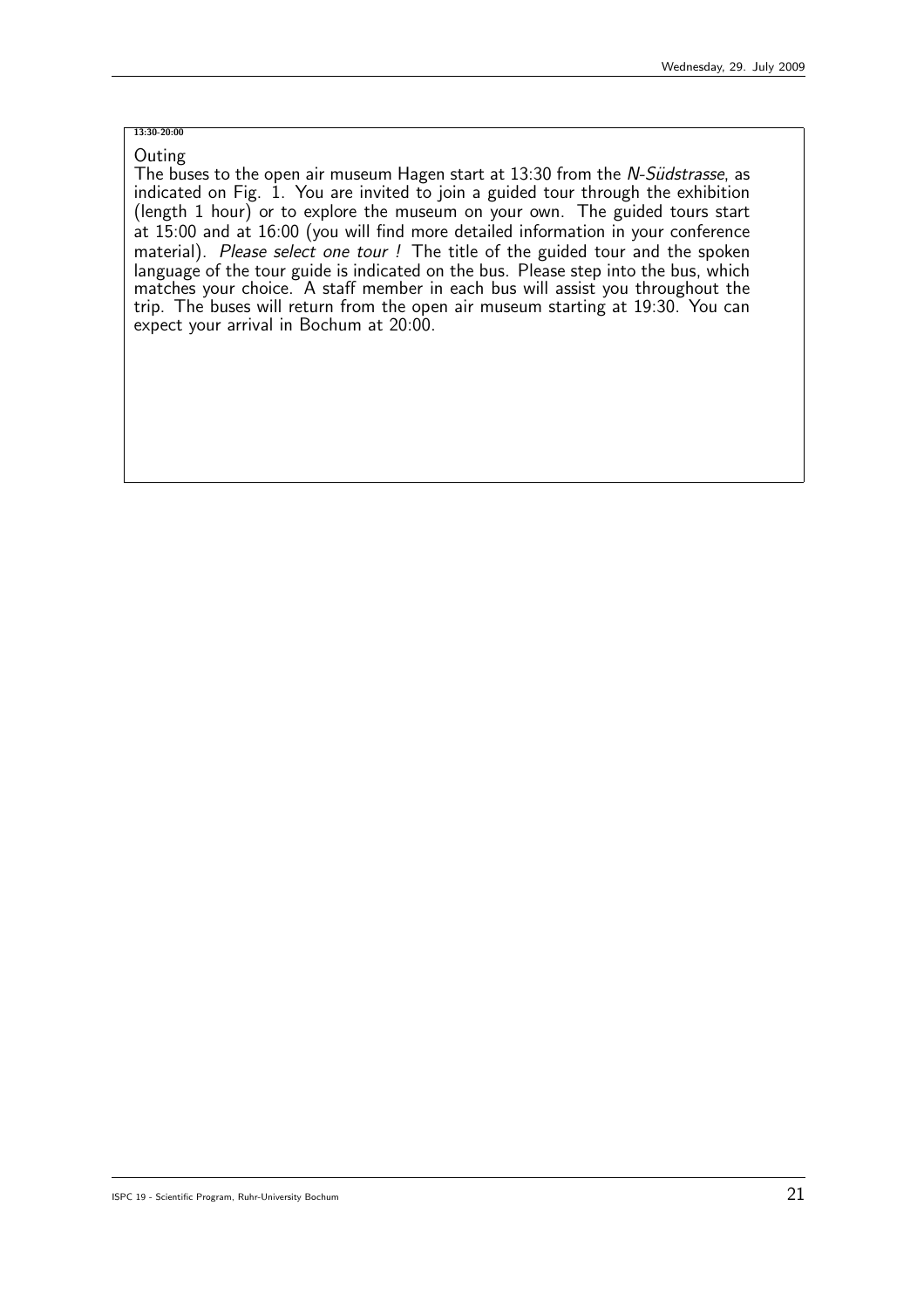## 13:30-20:00

**Outing** The buses to the open air museum Hagen start at 13:30 from the N-Südstrasse, as indicated on Fig. 1. You are invited to join a guided tour through the exhibition (length 1 hour) or to explore the museum on your own. The guided tours start at 15:00 and at 16:00 (you will find more detailed information in your conference material). Please select one tour ! The title of the guided tour and the spoken language of the tour guide is indicated on the bus. Please step into the bus, which matches your choice. A staff member in each bus will assist you throughout the trip. The buses will return from the open air museum starting at 19:30. You can expect your arrival in Bochum at 20:00.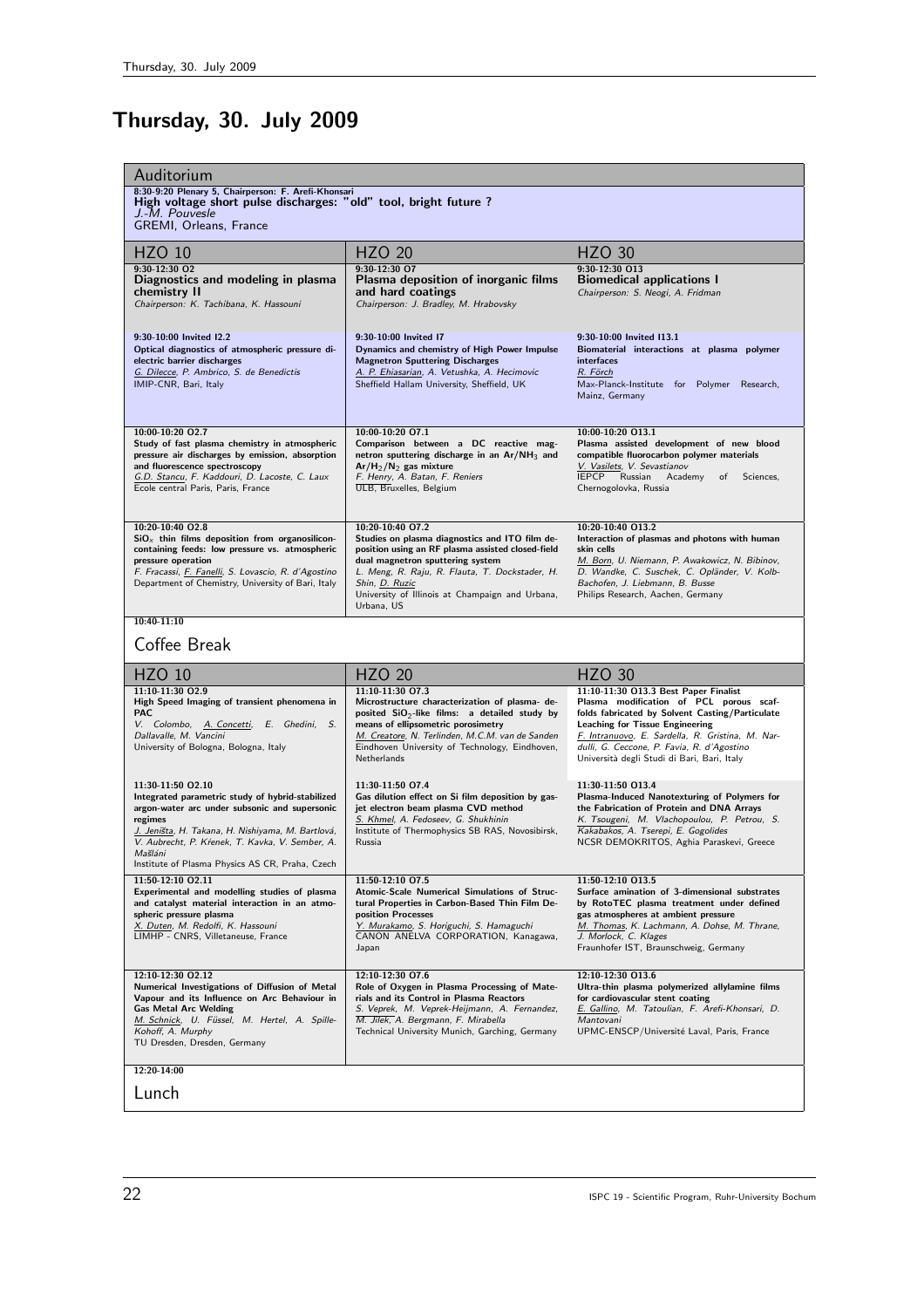# Thursday, 30. July 2009

| Auditorium                                                                                                                                                                                                                                                                                              |                                                                                                                                                                                                                                                                                                  |                                                                                                                                                                                                                                                                                                                                |
|---------------------------------------------------------------------------------------------------------------------------------------------------------------------------------------------------------------------------------------------------------------------------------------------------------|--------------------------------------------------------------------------------------------------------------------------------------------------------------------------------------------------------------------------------------------------------------------------------------------------|--------------------------------------------------------------------------------------------------------------------------------------------------------------------------------------------------------------------------------------------------------------------------------------------------------------------------------|
| 8:30-9:20 Plenary 5, Chairperson: F. Arefi-Khonsari<br>High voltage short pulse discharges: "old" tool, bright future ?<br>J.-M. Pouvesle<br>GREMI, Orleans, France                                                                                                                                     |                                                                                                                                                                                                                                                                                                  |                                                                                                                                                                                                                                                                                                                                |
| <b>HZO 10</b>                                                                                                                                                                                                                                                                                           | <b>HZO 20</b>                                                                                                                                                                                                                                                                                    | <b>HZO 30</b>                                                                                                                                                                                                                                                                                                                  |
| $9:30-12:30$ O <sub>2</sub><br>Diagnostics and modeling in plasma<br>chemistry II<br>Chairperson: K. Tachibana, K. Hassouni                                                                                                                                                                             | 9:30-12:30 O7<br>Plasma deposition of inorganic films<br>and hard coatings<br>Chairperson: J. Bradley, M. Hrabovsky                                                                                                                                                                              | 9:30-12:30 013<br><b>Biomedical applications I</b><br>Chairperson: S. Neogi, A. Fridman                                                                                                                                                                                                                                        |
| 9:30-10:00 Invited I2.2<br>Optical diagnostics of atmospheric pressure di-<br>electric barrier discharges<br>G. Dilecce, P. Ambrico, S. de Benedictis<br>IMIP-CNR, Bari, Italy                                                                                                                          | 9:30-10:00 Invited I7<br>Dynamics and chemistry of High Power Impulse<br><b>Magnetron Sputtering Discharges</b><br>A. P. Ehiasarian, A. Vetushka, A. Hecimovic<br>Sheffield Hallam University, Sheffield, UK                                                                                     | 9:30-10:00 Invited I13.1<br>Biomaterial interactions at plasma polymer<br>interfaces<br>R. Förch<br>Max-Planck-Institute for Polymer Research,<br>Mainz, Germany                                                                                                                                                               |
| 10:00-10:20 02.7<br>Study of fast plasma chemistry in atmospheric<br>pressure air discharges by emission, absorption<br>and fluorescence spectroscopy<br>G.D. Stancu, F. Kaddouri, D. Lacoste, C. Laux<br>Ecole central Paris, Paris, France                                                            | 10:00-10:20 O7.1<br>Comparison between a DC reactive mag-<br>netron sputtering discharge in an Ar/NH <sub>3</sub> and<br>$Ar/H_2/N_2$ gas mixture<br>F. Henry, A. Batan, F. Reniers<br>ULB, Bruxelles, Belgium                                                                                   | 10:00-10:20 013.1<br>Plasma assisted development of new blood<br>compatible fluorocarbon polymer materials<br>V. Vasilets, V. Sevastianov<br><b>IEPCP</b><br>Russian<br>Academy<br>Sciences,<br>of<br>Chernogolovka, Russia                                                                                                    |
| 10:20-10:40 02.8<br>$SiOx$ thin films deposition from organosilicon-<br>containing feeds: low pressure vs. atmospheric<br>pressure operation<br>F. Fracassi, <i>F. Fanelli</i> , S. Lovascio, R. d'Agostino<br>Department of Chemistry, University of Bari, Italy                                       | 10:20-10:40 07.2<br>Studies on plasma diagnostics and ITO film de-<br>position using an RF plasma assisted closed-field<br>dual magnetron sputtering system<br>L. Meng, R. Raju, R. Flauta, T. Dockstader, H.<br>Shin, D. Ruzic<br>University of Illinois at Champaign and Urbana,<br>Urbana, US | 10:20-10:40 013.2<br>Interaction of plasmas and photons with human<br>skin cells<br>M. Born, U. Niemann, P. Awakowicz, N. Bibinov,<br>D. Wandke, C. Suschek, C. Opländer, V. Kolb-<br>Bachofen, J. Liebmann, B. Busse<br>Philips Research, Aachen, Germany                                                                     |
| $10:40-11:10$<br>Coffee Break                                                                                                                                                                                                                                                                           |                                                                                                                                                                                                                                                                                                  |                                                                                                                                                                                                                                                                                                                                |
| <b>HZO 10</b>                                                                                                                                                                                                                                                                                           | <b>HZO 20</b>                                                                                                                                                                                                                                                                                    | <b>HZO 30</b>                                                                                                                                                                                                                                                                                                                  |
| 11:10-11:30 02.9<br>High Speed Imaging of transient phenomena in<br><b>PAC</b><br>V. Colombo, A. Concetti, E. Ghedini, S.<br>Dallavalle, M. Vancini<br>University of Bologna, Bologna, Italy                                                                                                            | 11:10-11:30 07.3<br>Microstructure characterization of plasma- de-<br>posited $SiO2$ -like films: a detailed study by<br>means of ellipsometric porosimetry<br>M. Creatore, N. Terlinden, M.C.M. van de Sanden<br>Eindhoven University of Technology, Eindhoven,<br>Netherlands                  | 11:10-11:30 O13.3 Best Paper Finalist<br>Plasma modification of PCL porous scaf-<br>folds fabricated by Solvent Casting/Particulate<br><b>Leaching for Tissue Engineering</b><br>F. Intranuovo, E. Sardella, R. Gristina, M. Nar-<br>dulli, G. Ceccone, P. Favia, R. d'Agostino<br>Università degli Studi di Bari, Bari, Italy |
| 11:30-11:50 02.10<br>Integrated parametric study of hybrid-stabilized<br>argon-water arc under subsonic and supersonic<br>regimes<br>J. Jeništa, H. Takana, H. Nishiyama, M. Bartlová,<br>V. Aubrecht, P. Kŕenek, T. Kavka, V. Sember, A.<br>Mašláni<br>Institute of Plasma Physics AS CR, Praha, Czech | 11:30-11:50 O7.4<br>Gas dilution effect on Si film deposition by gas-<br>jet electron beam plasma CVD method<br>S. Khmel, A. Fedoseev, G. Shukhinin<br>Institute of Thermophysics SB RAS, Novosibirsk,<br>Russia                                                                                 | 11:30-11:50 013.4<br>Plasma-Induced Nanotexturing of Polymers for<br>the Fabrication of Protein and DNA Arrays<br>K. Tsougeni, M. Vlachopoulou, P. Petrou, S.<br>Kakabakos, A. Tserepi, E. Gogolides<br>NCSR DEMOKRITOS, Aghia Paraskevi, Greece                                                                               |
| 11:50-12:10 02.11<br>Experimental and modelling studies of plasma<br>and catalyst material interaction in an atmo-<br>spheric pressure plasma<br>X. Duten, M. Redolfi, K. Hassouni<br>LIMHP - CNRS, Villetaneuse, France                                                                                | 11:50-12:10 07.5<br>Atomic-Scale Numerical Simulations of Struc-<br>tural Properties in Carbon-Based Thin Film De-<br>position Processes<br>Y. Murakamo, S. Horiguchi, S. Hamaguchi<br>CANON ANELVA CORPORATION, Kanagawa,<br>Japan                                                              | 11:50-12:10 013.5<br>Surface amination of 3-dimensional substrates<br>by RotoTEC plasma treatment under defined<br>gas atmospheres at ambient pressure<br>M. Thomas, K. Lachmann, A. Dohse, M. Thrane,<br>J. Morlock, C. Klages<br>Fraunhofer IST, Braunschweig, Germany                                                       |
| 12:10-12:30 02.12<br>Numerical Investigations of Diffusion of Metal<br>Vapour and its Influence on Arc Behaviour in<br><b>Gas Metal Arc Welding</b><br>M. Schnick, U. Füssel, M. Hertel, A. Spille-<br>Kohoff, A. Murphy<br>TU Dresden, Dresden, Germany                                                | 12:10-12:30 07.6<br>Role of Oxygen in Plasma Processing of Mate-<br>rials and its Control in Plasma Reactors<br>S. Veprek, M. Veprek-Heijmann, A. Fernandez,<br>M. Jilek, A. Bergmann, F. Mirabella<br>Technical University Munich, Garching, Germany                                            | 12:10-12:30 013.6<br>Ultra-thin plasma polymerized allylamine films<br>for cardiovascular stent coating<br>E. Gallino, M. Tatoulian, F. Arefi-Khonsari, D.<br>Mantovani<br>UPMC-ENSCP/Université Laval, Paris, France                                                                                                          |
| 12:20-14:00                                                                                                                                                                                                                                                                                             |                                                                                                                                                                                                                                                                                                  |                                                                                                                                                                                                                                                                                                                                |
| Lunch                                                                                                                                                                                                                                                                                                   |                                                                                                                                                                                                                                                                                                  |                                                                                                                                                                                                                                                                                                                                |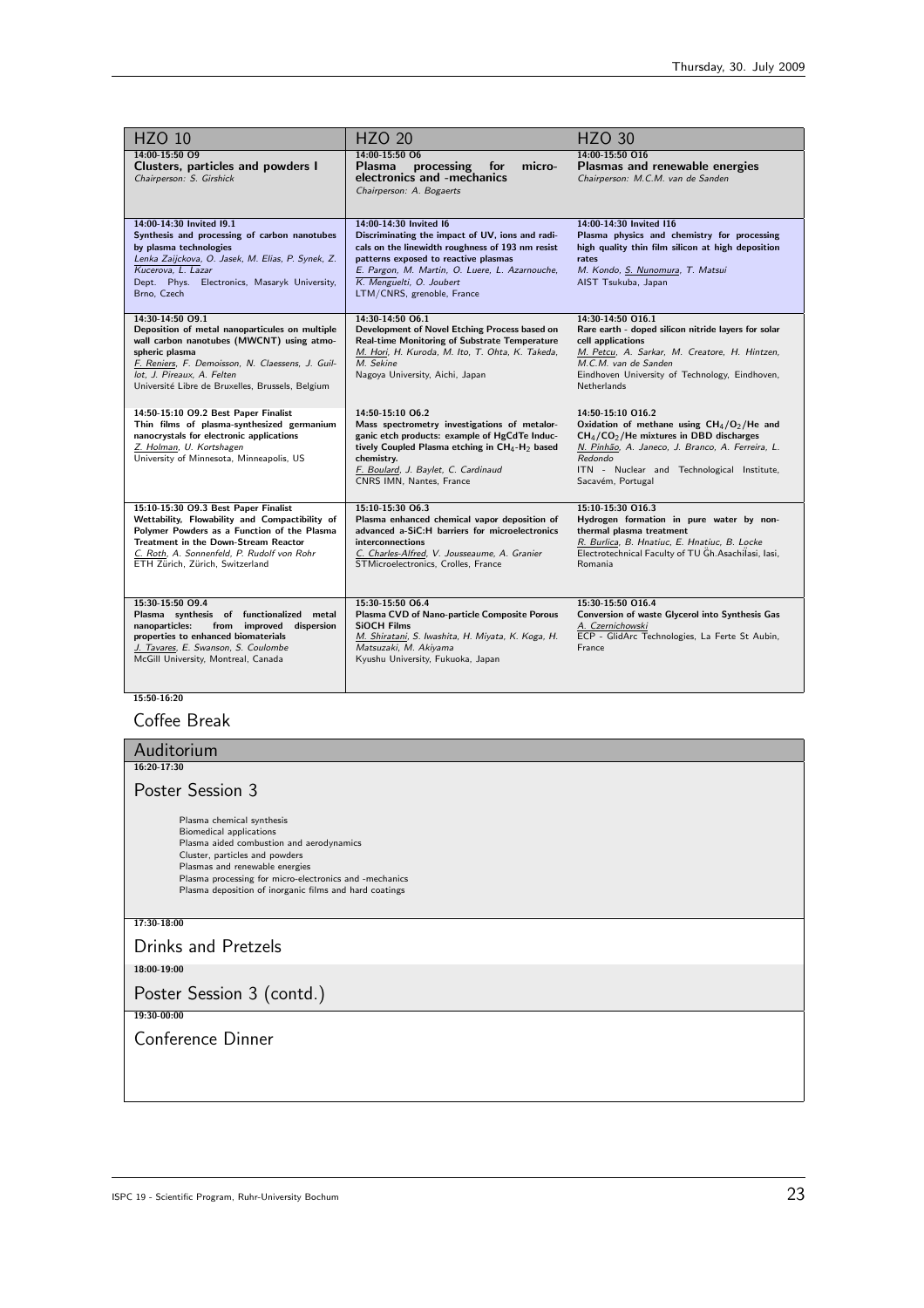| <b>HZO 10</b>                                                                                                                                                                                                                                                           | <b>HZO 20</b>                                                                                                                                                                                                                                                                     | <b>HZO 30</b>                                                                                                                                                                                                                                  |
|-------------------------------------------------------------------------------------------------------------------------------------------------------------------------------------------------------------------------------------------------------------------------|-----------------------------------------------------------------------------------------------------------------------------------------------------------------------------------------------------------------------------------------------------------------------------------|------------------------------------------------------------------------------------------------------------------------------------------------------------------------------------------------------------------------------------------------|
| 14:00-15:50 O9<br>Clusters, particles and powders I<br>Chairperson: S. Girshick                                                                                                                                                                                         | 14:00-15:50 06<br>processing for<br>micro-<br><b>Plasma</b><br>electronics and -mechanics<br>Chairperson: A. Bogaerts                                                                                                                                                             | 14:00-15:50 016<br>Plasmas and renewable energies<br>Chairperson: M.C.M. van de Sanden                                                                                                                                                         |
| 14:00-14:30 Invited 19.1<br>Synthesis and processing of carbon nanotubes<br>by plasma technologies<br>Lenka Zaijckova, O. Jasek, M. Elias, P. Synek, Z.<br>Kucerova, L. Lazar<br>Dept. Phys. Electronics, Masaryk University,<br>Brno, Czech                            | 14:00-14:30 Invited I6<br>Discriminating the impact of UV, ions and radi-<br>cals on the linewidth roughness of 193 nm resist<br>patterns exposed to reactive plasmas<br>E. Pargon, M. Martin, O. Luere, L. Azarnouche,<br>K. Menguelti, O. Joubert<br>LTM/CNRS, grenoble, France | 14:00-14:30 Invited I16<br>Plasma physics and chemistry for processing<br>high quality thin film silicon at high deposition<br>rates<br>M. Kondo, S. Nunomura, T. Matsui<br>AIST Tsukuba, Japan                                                |
| 14:30-14:50 O9.1<br>Deposition of metal nanoparticules on multiple<br>wall carbon nanotubes (MWCNT) using atmo-<br>spheric plasma<br>F. Reniers, F. Demoisson, N. Claessens, J. Guil-<br>lot, J. Pireaux, A. Felten<br>Université Libre de Bruxelles, Brussels, Belgium | 14:30-14:50 O6.1<br>Development of Novel Etching Process based on<br>Real-time Monitoring of Substrate Temperature<br>M. Hori, H. Kuroda, M. Ito, T. Ohta, K. Takeda,<br>M. Sekine<br>Nagoya University, Aichi, Japan                                                             | 14:30-14:50 O16.1<br>Rare earth - doped silicon nitride layers for solar<br>cell applications<br>M. Petcu, A. Sarkar, M. Creatore, H. Hintzen,<br>M.C.M. van de Sanden<br>Eindhoven University of Technology, Eindhoven,<br><b>Netherlands</b> |
| 14:50-15:10 O9.2 Best Paper Finalist<br>Thin films of plasma-synthesized germanium<br>nanocrystals for electronic applications<br>Z. Holman, U. Kortshagen<br>University of Minnesota, Minneapolis, US                                                                  | 14:50-15:10 06.2<br>Mass spectrometry investigations of metalor-<br>ganic etch products: example of HgCdTe Induc-<br>tively Coupled Plasma etching in CH <sub>4</sub> -H <sub>2</sub> based<br>chemistry.<br>F. Boulard, J. Baylet, C. Cardinaud<br>CNRS IMN, Nantes, France      | 14:50-15:10 016.2<br>Oxidation of methane using $CH_4/O_2/He$ and<br>$CH4/CO2/He$ mixtures in DBD discharges<br>N. Pinhão, A. Janeco, J. Branco, A. Ferreira, L.<br>Redondo<br>ITN - Nuclear and Technological Institute,<br>Sacavém, Portugal |
| 15:10-15:30 O9.3 Best Paper Finalist<br>Wettability, Flowability and Compactibility of<br>Polymer Powders as a Function of the Plasma<br><b>Treatment in the Down-Stream Reactor</b><br>C. Roth, A. Sonnenfeld, P. Rudolf von Rohr<br>ETH Zürich, Zürich, Switzerland   | 15:10-15:30 06.3<br>Plasma enhanced chemical vapor deposition of<br>advanced a-SiC:H barriers for microelectronics<br>interconnections<br>C. Charles-Alfred, V. Jousseaume, A. Granier<br>STMicroelectronics, Crolles, France                                                     | 15:10-15:30 016.3<br>Hydrogen formation in pure water by non-<br>thermal plasma treatment<br>R. Burlica, B. Hnatiuc, E. Hnatiuc, B. Locke<br>Electrotechnical Faculty of TU Gh.Asachilasi, Iasi,<br>Romania                                    |
| 15:30-15:50 O9.4<br>Plasma synthesis of functionalized metal<br>nanoparticles:<br>from improved dispersion<br>properties to enhanced biomaterials<br>J. Tavares, E. Swanson, S. Coulombe<br>McGill University, Montreal, Canada                                         | 15:30-15:50 O6.4<br>Plasma CVD of Nano-particle Composite Porous<br><b>SiOCH Films</b><br>M. Shiratani, S. Iwashita, H. Miyata, K. Koga, H.<br>Matsuzaki, M. Akiyama<br>Kyushu University, Fukuoka, Japan                                                                         | 15:30-15:50 O16.4<br>Conversion of waste Glycerol into Synthesis Gas<br>A. Czernichowski<br>ECP - GlidArc Technologies, La Ferte St Aubin,<br>France                                                                                           |

## $\frac{15:50-16:20}{15:50-16:20}$

## Coffee Break

| Auditorium                                                                                                                                                                                                                                                                                      |
|-------------------------------------------------------------------------------------------------------------------------------------------------------------------------------------------------------------------------------------------------------------------------------------------------|
| 16:20-17:30                                                                                                                                                                                                                                                                                     |
| Poster Session 3                                                                                                                                                                                                                                                                                |
| Plasma chemical synthesis<br><b>Biomedical applications</b><br>Plasma aided combustion and aerodynamics<br>Cluster, particles and powders<br>Plasmas and renewable energies<br>Plasma processing for micro-electronics and -mechanics<br>Plasma deposition of inorganic films and hard coatings |
| 17:30-18:00                                                                                                                                                                                                                                                                                     |
| <b>Drinks and Pretzels</b>                                                                                                                                                                                                                                                                      |
| 18:00-19:00                                                                                                                                                                                                                                                                                     |
| Poster Session 3 (contd.)                                                                                                                                                                                                                                                                       |
| 19:30-00:00                                                                                                                                                                                                                                                                                     |
| Conference Dinner                                                                                                                                                                                                                                                                               |
|                                                                                                                                                                                                                                                                                                 |
|                                                                                                                                                                                                                                                                                                 |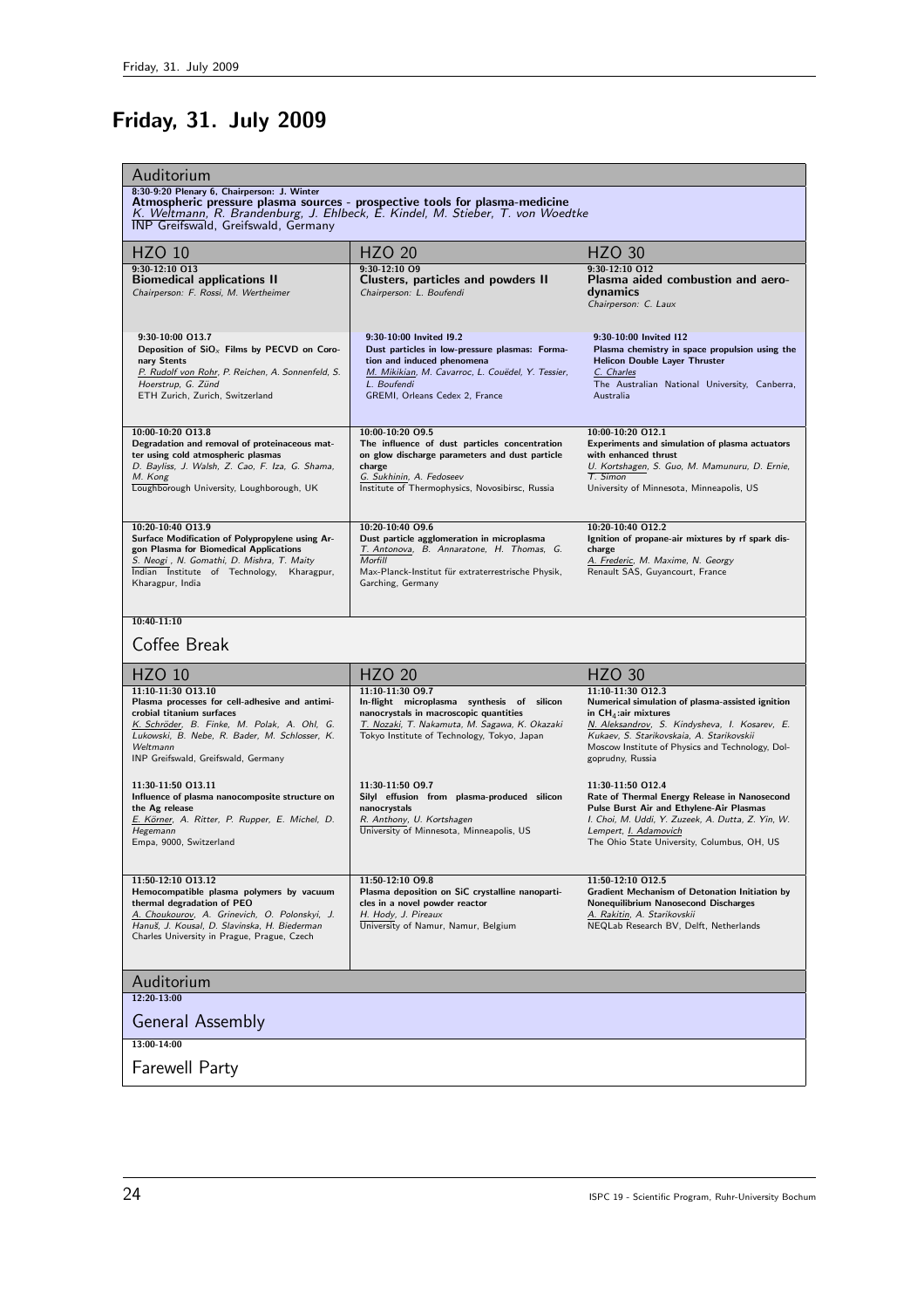# Friday, 31. July 2009

| 8:30-9:20 Plenary 6, Chairperson: J. Winter<br>Atmospheric pressure plasma sources - prospective tools for plasma-medicine<br>K. Weltmann, R. Brandenburg, J. Ehlbeck, E. Kindel, M. Stieber, T. von Woedtke<br><b>INP Greifswald, Greifswald, Germany</b><br><b>HZO 30</b><br><b>HZO 10</b><br><b>HZO 20</b><br>$9:30-12:10$ $012$<br>9:30-12:10 013<br>9:30-12:10 09<br><b>Biomedical applications II</b><br>Clusters, particles and powders II<br>Plasma aided combustion and aero-<br>Chairperson: F. Rossi, M. Wertheimer<br>Chairperson: L. Boufendi<br>dynamics<br>Chairperson: C. Laux<br>9:30-10:00 013.7<br>9:30-10:00 Invited I9.2<br>9:30-10:00 Invited I12<br>Deposition of $SiOx$ Films by PECVD on Coro-<br>Dust particles in low-pressure plasmas: Forma-<br>Plasma chemistry in space propulsion using the<br><b>Helicon Double Layer Thruster</b><br>tion and induced phenomena<br>nary Stents<br>P. Rudolf von Rohr, P. Reichen, A. Sonnenfeld, S.<br>M. Mikikian, M. Cavarroc, L. Couëdel, Y. Tessier,<br>C. Charles<br>Hoerstrup, G. Zünd<br>L. Boufendi<br>The Australian National University, Canberra,<br>GREMI, Orleans Cedex 2, France<br>Australia<br>ETH Zurich, Zurich, Switzerland<br>10:00-10:20 09.5<br>10:00-10:20 012.1<br>10:00-10:20 013.8<br>Degradation and removal of proteinaceous mat-<br>The influence of dust particles concentration<br>Experiments and simulation of plasma actuators<br>ter using cold atmospheric plasmas<br>on glow discharge parameters and dust particle<br>with enhanced thrust<br>D. Bayliss, J. Walsh, Z. Cao, F. Iza, G. Shama,<br>charge<br>U. Kortshagen, S. Guo, M. Mamunuru, D. Ernie,<br>T. Simon<br>M. Kong<br>G. Sukhinin, A. Fedoseev<br>Loughborough University, Loughborough, UK<br>Institute of Thermophysics, Novosibirsc, Russia<br>University of Minnesota, Minneapolis, US<br>10:20-10:40 09.6<br>10:20-10:40 012.2<br>10:20-10:40 013.9<br>Surface Modification of Polypropylene using Ar-<br>Dust particle agglomeration in microplasma<br>Ignition of propane-air mixtures by rf spark dis-<br>T. Antonova, B. Annaratone, H. Thomas, G.<br>gon Plasma for Biomedical Applications<br>charge<br>S. Neogi, N. Gomathi, D. Mishra, T. Maity<br>Morfill<br>A. Frederic, M. Maxime, N. Georgy<br>Indian Institute of Technology, Kharagpur,<br>Max-Planck-Institut für extraterrestrische Physik,<br>Renault SAS, Guyancourt, France<br>Garching, Germany<br>Kharagpur, India<br>$10:40 - 11:10$<br>Coffee Break<br><b>HZO 20</b><br><b>HZO 10</b><br><b>HZO 30</b><br>11:10-11:30 013.10<br>11:10-11:30 09.7<br>11:10-11:30 012.3<br>Plasma processes for cell-adhesive and antimi-<br>In-flight microplasma synthesis of silicon<br>Numerical simulation of plasma-assisted ignition<br>nanocrystals in macroscopic quantities<br>crobial titanium surfaces<br>in $CH_4$ : air mixtures<br>K. Schröder, B. Finke, M. Polak, A. Ohl, G.<br>T. Nozaki, T. Nakamuta, M. Sagawa, K. Okazaki<br>N. Aleksandrov, S. Kindysheva, I. Kosarev, E.<br>Lukowski, B. Nebe, R. Bader, M. Schlosser, K.<br>Tokyo Institute of Technology, Tokyo, Japan<br>Kukaev, S. Starikovskaia, A. Starikovskii<br>Moscow Institute of Physics and Technology, Dol-<br>Weltmann<br>goprudny, Russia<br>INP Greifswald, Greifswald, Germany<br>11:30-11:50 013.11<br>11:30-11:50 09.7<br>11:30-11:50 012.4<br>Influence of plasma nanocomposite structure on<br>Silyl effusion from plasma-produced silicon<br>Rate of Thermal Energy Release in Nanosecond<br>nanocrystals<br>Pulse Burst Air and Ethylene-Air Plasmas<br>the Ag release<br>E. Körner, A. Ritter, P. Rupper, E. Michel, D.<br>R. Anthony, U. Kortshagen<br>I. Choi, M. Uddi, Y. Zuzeek, A. Dutta, Z. Yin, W.<br>University of Minnesota, Minneapolis, US<br>Lempert, I. Adamovich<br>Hegemann<br>The Ohio State University, Columbus, OH, US<br>Empa, 9000, Switzerland<br>11:50-12:10 013.12<br>11:50-12:10 09.8<br>11:50-12:10 012.5<br>Plasma deposition on SiC crystalline nanoparti-<br>Hemocompatible plasma polymers by vacuum<br><b>Gradient Mechanism of Detonation Initiation by</b><br>thermal degradation of PEO<br>cles in a novel powder reactor<br><b>Nonequilibrium Nanosecond Discharges</b><br>A. Choukourov, A. Grinevich, O. Polonskyi, J.<br>H. Hody, J. Pireaux<br>A. Rakitin, A. Starikovskii<br>Hanuš, J. Kousal, D. Slavinska, H. Biederman<br>University of Namur, Namur, Belgium<br>NEQLab Research BV, Delft, Netherlands<br>Charles University in Prague, Prague, Czech<br>Auditorium<br>$12:20-13:00$<br><b>General Assembly</b><br>13:00-14:00<br><b>Farewell Party</b> | Auditorium |  |  |
|------------------------------------------------------------------------------------------------------------------------------------------------------------------------------------------------------------------------------------------------------------------------------------------------------------------------------------------------------------------------------------------------------------------------------------------------------------------------------------------------------------------------------------------------------------------------------------------------------------------------------------------------------------------------------------------------------------------------------------------------------------------------------------------------------------------------------------------------------------------------------------------------------------------------------------------------------------------------------------------------------------------------------------------------------------------------------------------------------------------------------------------------------------------------------------------------------------------------------------------------------------------------------------------------------------------------------------------------------------------------------------------------------------------------------------------------------------------------------------------------------------------------------------------------------------------------------------------------------------------------------------------------------------------------------------------------------------------------------------------------------------------------------------------------------------------------------------------------------------------------------------------------------------------------------------------------------------------------------------------------------------------------------------------------------------------------------------------------------------------------------------------------------------------------------------------------------------------------------------------------------------------------------------------------------------------------------------------------------------------------------------------------------------------------------------------------------------------------------------------------------------------------------------------------------------------------------------------------------------------------------------------------------------------------------------------------------------------------------------------------------------------------------------------------------------------------------------------------------------------------------------------------------------------------------------------------------------------------------------------------------------------------------------------------------------------------------------------------------------------------------------------------------------------------------------------------------------------------------------------------------------------------------------------------------------------------------------------------------------------------------------------------------------------------------------------------------------------------------------------------------------------------------------------------------------------------------------------------------------------------------------------------------------------------------------------------------------------------------------------------------------------------------------------------------------------------------------------------------------------------------------------------------------------------------------------------------------------------------------------------------------------------------------------------------------------------------------------------------------------------------------------------------------------------------------------------------------------------------------------------------------------------------------------------------------------------------------------------------------------------------------------------------------------------------------------------------------------------------------------------------------------------------------------------------------------------------------------------------------------------------------|------------|--|--|
|                                                                                                                                                                                                                                                                                                                                                                                                                                                                                                                                                                                                                                                                                                                                                                                                                                                                                                                                                                                                                                                                                                                                                                                                                                                                                                                                                                                                                                                                                                                                                                                                                                                                                                                                                                                                                                                                                                                                                                                                                                                                                                                                                                                                                                                                                                                                                                                                                                                                                                                                                                                                                                                                                                                                                                                                                                                                                                                                                                                                                                                                                                                                                                                                                                                                                                                                                                                                                                                                                                                                                                                                                                                                                                                                                                                                                                                                                                                                                                                                                                                                                                                                                                                                                                                                                                                                                                                                                                                                                                                                                                                                                                    |            |  |  |
|                                                                                                                                                                                                                                                                                                                                                                                                                                                                                                                                                                                                                                                                                                                                                                                                                                                                                                                                                                                                                                                                                                                                                                                                                                                                                                                                                                                                                                                                                                                                                                                                                                                                                                                                                                                                                                                                                                                                                                                                                                                                                                                                                                                                                                                                                                                                                                                                                                                                                                                                                                                                                                                                                                                                                                                                                                                                                                                                                                                                                                                                                                                                                                                                                                                                                                                                                                                                                                                                                                                                                                                                                                                                                                                                                                                                                                                                                                                                                                                                                                                                                                                                                                                                                                                                                                                                                                                                                                                                                                                                                                                                                                    |            |  |  |
|                                                                                                                                                                                                                                                                                                                                                                                                                                                                                                                                                                                                                                                                                                                                                                                                                                                                                                                                                                                                                                                                                                                                                                                                                                                                                                                                                                                                                                                                                                                                                                                                                                                                                                                                                                                                                                                                                                                                                                                                                                                                                                                                                                                                                                                                                                                                                                                                                                                                                                                                                                                                                                                                                                                                                                                                                                                                                                                                                                                                                                                                                                                                                                                                                                                                                                                                                                                                                                                                                                                                                                                                                                                                                                                                                                                                                                                                                                                                                                                                                                                                                                                                                                                                                                                                                                                                                                                                                                                                                                                                                                                                                                    |            |  |  |
|                                                                                                                                                                                                                                                                                                                                                                                                                                                                                                                                                                                                                                                                                                                                                                                                                                                                                                                                                                                                                                                                                                                                                                                                                                                                                                                                                                                                                                                                                                                                                                                                                                                                                                                                                                                                                                                                                                                                                                                                                                                                                                                                                                                                                                                                                                                                                                                                                                                                                                                                                                                                                                                                                                                                                                                                                                                                                                                                                                                                                                                                                                                                                                                                                                                                                                                                                                                                                                                                                                                                                                                                                                                                                                                                                                                                                                                                                                                                                                                                                                                                                                                                                                                                                                                                                                                                                                                                                                                                                                                                                                                                                                    |            |  |  |
|                                                                                                                                                                                                                                                                                                                                                                                                                                                                                                                                                                                                                                                                                                                                                                                                                                                                                                                                                                                                                                                                                                                                                                                                                                                                                                                                                                                                                                                                                                                                                                                                                                                                                                                                                                                                                                                                                                                                                                                                                                                                                                                                                                                                                                                                                                                                                                                                                                                                                                                                                                                                                                                                                                                                                                                                                                                                                                                                                                                                                                                                                                                                                                                                                                                                                                                                                                                                                                                                                                                                                                                                                                                                                                                                                                                                                                                                                                                                                                                                                                                                                                                                                                                                                                                                                                                                                                                                                                                                                                                                                                                                                                    |            |  |  |
|                                                                                                                                                                                                                                                                                                                                                                                                                                                                                                                                                                                                                                                                                                                                                                                                                                                                                                                                                                                                                                                                                                                                                                                                                                                                                                                                                                                                                                                                                                                                                                                                                                                                                                                                                                                                                                                                                                                                                                                                                                                                                                                                                                                                                                                                                                                                                                                                                                                                                                                                                                                                                                                                                                                                                                                                                                                                                                                                                                                                                                                                                                                                                                                                                                                                                                                                                                                                                                                                                                                                                                                                                                                                                                                                                                                                                                                                                                                                                                                                                                                                                                                                                                                                                                                                                                                                                                                                                                                                                                                                                                                                                                    |            |  |  |
|                                                                                                                                                                                                                                                                                                                                                                                                                                                                                                                                                                                                                                                                                                                                                                                                                                                                                                                                                                                                                                                                                                                                                                                                                                                                                                                                                                                                                                                                                                                                                                                                                                                                                                                                                                                                                                                                                                                                                                                                                                                                                                                                                                                                                                                                                                                                                                                                                                                                                                                                                                                                                                                                                                                                                                                                                                                                                                                                                                                                                                                                                                                                                                                                                                                                                                                                                                                                                                                                                                                                                                                                                                                                                                                                                                                                                                                                                                                                                                                                                                                                                                                                                                                                                                                                                                                                                                                                                                                                                                                                                                                                                                    |            |  |  |
|                                                                                                                                                                                                                                                                                                                                                                                                                                                                                                                                                                                                                                                                                                                                                                                                                                                                                                                                                                                                                                                                                                                                                                                                                                                                                                                                                                                                                                                                                                                                                                                                                                                                                                                                                                                                                                                                                                                                                                                                                                                                                                                                                                                                                                                                                                                                                                                                                                                                                                                                                                                                                                                                                                                                                                                                                                                                                                                                                                                                                                                                                                                                                                                                                                                                                                                                                                                                                                                                                                                                                                                                                                                                                                                                                                                                                                                                                                                                                                                                                                                                                                                                                                                                                                                                                                                                                                                                                                                                                                                                                                                                                                    |            |  |  |
|                                                                                                                                                                                                                                                                                                                                                                                                                                                                                                                                                                                                                                                                                                                                                                                                                                                                                                                                                                                                                                                                                                                                                                                                                                                                                                                                                                                                                                                                                                                                                                                                                                                                                                                                                                                                                                                                                                                                                                                                                                                                                                                                                                                                                                                                                                                                                                                                                                                                                                                                                                                                                                                                                                                                                                                                                                                                                                                                                                                                                                                                                                                                                                                                                                                                                                                                                                                                                                                                                                                                                                                                                                                                                                                                                                                                                                                                                                                                                                                                                                                                                                                                                                                                                                                                                                                                                                                                                                                                                                                                                                                                                                    |            |  |  |
|                                                                                                                                                                                                                                                                                                                                                                                                                                                                                                                                                                                                                                                                                                                                                                                                                                                                                                                                                                                                                                                                                                                                                                                                                                                                                                                                                                                                                                                                                                                                                                                                                                                                                                                                                                                                                                                                                                                                                                                                                                                                                                                                                                                                                                                                                                                                                                                                                                                                                                                                                                                                                                                                                                                                                                                                                                                                                                                                                                                                                                                                                                                                                                                                                                                                                                                                                                                                                                                                                                                                                                                                                                                                                                                                                                                                                                                                                                                                                                                                                                                                                                                                                                                                                                                                                                                                                                                                                                                                                                                                                                                                                                    |            |  |  |
|                                                                                                                                                                                                                                                                                                                                                                                                                                                                                                                                                                                                                                                                                                                                                                                                                                                                                                                                                                                                                                                                                                                                                                                                                                                                                                                                                                                                                                                                                                                                                                                                                                                                                                                                                                                                                                                                                                                                                                                                                                                                                                                                                                                                                                                                                                                                                                                                                                                                                                                                                                                                                                                                                                                                                                                                                                                                                                                                                                                                                                                                                                                                                                                                                                                                                                                                                                                                                                                                                                                                                                                                                                                                                                                                                                                                                                                                                                                                                                                                                                                                                                                                                                                                                                                                                                                                                                                                                                                                                                                                                                                                                                    |            |  |  |
|                                                                                                                                                                                                                                                                                                                                                                                                                                                                                                                                                                                                                                                                                                                                                                                                                                                                                                                                                                                                                                                                                                                                                                                                                                                                                                                                                                                                                                                                                                                                                                                                                                                                                                                                                                                                                                                                                                                                                                                                                                                                                                                                                                                                                                                                                                                                                                                                                                                                                                                                                                                                                                                                                                                                                                                                                                                                                                                                                                                                                                                                                                                                                                                                                                                                                                                                                                                                                                                                                                                                                                                                                                                                                                                                                                                                                                                                                                                                                                                                                                                                                                                                                                                                                                                                                                                                                                                                                                                                                                                                                                                                                                    |            |  |  |
|                                                                                                                                                                                                                                                                                                                                                                                                                                                                                                                                                                                                                                                                                                                                                                                                                                                                                                                                                                                                                                                                                                                                                                                                                                                                                                                                                                                                                                                                                                                                                                                                                                                                                                                                                                                                                                                                                                                                                                                                                                                                                                                                                                                                                                                                                                                                                                                                                                                                                                                                                                                                                                                                                                                                                                                                                                                                                                                                                                                                                                                                                                                                                                                                                                                                                                                                                                                                                                                                                                                                                                                                                                                                                                                                                                                                                                                                                                                                                                                                                                                                                                                                                                                                                                                                                                                                                                                                                                                                                                                                                                                                                                    |            |  |  |
|                                                                                                                                                                                                                                                                                                                                                                                                                                                                                                                                                                                                                                                                                                                                                                                                                                                                                                                                                                                                                                                                                                                                                                                                                                                                                                                                                                                                                                                                                                                                                                                                                                                                                                                                                                                                                                                                                                                                                                                                                                                                                                                                                                                                                                                                                                                                                                                                                                                                                                                                                                                                                                                                                                                                                                                                                                                                                                                                                                                                                                                                                                                                                                                                                                                                                                                                                                                                                                                                                                                                                                                                                                                                                                                                                                                                                                                                                                                                                                                                                                                                                                                                                                                                                                                                                                                                                                                                                                                                                                                                                                                                                                    |            |  |  |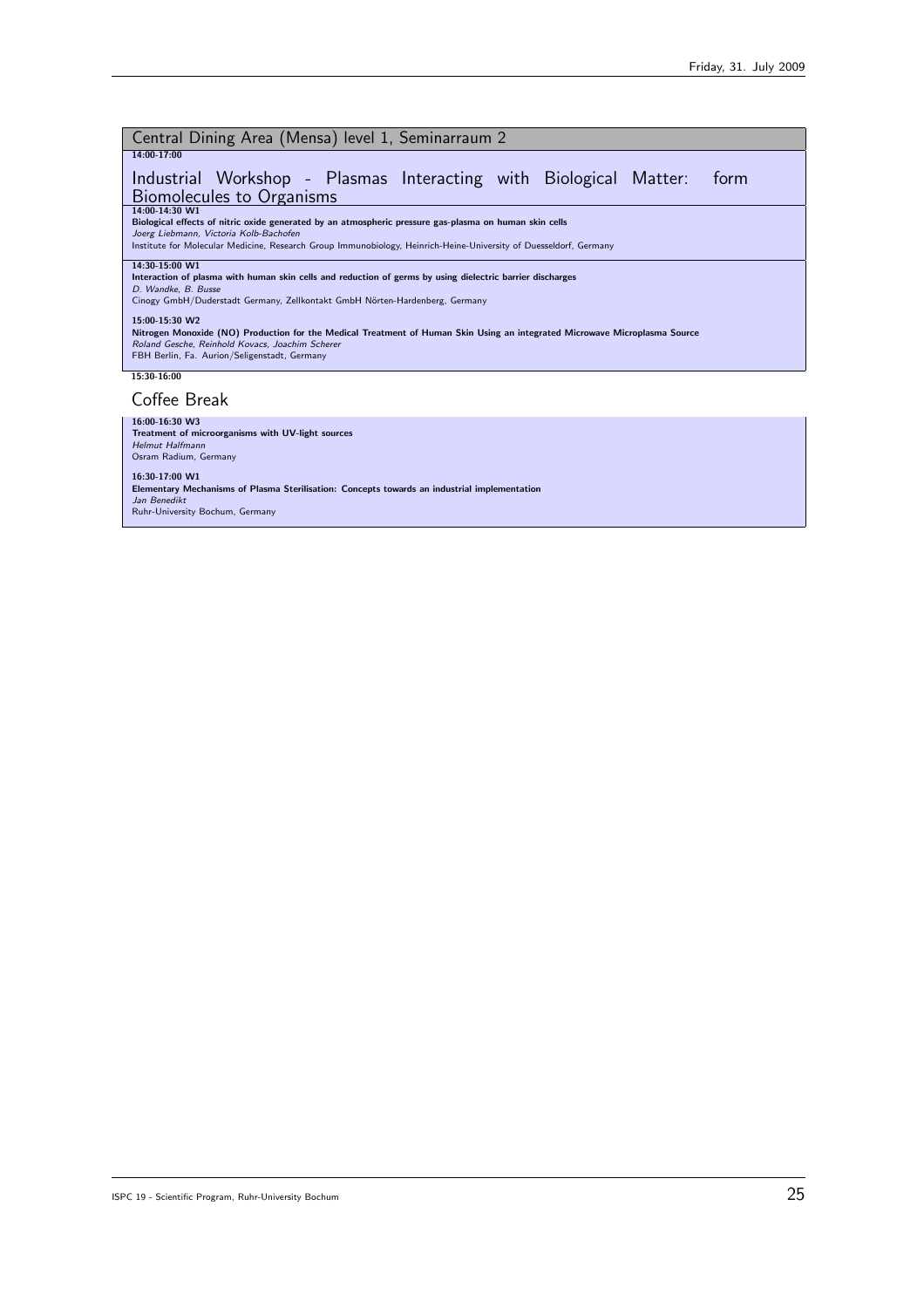| Central Dining Area (Mensa) level 1, Seminarraum 2                                                                                                                            |
|-------------------------------------------------------------------------------------------------------------------------------------------------------------------------------|
| 14:00-17:00                                                                                                                                                                   |
| Industrial Workshop - Plasmas Interacting with Biological Matter:<br>form                                                                                                     |
| <b>Biomolecules to Organisms</b>                                                                                                                                              |
| 14:00-14:30 W1<br>Biological effects of nitric oxide generated by an atmospheric pressure gas-plasma on human skin cells                                                      |
| Joerg Liebmann, Victoria Kolb-Bachofen                                                                                                                                        |
| Institute for Molecular Medicine, Research Group Immunobiology, Heinrich-Heine-University of Duesseldorf, Germany                                                             |
| 14:30-15:00 W1                                                                                                                                                                |
| Interaction of plasma with human skin cells and reduction of germs by using dielectric barrier discharges<br>D. Wandke, B. Busse                                              |
| Cinogy GmbH/Duderstadt Germany, Zellkontakt GmbH Nörten-Hardenberg, Germany                                                                                                   |
| 15:00-15:30 W2                                                                                                                                                                |
| Nitrogen Monoxide (NO) Production for the Medical Treatment of Human Skin Using an integrated Microwave Microplasma Source<br>Roland Gesche, Reinhold Kovacs, Joachim Scherer |
| FBH Berlin, Fa. Aurion/Seligenstadt, Germany                                                                                                                                  |
| 15:30-16:00                                                                                                                                                                   |
| Coffee Break                                                                                                                                                                  |

| 16:00-16:30 W3                                                                               |
|----------------------------------------------------------------------------------------------|
| Treatment of microorganisms with UV-light sources                                            |
| Helmut Halfmann                                                                              |
| Osram Radium, Germany                                                                        |
|                                                                                              |
| 16:30-17:00 W1                                                                               |
| Elementary Mechanisms of Plasma Sterilisation: Concepts towards an industrial implementation |
| Jan Benedikt                                                                                 |
| Ruhr-University Bochum, Germany                                                              |
|                                                                                              |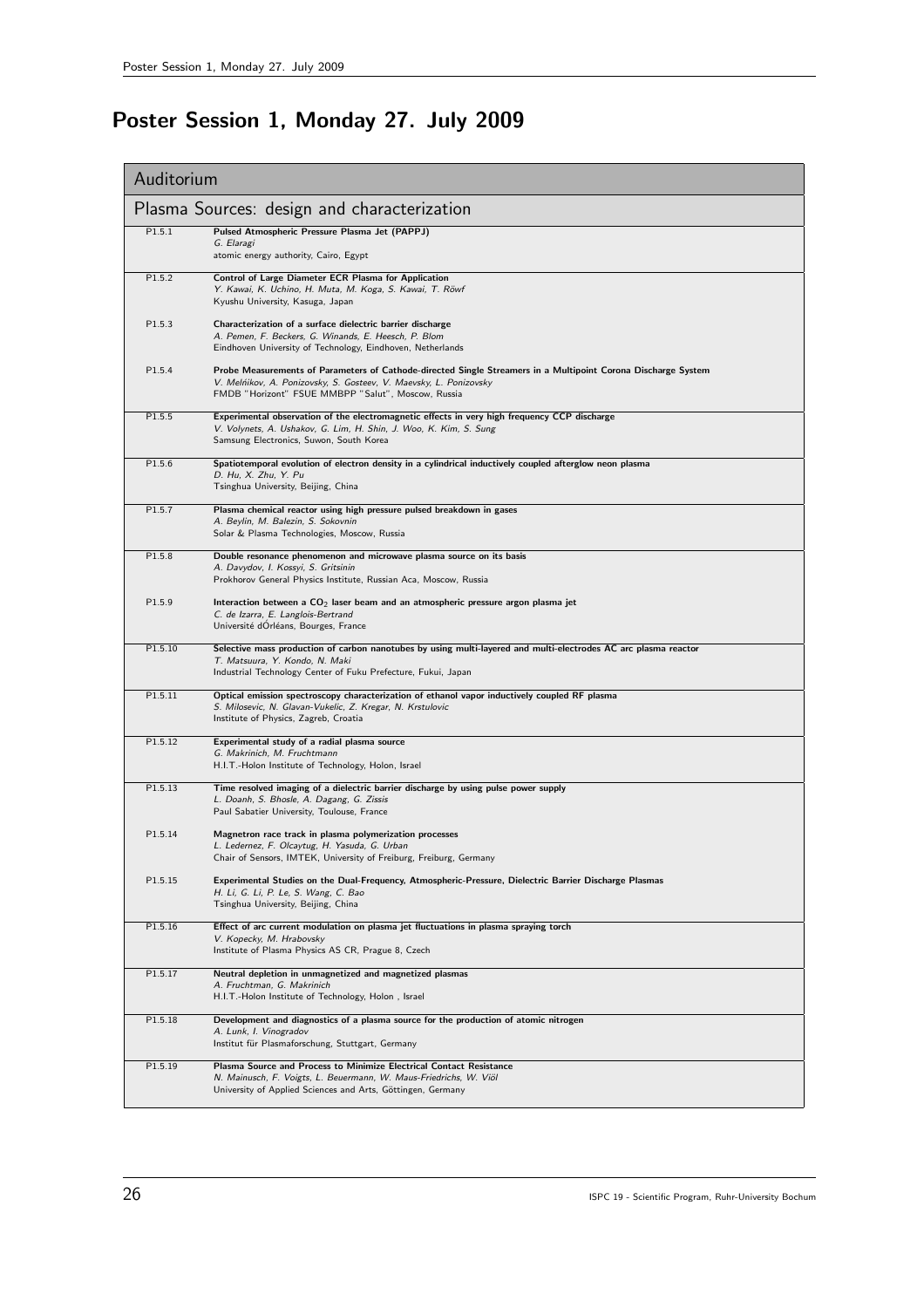# Poster Session 1, Monday 27. July 2009

| Auditorium                                  |                                                                                                                                                                                                                                          |  |
|---------------------------------------------|------------------------------------------------------------------------------------------------------------------------------------------------------------------------------------------------------------------------------------------|--|
| Plasma Sources: design and characterization |                                                                                                                                                                                                                                          |  |
| P1.5.1                                      | Pulsed Atmospheric Pressure Plasma Jet (PAPPJ)<br>G. Elaragi<br>atomic energy authority, Cairo, Egypt                                                                                                                                    |  |
| P1.5.2                                      | Control of Large Diameter ECR Plasma for Application<br>Y. Kawai, K. Uchino, H. Muta, M. Koga, S. Kawai, T. Röwf<br>Kyushu University, Kasuga, Japan                                                                                     |  |
| P1.5.3                                      | Characterization of a surface dielectric barrier discharge<br>A. Pemen, F. Beckers, G. Winands, E. Heesch, P. Blom<br>Eindhoven University of Technology, Eindhoven, Netherlands                                                         |  |
| P1.5.4                                      | Probe Measurements of Parameters of Cathode-directed Single Streamers in a Multipoint Corona Discharge System<br>V. Melńikov, A. Ponizovsky, S. Gosteev, V. Maevsky, L. Ponizovsky<br>FMDB "Horizont" FSUE MMBPP "Salut", Moscow, Russia |  |
| P1.5.5                                      | Experimental observation of the electromagnetic effects in very high frequency CCP discharge<br>V. Volynets, A. Ushakov, G. Lim, H. Shin, J. Woo, K. Kim, S. Sung<br>Samsung Electronics, Suwon, South Korea                             |  |
| P1.5.6                                      | Spatiotemporal evolution of electron density in a cylindrical inductively coupled afterglow neon plasma<br>D. Hu, X. Zhu, Y. Pu<br>Tsinghua University, Beijing, China                                                                   |  |
| P1.5.7                                      | Plasma chemical reactor using high pressure pulsed breakdown in gases<br>A. Beylin, M. Balezin, S. Sokovnin<br>Solar & Plasma Technologies, Moscow, Russia                                                                               |  |
| P1.5.8                                      | Double resonance phenomenon and microwave plasma source on its basis<br>A. Davydov, I. Kossyi, S. Gritsinin<br>Prokhorov General Physics Institute, Russian Aca, Moscow, Russia                                                          |  |
| P1.5.9                                      | Interaction between a $CO2$ laser beam and an atmospheric pressure argon plasma jet<br>C. de Izarra, E. Langlois-Bertrand<br>Université dOrléans, Bourges, France                                                                        |  |
| P1.5.10                                     | Selective mass production of carbon nanotubes by using multi-layered and multi-electrodes AC arc plasma reactor<br>T. Matsuura, Y. Kondo, N. Maki<br>Industrial Technology Center of Fuku Prefecture, Fukui, Japan                       |  |
| P1.5.11                                     | Optical emission spectroscopy characterization of ethanol vapor inductively coupled RF plasma<br>S. Milosevic, N. Glavan-Vukelic, Z. Kregar, N. Krstulovic<br>Institute of Physics, Zagreb, Croatia                                      |  |
| P1.5.12                                     | Experimental study of a radial plasma source<br>G. Makrinich, M. Fruchtmann<br>H.I.T.-Holon Institute of Technology, Holon, Israel                                                                                                       |  |
| P1.5.13                                     | Time resolved imaging of a dielectric barrier discharge by using pulse power supply<br>L. Doanh, S. Bhosle, A. Dagang, G. Zissis<br>Paul Sabatier University, Toulouse, France                                                           |  |
| P1.5.14                                     | Magnetron race track in plasma polymerization processes<br>L. Ledernez, F. Olcaytug, H. Yasuda, G. Urban<br>Chair of Sensors, IMTEK, University of Freiburg, Freiburg, Germany                                                           |  |
| P1.5.15                                     | Experimental Studies on the Dual-Frequency, Atmospheric-Pressure, Dielectric Barrier Discharge Plasmas<br>H. Li, G. Li, P. Le, S. Wang, C. Bao<br>Tsinghua University, Beijing, China                                                    |  |
| P1.5.16                                     | Effect of arc current modulation on plasma jet fluctuations in plasma spraying torch<br>V. Kopecky, M. Hrabovsky<br>Institute of Plasma Physics AS CR, Prague 8, Czech                                                                   |  |
| P1.5.17                                     | Neutral depletion in unmagnetized and magnetized plasmas<br>A. Fruchtman, G. Makrinich<br>H.I.T.-Holon Institute of Technology, Holon, Israel                                                                                            |  |
| P1.5.18                                     | Development and diagnostics of a plasma source for the production of atomic nitrogen<br>A. Lunk, I. Vinogradov<br>Institut für Plasmaforschung, Stuttgart, Germany                                                                       |  |
| P1.5.19                                     | Plasma Source and Process to Minimize Electrical Contact Resistance<br>N. Mainusch, F. Voigts, L. Beuermann, W. Maus-Friedrichs, W. Viöl<br>University of Applied Sciences and Arts, Göttingen, Germany                                  |  |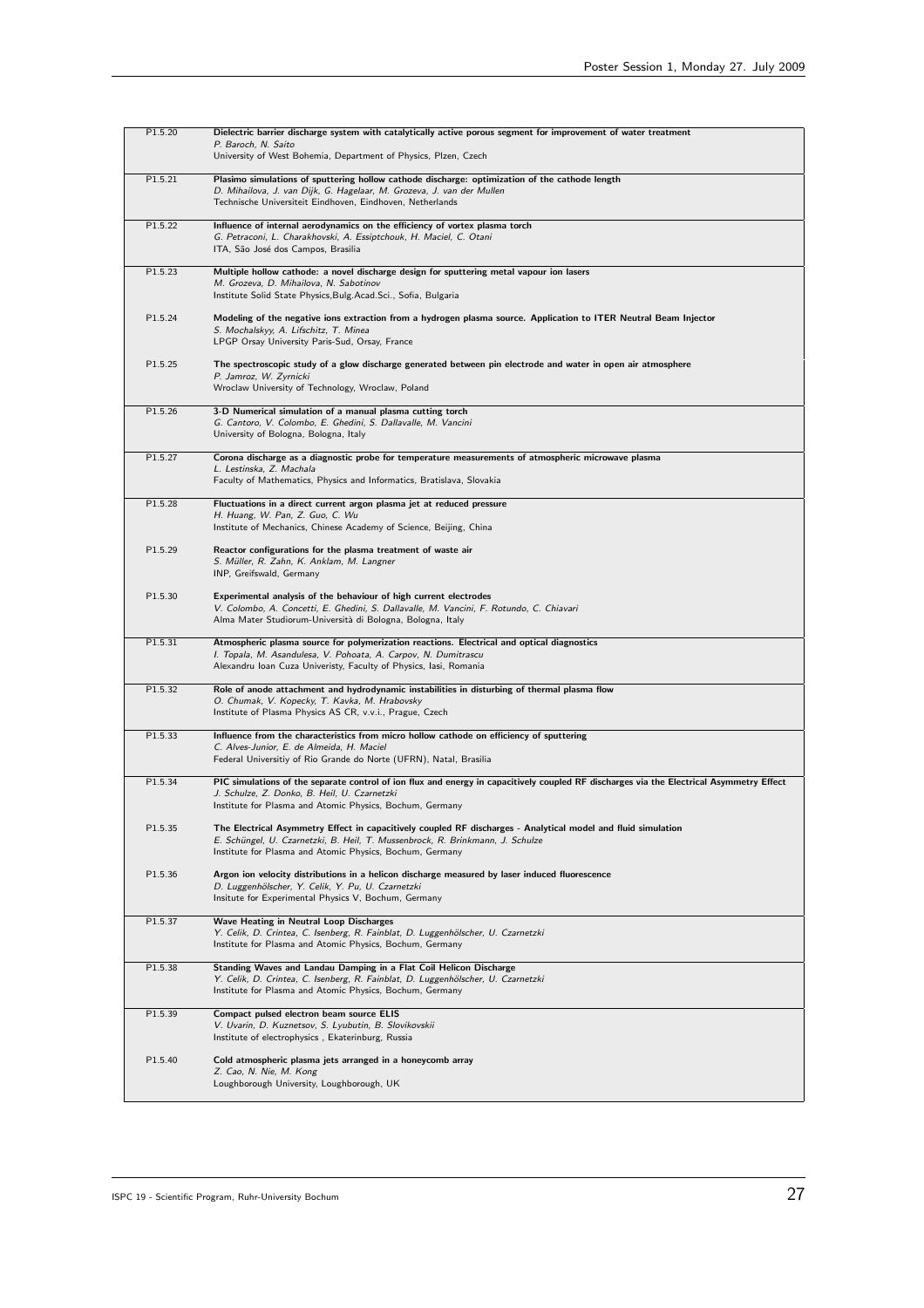| P1.5.20 | Dielectric barrier discharge system with catalytically active porous segment for improvement of water treatment<br>P. Baroch, N. Saito<br>University of West Bohemia, Department of Physics, Plzen, Czech                                                  |
|---------|------------------------------------------------------------------------------------------------------------------------------------------------------------------------------------------------------------------------------------------------------------|
| P1.5.21 | Plasimo simulations of sputtering hollow cathode discharge: optimization of the cathode length<br>D. Mihailova, J. van Dijk, G. Hagelaar, M. Grozeva, J. van der Mullen<br>Technische Universiteit Eindhoven, Eindhoven, Netherlands                       |
| P1.5.22 | Influence of internal aerodynamics on the efficiency of vortex plasma torch<br>G. Petraconi, L. Charakhovski, A. Essiptchouk, H. Maciel, C. Otani<br>ITA, São José dos Campos, Brasilia                                                                    |
| P1.5.23 | Multiple hollow cathode: a novel discharge design for sputtering metal vapour ion lasers<br>M. Grozeva, D. Mihailova, N. Sabotinov<br>Institute Solid State Physics, Bulg. Acad. Sci., Sofia, Bulgaria                                                     |
| P1.5.24 | Modeling of the negative ions extraction from a hydrogen plasma source. Application to ITER Neutral Beam Injector<br>S. Mochalskyy, A. Lifschitz, T. Minea<br>LPGP Orsay University Paris-Sud, Orsay, France                                               |
| P1.5.25 | The spectroscopic study of a glow discharge generated between pin electrode and water in open air atmosphere<br>P. Jamroz, W. Zyrnicki<br>Wroclaw University of Technology, Wroclaw, Poland                                                                |
| P1.5.26 | 3-D Numerical simulation of a manual plasma cutting torch<br>G. Cantoro, V. Colombo, E. Ghedini, S. Dallavalle, M. Vancini<br>University of Bologna, Bologna, Italy                                                                                        |
| P1.5.27 | Corona discharge as a diagnostic probe for temperature measurements of atmospheric microwave plasma<br>L. Lestinska, Z. Machala<br>Faculty of Mathematics, Physics and Informatics, Bratislava, Slovakia                                                   |
| P1.5.28 | Fluctuations in a direct current argon plasma jet at reduced pressure<br>H. Huang, W. Pan, Z. Guo, C. Wu<br>Institute of Mechanics, Chinese Academy of Science, Beijing, China                                                                             |
| P1.5.29 | Reactor configurations for the plasma treatment of waste air<br>S. Müller, R. Zahn, K. Anklam, M. Langner<br>INP, Greifswald, Germany                                                                                                                      |
| P1.5.30 | Experimental analysis of the behaviour of high current electrodes<br>V. Colombo, A. Concetti, E. Ghedini, S. Dallavalle, M. Vancini, F. Rotundo, C. Chiavari<br>Alma Mater Studiorum-Università di Bologna, Bologna, Italy                                 |
| P1.5.31 | Atmospheric plasma source for polymerization reactions. Electrical and optical diagnostics<br>I. Topala, M. Asandulesa, V. Pohoata, A. Carpov, N. Dumitrascu<br>Alexandru Ioan Cuza Univeristy, Faculty of Physics, Iasi, Romania                          |
| P1.5.32 | Role of anode attachment and hydrodynamic instabilities in disturbing of thermal plasma flow<br>O. Chumak, V. Kopecky, T. Kavka, M. Hrabovsky<br>Institute of Plasma Physics AS CR, v.v.i., Prague, Czech                                                  |
| P1.5.33 | Influence from the characteristics from micro hollow cathode on efficiency of sputtering<br>C. Alves-Junior, E. de Almeida, H. Maciel<br>Federal Universitiy of Rio Grande do Norte (UFRN), Natal, Brasilia                                                |
| P1.5.34 | PIC simulations of the separate control of ion flux and energy in capacitively coupled RF discharges via the Electrical Asymmetry Effect<br>J. Schulze, Z. Donko, B. Heil, U. Czarnetzki<br>Institute for Plasma and Atomic Physics, Bochum, Germany       |
| P1.5.35 | The Electrical Asymmetry Effect in capacitively coupled RF discharges - Analytical model and fluid simulation<br>E. Schüngel, U. Czarnetzki, B. Heil, T. Mussenbrock, R. Brinkmann, J. Schulze<br>Institute for Plasma and Atomic Physics, Bochum, Germany |
| P1.5.36 | Argon ion velocity distributions in a helicon discharge measured by laser induced fluorescence<br>D. Luggenhölscher, Y. Celik, Y. Pu, U. Czarnetzki<br>Insitute for Experimental Physics V, Bochum, Germany                                                |
| P1.5.37 | Wave Heating in Neutral Loop Discharges<br>Y. Celik, D. Crintea, C. Isenberg, R. Fainblat, D. Luggenhölscher, U. Czarnetzki<br>Institute for Plasma and Atomic Physics, Bochum, Germany                                                                    |
| P1.5.38 | Standing Waves and Landau Damping in a Flat Coil Helicon Discharge<br>Y. Celik, D. Crintea, C. Isenberg, R. Fainblat, D. Luggenhölscher, U. Czarnetzki<br>Institute for Plasma and Atomic Physics, Bochum, Germany                                         |
| P1.5.39 | Compact pulsed electron beam source ELIS<br>V. Uvarin, D. Kuznetsov, S. Lyubutin, B. Slovikovskii<br>Institute of electrophysics, Ekaterinburg, Russia                                                                                                     |
| P1.5.40 | Cold atmospheric plasma jets arranged in a honeycomb array<br>Z. Cao, N. Nie, M. Kong<br>Loughborough University, Loughborough, UK                                                                                                                         |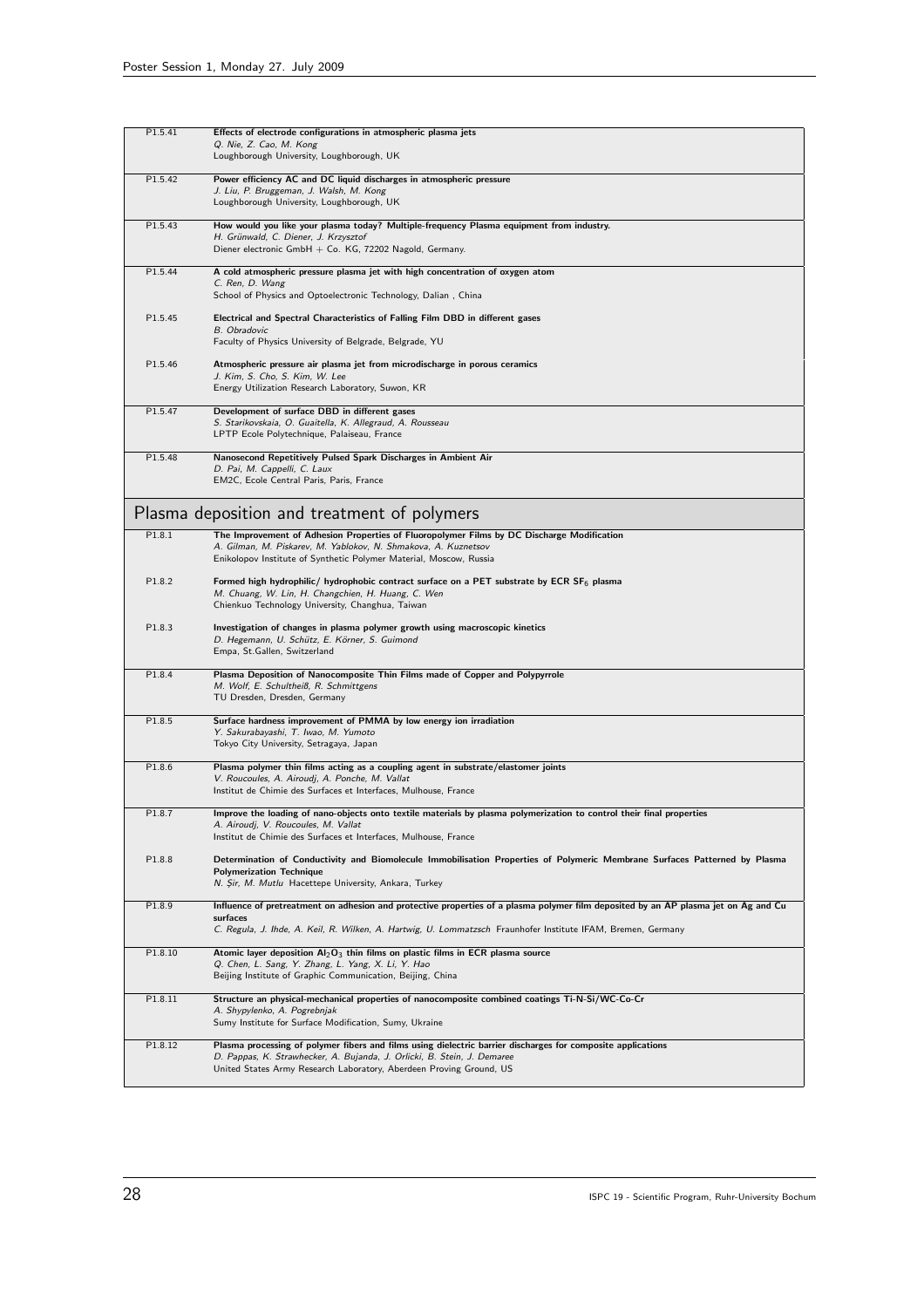| P1.5.41 | Effects of electrode configurations in atmospheric plasma jets                                                                                                |
|---------|---------------------------------------------------------------------------------------------------------------------------------------------------------------|
|         | Q. Nie, Z. Cao, M. Kong<br>Loughborough University, Loughborough, UK                                                                                          |
|         |                                                                                                                                                               |
| P1.5.42 | Power efficiency AC and DC liquid discharges in atmospheric pressure<br>J. Liu, P. Bruggeman, J. Walsh, M. Kong<br>Loughborough University, Loughborough, UK  |
| P1.5.43 | How would you like your plasma today? Multiple-frequency Plasma equipment from industry.                                                                      |
|         | H. Grünwald, C. Diener, J. Krzysztof<br>Diener electronic GmbH + Co. KG, 72202 Nagold, Germany.                                                               |
| P1.5.44 | A cold atmospheric pressure plasma jet with high concentration of oxygen atom                                                                                 |
|         | C. Ren, D. Wang<br>School of Physics and Optoelectronic Technology, Dalian, China                                                                             |
| P1.5.45 | Electrical and Spectral Characteristics of Falling Film DBD in different gases                                                                                |
|         | <b>B.</b> Obradovic<br>Faculty of Physics University of Belgrade, Belgrade, YU                                                                                |
| P1.5.46 | Atmospheric pressure air plasma jet from microdischarge in porous ceramics                                                                                    |
|         | J. Kim, S. Cho, S. Kim, W. Lee<br>Energy Utilization Research Laboratory, Suwon, KR                                                                           |
| P1.5.47 | Development of surface DBD in different gases<br>S. Starikovskaia, O. Guaitella, K. Allegraud, A. Rousseau                                                    |
|         | LPTP Ecole Polytechnique, Palaiseau, France                                                                                                                   |
| P1.5.48 | Nanosecond Repetitively Pulsed Spark Discharges in Ambient Air<br>D. Pai, M. Cappelli, C. Laux                                                                |
|         | EM2C, Ecole Central Paris, Paris, France                                                                                                                      |
|         | Plasma deposition and treatment of polymers                                                                                                                   |
| P1.8.1  | The Improvement of Adhesion Properties of Fluoropolymer Films by DC Discharge Modification<br>A. Gilman, M. Piskarev, M. Yablokov, N. Shmakova, A. Kuznetsov  |
|         | Enikolopov Institute of Synthetic Polymer Material, Moscow, Russia                                                                                            |
| P1.8.2  | Formed high hydrophilic/ hydrophobic contract surface on a PET substrate by ECR SF <sub>6</sub> plasma                                                        |
|         | M. Chuang, W. Lin, H. Changchien, H. Huang, C. Wen<br>Chienkuo Technology University, Changhua, Taiwan                                                        |
| P1.8.3  | Investigation of changes in plasma polymer growth using macroscopic kinetics<br>D. Hegemann, U. Schütz, E. Körner, S. Guimond<br>Empa, St.Gallen, Switzerland |
|         |                                                                                                                                                               |
| P1.8.4  | Plasma Deposition of Nanocomposite Thin Films made of Copper and Polypyrrole<br>M. Wolf, E. Schultheiß, R. Schmittgens                                        |
|         | TU Dresden, Dresden, Germany                                                                                                                                  |
| P1.8.5  | Surface hardness improvement of PMMA by low energy ion irradiation                                                                                            |
|         | Y. Sakurabayashi, T. Iwao, M. Yumoto<br>Tokyo City University, Setragaya, Japan                                                                               |
| P1.8.6  | Plasma polymer thin films acting as a coupling agent in substrate/elastomer joints                                                                            |
|         | V. Roucoules, A. Airoudj, A. Ponche, M. Vallat<br>Institut de Chimie des Surfaces et Interfaces, Mulhouse, France                                             |
| P1.8.7  | Improve the loading of nano-objects onto textile materials by plasma polymerization to control their final properties                                         |
|         | A. Airoudj, V. Roucoules, M. Vallat<br>Institut de Chimie des Surfaces et Interfaces, Mulhouse, France                                                        |
| P1.8.8  | Determination of Conductivity and Biomolecule Immobilisation Properties of Polymeric Membrane Surfaces Patterned by Plasma<br><b>Polymerization Technique</b> |
|         | N. Sir, M. Mutlu Hacettepe University, Ankara, Turkey                                                                                                         |
| P1.8.9  | Influence of pretreatment on adhesion and protective properties of a plasma polymer film deposited by an AP plasma jet on Ag and Cu<br>surfaces               |
|         | C. Regula, J. Ihde, A. Keil, R. Wilken, A. Hartwig, U. Lommatzsch Fraunhofer Institute IFAM, Bremen, Germany                                                  |
| P1.8.10 | Atomic layer deposition $Al_2O_3$ thin films on plastic films in ECR plasma source<br>Q. Chen, L. Sang, Y. Zhang, L. Yang, X. Li, Y. Hao                      |
|         | Beijing Institute of Graphic Communication, Beijing, China                                                                                                    |
| P1.8.11 | Structure an physical-mechanical properties of nanocomposite combined coatings Ti-N-Si/WC-Co-Cr                                                               |
|         | A. Shypylenko, A. Pogrebnjak<br>Sumy Institute for Surface Modification, Sumy, Ukraine                                                                        |
| P1.8.12 | Plasma processing of polymer fibers and films using dielectric barrier discharges for composite applications                                                  |
|         | D. Pappas, K. Strawhecker, A. Bujanda, J. Orlicki, B. Stein, J. Demaree<br>United States Army Research Laboratory, Aberdeen Proving Ground, US                |
|         |                                                                                                                                                               |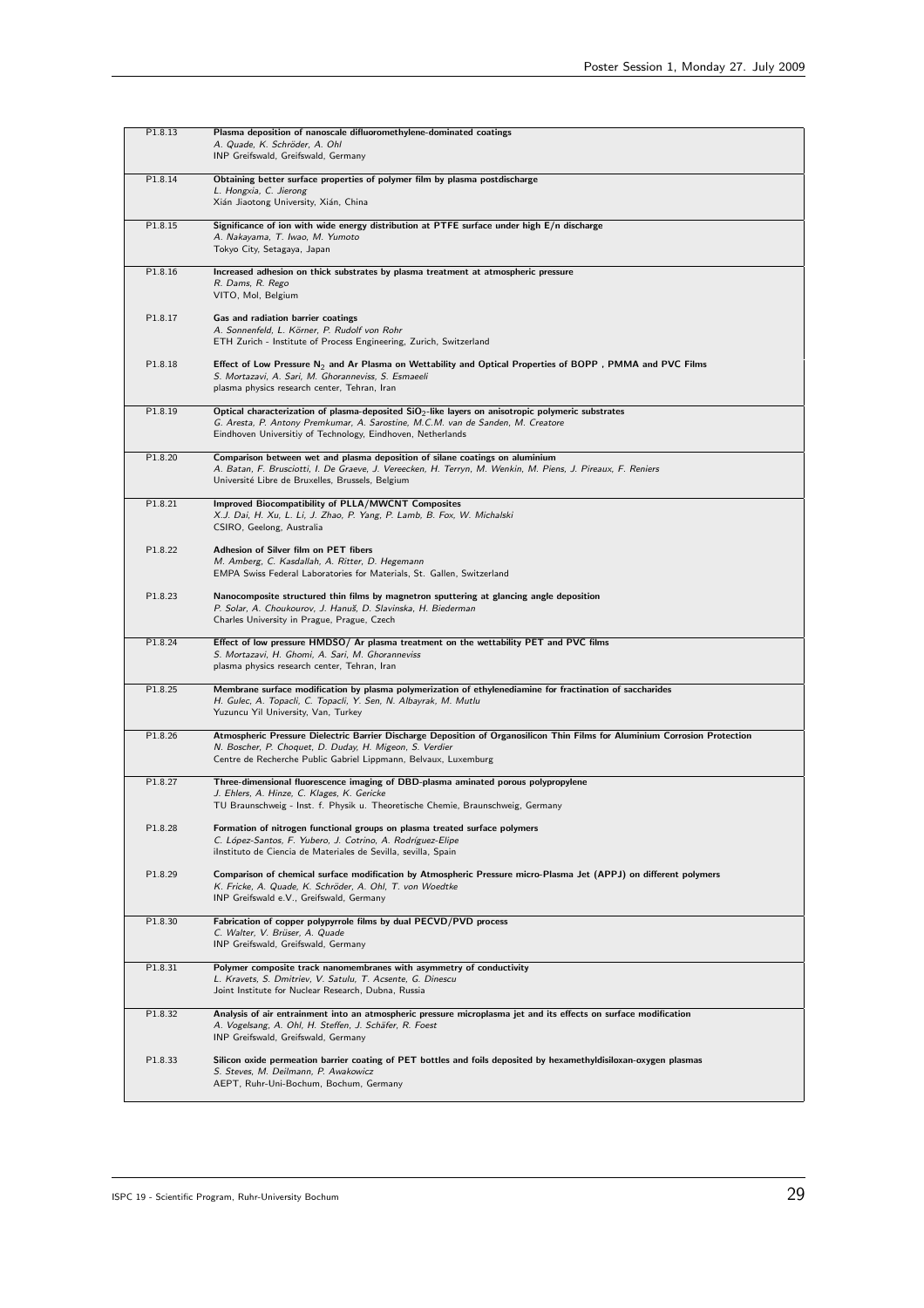| P1.8.13 | Plasma deposition of nanoscale difluoromethylene-dominated coatings<br>A. Quade, K. Schröder, A. Ohl<br>INP Greifswald, Greifswald, Germany                                                                                                               |
|---------|-----------------------------------------------------------------------------------------------------------------------------------------------------------------------------------------------------------------------------------------------------------|
| P1.8.14 | Obtaining better surface properties of polymer film by plasma postdischarge<br>L. Hongxia, C. Jierong<br>Xián Jiaotong University, Xián, China                                                                                                            |
| P1.8.15 | Significance of ion with wide energy distribution at PTFE surface under high E/n discharge<br>A. Nakayama, T. Iwao, M. Yumoto<br>Tokyo City, Setagaya, Japan                                                                                              |
| P1.8.16 | Increased adhesion on thick substrates by plasma treatment at atmospheric pressure<br>R. Dams, R. Rego<br>VITO, Mol, Belgium                                                                                                                              |
| P1.8.17 | Gas and radiation barrier coatings<br>A. Sonnenfeld, L. Körner, P. Rudolf von Rohr<br>ETH Zurich - Institute of Process Engineering, Zurich, Switzerland                                                                                                  |
| P1.8.18 | Effect of Low Pressure N <sub>2</sub> and Ar Plasma on Wettability and Optical Properties of BOPP, PMMA and PVC Films<br>S. Mortazavi, A. Sari, M. Ghoranneviss, S. Esmaeeli<br>plasma physics research center, Tehran, Iran                              |
| P1.8.19 | Optical characterization of plasma-deposited $SiO2$ -like layers on anisotropic polymeric substrates<br>G. Aresta, P. Antony Premkumar, A. Sarostine, M.C.M. van de Sanden, M. Creatore<br>Eindhoven Universitiy of Technology, Eindhoven, Netherlands    |
| P1.8.20 | Comparison between wet and plasma deposition of silane coatings on aluminium<br>A. Batan, F. Brusciotti, I. De Graeve, J. Vereecken, H. Terryn, M. Wenkin, M. Piens, J. Pireaux, F. Reniers<br>Université Libre de Bruxelles, Brussels, Belgium           |
| P1.8.21 | Improved Biocompatibility of PLLA/MWCNT Composites<br>X.J. Dai, H. Xu, L. Li, J. Zhao, P. Yang, P. Lamb, B. Fox, W. Michalski<br>CSIRO, Geelong, Australia                                                                                                |
| P1.8.22 | Adhesion of Silver film on PET fibers<br>M. Amberg, C. Kasdallah, A. Ritter, D. Hegemann<br>EMPA Swiss Federal Laboratories for Materials, St. Gallen, Switzerland                                                                                        |
| P1.8.23 | Nanocomposite structured thin films by magnetron sputtering at glancing angle deposition<br>P. Solar, A. Choukourov, J. Hanuš, D. Slavinska, H. Biederman<br>Charles University in Prague, Prague, Czech                                                  |
| P1.8.24 | Effect of low pressure HMDSO/ Ar plasma treatment on the wettability PET and PVC films<br>S. Mortazavi, H. Ghomi, A. Sari, M. Ghoranneviss<br>plasma physics research center, Tehran, Iran                                                                |
| P1.8.25 | Membrane surface modification by plasma polymerization of ethylenediamine for fractination of saccharides<br>H. Gulec, A. Topacli, C. Topacli, Y. Sen, N. Albayrak, M. Mutlu<br>Yuzuncu Yil University, Van, Turkey                                       |
| P1.8.26 | Atmospheric Pressure Dielectric Barrier Discharge Deposition of Organosilicon Thin Films for Aluminium Corrosion Protection<br>N. Boscher, P. Choquet, D. Duday, H. Migeon, S. Verdier<br>Centre de Recherche Public Gabriel Lippmann, Belvaux, Luxemburg |
| P1.8.27 | Three-dimensional fluorescence imaging of DBD-plasma aminated porous polypropylene<br>J. Ehlers, A. Hinze, C. Klages, K. Gericke<br>TU Braunschweig - Inst. f. Physik u. Theoretische Chemie, Braunschweig, Germany                                       |
| P1.8.28 | Formation of nitrogen functional groups on plasma treated surface polymers<br>C. López-Santos, F. Yubero, J. Cotrino, A. Rodríguez-Elipe<br>ilnstituto de Ciencia de Materiales de Sevilla, sevilla, Spain                                                |
| P1.8.29 | Comparison of chemical surface modification by Atmospheric Pressure micro-Plasma Jet (APPJ) on different polymers<br>K. Fricke, A. Quade, K. Schröder, A. Ohl, T. von Woedtke<br>INP Greifswald e.V., Greifswald, Germany                                 |
| P1.8.30 | Fabrication of copper polypyrrole films by dual PECVD/PVD process<br>C. Walter, V. Brüser, A. Quade<br>INP Greifswald, Greifswald, Germany                                                                                                                |
| P1.8.31 | Polymer composite track nanomembranes with asymmetry of conductivity<br>L. Kravets, S. Dmitriev, V. Satulu, T. Acsente, G. Dinescu<br>Joint Institute for Nuclear Research, Dubna, Russia                                                                 |
| P1.8.32 | Analysis of air entrainment into an atmospheric pressure microplasma jet and its effects on surface modification<br>A. Vogelsang, A. Ohl, H. Steffen, J. Schäfer, R. Foest<br>INP Greifswald, Greifswald, Germany                                         |
| P1.8.33 | Silicon oxide permeation barrier coating of PET bottles and foils deposited by hexamethyldisiloxan-oxygen plasmas<br>S. Steves, M. Deilmann, P. Awakowicz<br>AEPT, Ruhr-Uni-Bochum, Bochum, Germany                                                       |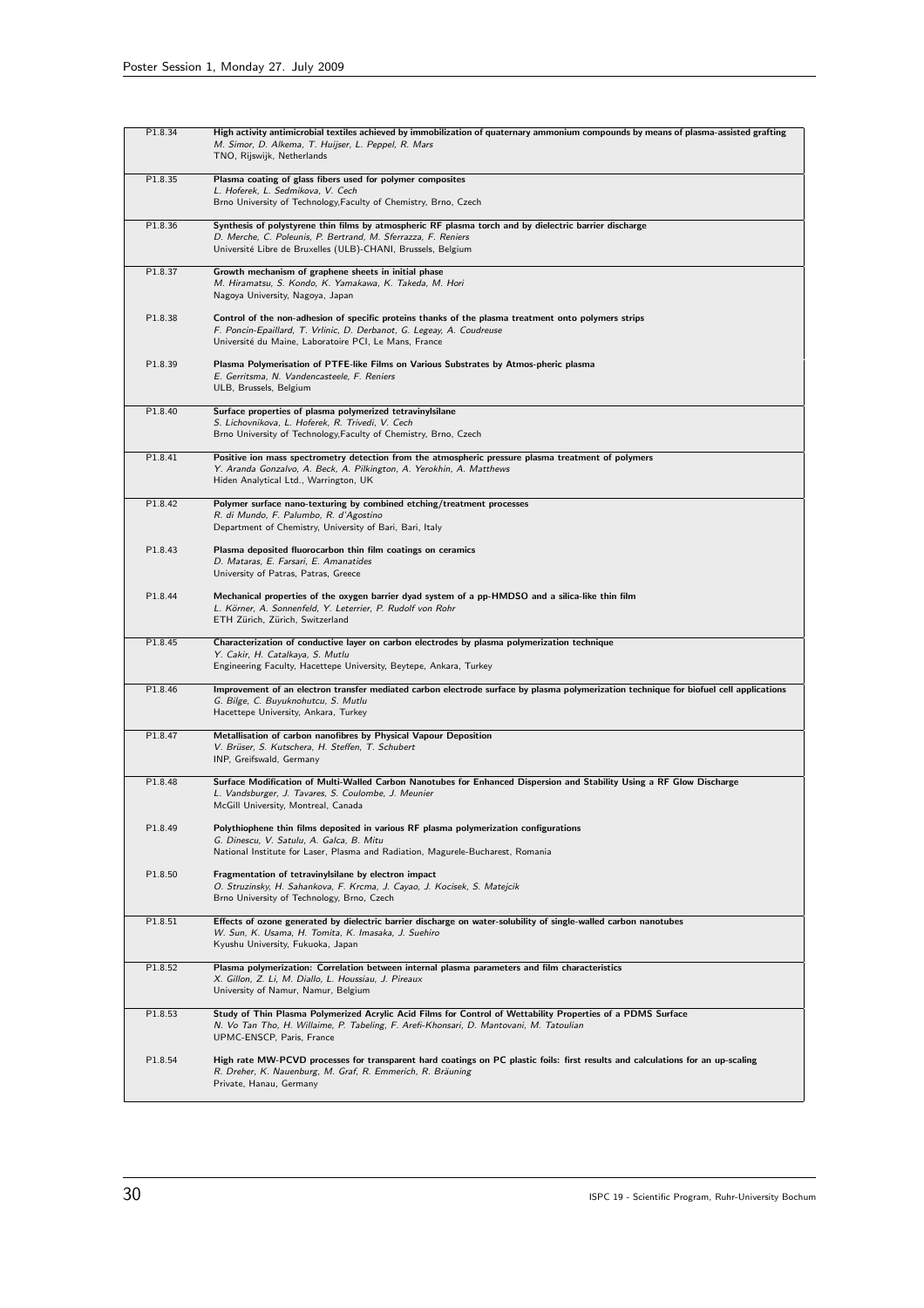| P1.8.34 | High activity antimicrobial textiles achieved by immobilization of quaternary ammonium compounds by means of plasma-assisted grafting<br>M. Simor, D. Alkema, T. Huijser, L. Peppel, R. Mars<br>TNO, Rijswijk, Netherlands              |
|---------|-----------------------------------------------------------------------------------------------------------------------------------------------------------------------------------------------------------------------------------------|
| P1.8.35 | Plasma coating of glass fibers used for polymer composites<br>L. Hoferek, L. Sedmikova, V. Cech<br>Brno University of Technology, Faculty of Chemistry, Brno, Czech                                                                     |
| P1.8.36 | Synthesis of polystyrene thin films by atmospheric RF plasma torch and by dielectric barrier discharge<br>D. Merche, C. Poleunis, P. Bertrand, M. Sferrazza, F. Reniers<br>Université Libre de Bruxelles (ULB)-CHANI, Brussels, Belgium |
| P1.8.37 | Growth mechanism of graphene sheets in initial phase<br>M. Hiramatsu, S. Kondo, K. Yamakawa, K. Takeda, M. Hori<br>Nagoya University, Nagoya, Japan                                                                                     |
| P1.8.38 | Control of the non-adhesion of specific proteins thanks of the plasma treatment onto polymers strips<br>F. Poncin-Epaillard, T. Vrlinic, D. Derbanot, G. Legeay, A. Coudreuse<br>Université du Maine, Laboratoire PCI, Le Mans, France  |
| P1.8.39 | Plasma Polymerisation of PTFE-like Films on Various Substrates by Atmos-pheric plasma<br>E. Gerritsma, N. Vandencasteele, F. Reniers<br>ULB, Brussels, Belgium                                                                          |
| P1.8.40 | Surface properties of plasma polymerized tetravinylsilane<br>S. Lichovnikova, L. Hoferek, R. Trivedi, V. Cech<br>Brno University of Technology, Faculty of Chemistry, Brno, Czech                                                       |
| P1.8.41 | Positive ion mass spectrometry detection from the atmospheric pressure plasma treatment of polymers<br>Y. Aranda Gonzalvo, A. Beck, A. Pilkington, A. Yerokhin, A. Matthews<br>Hiden Analytical Ltd., Warrington, UK                    |
| P1.8.42 | Polymer surface nano-texturing by combined etching/treatment processes<br>R. di Mundo, F. Palumbo, R. d'Agostino<br>Department of Chemistry, University of Bari, Bari, Italy                                                            |
| P1.8.43 | Plasma deposited fluorocarbon thin film coatings on ceramics<br>D. Mataras, E. Farsari, E. Amanatides<br>University of Patras, Patras, Greece                                                                                           |
| P1.8.44 | Mechanical properties of the oxygen barrier dyad system of a pp-HMDSO and a silica-like thin film<br>L. Körner, A. Sonnenfeld, Y. Leterrier, P. Rudolf von Rohr<br>ETH Zürich, Zürich, Switzerland                                      |
| P1.8.45 | Characterization of conductive layer on carbon electrodes by plasma polymerization technique<br>Y. Cakir, H. Catalkaya, S. Mutlu<br>Engineering Faculty, Hacettepe University, Beytepe, Ankara, Turkey                                  |
| P1.8.46 | Improvement of an electron transfer mediated carbon electrode surface by plasma polymerization technique for biofuel cell applications<br>G. Bilge, C. Buyuknohutcu, S. Mutlu<br>Hacettepe University, Ankara, Turkey                   |
| P1.8.47 | Metallisation of carbon nanofibres by Physical Vapour Deposition<br>V. Brüser, S. Kutschera, H. Steffen, T. Schubert<br>INP, Greifswald, Germany                                                                                        |
| P1.8.48 | Surface Modification of Multi-Walled Carbon Nanotubes for Enhanced Dispersion and Stability Using a RF Glow Discharge<br>L. Vandsburger, J. Tavares, S. Coulombe, J. Meunier<br>McGill University, Montreal, Canada                     |
| P1.8.49 | Polythiophene thin films deposited in various RF plasma polymerization configurations<br>G. Dinescu, V. Satulu, A. Galca, B. Mitu<br>National Institute for Laser, Plasma and Radiation, Magurele-Bucharest, Romania                    |
| P1.8.50 | Fragmentation of tetravinylsilane by electron impact<br>O. Struzinsky, H. Sahankova, F. Krcma, J. Cayao, J. Kocisek, S. Matejcik<br>Brno University of Technology, Brno, Czech                                                          |
| P1.8.51 | Effects of ozone generated by dielectric barrier discharge on water-solubility of single-walled carbon nanotubes<br>W. Sun, K. Usama, H. Tomita, K. Imasaka, J. Suehiro<br>Kyushu University, Fukuoka, Japan                            |
| P1.8.52 | Plasma polymerization: Correlation between internal plasma parameters and film characteristics<br>X. Gillon, Z. Li, M. Diallo, L. Houssiau, J. Pireaux<br>University of Namur, Namur, Belgium                                           |
| P1.8.53 | Study of Thin Plasma Polymerized Acrylic Acid Films for Control of Wettability Properties of a PDMS Surface<br>N. Vo Tan Tho, H. Willaime, P. Tabeling, F. Arefi-Khonsari, D. Mantovani, M. Tatoulian<br>UPMC-ENSCP, Paris, France      |
| P1.8.54 | High rate MW-PCVD processes for transparent hard coatings on PC plastic foils: first results and calculations for an up-scaling<br>R. Dreher, K. Nauenburg, M. Graf, R. Emmerich, R. Bräuning<br>Private, Hanau, Germany                |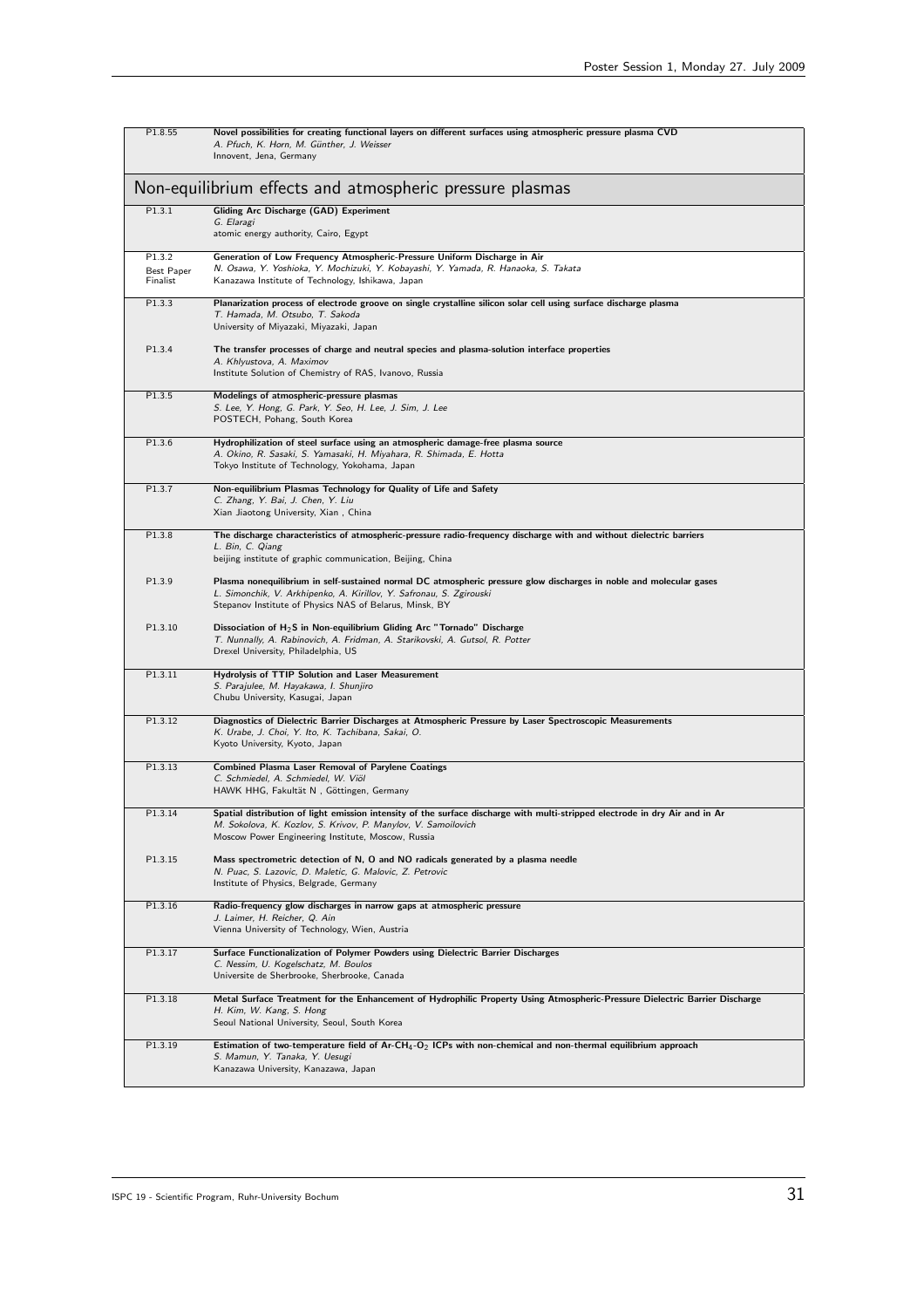| P1.8.55                                                  | Novel possibilities for creating functional layers on different surfaces using atmospheric pressure plasma CVD<br>A. Pfuch, K. Horn, M. Günther, J. Weisser<br>Innovent, Jena, Germany                                                                |  |
|----------------------------------------------------------|-------------------------------------------------------------------------------------------------------------------------------------------------------------------------------------------------------------------------------------------------------|--|
| Non-equilibrium effects and atmospheric pressure plasmas |                                                                                                                                                                                                                                                       |  |
| P1.3.1                                                   | <b>Gliding Arc Discharge (GAD) Experiment</b><br>G. Elaragi<br>atomic energy authority, Cairo, Egypt                                                                                                                                                  |  |
| P1.3.2<br>Best Paper<br>Finalist                         | Generation of Low Frequency Atmospheric-Pressure Uniform Discharge in Air<br>N. Osawa, Y. Yoshioka, Y. Mochizuki, Y. Kobayashi, Y. Yamada, R. Hanaoka, S. Takata<br>Kanazawa Institute of Technology, Ishikawa, Japan                                 |  |
| P1.3.3                                                   | Planarization process of electrode groove on single crystalline silicon solar cell using surface discharge plasma<br>T. Hamada, M. Otsubo, T. Sakoda<br>University of Miyazaki, Miyazaki, Japan                                                       |  |
| P1.3.4                                                   | The transfer processes of charge and neutral species and plasma-solution interface properties<br>A. Khlyustova, A. Maximov<br>Institute Solution of Chemistry of RAS, Ivanovo, Russia                                                                 |  |
| P1.3.5                                                   | Modelings of atmospheric-pressure plasmas<br>S. Lee, Y. Hong, G. Park, Y. Seo, H. Lee, J. Sim, J. Lee<br>POSTECH, Pohang, South Korea                                                                                                                 |  |
| P1.3.6                                                   | Hydrophilization of steel surface using an atmospheric damage-free plasma source<br>A. Okino, R. Sasaki, S. Yamasaki, H. Miyahara, R. Shimada, E. Hotta<br>Tokyo Institute of Technology, Yokohama, Japan                                             |  |
| P1.3.7                                                   | Non-equilibrium Plasmas Technology for Quality of Life and Safety<br>C. Zhang, Y. Bai, J. Chen, Y. Liu<br>Xian Jiaotong University, Xian, China                                                                                                       |  |
| P1.3.8                                                   | The discharge characteristics of atmospheric-pressure radio-frequency discharge with and without dielectric barriers<br>L. Bin, C. Qiang<br>beijing institute of graphic communication, Beijing, China                                                |  |
| P1.3.9                                                   | Plasma nonequilibrium in self-sustained normal DC atmospheric pressure glow discharges in noble and molecular gases<br>L. Simonchik, V. Arkhipenko, A. Kirillov, Y. Safronau, S. Zgirouski<br>Stepanov Institute of Physics NAS of Belarus, Minsk, BY |  |
| P1.3.10                                                  | Dissociation of $H_2S$ in Non-equilibrium Gliding Arc "Tornado" Discharge<br>T. Nunnally, A. Rabinovich, A. Fridman, A. Starikovski, A. Gutsol, R. Potter<br>Drexel University, Philadelphia, US                                                      |  |
| P1.3.11                                                  | Hydrolysis of TTIP Solution and Laser Measurement<br>S. Parajulee, M. Hayakawa, I. Shunjiro<br>Chubu University, Kasugai, Japan                                                                                                                       |  |
| P1.3.12                                                  | Diagnostics of Dielectric Barrier Discharges at Atmospheric Pressure by Laser Spectroscopic Measurements<br>K. Urabe, J. Choi, Y. Ito, K. Tachibana, Sakai, O.<br>Kyoto University, Kyoto, Japan                                                      |  |
| P1.3.13                                                  | <b>Combined Plasma Laser Removal of Parylene Coatings</b><br>C. Schmiedel, A. Schmiedel, W. Viöl<br>HAWK HHG, Fakultät N, Göttingen, Germany                                                                                                          |  |
| P1.3.14                                                  | Spatial distribution of light emission intensity of the surface discharge with multi-stripped electrode in dry Air and in Ar<br>M. Sokolova, K. Kozlov, S. Krivov, P. Manylov, V. Samoilovich<br>Moscow Power Engineering Institute, Moscow, Russia   |  |
| P1.3.15                                                  | Mass spectrometric detection of N, O and NO radicals generated by a plasma needle<br>N. Puac, S. Lazovic, D. Maletic, G. Malovic, Z. Petrovic<br>Institute of Physics, Belgrade, Germany                                                              |  |
| P1.3.16                                                  | Radio-frequency glow discharges in narrow gaps at atmospheric pressure<br>J. Laimer, H. Reicher, Q. Ain<br>Vienna University of Technology, Wien, Austria                                                                                             |  |
| P1.3.17                                                  | Surface Functionalization of Polymer Powders using Dielectric Barrier Discharges<br>C. Nessim, U. Kogelschatz, M. Boulos<br>Universite de Sherbrooke, Sherbrooke, Canada                                                                              |  |
| P1.3.18                                                  | Metal Surface Treatment for the Enhancement of Hydrophilic Property Using Atmospheric-Pressure Dielectric Barrier Discharge<br>H. Kim, W. Kang, S. Hong<br>Seoul National University, Seoul, South Korea                                              |  |
| P1.3.19                                                  | Estimation of two-temperature field of $Ar-CH_4-O_2$ ICPs with non-chemical and non-thermal equilibrium approach<br>S. Mamun, Y. Tanaka, Y. Uesugi<br>Kanazawa University, Kanazawa, Japan                                                            |  |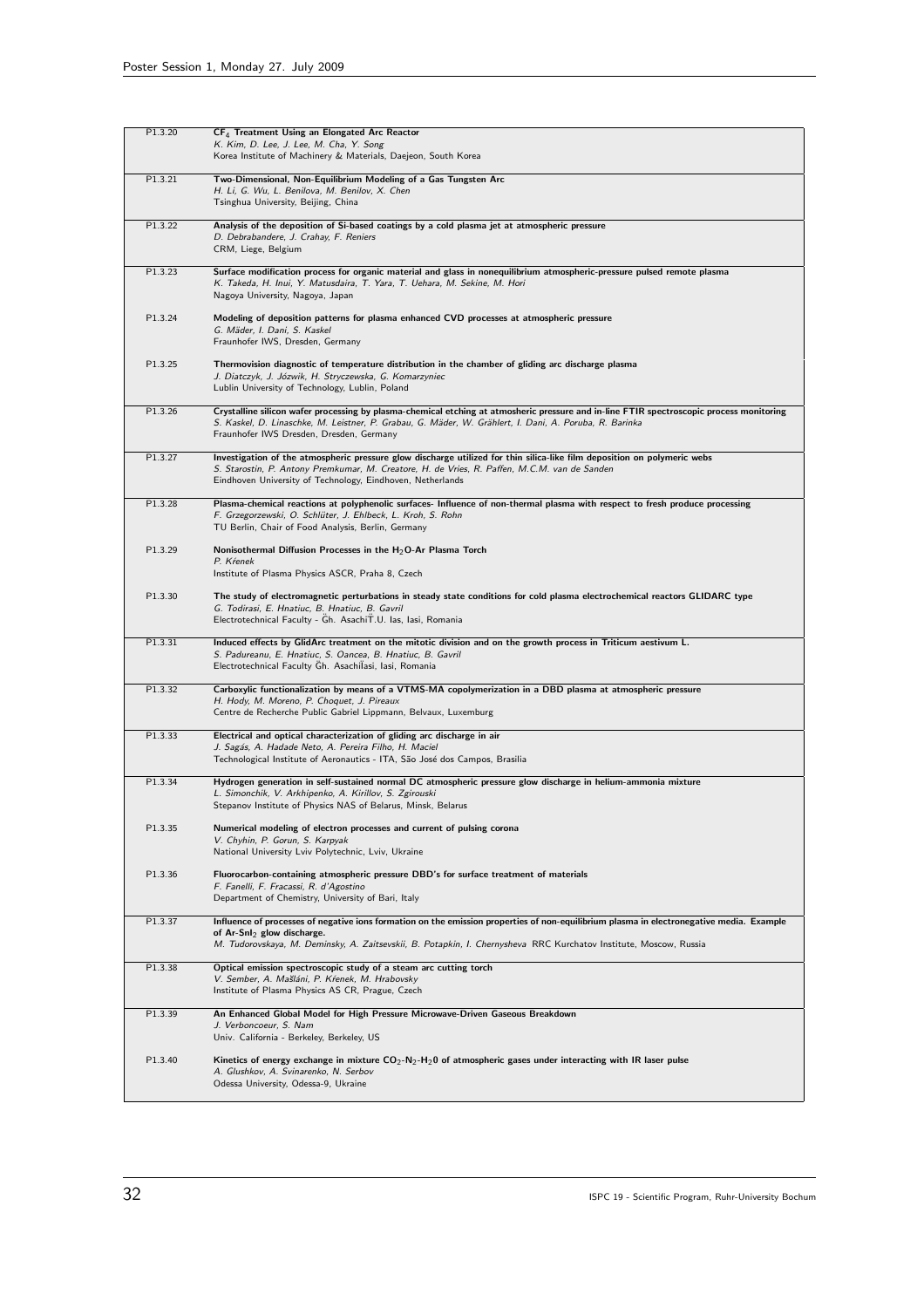| P1.3.20 | CF <sub>4</sub> Treatment Using an Elongated Arc Reactor<br>K. Kim, D. Lee, J. Lee, M. Cha, Y. Song<br>Korea Institute of Machinery & Materials, Daejeon, South Korea                                                                                                                           |
|---------|-------------------------------------------------------------------------------------------------------------------------------------------------------------------------------------------------------------------------------------------------------------------------------------------------|
| P1.3.21 | Two-Dimensional, Non-Equilibrium Modeling of a Gas Tungsten Arc<br>H. Li, G. Wu, L. Benilova, M. Benilov, X. Chen<br>Tsinghua University, Beijing, China                                                                                                                                        |
| P1.3.22 | Analysis of the deposition of Si-based coatings by a cold plasma jet at atmospheric pressure<br>D. Debrabandere, J. Crahay, F. Reniers<br>CRM, Liege, Belgium                                                                                                                                   |
| P1.3.23 | Surface modification process for organic material and glass in nonequilibrium atmospheric-pressure pulsed remote plasma<br>K. Takeda, H. Inui, Y. Matusdaira, T. Yara, T. Uehara, M. Sekine, M. Hori<br>Nagoya University, Nagoya, Japan                                                        |
| P1.3.24 | Modeling of deposition patterns for plasma enhanced CVD processes at atmospheric pressure<br>G. Mäder, I. Dani, S. Kaskel<br>Fraunhofer IWS, Dresden, Germany                                                                                                                                   |
| P1.3.25 | Thermovision diagnostic of temperature distribution in the chamber of gliding arc discharge plasma<br>J. Diatczyk, J. Józwik, H. Stryczewska, G. Komarzyniec<br>Lublin University of Technology, Lublin, Poland                                                                                 |
| P1.3.26 | Crystalline silicon wafer processing by plasma-chemical etching at atmosheric pressure and in-line FTIR spectroscopic process monitoring<br>S. Kaskel, D. Linaschke, M. Leistner, P. Grabau, G. Mäder, W. Grählert, I. Dani, A. Poruba, R. Barinka<br>Fraunhofer IWS Dresden, Dresden, Germany  |
| P1.3.27 | Investigation of the atmospheric pressure glow discharge utilized for thin silica-like film deposition on polymeric webs<br>S. Starostin, P. Antony Premkumar, M. Creatore, H. de Vries, R. Paffen, M.C.M. van de Sanden<br>Eindhoven University of Technology, Eindhoven, Netherlands          |
| P1.3.28 | Plasma-chemical reactions at polyphenolic surfaces- Influence of non-thermal plasma with respect to fresh produce processing<br>F. Grzegorzewski, O. Schlüter, J. Ehlbeck, L. Kroh, S. Rohn<br>TU Berlin, Chair of Food Analysis, Berlin, Germany                                               |
| P1.3.29 | Nonisothermal Diffusion Processes in the H <sub>2</sub> O-Ar Plasma Torch<br>P. Krenek<br>Institute of Plasma Physics ASCR, Praha 8, Czech                                                                                                                                                      |
| P1.3.30 | The study of electromagnetic perturbations in steady state conditions for cold plasma electrochemical reactors GLIDARC type<br>G. Todirasi, E. Hnatiuc, B. Hnatiuc, B. Gavril<br>Electrotechnical Faculty - Gh. AsachiT.U. Ias, Iasi, Romania                                                   |
| P1.3.31 | Induced effects by GlidArc treatment on the mitotic division and on the growth process in Triticum aestivum L.<br>S. Padureanu, E. Hnatiuc, S. Oancea, B. Hnatiuc, B. Gavril<br>Electrotechnical Faculty Gh. Asachilasi, Iasi, Romania                                                          |
| P1.3.32 | Carboxylic functionalization by means of a VTMS-MA copolymerization in a DBD plasma at atmospheric pressure<br>H. Hody, M. Moreno, P. Choquet, J. Pireaux<br>Centre de Recherche Public Gabriel Lippmann, Belvaux, Luxemburg                                                                    |
| P1.3.33 | Electrical and optical characterization of gliding arc discharge in air<br>J. Sagás, A. Hadade Neto, A. Pereira Filho, H. Maciel<br>Technological Institute of Aeronautics - ITA, São José dos Campos, Brasilia                                                                                 |
| P1.3.34 | Hydrogen generation in self-sustained normal DC atmospheric pressure glow discharge in helium-ammonia mixture<br>L. Simonchik, V. Arkhipenko, A. Kirillov, S. Zgirouski<br>Stepanov Institute of Physics NAS of Belarus, Minsk, Belarus                                                         |
| P1.3.35 | Numerical modeling of electron processes and current of pulsing corona<br>V. Chyhin, P. Gorun, S. Karpyak<br>National University Lviv Polytechnic, Lviv, Ukraine                                                                                                                                |
| P1.3.36 | Fluorocarbon-containing atmospheric pressure DBD's for surface treatment of materials<br>F. Fanelli, F. Fracassi, R. d'Agostino<br>Department of Chemistry, University of Bari, Italy                                                                                                           |
| P1.3.37 | Influence of processes of negative ions formation on the emission properties of non-equilibrium plasma in electronegative media. Example<br>of Ar-SnI $_2$ glow discharge.<br>M. Tudorovskaya, M. Deminsky, A. Zaitsevskii, B. Potapkin, I. Chernysheva RRC Kurchatov Institute, Moscow, Russia |
| P1.3.38 | Optical emission spectroscopic study of a steam arc cutting torch<br>V. Sember, A. Mašláni, P. Kŕenek, M. Hrabovsky<br>Institute of Plasma Physics AS CR, Prague, Czech                                                                                                                         |
| P1.3.39 | An Enhanced Global Model for High Pressure Microwave-Driven Gaseous Breakdown<br>J. Verboncoeur, S. Nam<br>Univ. California - Berkeley, Berkeley, US                                                                                                                                            |
| P1.3.40 | Kinetics of energy exchange in mixture $CO_2-N_2-N_20$ of atmospheric gases under interacting with IR laser pulse<br>A. Glushkov, A. Svinarenko, N. Serbov<br>Odessa University, Odessa-9, Ukraine                                                                                              |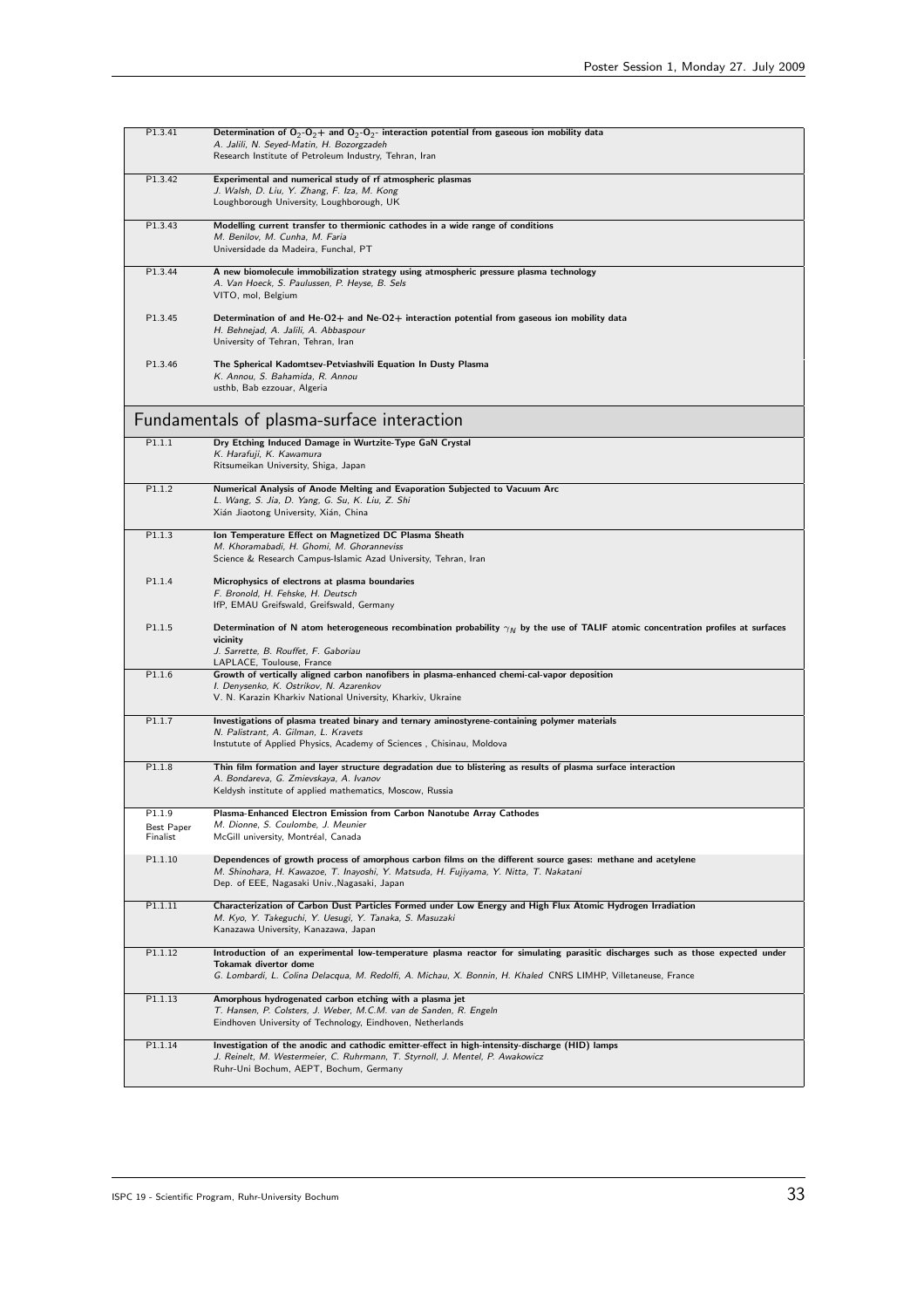| P1.3.41                          | Determination of $O_2-O_2+$ and $O_2-O_2$ - interaction potential from gaseous ion mobility data<br>A. Jalili, N. Seyed-Matin, H. Bozorgzadeh<br>Research Institute of Petroleum Industry, Tehran, Iran                                                                   |
|----------------------------------|---------------------------------------------------------------------------------------------------------------------------------------------------------------------------------------------------------------------------------------------------------------------------|
| P1.3.42                          | Experimental and numerical study of rf atmospheric plasmas<br>J. Walsh, D. Liu, Y. Zhang, F. Iza, M. Kong<br>Loughborough University, Loughborough, UK                                                                                                                    |
| P1.3.43                          | Modelling current transfer to thermionic cathodes in a wide range of conditions<br>M. Benilov, M. Cunha, M. Faria<br>Universidade da Madeira, Funchal, PT                                                                                                                 |
| P1.3.44                          | A new biomolecule immobilization strategy using atmospheric pressure plasma technology<br>A. Van Hoeck, S. Paulussen, P. Heyse, B. Sels<br>VITO, mol, Belgium                                                                                                             |
| P1.3.45                          | Determination of and He-O2+ and Ne-O2+ interaction potential from gaseous ion mobility data<br>H. Behnejad, A. Jalili, A. Abbaspour<br>University of Tehran, Tehran, Iran                                                                                                 |
| P1.3.46                          | The Spherical Kadomtsev-Petviashvili Equation In Dusty Plasma<br>K. Annou, S. Bahamida, R. Annou<br>usthb, Bab ezzouar, Algeria                                                                                                                                           |
|                                  | Fundamentals of plasma-surface interaction                                                                                                                                                                                                                                |
| P1.1.1                           | Dry Etching Induced Damage in Wurtzite-Type GaN Crystal<br>K. Harafuji, K. Kawamura<br>Ritsumeikan University, Shiga, Japan                                                                                                                                               |
| P1.1.2                           | Numerical Analysis of Anode Melting and Evaporation Subjected to Vacuum Arc<br>L. Wang, S. Jia, D. Yang, G. Su, K. Liu, Z. Shi<br>Xián Jiaotong University, Xián, China                                                                                                   |
| P1.1.3                           | Ion Temperature Effect on Magnetized DC Plasma Sheath<br>M. Khoramabadi, H. Ghomi, M. Ghoranneviss<br>Science & Research Campus-Islamic Azad University, Tehran, Iran                                                                                                     |
| P1.1.4                           | Microphysics of electrons at plasma boundaries<br>F. Bronold, H. Fehske, H. Deutsch<br>IfP, EMAU Greifswald, Greifswald, Germany                                                                                                                                          |
| P1.1.5                           | Determination of N atom heterogeneous recombination probability $\gamma_N$ by the use of TALIF atomic concentration profiles at surfaces<br>vicinity<br>J. Sarrette, B. Rouffet, F. Gaboriau<br>LAPLACE, Toulouse, France                                                 |
| P1.1.6                           | Growth of vertically aligned carbon nanofibers in plasma-enhanced chemi-cal-vapor deposition<br>I. Denysenko, K. Ostrikov, N. Azarenkov<br>V. N. Karazin Kharkiv National University, Kharkiv, Ukraine                                                                    |
| P1.1.7                           | Investigations of plasma treated binary and ternary aminostyrene-containing polymer materials<br>N. Palistrant, A. Gilman, L. Kravets<br>Instutute of Applied Physics, Academy of Sciences, Chisinau, Moldova                                                             |
| P1.1.8                           | Thin film formation and layer structure degradation due to blistering as results of plasma surface interaction<br>A. Bondareva, G. Zmievskaya, A. Ivanov<br>Keldysh institute of applied mathematics, Moscow, Russia                                                      |
| P1.1.9<br>Best Paper<br>Finalist | Plasma-Enhanced Electron Emission from Carbon Nanotube Array Cathodes<br>M. Dionne, S. Coulombe, J. Meunier<br>McGill university, Montréal, Canada                                                                                                                        |
| P1.1.10                          | Dependences of growth process of amorphous carbon films on the different source gases: methane and acetylene<br>M. Shinohara, H. Kawazoe, T. Inayoshi, Y. Matsuda, H. Fujiyama, Y. Nitta, T. Nakatani<br>Dep. of EEE, Nagasaki Univ., Nagasaki, Japan                     |
| P1.1.11                          | Characterization of Carbon Dust Particles Formed under Low Energy and High Flux Atomic Hydrogen Irradiation<br>M. Kyo, Y. Takeguchi, Y. Uesugi, Y. Tanaka, S. Masuzaki<br>Kanazawa University, Kanazawa, Japan                                                            |
| P1.1.12                          | Introduction of an experimental low-temperature plasma reactor for simulating parasitic discharges such as those expected under<br>Tokamak divertor dome<br>G. Lombardi, L. Colina Delacqua, M. Redolfi, A. Michau, X. Bonnin, H. Khaled CNRS LIMHP, Villetaneuse, France |
| P1.1.13                          | Amorphous hydrogenated carbon etching with a plasma jet<br>T. Hansen, P. Colsters, J. Weber, M.C.M. van de Sanden, R. Engeln<br>Eindhoven University of Technology, Eindhoven, Netherlands                                                                                |
| P1.1.14                          | Investigation of the anodic and cathodic emitter-effect in high-intensity-discharge (HID) lamps<br>J. Reinelt, M. Westermeier, C. Ruhrmann, T. Styrnoll, J. Mentel, P. Awakowicz<br>Ruhr-Uni Bochum, AEPT, Bochum, Germany                                                |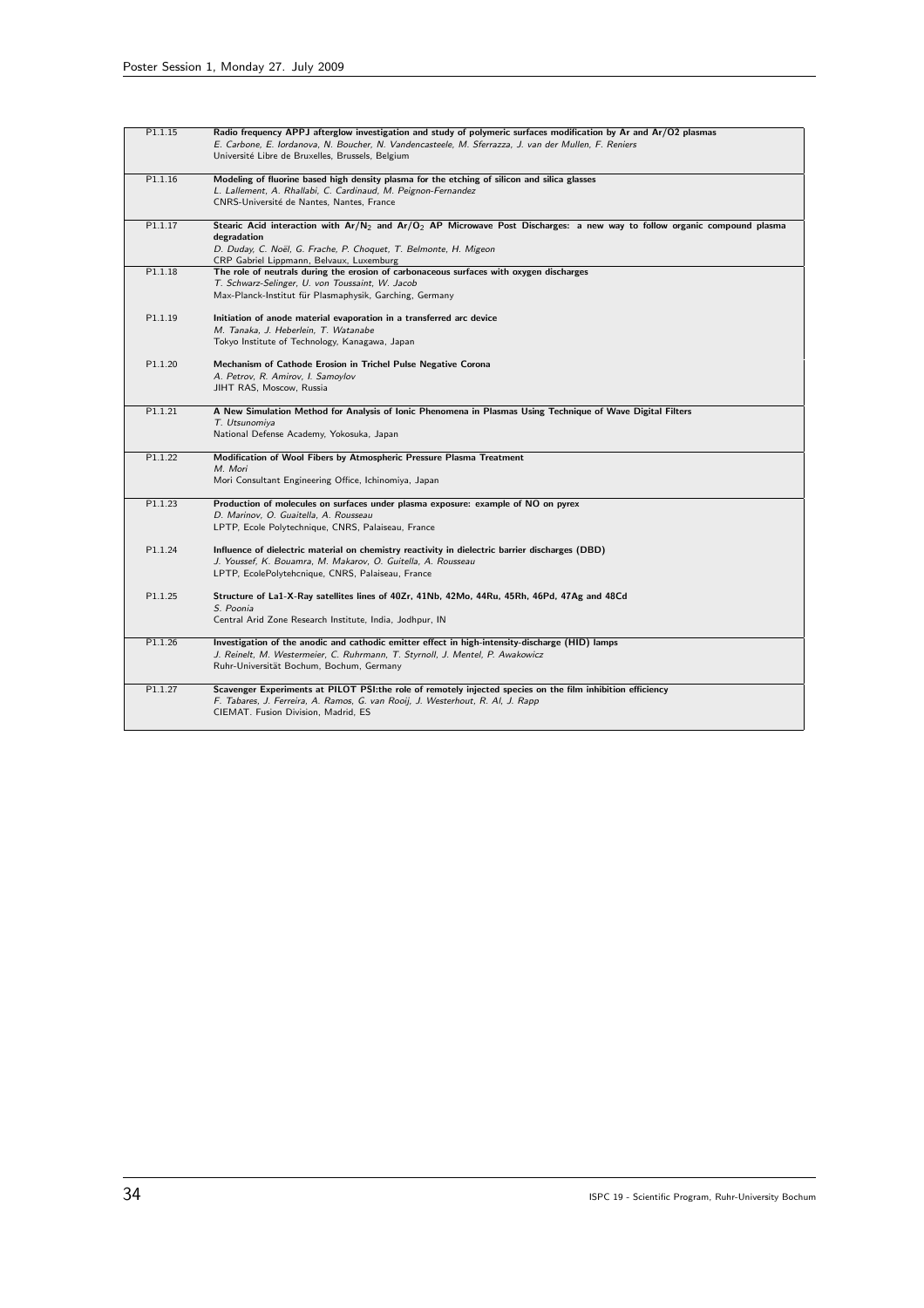| P1.1.15 | Radio frequency APPJ afterglow investigation and study of polymeric surfaces modification by Ar and Ar/O2 plasmas<br>E. Carbone, E. Iordanova, N. Boucher, N. Vandencasteele, M. Sferrazza, J. van der Mullen, F. Reniers<br>Université Libre de Bruxelles, Brussels, Belgium |
|---------|-------------------------------------------------------------------------------------------------------------------------------------------------------------------------------------------------------------------------------------------------------------------------------|
| P1.1.16 | Modeling of fluorine based high density plasma for the etching of silicon and silica glasses                                                                                                                                                                                  |
|         | L. Lallement, A. Rhallabi, C. Cardinaud, M. Peignon-Fernandez                                                                                                                                                                                                                 |
|         | CNRS-Université de Nantes, Nantes, France                                                                                                                                                                                                                                     |
| P1.1.17 | Stearic Acid interaction with Ar/N <sub>2</sub> and Ar/O <sub>2</sub> AP Microwave Post Discharges: a new way to follow organic compound plasma                                                                                                                               |
|         | degradation                                                                                                                                                                                                                                                                   |
|         | D. Duday, C. Noël, G. Frache, P. Choquet, T. Belmonte, H. Migeon                                                                                                                                                                                                              |
|         | CRP Gabriel Lippmann, Belvaux, Luxemburg                                                                                                                                                                                                                                      |
| P1.1.18 | The role of neutrals during the erosion of carbonaceous surfaces with oxygen discharges                                                                                                                                                                                       |
|         | T. Schwarz-Selinger, U. von Toussaint, W. Jacob                                                                                                                                                                                                                               |
|         | Max-Planck-Institut für Plasmaphysik, Garching, Germany                                                                                                                                                                                                                       |
| P1.1.19 | Initiation of anode material evaporation in a transferred arc device                                                                                                                                                                                                          |
|         | M. Tanaka, J. Heberlein, T. Watanabe                                                                                                                                                                                                                                          |
|         | Tokyo Institute of Technology, Kanagawa, Japan                                                                                                                                                                                                                                |
| P1.1.20 | Mechanism of Cathode Erosion in Trichel Pulse Negative Corona                                                                                                                                                                                                                 |
|         | A. Petrov, R. Amirov, I. Samoylov                                                                                                                                                                                                                                             |
|         | JIHT RAS, Moscow, Russia                                                                                                                                                                                                                                                      |
| P1.1.21 | A New Simulation Method for Analysis of Ionic Phenomena in Plasmas Using Technique of Wave Digital Filters                                                                                                                                                                    |
|         | T. Utsunomiya                                                                                                                                                                                                                                                                 |
|         | National Defense Academy, Yokosuka, Japan                                                                                                                                                                                                                                     |
| P1.1.22 | Modification of Wool Fibers by Atmospheric Pressure Plasma Treatment                                                                                                                                                                                                          |
|         | M. Mori                                                                                                                                                                                                                                                                       |
|         | Mori Consultant Engineering Office, Ichinomiya, Japan                                                                                                                                                                                                                         |
| P1.1.23 | Production of molecules on surfaces under plasma exposure: example of NO on pyrex                                                                                                                                                                                             |
|         | D. Marinov, O. Guaitella, A. Rousseau                                                                                                                                                                                                                                         |
|         | LPTP, Ecole Polytechnique, CNRS, Palaiseau, France                                                                                                                                                                                                                            |
| P1.1.24 | Influence of dielectric material on chemistry reactivity in dielectric barrier discharges (DBD)                                                                                                                                                                               |
|         | J. Youssef, K. Bouamra, M. Makarov, O. Guitella, A. Rousseau                                                                                                                                                                                                                  |
|         | LPTP, EcolePolytehcnique, CNRS, Palaiseau, France                                                                                                                                                                                                                             |
| P1.1.25 | Structure of La1-X-Ray satellites lines of 40Zr, 41Nb, 42Mo, 44Ru, 45Rh, 46Pd, 47Ag and 48Cd                                                                                                                                                                                  |
|         | S. Poonia                                                                                                                                                                                                                                                                     |
|         | Central Arid Zone Research Institute, India, Jodhpur, IN                                                                                                                                                                                                                      |
| P1.1.26 | Investigation of the anodic and cathodic emitter effect in high-intensity-discharge (HID) lamps                                                                                                                                                                               |
|         | J. Reinelt, M. Westermeier, C. Ruhrmann, T. Styrnoll, J. Mentel, P. Awakowicz                                                                                                                                                                                                 |
|         | Ruhr-Universität Bochum, Bochum, Germany                                                                                                                                                                                                                                      |
| P1.1.27 | Scavenger Experiments at PILOT PSI:the role of remotely injected species on the film inhibition efficiency                                                                                                                                                                    |
|         | F. Tabares, J. Ferreira, A. Ramos, G. van Rooij, J. Westerhout, R. Al, J. Rapp                                                                                                                                                                                                |
|         | CIEMAT. Fusion Division, Madrid, ES                                                                                                                                                                                                                                           |
|         |                                                                                                                                                                                                                                                                               |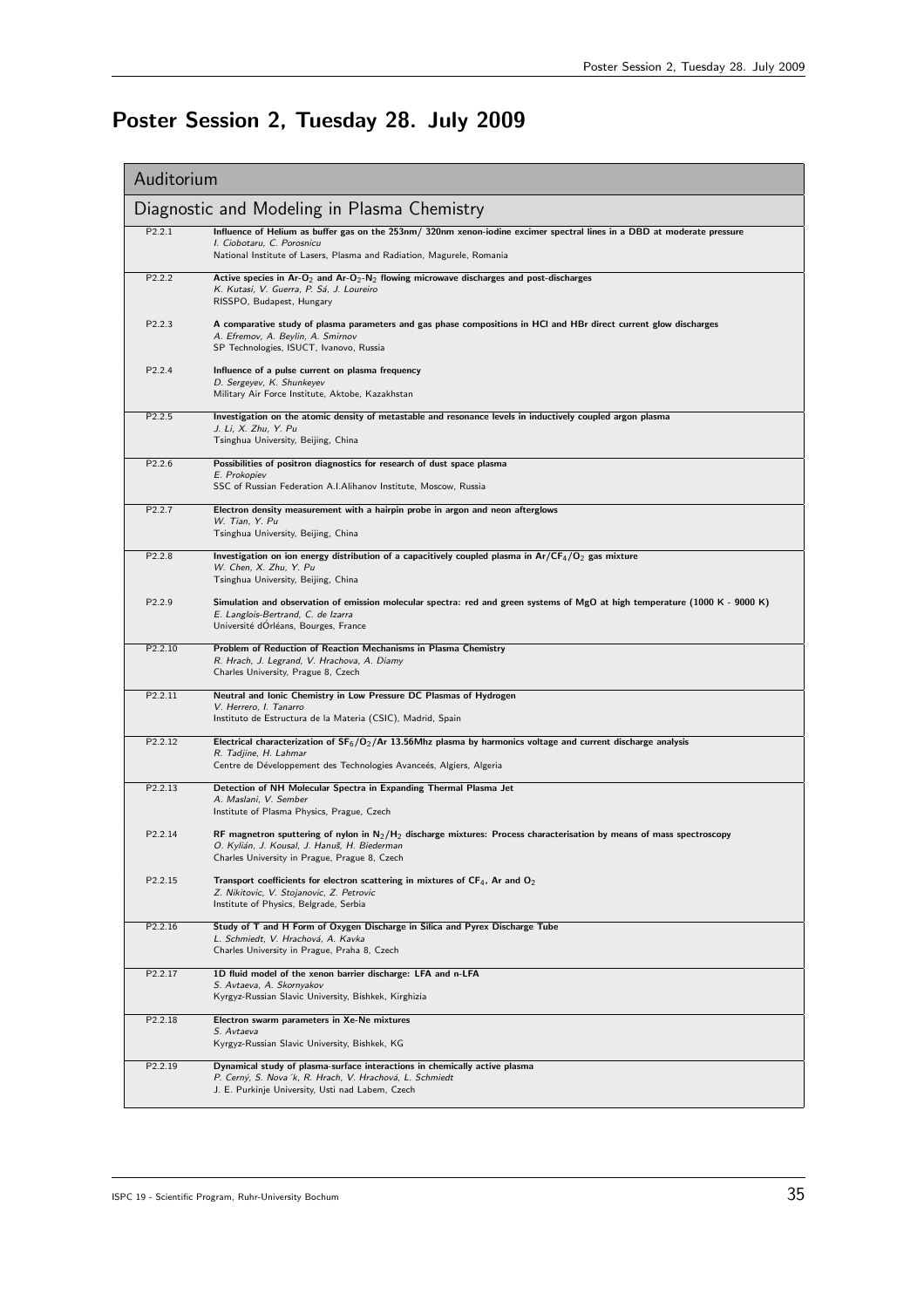# Poster Session 2, Tuesday 28. July 2009

| Auditorium                                  |                                                                                                                                                                                                                                |  |
|---------------------------------------------|--------------------------------------------------------------------------------------------------------------------------------------------------------------------------------------------------------------------------------|--|
| Diagnostic and Modeling in Plasma Chemistry |                                                                                                                                                                                                                                |  |
| P2.2.1                                      | Influence of Helium as buffer gas on the 253nm/ 320nm xenon-iodine excimer spectral lines in a DBD at moderate pressure<br>I. Ciobotaru, C. Porosnicu<br>National Institute of Lasers, Plasma and Radiation, Magurele, Romania |  |
| P <sub>2.2.2</sub>                          | Active species in Ar-O <sub>2</sub> and Ar-O <sub>2</sub> -N <sub>2</sub> flowing microwave discharges and post-discharges<br>K. Kutasi, V. Guerra, P. Sá, J. Loureiro<br>RISSPO, Budapest, Hungary                            |  |
| P2.2.3                                      | A comparative study of plasma parameters and gas phase compositions in HCI and HBr direct current glow discharges<br>A. Efremov, A. Beylin, A. Smirnov<br>SP Technologies, ISUCT, Ivanovo, Russia                              |  |
| P2.2.4                                      | Influence of a pulse current on plasma frequency<br>D. Sergeyev, K. Shunkeyev<br>Military Air Force Institute, Aktobe, Kazakhstan                                                                                              |  |
| P2.2.5                                      | Investigation on the atomic density of metastable and resonance levels in inductively coupled argon plasma<br>J. Li, X. Zhu, Y. Pu<br>Tsinghua University, Beijing, China                                                      |  |
| P2.2.6                                      | Possibilities of positron diagnostics for research of dust space plasma<br>E. Prokopiev<br>SSC of Russian Federation A.I.Alihanov Institute, Moscow, Russia                                                                    |  |
| P2.2.7                                      | Electron density measurement with a hairpin probe in argon and neon afterglows<br>W. Tian, Y. Pu<br>Tsinghua University, Beijing, China                                                                                        |  |
| P2.2.8                                      | Investigation on ion energy distribution of a capacitively coupled plasma in $Ar/CF_4/O_2$ gas mixture<br>W. Chen, X. Zhu, Y. Pu<br>Tsinghua University, Beijing, China                                                        |  |
| P2.2.9                                      | Simulation and observation of emission molecular spectra: red and green systems of MgO at high temperature (1000 K - 9000 K)<br>E. Langlois-Bertrand, C. de Izarra<br>Université dOrléans, Bourges, France                     |  |
| P2.2.10                                     | Problem of Reduction of Reaction Mechanisms in Plasma Chemistry<br>R. Hrach, J. Legrand, V. Hrachova, A. Diamy<br>Charles University, Prague 8, Czech                                                                          |  |
| P2.2.11                                     | Neutral and Ionic Chemistry in Low Pressure DC Plasmas of Hydrogen<br>V. Herrero, I. Tanarro<br>Instituto de Estructura de la Materia (CSIC), Madrid, Spain                                                                    |  |
| P2.2.12                                     | Electrical characterization of $SF_6/O_2/Ar$ 13.56Mhz plasma by harmonics voltage and current discharge analysis<br>R. Tadjine, H. Lahmar<br>Centre de Développement des Technologies Avanceés, Algiers, Algeria               |  |
| P <sub>2.2.13</sub>                         | Detection of NH Molecular Spectra in Expanding Thermal Plasma Jet<br>A. Maslani, V. Sember<br>Institute of Plasma Physics, Prague, Czech                                                                                       |  |
| P2.2.14                                     | RF magnetron sputtering of nylon in $N_2/H_2$ discharge mixtures: Process characterisation by means of mass spectroscopy<br>O. Kylián, J. Kousal, J. Hanuš, H. Biederman<br>Charles University in Prague, Prague 8, Czech      |  |
| P2.2.15                                     | Transport coefficients for electron scattering in mixtures of $CF_4$ , Ar and $O_2$<br>Z. Nikitovic, V. Stojanovic, Z. Petrovic<br>Institute of Physics, Belgrade, Serbia                                                      |  |
| P2.2.16                                     | Study of T and H Form of Oxygen Discharge in Silica and Pyrex Discharge Tube<br>L. Schmiedt, V. Hrachová, A. Kavka<br>Charles University in Prague, Praha 8, Czech                                                             |  |
| P2.2.17                                     | 1D fluid model of the xenon barrier discharge: LFA and n-LFA<br>S. Avtaeva, A. Skornyakov<br>Kyrgyz-Russian Slavic University, Bishkek, Kirghizia                                                                              |  |
| P2.2.18                                     | Electron swarm parameters in Xe-Ne mixtures<br>S. Avtaeva<br>Kyrgyz-Russian Slavic University, Bishkek, KG                                                                                                                     |  |
| P2.2.19                                     | Dynamical study of plasma-surface interactions in chemically active plasma<br>P. Cerný, S. Nova 'k, R. Hrach, V. Hrachová, L. Schmiedt<br>J. E. Purkinje University, Usti nad Labem, Czech                                     |  |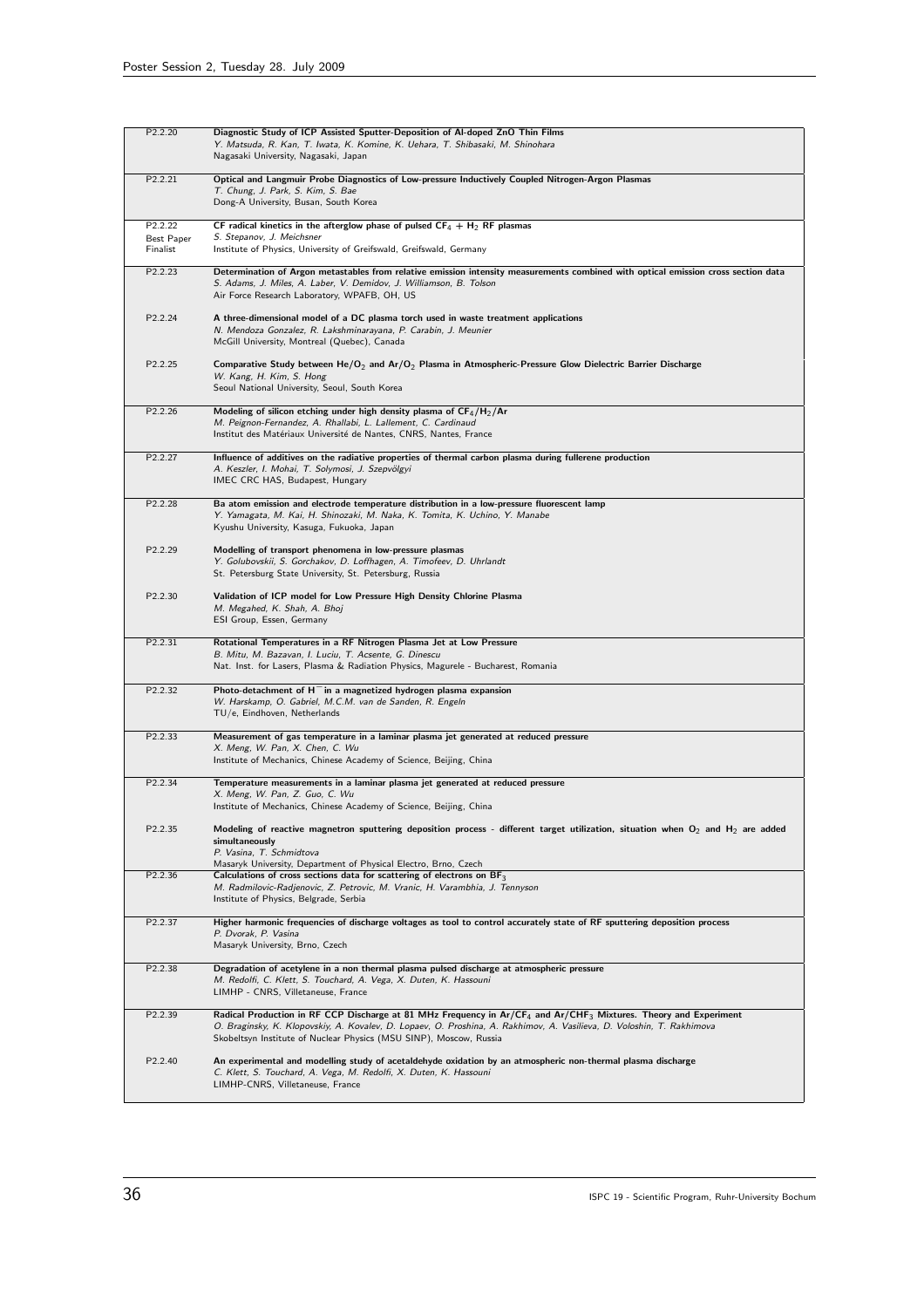| P2.2.20                | Diagnostic Study of ICP Assisted Sputter-Deposition of Al-doped ZnO Thin Films<br>Y. Matsuda, R. Kan, T. Iwata, K. Komine, K. Uehara, T. Shibasaki, M. Shinohara<br>Nagasaki University, Nagasaki, Japan                                                                                                                                |
|------------------------|-----------------------------------------------------------------------------------------------------------------------------------------------------------------------------------------------------------------------------------------------------------------------------------------------------------------------------------------|
| P2.2.21                | Optical and Langmuir Probe Diagnostics of Low-pressure Inductively Coupled Nitrogen-Argon Plasmas<br>T. Chung, J. Park, S. Kim, S. Bae<br>Dong-A University, Busan, South Korea                                                                                                                                                         |
| P2.2.22                | CF radical kinetics in the afterglow phase of pulsed $CF_4 + H_2$ RF plasmas                                                                                                                                                                                                                                                            |
| Best Paper<br>Finalist | S. Stepanov, J. Meichsner<br>Institute of Physics, University of Greifswald, Greifswald, Germany                                                                                                                                                                                                                                        |
| P2.2.23                | Determination of Argon metastables from relative emission intensity measurements combined with optical emission cross section data<br>S. Adams, J. Miles, A. Laber, V. Demidov, J. Williamson, B. Tolson<br>Air Force Research Laboratory, WPAFB, OH, US                                                                                |
| P2.2.24                | A three-dimensional model of a DC plasma torch used in waste treatment applications<br>N. Mendoza Gonzalez, R. Lakshminarayana, P. Carabin, J. Meunier<br>McGill University, Montreal (Quebec), Canada                                                                                                                                  |
| P2.2.25                | Comparative Study between $He/O_2$ and $Ar/O_2$ Plasma in Atmospheric-Pressure Glow Dielectric Barrier Discharge<br>W. Kang, H. Kim, S. Hong<br>Seoul National University, Seoul, South Korea                                                                                                                                           |
| P2.2.26                | Modeling of silicon etching under high density plasma of $CF_4/H_2/Ar$<br>M. Peignon-Fernandez, A. Rhallabi, L. Lallement, C. Cardinaud<br>Institut des Matériaux Université de Nantes, CNRS, Nantes, France                                                                                                                            |
| P2.2.27                | Influence of additives on the radiative properties of thermal carbon plasma during fullerene production<br>A. Keszler, I. Mohai, T. Solymosi, J. Szepvölgyi<br>IMEC CRC HAS, Budapest, Hungary                                                                                                                                          |
| P2.2.28                | Ba atom emission and electrode temperature distribution in a low-pressure fluorescent lamp<br>Y. Yamagata, M. Kai, H. Shinozaki, M. Naka, K. Tomita, K. Uchino, Y. Manabe<br>Kyushu University, Kasuga, Fukuoka, Japan                                                                                                                  |
| P2.2.29                | Modelling of transport phenomena in low-pressure plasmas<br>Y. Golubovskii, S. Gorchakov, D. Loffhagen, A. Timofeev, D. Uhrlandt<br>St. Petersburg State University, St. Petersburg, Russia                                                                                                                                             |
| P2.2.30                | Validation of ICP model for Low Pressure High Density Chlorine Plasma<br>M. Megahed, K. Shah, A. Bhoj<br>ESI Group, Essen, Germany                                                                                                                                                                                                      |
| P2.2.31                | Rotational Temperatures in a RF Nitrogen Plasma Jet at Low Pressure<br>B. Mitu, M. Bazavan, I. Luciu, T. Acsente, G. Dinescu<br>Nat. Inst. for Lasers, Plasma & Radiation Physics, Magurele - Bucharest, Romania                                                                                                                        |
| P2.2.32                | Photo-detachment of $H^-$ in a magnetized hydrogen plasma expansion<br>W. Harskamp, O. Gabriel, M.C.M. van de Sanden, R. Engeln<br>TU/e, Eindhoven, Netherlands                                                                                                                                                                         |
| P2.2.33                | Measurement of gas temperature in a laminar plasma jet generated at reduced pressure<br>X. Meng, W. Pan, X. Chen, C. Wu<br>Institute of Mechanics, Chinese Academy of Science, Beijing, China                                                                                                                                           |
| P2.2.34                | Temperature measurements in a laminar plasma jet generated at reduced pressure<br>X. Meng, W. Pan, Z. Guo, C. Wu<br>Institute of Mechanics, Chinese Academy of Science, Beijing, China                                                                                                                                                  |
| P2.2.35                | Modeling of reactive magnetron sputtering deposition process - different target utilization, situation when $O_2$ and $H_2$ are added<br>simultaneously<br>P. Vasina, T. Schmidtova<br>Masaryk University, Department of Physical Electro, Brno, Czech                                                                                  |
| P2.2.36                | Calculations of cross sections data for scattering of electrons on $BF_3$<br>M. Radmilovic-Radjenovic, Z. Petrovic, M. Vranic, H. Varambhia, J. Tennyson<br>Institute of Physics, Belgrade, Serbia                                                                                                                                      |
| P2.2.37                | Higher harmonic frequencies of discharge voltages as tool to control accurately state of RF sputtering deposition process<br>P. Dvorak, P. Vasina<br>Masaryk University, Brno, Czech                                                                                                                                                    |
| P2.2.38                | Degradation of acetylene in a non thermal plasma pulsed discharge at atmospheric pressure<br>M. Redolfi, C. Klett, S. Touchard, A. Vega, X. Duten, K. Hassouni<br>LIMHP - CNRS, Villetaneuse, France                                                                                                                                    |
| P2.2.39                | Radical Production in RF CCP Discharge at 81 MHz Frequency in Ar/CF <sub>4</sub> and Ar/CHF <sub>3</sub> Mixtures. Theory and Experiment<br>O. Braginsky, K. Klopovskiy, A. Kovalev, D. Lopaev, O. Proshina, A. Rakhimov, A. Vasilieva, D. Voloshin, T. Rakhimova<br>Skobeltsyn Institute of Nuclear Physics (MSU SINP), Moscow, Russia |
| P2.2.40                | An experimental and modelling study of acetaldehyde oxidation by an atmospheric non-thermal plasma discharge<br>C. Klett, S. Touchard, A. Vega, M. Redolfi, X. Duten, K. Hassouni<br>LIMHP-CNRS, Villetaneuse, France                                                                                                                   |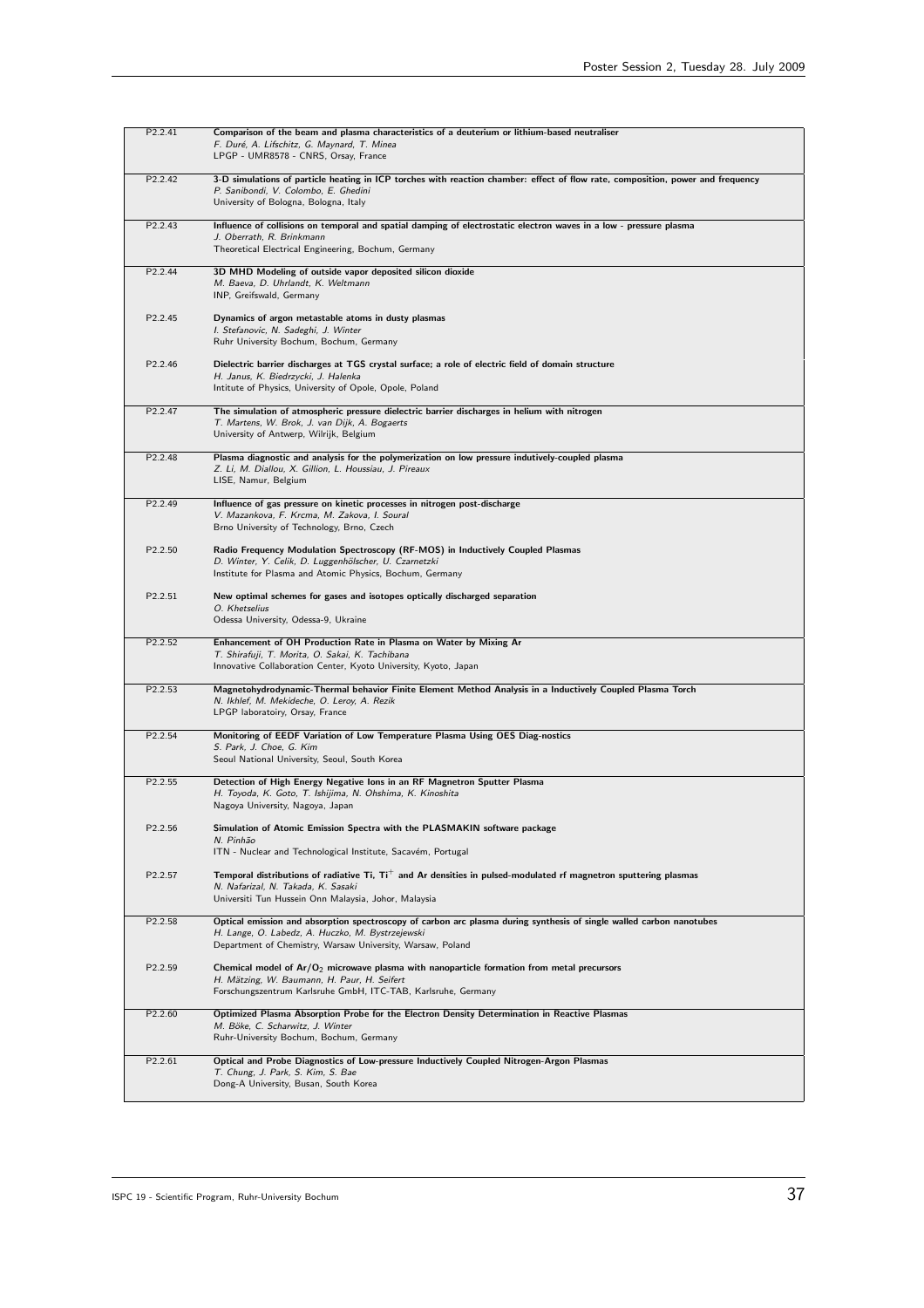| P2.2.41             | Comparison of the beam and plasma characteristics of a deuterium or lithium-based neutraliser<br>F. Duré, A. Lifschitz, G. Maynard, T. Minea<br>LPGP - UMR8578 - CNRS, Orsay, France                                                   |
|---------------------|----------------------------------------------------------------------------------------------------------------------------------------------------------------------------------------------------------------------------------------|
| P2.2.42             | 3-D simulations of particle heating in ICP torches with reaction chamber: effect of flow rate, composition, power and frequency<br>P. Sanibondi, V. Colombo, E. Ghedini<br>University of Bologna, Bologna, Italy                       |
| P2.2.43             | Influence of collisions on temporal and spatial damping of electrostatic electron waves in a low - pressure plasma<br>J. Oberrath, R. Brinkmann<br>Theoretical Electrical Engineering, Bochum, Germany                                 |
| P2.2.44             | 3D MHD Modeling of outside vapor deposited silicon dioxide<br>M. Baeva, D. Uhrlandt, K. Weltmann<br>INP, Greifswald, Germany                                                                                                           |
| P2.2.45             | Dynamics of argon metastable atoms in dusty plasmas<br>I. Stefanovic, N. Sadeghi, J. Winter<br>Ruhr University Bochum, Bochum, Germany                                                                                                 |
| P2.2.46             | Dielectric barrier discharges at TGS crystal surface; a role of electric field of domain structure<br>H. Janus, K. Biedrzycki, J. Halenka<br>Intitute of Physics, University of Opole, Opole, Poland                                   |
| P <sub>2.2.47</sub> | The simulation of atmospheric pressure dielectric barrier discharges in helium with nitrogen<br>T. Martens, W. Brok, J. van Dijk, A. Bogaerts<br>University of Antwerp, Wilrijk, Belgium                                               |
| P <sub>2.2.48</sub> | Plasma diagnostic and analysis for the polymerization on low pressure indutively-coupled plasma<br>Z. Li, M. Diallou, X. Gillion, L. Houssiau, J. Pireaux<br>LISE, Namur, Belgium                                                      |
| P <sub>2.2.49</sub> | Influence of gas pressure on kinetic processes in nitrogen post-discharge<br>V. Mazankova, F. Krcma, M. Zakova, I. Soural<br>Brno University of Technology, Brno, Czech                                                                |
| P2.2.50             | Radio Frequency Modulation Spectroscopy (RF-MOS) in Inductively Coupled Plasmas<br>D. Winter, Y. Celik, D. Luggenhölscher, U. Czarnetzki<br>Institute for Plasma and Atomic Physics, Bochum, Germany                                   |
| P2.2.51             | New optimal schemes for gases and isotopes optically discharged separation<br>O. Khetselius<br>Odessa University, Odessa-9, Ukraine                                                                                                    |
| P2.2.52             | Enhancement of OH Production Rate in Plasma on Water by Mixing Ar<br>T. Shirafuji, T. Morita, O. Sakai, K. Tachibana<br>Innovative Collaboration Center, Kyoto University, Kyoto, Japan                                                |
| P2.2.53             | Magnetohydrodynamic-Thermal behavior Finite Element Method Analysis in a Inductively Coupled Plasma Torch<br>N. Ikhlef, M. Mekideche, O. Leroy, A. Rezik<br>LPGP laboratoiry, Orsay, France                                            |
| P2.2.54             | Monitoring of EEDF Variation of Low Temperature Plasma Using OES Diag-nostics<br>S. Park, J. Choe, G. Kim<br>Seoul National University, Seoul, South Korea                                                                             |
| P2.2.55             | Detection of High Energy Negative Ions in an RF Magnetron Sputter Plasma<br>H. Toyoda, K. Goto, T. Ishijima, N. Ohshima, K. Kinoshita<br>Nagoya University, Nagoya, Japan                                                              |
| P2.2.56             | Simulation of Atomic Emission Spectra with the PLASMAKIN software package<br>N. Pinhão<br>ITN - Nuclear and Technological Institute, Sacavém, Portugal                                                                                 |
| P2.2.57             | Temporal distributions of radiative Ti, $Ti^+$ and Ar densities in pulsed-modulated rf magnetron sputtering plasmas<br>N. Nafarizal, N. Takada, K. Sasaki<br>Universiti Tun Hussein Onn Malaysia, Johor, Malaysia                      |
| P2.2.58             | Optical emission and absorption spectroscopy of carbon arc plasma during synthesis of single walled carbon nanotubes<br>H. Lange, O. Labedz, A. Huczko, M. Bystrzejewski<br>Department of Chemistry, Warsaw University, Warsaw, Poland |
| P2.2.59             | Chemical model of $Ar/O_2$ microwave plasma with nanoparticle formation from metal precursors<br>H. Mätzing, W. Baumann, H. Paur, H. Seifert<br>Forschungszentrum Karlsruhe GmbH, ITC-TAB, Karlsruhe, Germany                          |
| P2.2.60             | Optimized Plasma Absorption Probe for the Electron Density Determination in Reactive Plasmas<br>M. Böke, C. Scharwitz, J. Winter<br>Ruhr-University Bochum, Bochum, Germany                                                            |
| P2.2.61             | Optical and Probe Diagnostics of Low-pressure Inductively Coupled Nitrogen-Argon Plasmas<br>T. Chung, J. Park, S. Kim, S. Bae<br>Dong-A University, Busan, South Korea                                                                 |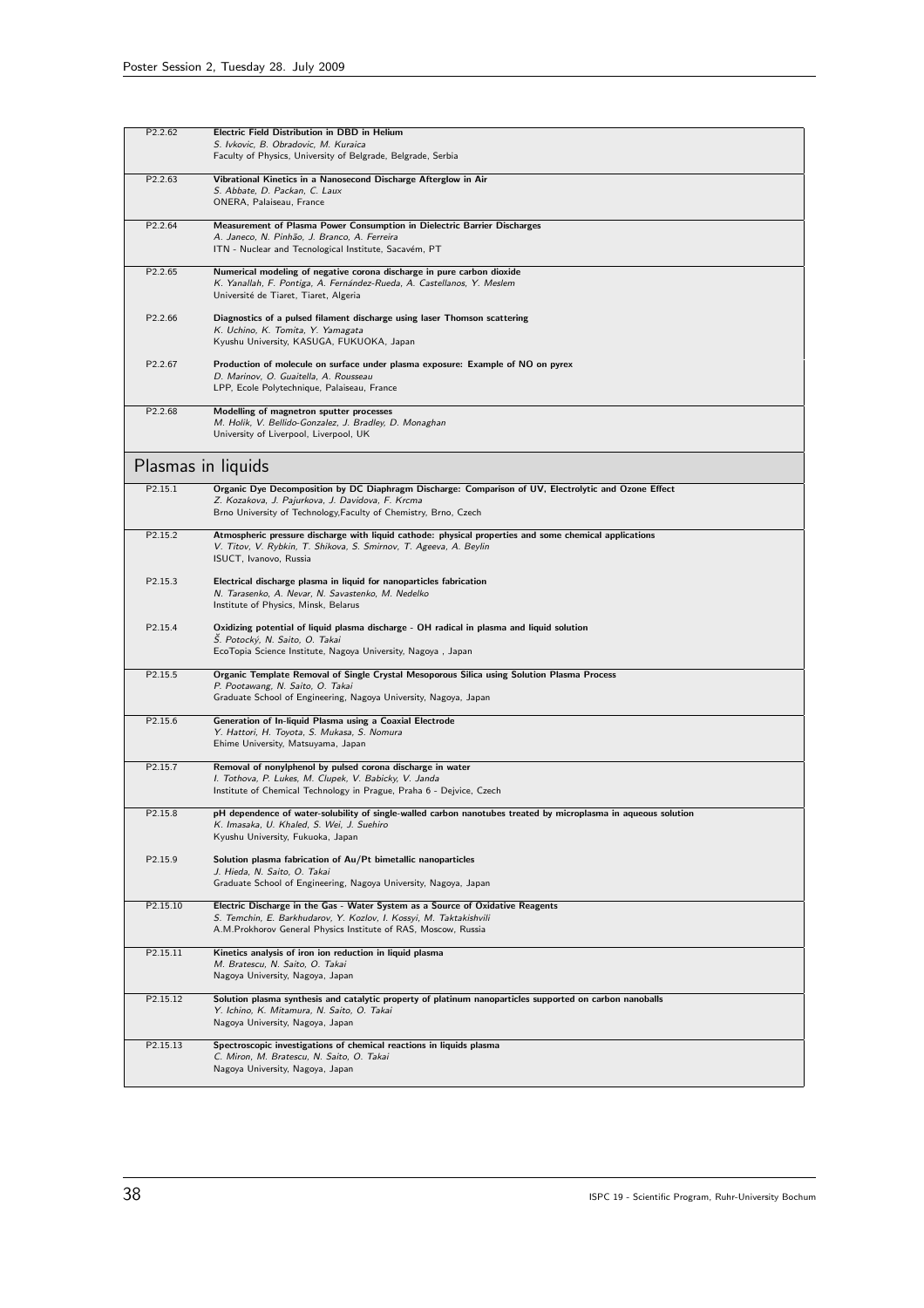| P <sub>2.2.62</sub> | Electric Field Distribution in DBD in Helium<br>S. Ivkovic, B. Obradovic, M. Kuraica                                                                                                                                         |
|---------------------|------------------------------------------------------------------------------------------------------------------------------------------------------------------------------------------------------------------------------|
|                     | Faculty of Physics, University of Belgrade, Belgrade, Serbia                                                                                                                                                                 |
| P2.2.63             | Vibrational Kinetics in a Nanosecond Discharge Afterglow in Air<br>S. Abbate, D. Packan, C. Laux<br>ONERA, Palaiseau, France                                                                                                 |
| P2.2.64             | Measurement of Plasma Power Consumption in Dielectric Barrier Discharges<br>A. Janeco, N. Pinhão, J. Branco, A. Ferreira<br>ITN - Nuclear and Tecnological Institute, Sacavém, PT                                            |
| P2.2.65             | Numerical modeling of negative corona discharge in pure carbon dioxide<br>K. Yanallah, F. Pontiga, A. Fernández-Rueda, A. Castellanos, Y. Meslem<br>Université de Tiaret, Tiaret, Algeria                                    |
| P2.2.66             | Diagnostics of a pulsed filament discharge using laser Thomson scattering<br>K. Uchino, K. Tomita, Y. Yamagata<br>Kyushu University, KASUGA, FUKUOKA, Japan                                                                  |
| P2.2.67             | Production of molecule on surface under plasma exposure: Example of NO on pyrex<br>D. Marinov, O. Guaitella, A. Rousseau<br>LPP, Ecole Polytechnique, Palaiseau, France                                                      |
| P2.2.68             | Modelling of magnetron sputter processes<br>M. Holik, V. Bellido-Gonzalez, J. Bradley, D. Monaghan<br>University of Liverpool, Liverpool, UK                                                                                 |
| Plasmas in liquids  |                                                                                                                                                                                                                              |
| P2.15.1             | Organic Dye Decomposition by DC Diaphragm Discharge: Comparison of UV, Electrolytic and Ozone Effect<br>Z. Kozakova, J. Pajurkova, J. Davidova, F. Krcma<br>Brno University of Technology, Faculty of Chemistry, Brno, Czech |
| P2.15.2             | Atmospheric pressure discharge with liquid cathode: physical properties and some chemical applications<br>V. Titov, V. Rybkin, T. Shikova, S. Smirnov, T. Ageeva, A. Beylin<br>ISUCT, Ivanovo, Russia                        |
| P2.15.3             | Electrical discharge plasma in liquid for nanoparticles fabrication<br>N. Tarasenko, A. Nevar, N. Savastenko, M. Nedelko<br>Institute of Physics, Minsk, Belarus                                                             |
| P2.15.4             | Oxidizing potential of liquid plasma discharge - OH radical in plasma and liquid solution<br>Š. Potocký, N. Saito, O. Takai<br>EcoTopia Science Institute, Nagoya University, Nagoya, Japan                                  |
| P2.15.5             | Organic Template Removal of Single Crystal Mesoporous Silica using Solution Plasma Process<br>P. Pootawang, N. Saito, O. Takai<br>Graduate School of Engineering, Nagoya University, Nagoya, Japan                           |
| P2.15.6             | Generation of In-liquid Plasma using a Coaxial Electrode<br>Y. Hattori, H. Toyota, S. Mukasa, S. Nomura<br>Ehime University, Matsuyama, Japan                                                                                |
| P2.15.7             | Removal of nonylphenol by pulsed corona discharge in water<br>I. Tothova, P. Lukes, M. Clupek, V. Babicky, V. Janda<br>Institute of Chemical Technology in Prague, Praha 6 - Dejvice, Czech                                  |
| P2.15.8             | pH dependence of water-solubility of single-walled carbon nanotubes treated by microplasma in aqueous solution<br>K. Imasaka, U. Khaled, S. Wei, J. Suehiro<br>Kyushu University, Fukuoka, Japan                             |
| P2.15.9             | Solution plasma fabrication of Au/Pt bimetallic nanoparticles<br>J. Hieda, N. Saito, O. Takai<br>Graduate School of Engineering, Nagoya University, Nagoya, Japan                                                            |
| P2.15.10            | Electric Discharge in the Gas - Water System as a Source of Oxidative Reagents<br>S. Temchin, E. Barkhudarov, Y. Kozlov, I. Kossyi, M. Taktakishvili<br>A.M.Prokhorov General Physics Institute of RAS, Moscow, Russia       |
| P2.15.11            | Kinetics analysis of iron ion reduction in liquid plasma<br>M. Bratescu, N. Saito, O. Takai<br>Nagoya University, Nagoya, Japan                                                                                              |
| P2.15.12            | Solution plasma synthesis and catalytic property of platinum nanoparticles supported on carbon nanoballs<br>Y. Ichino, K. Mitamura, N. Saito, O. Takai<br>Nagoya University, Nagoya, Japan                                   |
| P2.15.13            | Spectroscopic investigations of chemical reactions in liquids plasma<br>C. Miron, M. Bratescu, N. Saito, O. Takai<br>Nagoya University, Nagoya, Japan                                                                        |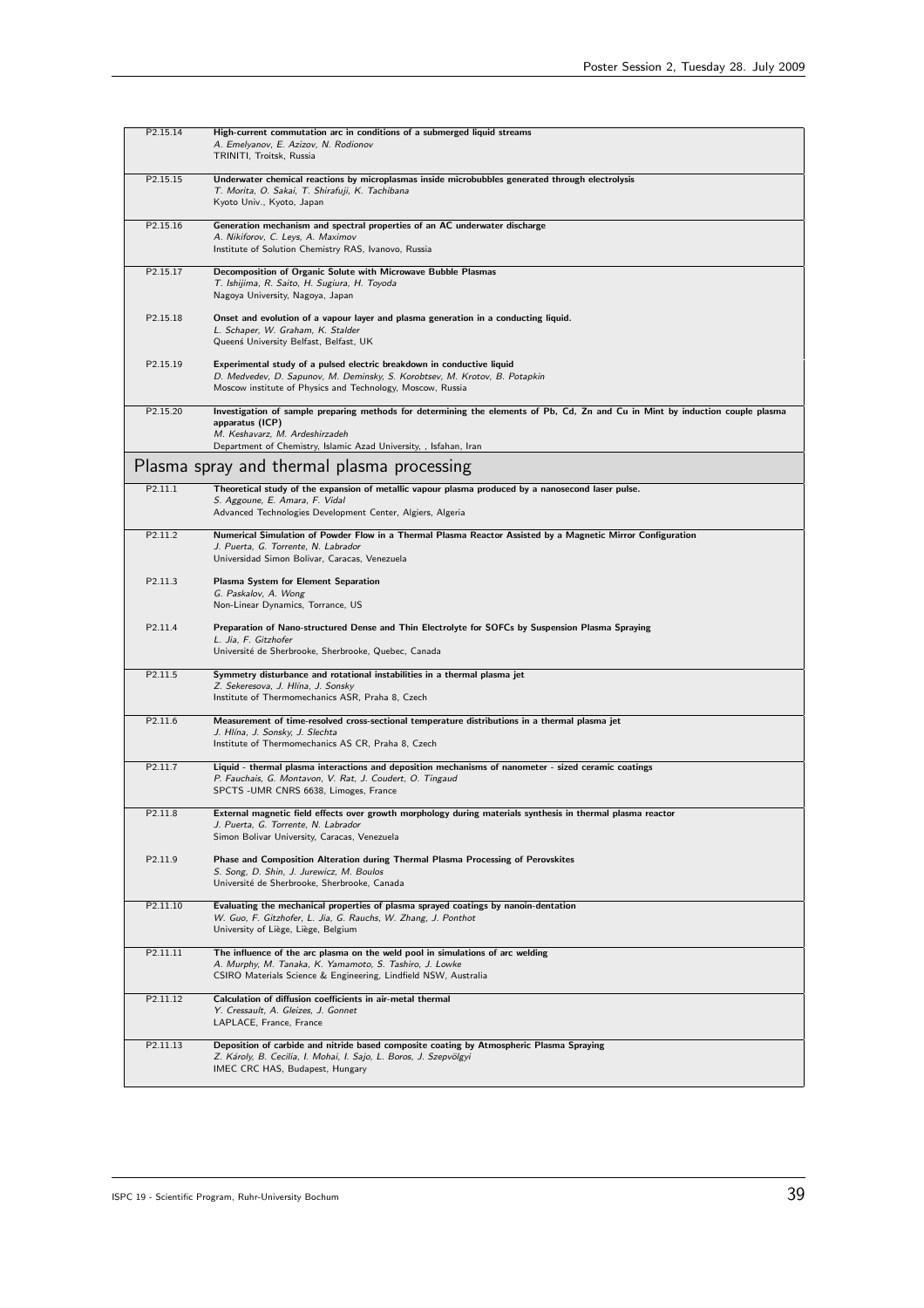| P2.15.14            | High-current commutation arc in conditions of a submerged liquid streams<br>A. Emelyanov, E. Azizov, N. Rodionov<br>TRINITI, Troitsk, Russia                                                                                                             |
|---------------------|----------------------------------------------------------------------------------------------------------------------------------------------------------------------------------------------------------------------------------------------------------|
| P2.15.15            | Underwater chemical reactions by microplasmas inside microbubbles generated through electrolysis<br>T. Morita, O. Sakai, T. Shirafuji, K. Tachibana<br>Kyoto Univ., Kyoto, Japan                                                                         |
| P2.15.16            | Generation mechanism and spectral properties of an AC underwater discharge<br>A. Nikiforov, C. Leys, A. Maximov<br>Institute of Solution Chemistry RAS, Ivanovo, Russia                                                                                  |
| P2.15.17            | Decomposition of Organic Solute with Microwave Bubble Plasmas<br>T. Ishijima, R. Saito, H. Sugiura, H. Toyoda<br>Nagoya University, Nagoya, Japan                                                                                                        |
| P2.15.18            | Onset and evolution of a vapour layer and plasma generation in a conducting liquid.<br>L. Schaper, W. Graham, K. Stalder<br>Queenś University Belfast, Belfast, UK                                                                                       |
| P2.15.19            | Experimental study of a pulsed electric breakdown in conductive liquid<br>D. Medvedev, D. Sapunov, M. Deminsky, S. Korobtsev, M. Krotov, B. Potapkin<br>Moscow institute of Physics and Technology, Moscow, Russia                                       |
| P2.15.20            | Investigation of sample preparing methods for determining the elements of Pb, Cd, Zn and Cu in Mint by induction couple plasma<br>apparatus (ICP)<br>M. Keshavarz, M. Ardeshirzadeh<br>Department of Chemistry, Islamic Azad University, , Isfahan, Iran |
|                     | Plasma spray and thermal plasma processing                                                                                                                                                                                                               |
| P2.11.1             | Theoretical study of the expansion of metallic vapour plasma produced by a nanosecond laser pulse.<br>S. Aggoune, E. Amara, F. Vidal<br>Advanced Technologies Development Center, Algiers, Algeria                                                       |
| P2.11.2             | Numerical Simulation of Powder Flow in a Thermal Plasma Reactor Assisted by a Magnetic Mirror Configuration<br>J. Puerta, G. Torrente, N. Labrador<br>Universidad Simon Bolivar, Caracas, Venezuela                                                      |
| P2.11.3             | Plasma System for Element Separation<br>G. Paskalov, A. Wong<br>Non-Linear Dynamics, Torrance, US                                                                                                                                                        |
| P2.11.4             | Preparation of Nano-structured Dense and Thin Electrolyte for SOFCs by Suspension Plasma Spraying<br>L. Jia, F. Gitzhofer<br>Université de Sherbrooke, Sherbrooke, Quebec, Canada                                                                        |
| P2.11.5             | Symmetry disturbance and rotational instabilities in a thermal plasma jet<br>Z. Sekeresova, J. Hlína, J. Sonsky<br>Institute of Thermomechanics ASR, Praha 8, Czech                                                                                      |
| P2.11.6             | Measurement of time-resolved cross-sectional temperature distributions in a thermal plasma jet<br>J. Hlína, J. Sonsky, J. Slechta<br>Institute of Thermomechanics AS CR, Praha 8, Czech                                                                  |
| P2.11.7             | Liquid - thermal plasma interactions and deposition mechanisms of nanometer - sized ceramic coatings<br>P. Fauchais, G. Montavon, V. Rat, J. Coudert, O. Tingaud<br>SPCTS -UMR CNRS 6638, Limoges, France                                                |
| P <sub>2.11.8</sub> | External magnetic field effects over growth morphology during materials synthesis in thermal plasma reactor<br>J. Puerta, G. Torrente, N. Labrador<br>Simon Bolivar University, Caracas, Venezuela                                                       |
| P2.11.9             | Phase and Composition Alteration during Thermal Plasma Processing of Perovskites<br>S. Song, D. Shin, J. Jurewicz, M. Boulos<br>Université de Sherbrooke, Sherbrooke, Canada                                                                             |
| P2.11.10            | Evaluating the mechanical properties of plasma sprayed coatings by nanoin-dentation<br>W. Guo, F. Gitzhofer, L. Jia, G. Rauchs, W. Zhang, J. Ponthot<br>University of Liège, Liège, Belgium                                                              |
| P2.11.11            | The influence of the arc plasma on the weld pool in simulations of arc welding<br>A. Murphy, M. Tanaka, K. Yamamoto, S. Tashiro, J. Lowke<br>CSIRO Materials Science & Engineering, Lindfield NSW, Australia                                             |
| P2.11.12            | Calculation of diffusion coefficients in air-metal thermal<br>Y. Cressault, A. Gleizes, J. Gonnet<br>LAPLACE, France, France                                                                                                                             |
| P2.11.13            | Deposition of carbide and nitride based composite coating by Atmospheric Plasma Spraying<br>Z. Károly, B. Cecilia, I. Mohai, I. Sajo, L. Boros, J. Szepvölgyi<br>IMEC CRC HAS, Budapest, Hungary                                                         |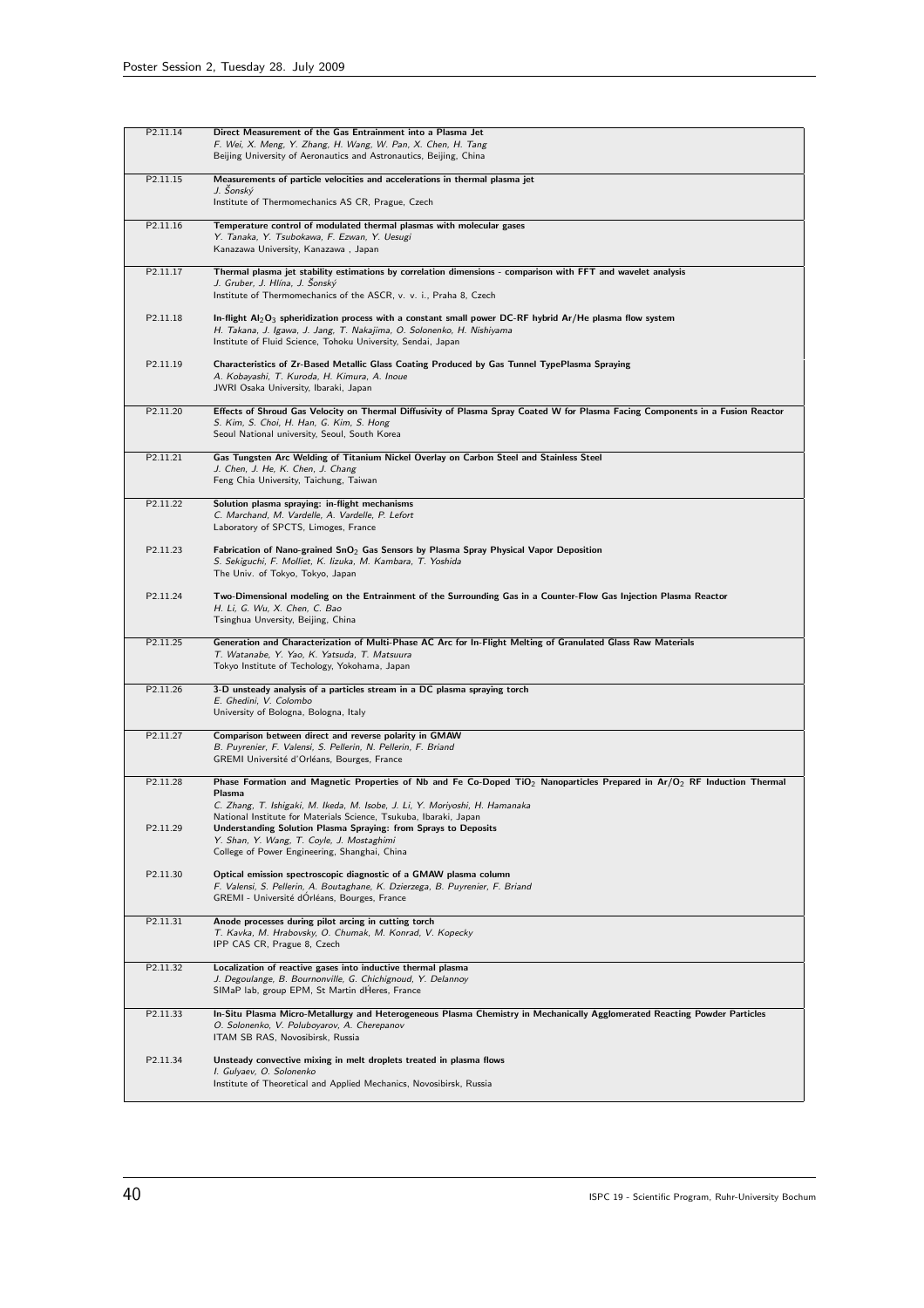| P2.11.14             | Direct Measurement of the Gas Entrainment into a Plasma Jet<br>F. Wei, X. Meng, Y. Zhang, H. Wang, W. Pan, X. Chen, H. Tang<br>Beijing University of Aeronautics and Astronautics, Beijing, China                                                                                                             |
|----------------------|---------------------------------------------------------------------------------------------------------------------------------------------------------------------------------------------------------------------------------------------------------------------------------------------------------------|
| P2.11.15             | Measurements of particle velocities and accelerations in thermal plasma jet<br>J. Šonský<br>Institute of Thermomechanics AS CR, Prague, Czech                                                                                                                                                                 |
| P2.11.16             | Temperature control of modulated thermal plasmas with molecular gases<br>Y. Tanaka, Y. Tsubokawa, F. Ezwan, Y. Uesugi<br>Kanazawa University, Kanazawa , Japan                                                                                                                                                |
| P2.11.17             | Thermal plasma jet stability estimations by correlation dimensions - comparison with FFT and wavelet analysis<br>J. Gruber, J. Hlína, J. Šonský<br>Institute of Thermomechanics of the ASCR, v. v. i., Praha 8, Czech                                                                                         |
| P <sub>2.11.18</sub> | In-flight $Al_2O_3$ spheridization process with a constant small power DC-RF hybrid Ar/He plasma flow system<br>H. Takana, J. Igawa, J. Jang, T. Nakajima, O. Solonenko, H. Nishiyama<br>Institute of Fluid Science, Tohoku University, Sendai, Japan                                                         |
| P2.11.19             | Characteristics of Zr-Based Metallic Glass Coating Produced by Gas Tunnel TypePlasma Spraying<br>A. Kobayashi, T. Kuroda, H. Kimura, A. Inoue<br>JWRI Osaka University, Ibaraki, Japan                                                                                                                        |
| P <sub>2.11.20</sub> | Effects of Shroud Gas Velocity on Thermal Diffusivity of Plasma Spray Coated W for Plasma Facing Components in a Fusion Reactor<br>S. Kim, S. Choi, H. Han, G. Kim, S. Hong<br>Seoul National university, Seoul, South Korea                                                                                  |
| P2.11.21             | Gas Tungsten Arc Welding of Titanium Nickel Overlay on Carbon Steel and Stainless Steel<br>J. Chen, J. He, K. Chen, J. Chang<br>Feng Chia University, Taichung, Taiwan                                                                                                                                        |
| P <sub>2.11.22</sub> | Solution plasma spraying: in-flight mechanisms<br>C. Marchand, M. Vardelle, A. Vardelle, P. Lefort<br>Laboratory of SPCTS, Limoges, France                                                                                                                                                                    |
| P2.11.23             | Fabrication of Nano-grained $SnO2$ Gas Sensors by Plasma Spray Physical Vapor Deposition<br>S. Sekiguchi, F. Molliet, K. Iizuka, M. Kambara, T. Yoshida<br>The Univ. of Tokyo, Tokyo, Japan                                                                                                                   |
| P2.11.24             | Two-Dimensional modeling on the Entrainment of the Surrounding Gas in a Counter-Flow Gas Injection Plasma Reactor<br>H. Li, G. Wu, X. Chen, C. Bao<br>Tsinghua Unversity, Beijing, China                                                                                                                      |
| P2.11.25             | Generation and Characterization of Multi-Phase AC Arc for In-Flight Melting of Granulated Glass Raw Materials<br>T. Watanabe, Y. Yao, K. Yatsuda, T. Matsuura<br>Tokyo Institute of Techology, Yokohama, Japan                                                                                                |
| P2.11.26             | 3-D unsteady analysis of a particles stream in a DC plasma spraying torch<br>E. Ghedini, V. Colombo<br>University of Bologna, Bologna, Italy                                                                                                                                                                  |
| P2.11.27             | Comparison between direct and reverse polarity in GMAW<br>B. Puyrenier, F. Valensi, S. Pellerin, N. Pellerin, F. Briand<br>GREMI Université d'Orléans, Bourges, France                                                                                                                                        |
| P2.11.28             | Phase Formation and Magnetic Properties of Nb and Fe Co-Doped TiO <sub>2</sub> Nanoparticles Prepared in Ar/O <sub>2</sub> RF Induction Thermal<br>Plasma<br>C. Zhang, T. Ishigaki, M. Ikeda, M. Isobe, J. Li, Y. Moriyoshi, H. Hamanaka<br>National Institute for Materials Science, Tsukuba, Ibaraki, Japan |
| P2.11.29             | Understanding Solution Plasma Spraying: from Sprays to Deposits<br>Y. Shan, Y. Wang, T. Coyle, J. Mostaghimi<br>College of Power Engineering, Shanghai, China                                                                                                                                                 |
| P2.11.30             | Optical emission spectroscopic diagnostic of a GMAW plasma column<br>F. Valensi, S. Pellerin, A. Boutaghane, K. Dzierzega, B. Puyrenier, F. Briand<br>GREMI - Université dOrléans, Bourges, France                                                                                                            |
| P2.11.31             | Anode processes during pilot arcing in cutting torch<br>T. Kavka, M. Hrabovsky, O. Chumak, M. Konrad, V. Kopecky<br>IPP CAS CR, Prague 8, Czech                                                                                                                                                               |
| P2.11.32             | Localization of reactive gases into inductive thermal plasma<br>J. Degoulange, B. Bournonville, G. Chichignoud, Y. Delannoy<br>SIMaP lab, group EPM, St Martin dHeres, France                                                                                                                                 |
| P2.11.33             | In-Situ Plasma Micro-Metallurgy and Heterogeneous Plasma Chemistry in Mechanically Agglomerated Reacting Powder Particles<br>O. Solonenko, V. Poluboyarov, A. Cherepanov<br>ITAM SB RAS, Novosibirsk, Russia                                                                                                  |
| P2.11.34             | Unsteady convective mixing in melt droplets treated in plasma flows<br>I. Gulyaev, O. Solonenko<br>Institute of Theoretical and Applied Mechanics, Novosibirsk, Russia                                                                                                                                        |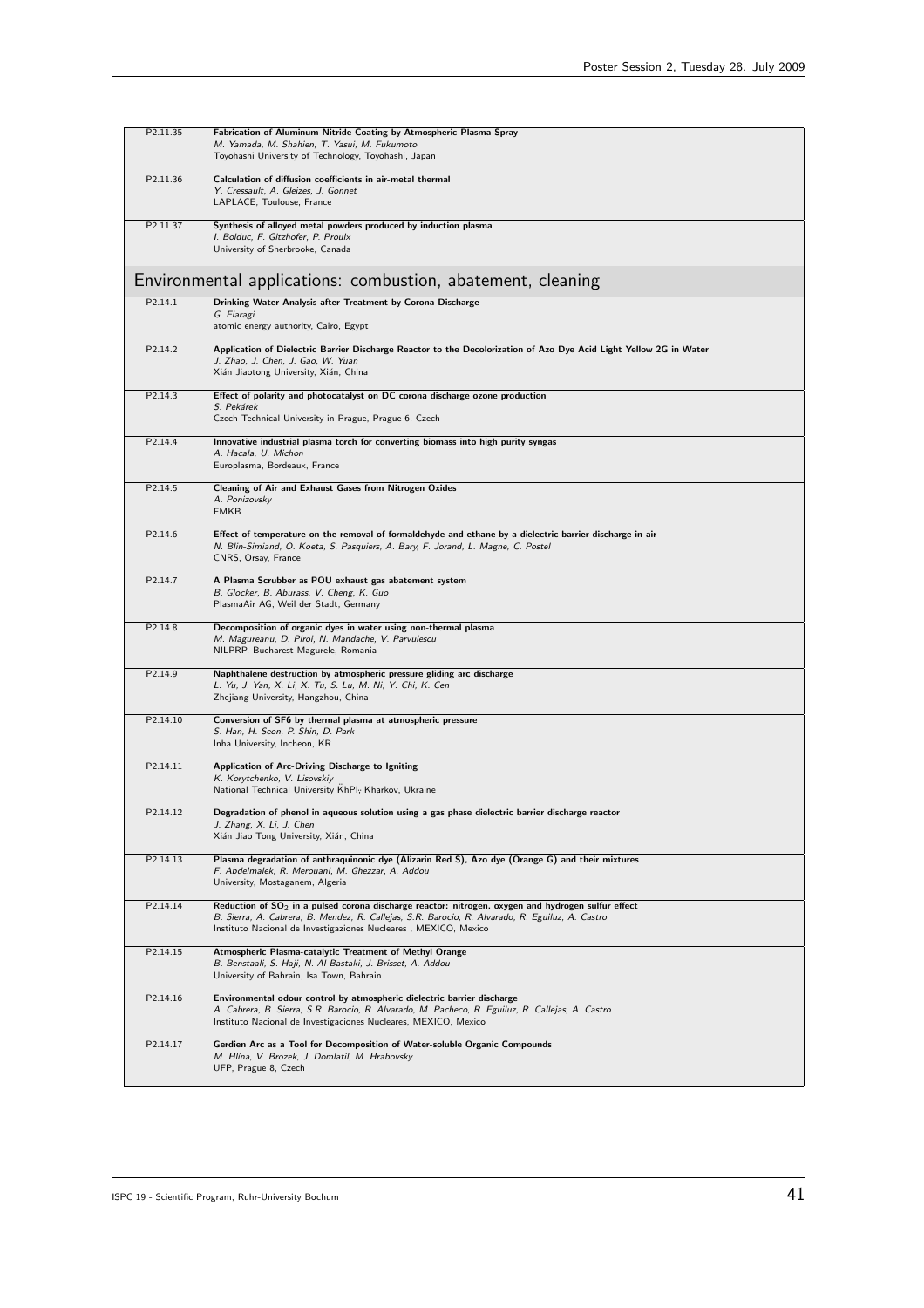| P2.11.35             | Fabrication of Aluminum Nitride Coating by Atmospheric Plasma Spray<br>M. Yamada, M. Shahien, T. Yasui, M. Fukumoto<br>Toyohashi University of Technology, Toyohashi, Japan                                                                                                 |
|----------------------|-----------------------------------------------------------------------------------------------------------------------------------------------------------------------------------------------------------------------------------------------------------------------------|
| P2.11.36             | Calculation of diffusion coefficients in air-metal thermal<br>Y. Cressault, A. Gleizes, J. Gonnet<br>LAPLACE, Toulouse, France                                                                                                                                              |
| P2.11.37             | Synthesis of alloyed metal powders produced by induction plasma<br>I. Bolduc, F. Gitzhofer, P. Proulx<br>University of Sherbrooke, Canada                                                                                                                                   |
|                      | Environmental applications: combustion, abatement, cleaning                                                                                                                                                                                                                 |
| P2.14.1              | Drinking Water Analysis after Treatment by Corona Discharge<br>G. Elaragi<br>atomic energy authority, Cairo, Egypt                                                                                                                                                          |
| P2.14.2              | Application of Dielectric Barrier Discharge Reactor to the Decolorization of Azo Dye Acid Light Yellow 2G in Water<br>J. Zhao, J. Chen, J. Gao, W. Yuan<br>Xián Jiaotong University, Xián, China                                                                            |
| P <sub>2.14.3</sub>  | Effect of polarity and photocatalyst on DC corona discharge ozone production<br>S. Pekárek<br>Czech Technical University in Prague, Prague 6, Czech                                                                                                                         |
| P2.14.4              | Innovative industrial plasma torch for converting biomass into high purity syngas<br>A. Hacala, U. Michon<br>Europlasma, Bordeaux, France                                                                                                                                   |
| P <sub>2.14.5</sub>  | Cleaning of Air and Exhaust Gases from Nitrogen Oxides<br>A. Ponizovsky<br><b>FMKB</b>                                                                                                                                                                                      |
| P2.14.6              | Effect of temperature on the removal of formaldehyde and ethane by a dielectric barrier discharge in air<br>N. Blin-Simiand, O. Koeta, S. Pasquiers, A. Bary, F. Jorand, L. Magne, C. Postel<br>CNRS, Orsay, France                                                         |
| P2.14.7              | A Plasma Scrubber as POU exhaust gas abatement system<br>B. Glocker, B. Aburass, V. Cheng, K. Guo<br>PlasmaAir AG, Weil der Stadt, Germany                                                                                                                                  |
| P2.14.8              | Decomposition of organic dyes in water using non-thermal plasma<br>M. Magureanu, D. Piroi, N. Mandache, V. Parvulescu<br>NILPRP, Bucharest-Magurele, Romania                                                                                                                |
| P2.14.9              | Naphthalene destruction by atmospheric pressure gliding arc discharge<br>L. Yu, J. Yan, X. Li, X. Tu, S. Lu, M. Ni, Y. Chi, K. Cen<br>Zhejiang University, Hangzhou, China                                                                                                  |
| P2.14.10             | Conversion of SF6 by thermal plasma at atmospheric pressure<br>S. Han, H. Seon, P. Shin, D. Park<br>Inha University, Incheon, KR                                                                                                                                            |
| P <sub>2.14.11</sub> | Application of Arc-Driving Discharge to Igniting<br>K. Korytchenko, V. Lisovskiy<br>National Technical University KhPI; Kharkov, Ukraine                                                                                                                                    |
| P2.14.12             | Degradation of phenol in aqueous solution using a gas phase dielectric barrier discharge reactor<br>J. Zhang, X. Li, J. Chen<br>Xián Jiao Tong University, Xián, China                                                                                                      |
| P2.14.13             | Plasma degradation of anthraquinonic dye (Alizarin Red S), Azo dye (Orange G) and their mixtures<br>F. Abdelmalek, R. Merouani, M. Ghezzar, A. Addou<br>University, Mostaganem, Algeria                                                                                     |
| P2.14.14             | Reduction of $SO_2$ in a pulsed corona discharge reactor: nitrogen, oxygen and hydrogen sulfur effect<br>B. Sierra, A. Cabrera, B. Mendez, R. Callejas, S.R. Barocio, R. Alvarado, R. Eguiluz, A. Castro<br>Instituto Nacional de Investigaziones Nucleares, MEXICO, Mexico |
| P2.14.15             | Atmospheric Plasma-catalytic Treatment of Methyl Orange<br>B. Benstaali, S. Haji, N. Al-Bastaki, J. Brisset, A. Addou<br>University of Bahrain, Isa Town, Bahrain                                                                                                           |
| P2.14.16             | Environmental odour control by atmospheric dielectric barrier discharge<br>A. Cabrera, B. Sierra, S.R. Barocio, R. Alvarado, M. Pacheco, R. Eguiluz, R. Callejas, A. Castro<br>Instituto Nacional de Investigaciones Nucleares, MEXICO, Mexico                              |
| P2.14.17             | Gerdien Arc as a Tool for Decomposition of Water-soluble Organic Compounds<br>M. Hlína, V. Brozek, J. Domlatil, M. Hrabovsky<br>UFP, Prague 8, Czech                                                                                                                        |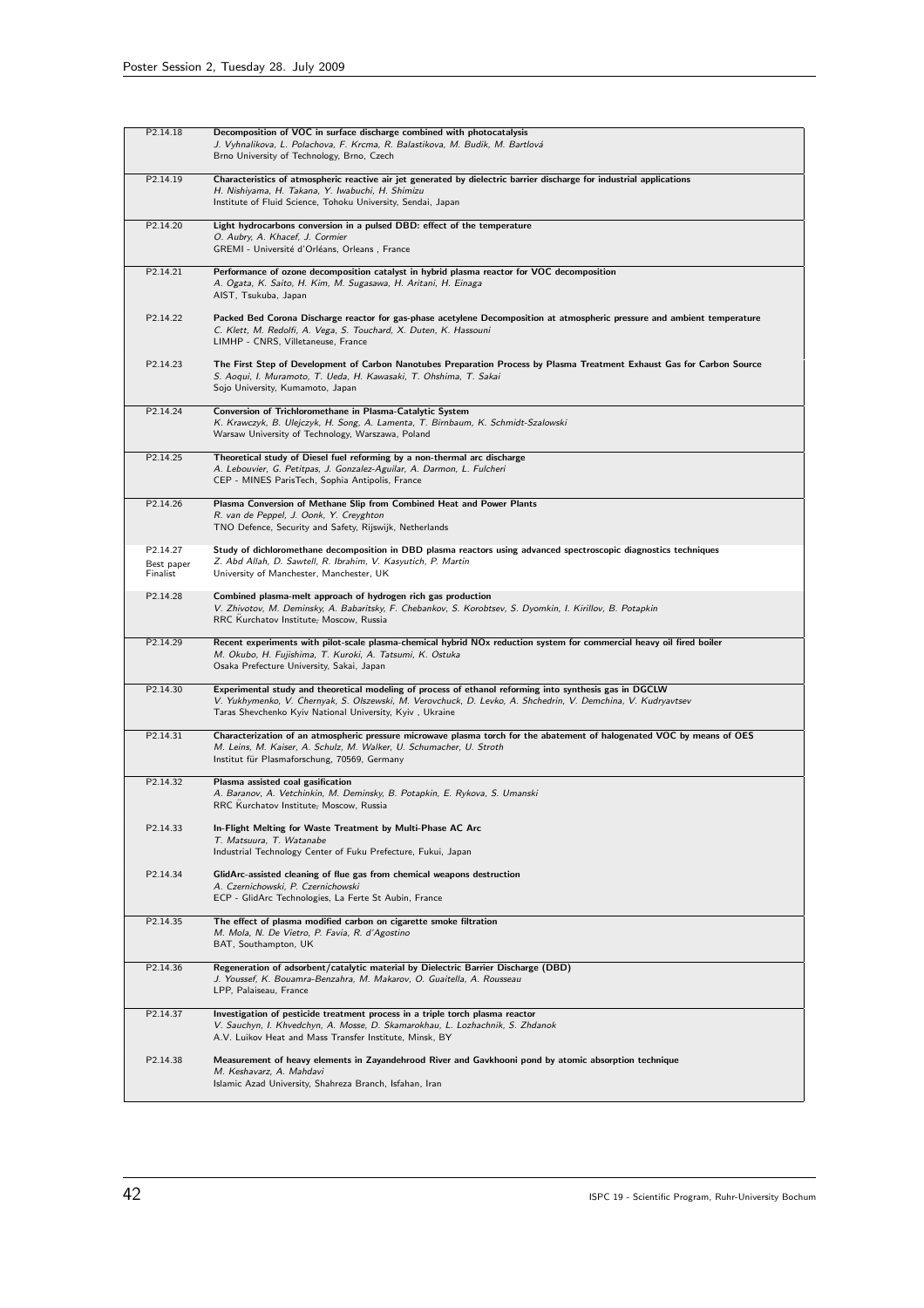| P2.14.18               | Decomposition of VOC in surface discharge combined with photocatalysis                                                                                                                                                                                                              |
|------------------------|-------------------------------------------------------------------------------------------------------------------------------------------------------------------------------------------------------------------------------------------------------------------------------------|
|                        | J. Vyhnalikova, L. Polachova, F. Krcma, R. Balastikova, M. Budik, M. Bartlová<br>Brno University of Technology, Brno, Czech                                                                                                                                                         |
| P2.14.19               | Characteristics of atmospheric reactive air jet generated by dielectric barrier discharge for industrial applications                                                                                                                                                               |
|                        | H. Nishiyama, H. Takana, Y. Iwabuchi, H. Shimizu<br>Institute of Fluid Science, Tohoku University, Sendai, Japan                                                                                                                                                                    |
| P2.14.20               | Light hydrocarbons conversion in a pulsed DBD: effect of the temperature                                                                                                                                                                                                            |
|                        | O. Aubry, A. Khacef, J. Cormier<br>GREMI - Université d'Orléans, Orleans, France                                                                                                                                                                                                    |
| P2.14.21               | Performance of ozone decomposition catalyst in hybrid plasma reactor for VOC decomposition<br>A. Ogata, K. Saito, H. Kim, M. Sugasawa, H. Aritani, H. Einaga<br>AIST, Tsukuba, Japan                                                                                                |
| P2.14.22               | Packed Bed Corona Discharge reactor for gas-phase acetylene Decomposition at atmospheric pressure and ambient temperature<br>C. Klett, M. Redolfi, A. Vega, S. Touchard, X. Duten, K. Hassouni<br>LIMHP - CNRS, Villetaneuse, France                                                |
| P2.14.23               | The First Step of Development of Carbon Nanotubes Preparation Process by Plasma Treatment Exhaust Gas for Carbon Source<br>S. Aoqui, I. Muramoto, T. Ueda, H. Kawasaki, T. Ohshima, T. Sakai<br>Sojo University, Kumamoto, Japan                                                    |
| P2.14.24               | Conversion of Trichloromethane in Plasma-Catalytic System<br>K. Krawczyk, B. Ulejczyk, H. Song, A. Lamenta, T. Birnbaum, K. Schmidt-Szalowski<br>Warsaw University of Technology, Warszawa, Poland                                                                                  |
| P2.14.25               | Theoretical study of Diesel fuel reforming by a non-thermal arc discharge                                                                                                                                                                                                           |
|                        | A. Lebouvier, G. Petitpas, J. Gonzalez-Aguilar, A. Darmon, L. Fulcheri<br>CEP - MINES ParisTech, Sophia Antipolis, France                                                                                                                                                           |
| P2.14.26               | Plasma Conversion of Methane Slip from Combined Heat and Power Plants<br>R. van de Peppel, J. Oonk, Y. Creyghton<br>TNO Defence, Security and Safety, Rijswijk, Netherlands                                                                                                         |
| P2.14.27               | Study of dichloromethane decomposition in DBD plasma reactors using advanced spectroscopic diagnostics techniques                                                                                                                                                                   |
| Best paper<br>Finalist | Z. Abd Allah, D. Sawtell, R. Ibrahim, V. Kasyutich, P. Martin<br>University of Manchester, Manchester, UK                                                                                                                                                                           |
| P <sub>2.14.28</sub>   | Combined plasma-melt approach of hydrogen rich gas production<br>V. Zhivotov, M. Deminsky, A. Babaritsky, F. Chebankov, S. Korobtsev, S. Dyomkin, I. Kirillov, B. Potapkin<br>RRC Kurchatov Institute; Moscow, Russia                                                               |
| P2.14.29               | Recent experiments with pilot-scale plasma-chemical hybrid NOx reduction system for commercial heavy oil fired boiler<br>M. Okubo, H. Fujishima, T. Kuroki, A. Tatsumi, K. Ostuka<br>Osaka Prefecture University, Sakai, Japan                                                      |
| P2.14.30               | Experimental study and theoretical modeling of process of ethanol reforming into synthesis gas in DGCLW<br>V. Yukhymenko, V. Chernyak, S. Olszewski, M. Verovchuck, D. Levko, A. Shchedrin, V. Demchina, V. Kudryavtsev<br>Taras Shevchenko Kyiv National University, Kyiv, Ukraine |
| P2.14.31               | Characterization of an atmospheric pressure microwave plasma torch for the abatement of halogenated VOC by means of OES<br>M. Leins, M. Kaiser, A. Schulz, M. Walker, U. Schumacher, U. Stroth<br>Institut für Plasmaforschung, 70569, Germany                                      |
| P2.14.32               | Plasma assisted coal gasification<br>A. Baranov, A. Vetchinkin, M. Deminsky, B. Potapkin, E. Rykova, S. Umanski<br>RRC Kurchatov Institute; Moscow, Russia                                                                                                                          |
| P2.14.33               | In-Flight Melting for Waste Treatment by Multi-Phase AC Arc<br>T. Matsuura, T. Watanabe<br>Industrial Technology Center of Fuku Prefecture, Fukui, Japan                                                                                                                            |
| P2.14.34               | GlidArc-assisted cleaning of flue gas from chemical weapons destruction<br>A. Czernichowski, P. Czernichowski<br>ECP - GlidArc Technologies, La Ferte St Aubin, France                                                                                                              |
| P2.14.35               | The effect of plasma modified carbon on cigarette smoke filtration<br>M. Mola, N. De Vietro, P. Favia, R. d'Agostino<br>BAT, Southampton, UK                                                                                                                                        |
| P2.14.36               | Regeneration of adsorbent/catalytic material by Dielectric Barrier Discharge (DBD)<br>J. Youssef, K. Bouamra-Benzahra, M. Makarov, O. Guaitella, A. Rousseau<br>LPP, Palaiseau, France                                                                                              |
| P2.14.37               | Investigation of pesticide treatment process in a triple torch plasma reactor<br>V. Sauchyn, I. Khvedchyn, A. Mosse, D. Skamarokhau, L. Lozhachnik, S. Zhdanok<br>A.V. Luikov Heat and Mass Transfer Institute, Minsk, BY                                                           |
| P2.14.38               | Measurement of heavy elements in Zayandehrood River and Gavkhooni pond by atomic absorption technique<br>M. Keshavarz, A. Mahdavi<br>Islamic Azad University, Shahreza Branch, Isfahan, Iran                                                                                        |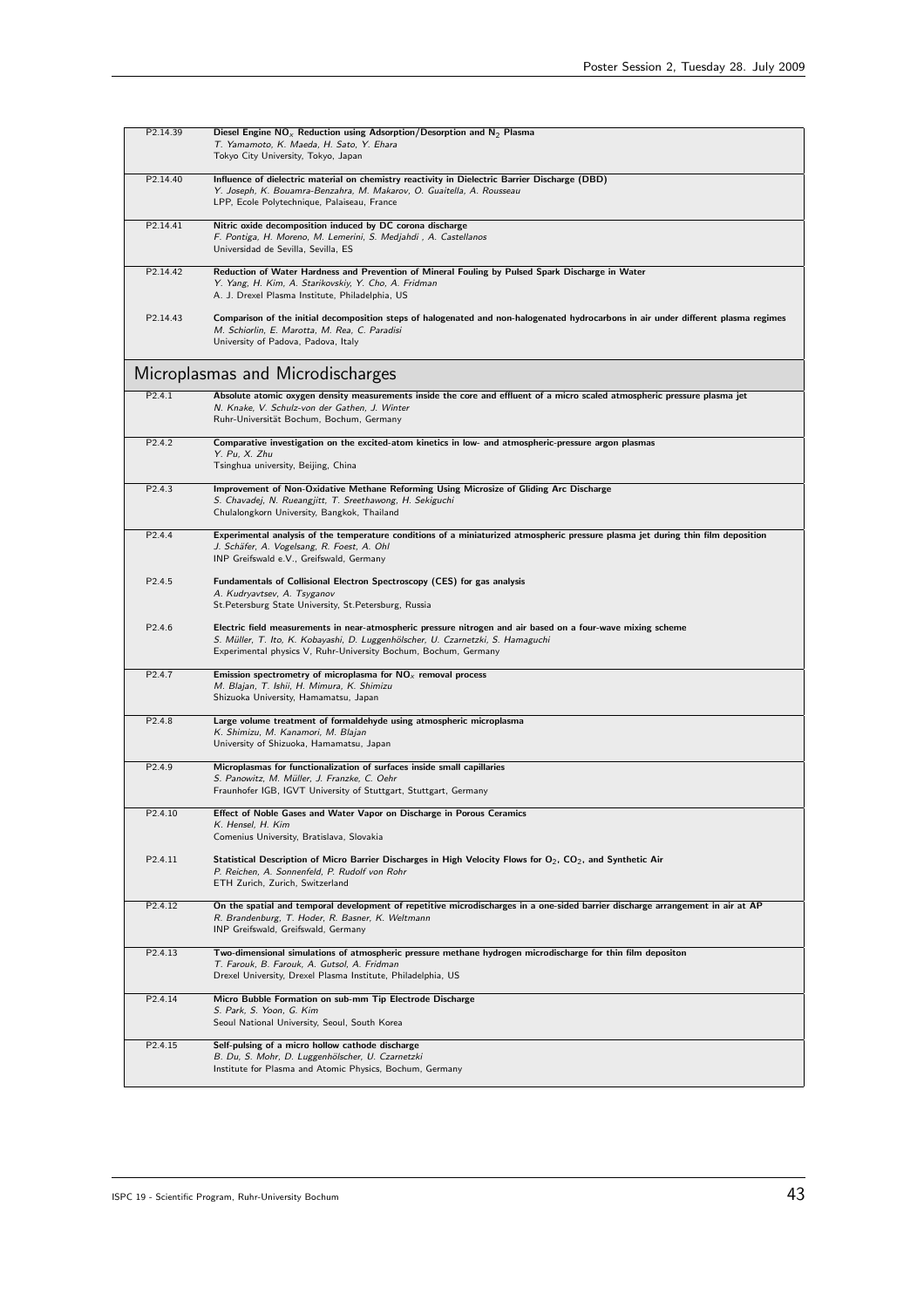| P2.14.39            | Diesel Engine $NO_x$ Reduction using Adsorption/Desorption and $N_2$ Plasma<br>T. Yamamoto, K. Maeda, H. Sato, Y. Ehara<br>Tokyo City University, Tokyo, Japan                                                                                                     |
|---------------------|--------------------------------------------------------------------------------------------------------------------------------------------------------------------------------------------------------------------------------------------------------------------|
|                     |                                                                                                                                                                                                                                                                    |
| P2.14.40            | Influence of dielectric material on chemistry reactivity in Dielectric Barrier Discharge (DBD)<br>Y. Joseph, K. Bouamra-Benzahra, M. Makarov, O. Guaitella, A. Rousseau<br>LPP, Ecole Polytechnique, Palaiseau, France                                             |
| P2.14.41            | Nitric oxide decomposition induced by DC corona discharge<br>F. Pontiga, H. Moreno, M. Lemerini, S. Medjahdi, A. Castellanos<br>Universidad de Sevilla, Sevilla, ES                                                                                                |
| P2.14.42            | Reduction of Water Hardness and Prevention of Mineral Fouling by Pulsed Spark Discharge in Water<br>Y. Yang, H. Kim, A. Starikovskiy, Y. Cho, A. Fridman<br>A. J. Drexel Plasma Institute, Philadelphia, US                                                        |
| P2.14.43            | Comparison of the initial decomposition steps of halogenated and non-halogenated hydrocarbons in air under different plasma regimes<br>M. Schiorlin, E. Marotta, M. Rea, C. Paradisi<br>University of Padova, Padova, Italy                                        |
|                     | Microplasmas and Microdischarges                                                                                                                                                                                                                                   |
| P2.4.1              | Absolute atomic oxygen density measurements inside the core and effluent of a micro scaled atmospheric pressure plasma jet<br>N. Knake, V. Schulz-von der Gathen, J. Winter<br>Ruhr-Universität Bochum, Bochum, Germany                                            |
| P <sub>2.4.2</sub>  | Comparative investigation on the excited-atom kinetics in low- and atmospheric-pressure argon plasmas<br>Y. Pu, X. Zhu<br>Tsinghua university, Beijing, China                                                                                                      |
| P2.4.3              | Improvement of Non-Oxidative Methane Reforming Using Microsize of Gliding Arc Discharge<br>S. Chavadej, N. Rueangjitt, T. Sreethawong, H. Sekiguchi<br>Chulalongkorn University, Bangkok, Thailand                                                                 |
| P2.4.4              | Experimental analysis of the temperature conditions of a miniaturized atmospheric pressure plasma jet during thin film deposition<br>J. Schäfer, A. Vogelsang, R. Foest, A. Ohl<br>INP Greifswald e.V., Greifswald, Germany                                        |
| P2.4.5              | Fundamentals of Collisional Electron Spectroscopy (CES) for gas analysis<br>A. Kudryavtsev, A. Tsyganov<br>St.Petersburg State University, St.Petersburg, Russia                                                                                                   |
| P2.4.6              | Electric field measurements in near-atmospheric pressure nitrogen and air based on a four-wave mixing scheme<br>S. Müller, T. Ito, K. Kobayashi, D. Luggenhölscher, U. Czarnetzki, S. Hamaguchi<br>Experimental physics V, Ruhr-University Bochum, Bochum, Germany |
| P <sub>2.4.7</sub>  | Emission spectrometry of microplasma for $NOx$ removal process<br>M. Blajan, T. Ishii, H. Mimura, K. Shimizu<br>Shizuoka University, Hamamatsu, Japan                                                                                                              |
| P2.4.8              | Large volume treatment of formaldehyde using atmospheric microplasma<br>K. Shimizu, M. Kanamori, M. Blajan<br>University of Shizuoka, Hamamatsu, Japan                                                                                                             |
| P <sub>2.4.9</sub>  | Microplasmas for functionalization of surfaces inside small capillaries<br>S. Panowitz, M. Müller, J. Franzke, C. Oehr<br>Fraunhofer IGB, IGVT University of Stuttgart, Stuttgart, Germany                                                                         |
| P2.4.10             | Effect of Noble Gases and Water Vapor on Discharge in Porous Ceramics<br>K. Hensel, H. Kim<br>Comenius University, Bratislava, Slovakia                                                                                                                            |
| P2.4.11             | Statistical Description of Micro Barrier Discharges in High Velocity Flows for $O_2$ , CO <sub>2</sub> , and Synthetic Air<br>P. Reichen, A. Sonnenfeld, P. Rudolf von Rohr<br>ETH Zurich, Zurich, Switzerland                                                     |
| P <sub>2.4.12</sub> | On the spatial and temporal development of repetitive microdischarges in a one-sided barrier discharge arrangement in air at AP<br>R. Brandenburg, T. Hoder, R. Basner, K. Weltmann<br>INP Greifswald, Greifswald, Germany                                         |
| P2.4.13             | Two-dimensional simulations of atmospheric pressure methane hydrogen microdischarge for thin film depositon<br>T. Farouk, B. Farouk, A. Gutsol, A. Fridman<br>Drexel University, Drexel Plasma Institute, Philadelphia, US                                         |
| P2.4.14             | Micro Bubble Formation on sub-mm Tip Electrode Discharge<br>S. Park, S. Yoon, G. Kim<br>Seoul National University, Seoul, South Korea                                                                                                                              |
| P2.4.15             | Self-pulsing of a micro hollow cathode discharge<br>B. Du, S. Mohr, D. Luggenhölscher, U. Czarnetzki<br>Institute for Plasma and Atomic Physics, Bochum, Germany                                                                                                   |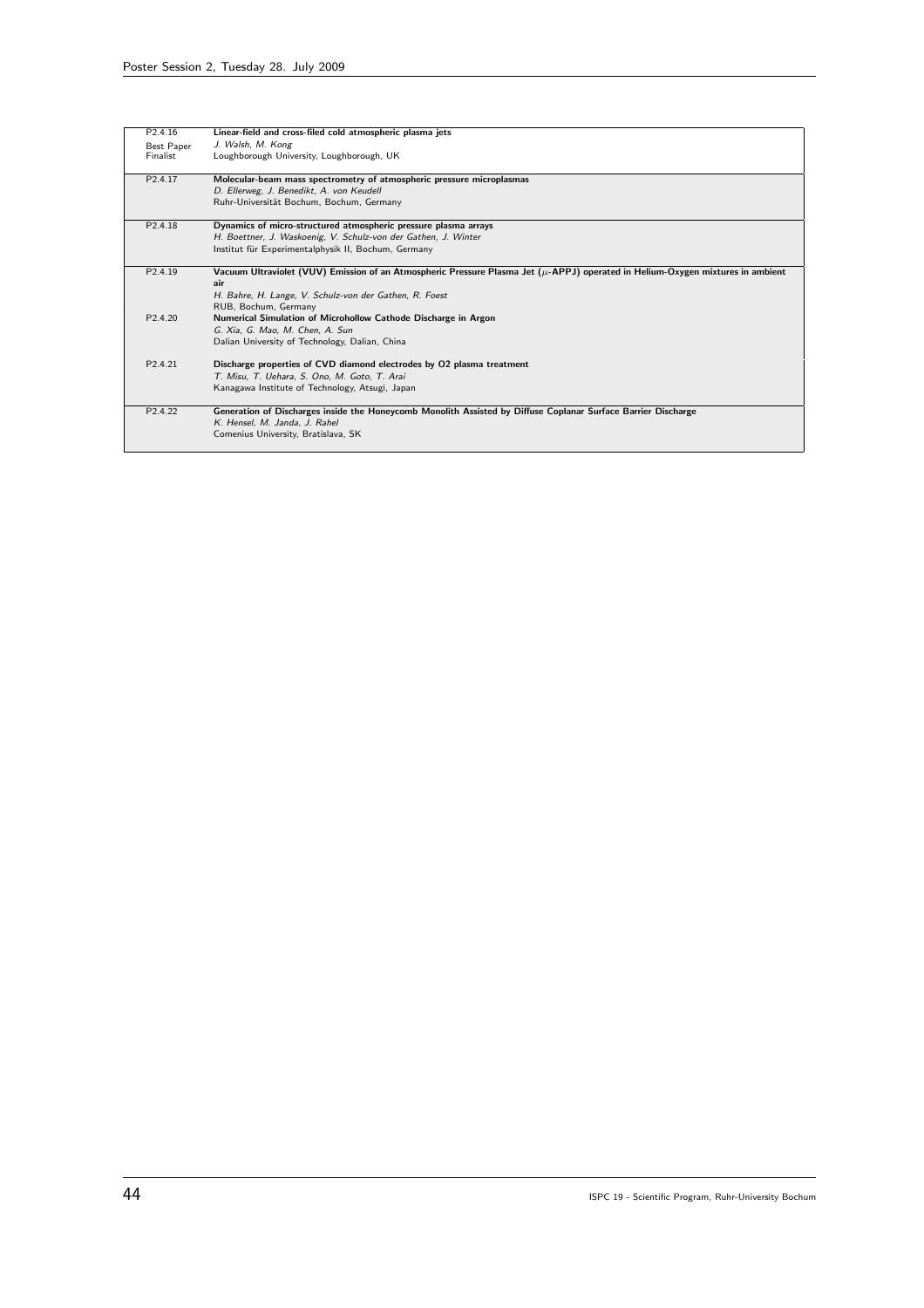| P <sub>2.4.16</sub>  | Linear-field and cross-filed cold atmospheric plasma jets                                                                            |
|----------------------|--------------------------------------------------------------------------------------------------------------------------------------|
| <b>Best Paper</b>    | J. Walsh, M. Kong                                                                                                                    |
| Finalist             | Loughborough University, Loughborough, UK                                                                                            |
| P <sub>2.4.17</sub>  | Molecular-beam mass spectrometry of atmospheric pressure microplasmas                                                                |
|                      | D. Ellerweg, J. Benedikt, A. von Keudell                                                                                             |
|                      | Ruhr-Universität Bochum, Bochum, Germany                                                                                             |
| P <sub>2.4.18</sub>  | Dynamics of micro-structured atmospheric pressure plasma arrays                                                                      |
|                      | H. Boettner, J. Waskoenig, V. Schulz-von der Gathen, J. Winter                                                                       |
|                      | Institut für Experimentalphysik II, Bochum, Germany                                                                                  |
| P <sub>2.4.19</sub>  | Vacuum Ultraviolet (VUV) Emission of an Atmospheric Pressure Plasma Jet ( $\mu$ -APPJ) operated in Helium-Oxygen mixtures in ambient |
|                      | air                                                                                                                                  |
|                      | H. Bahre, H. Lange, V. Schulz-von der Gathen, R. Foest                                                                               |
|                      | RUB, Bochum, Germany                                                                                                                 |
| P <sub>2.4.20</sub>  | Numerical Simulation of Microhollow Cathode Discharge in Argon                                                                       |
|                      | G. Xia, G. Mao, M. Chen, A. Sun                                                                                                      |
|                      | Dalian University of Technology, Dalian, China                                                                                       |
| P <sub>2.4.21</sub>  | Discharge properties of CVD diamond electrodes by O2 plasma treatment                                                                |
|                      | T. Misu, T. Uehara, S. Ono, M. Goto, T. Arai                                                                                         |
|                      | Kanagawa Institute of Technology, Atsugi, Japan                                                                                      |
|                      |                                                                                                                                      |
| P <sub>2</sub> .4.22 | Generation of Discharges inside the Honeycomb Monolith Assisted by Diffuse Coplanar Surface Barrier Discharge                        |
|                      | K. Hensel, M. Janda, J. Rahel                                                                                                        |
|                      | Comenius University, Bratislava, SK                                                                                                  |
|                      |                                                                                                                                      |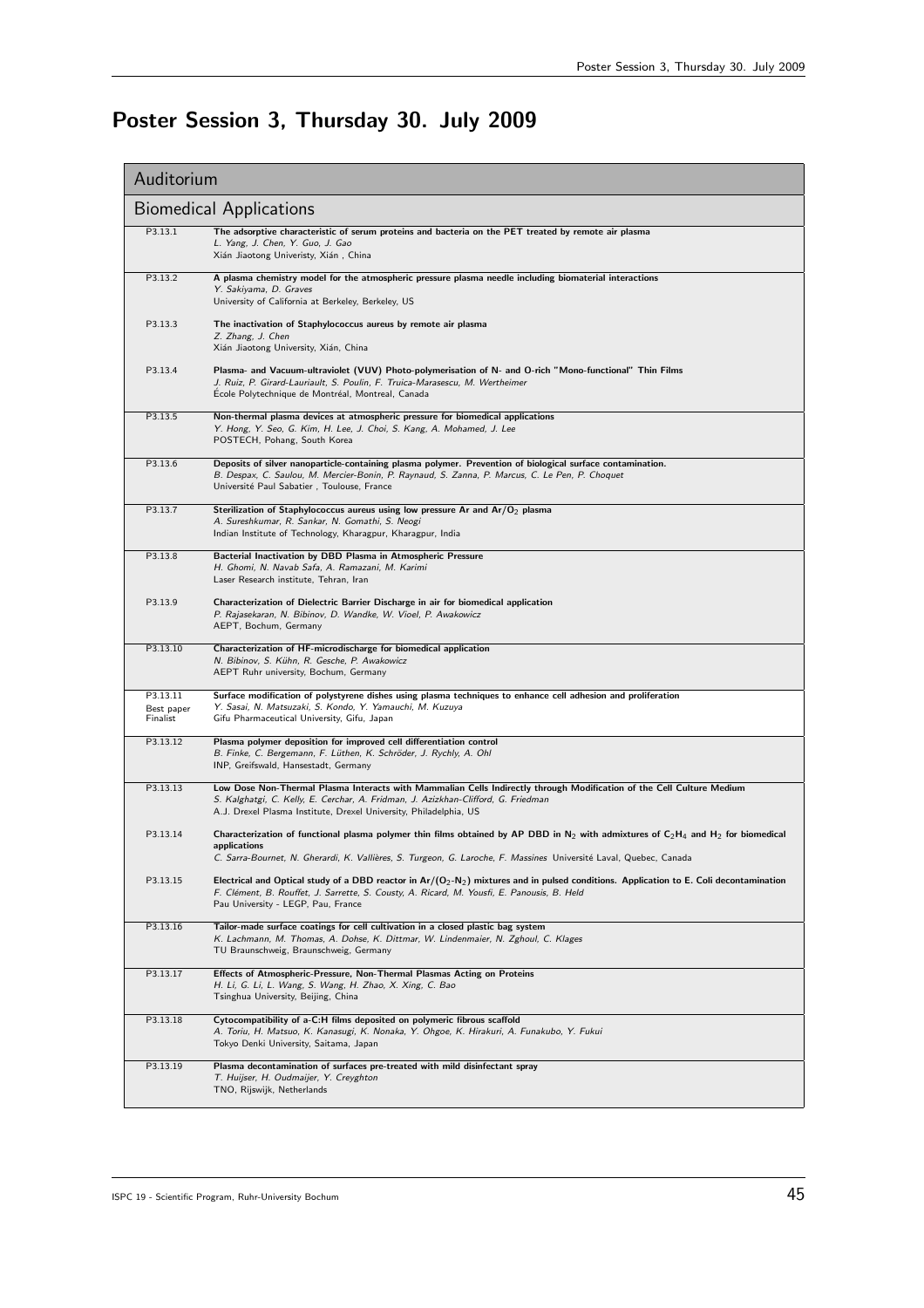## Poster Session 3, Thursday 30. July 2009

| Auditorium                         |                                                                                                                                                                                                                                                                                                                       |
|------------------------------------|-----------------------------------------------------------------------------------------------------------------------------------------------------------------------------------------------------------------------------------------------------------------------------------------------------------------------|
|                                    | <b>Biomedical Applications</b>                                                                                                                                                                                                                                                                                        |
| P3.13.1                            | The adsorptive characteristic of serum proteins and bacteria on the PET treated by remote air plasma<br>L. Yang, J. Chen, Y. Guo, J. Gao<br>Xián Jiaotong Univeristy, Xián, China                                                                                                                                     |
| P3.13.2                            | A plasma chemistry model for the atmospheric pressure plasma needle including biomaterial interactions<br>Y. Sakiyama, D. Graves<br>University of California at Berkeley, Berkeley, US                                                                                                                                |
| P3.13.3                            | The inactivation of Staphylococcus aureus by remote air plasma<br>Z. Zhang, J. Chen<br>Xián Jiaotong University, Xián, China                                                                                                                                                                                          |
| P3.13.4                            | Plasma- and Vacuum-ultraviolet (VUV) Photo-polymerisation of N- and O-rich "Mono-functional" Thin Films<br>J. Ruiz, P. Girard-Lauriault, S. Poulin, F. Truica-Marasescu, M. Wertheimer<br>Ecole Polytechnique de Montréal, Montreal, Canada                                                                           |
| P3.13.5                            | Non-thermal plasma devices at atmospheric pressure for biomedical applications<br>Y. Hong, Y. Seo, G. Kim, H. Lee, J. Choi, S. Kang, A. Mohamed, J. Lee<br>POSTECH, Pohang, South Korea                                                                                                                               |
| P3.13.6                            | Deposits of silver nanoparticle-containing plasma polymer. Prevention of biological surface contamination.<br>B. Despax, C. Saulou, M. Mercier-Bonin, P. Raynaud, S. Zanna, P. Marcus, C. Le Pen, P. Choquet<br>Université Paul Sabatier, Toulouse, France                                                            |
| P3.13.7                            | Sterilization of Staphylococcus aureus using low pressure Ar and $Ar/O2$ plasma<br>A. Sureshkumar, R. Sankar, N. Gomathi, S. Neogi<br>Indian Institute of Technology, Kharagpur, Kharagpur, India                                                                                                                     |
| P3.13.8                            | Bacterial Inactivation by DBD Plasma in Atmospheric Pressure<br>H. Ghomi, N. Navab Safa, A. Ramazani, M. Karimi<br>Laser Research institute, Tehran, Iran                                                                                                                                                             |
| P3.13.9                            | Characterization of Dielectric Barrier Discharge in air for biomedical application<br>P. Rajasekaran, N. Bibinov, D. Wandke, W. Vioel, P. Awakowicz<br>AEPT, Bochum, Germany                                                                                                                                          |
| P3.13.10                           | Characterization of HF-microdischarge for biomedical application<br>N. Bibinov, S. Kühn, R. Gesche, P. Awakowicz<br>AEPT Ruhr university, Bochum, Germany                                                                                                                                                             |
| P3.13.11<br>Best paper<br>Finalist | Surface modification of polystyrene dishes using plasma techniques to enhance cell adhesion and proliferation<br>Y. Sasai, N. Matsuzaki, S. Kondo, Y. Yamauchi, M. Kuzuya<br>Gifu Pharmaceutical University, Gifu, Japan                                                                                              |
| P3.13.12                           | Plasma polymer deposition for improved cell differentiation control<br>B. Finke, C. Bergemann, F. Lüthen, K. Schröder, J. Rychly, A. Ohl<br>INP, Greifswald, Hansestadt, Germany                                                                                                                                      |
| P3.13.13                           | Low Dose Non-Thermal Plasma Interacts with Mammalian Cells Indirectly through Modification of the Cell Culture Medium<br>S. Kalghatgi, C. Kelly, E. Cerchar, A. Fridman, J. Azizkhan-Clifford, G. Friedman<br>A.J. Drexel Plasma Institute, Drexel University, Philadelphia, US                                       |
| P3.13.14                           | Characterization of functional plasma polymer thin films obtained by AP DBD in N <sub>2</sub> with admixtures of C <sub>2</sub> H <sub>4</sub> and H <sub>2</sub> for biomedical<br>applications<br>C. Sarra-Bournet, N. Gherardi, K. Vallières, S. Turgeon, G. Laroche, F. Massines Université Laval, Quebec, Canada |
| P3.13.15                           | Electrical and Optical study of a DBD reactor in $Ar/(O_2-N_2)$ mixtures and in pulsed conditions. Application to E. Coli decontamination<br>F. Clément, B. Rouffet, J. Sarrette, S. Cousty, A. Ricard, M. Yousfi, E. Panousis, B. Held<br>Pau University - LEGP, Pau, France                                         |
| P3.13.16                           | Tailor-made surface coatings for cell cultivation in a closed plastic bag system<br>K. Lachmann, M. Thomas, A. Dohse, K. Dittmar, W. Lindenmaier, N. Zghoul, C. Klages<br>TU Braunschweig, Braunschweig, Germany                                                                                                      |
| P3.13.17                           | Effects of Atmospheric-Pressure, Non-Thermal Plasmas Acting on Proteins<br>H. Li, G. Li, L. Wang, S. Wang, H. Zhao, X. Xing, C. Bao<br>Tsinghua University, Beijing, China                                                                                                                                            |
| P3.13.18                           | Cytocompatibility of a-C:H films deposited on polymeric fibrous scaffold<br>A. Toriu, H. Matsuo, K. Kanasugi, K. Nonaka, Y. Ohgoe, K. Hirakuri, A. Funakubo, Y. Fukui<br>Tokyo Denki University, Saitama, Japan                                                                                                       |
| P3.13.19                           | Plasma decontamination of surfaces pre-treated with mild disinfectant spray<br>T. Huijser, H. Oudmaijer, Y. Creyghton<br>TNO, Rijswijk, Netherlands                                                                                                                                                                   |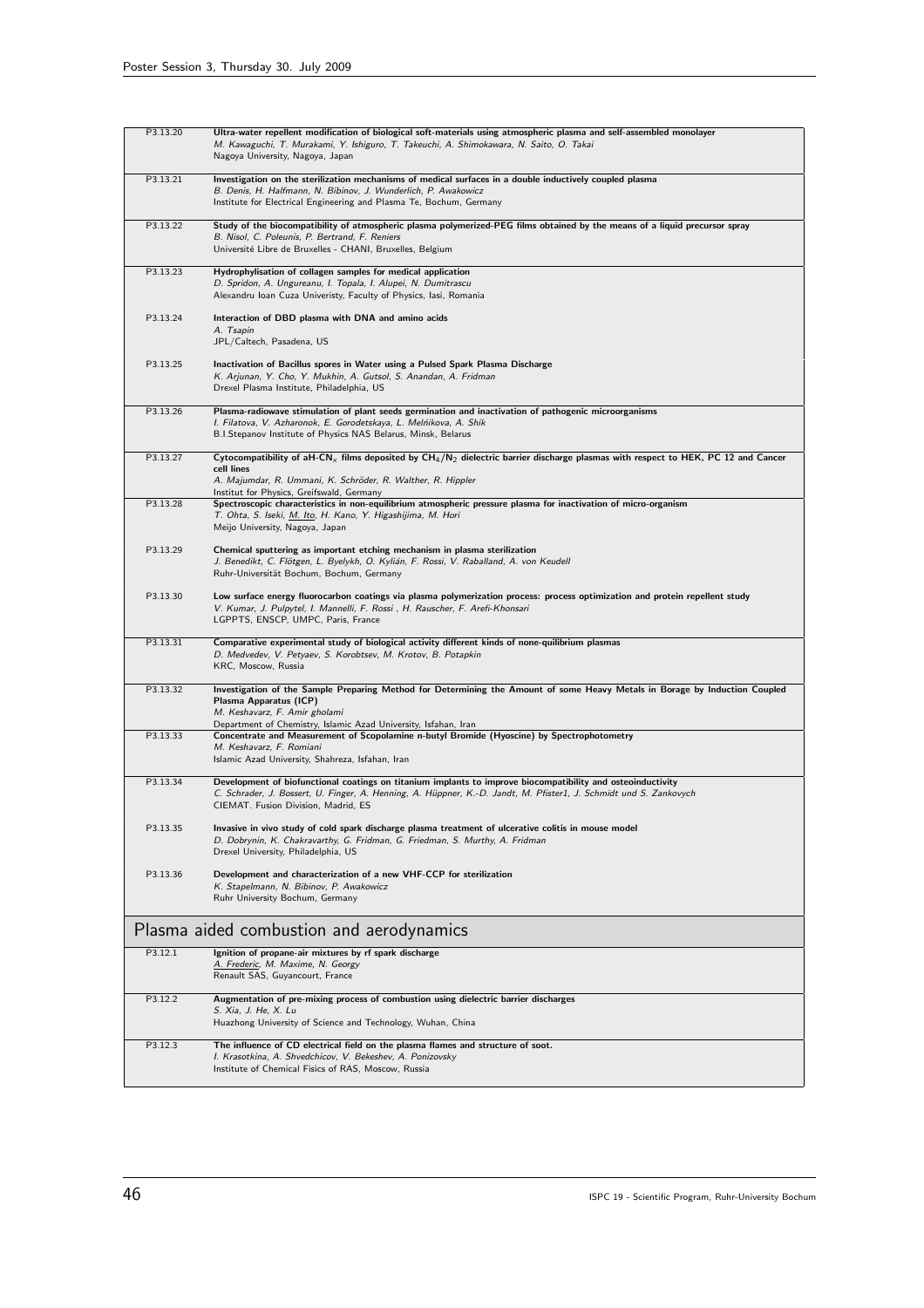| P3.13.20 | Ultra-water repellent modification of biological soft-materials using atmospheric plasma and self-assembled monolayer<br>M. Kawaguchi, T. Murakami, Y. Ishiguro, T. Takeuchi, A. Shimokawara, N. Saito, O. Takai<br>Nagoya University, Nagoya, Japan                                            |
|----------|-------------------------------------------------------------------------------------------------------------------------------------------------------------------------------------------------------------------------------------------------------------------------------------------------|
| P3.13.21 | Investigation on the sterilization mechanisms of medical surfaces in a double inductively coupled plasma<br>B. Denis, H. Halfmann, N. Bibinov, J. Wunderlich, P. Awakowicz<br>Institute for Electrical Engineering and Plasma Te, Bochum, Germany                                               |
| P3.13.22 | Study of the biocompatibility of atmospheric plasma polymerized-PEG films obtained by the means of a liquid precursor spray<br>B. Nisol, C. Poleunis, P. Bertrand, F. Reniers<br>Université Libre de Bruxelles - CHANI, Bruxelles, Belgium                                                      |
| P3.13.23 | Hydrophylisation of collagen samples for medical application<br>D. Spridon, A. Ungureanu, I. Topala, I. Alupei, N. Dumitrascu<br>Alexandru Ioan Cuza Univeristy, Faculty of Physics, Iasi, Romania                                                                                              |
| P3.13.24 | Interaction of DBD plasma with DNA and amino acids<br>A. Tsapin<br>JPL/Caltech, Pasadena, US                                                                                                                                                                                                    |
| P3.13.25 | Inactivation of Bacillus spores in Water using a Pulsed Spark Plasma Discharge<br>K. Arjunan, Y. Cho, Y. Mukhin, A. Gutsol, S. Anandan, A. Fridman<br>Drexel Plasma Institute, Philadelphia, US                                                                                                 |
| P3.13.26 | Plasma-radiowave stimulation of plant seeds germination and inactivation of pathogenic microorganisms<br>I. Filatova, V. Azharonok, E. Gorodetskaya, L. Melńikova, A. Shik<br>B.I.Stepanov Institute of Physics NAS Belarus, Minsk, Belarus                                                     |
| P3.13.27 | Cytocompatibility of aH-CN <sub>x</sub> films deposited by CH <sub>4</sub> /N <sub>2</sub> dielectric barrier discharge plasmas with respect to HEK, PC 12 and Cancer<br>cell lines<br>A. Majumdar, R. Ummani, K. Schröder, R. Walther, R. Hippler<br>Institut for Physics, Greifswald, Germany |
| P3.13.28 | Spectroscopic characteristics in non-equilibrium atmospheric pressure plasma for inactivation of micro-organism<br>T. Ohta, S. Iseki, M. Ito, H. Kano, Y. Higashijima, M. Hori<br>Meijo University, Nagoya, Japan                                                                               |
| P3.13.29 | Chemical sputtering as important etching mechanism in plasma sterilization<br>J. Benedikt, C. Flötgen, L. Byelykh, O. Kylián, F. Rossi, V. Raballand, A. von Keudell<br>Ruhr-Universität Bochum, Bochum, Germany                                                                                |
| P3.13.30 | Low surface energy fluorocarbon coatings via plasma polymerization process: process optimization and protein repellent study<br>V. Kumar, J. Pulpytel, I. Mannelli, F. Rossi, H. Rauscher, F. Arefi-Khonsari<br>LGPPTS, ENSCP, UMPC, Paris, France                                              |
| P3.13.31 | Comparative experimental study of biological activity different kinds of none-quilibrium plasmas<br>D. Medvedev, V. Petyaev, S. Korobtsev, M. Krotov, B. Potapkin<br>KRC, Moscow, Russia                                                                                                        |
| P3.13.32 | Investigation of the Sample Preparing Method for Determining the Amount of some Heavy Metals in Borage by Induction Coupled<br>Plasma Apparatus (ICP)<br>M. Keshavarz, F. Amir gholami<br>Department of Chemistry, Islamic Azad University, Isfahan, Iran                                       |
| P3.13.33 | Concentrate and Measurement of Scopolamine n-butyl Bromide (Hyoscine) by Spectrophotometry<br>M. Keshavarz, F. Romiani<br>Islamic Azad University, Shahreza, Isfahan, Iran                                                                                                                      |
| P3.13.34 | Development of biofunctional coatings on titanium implants to improve biocompatibility and osteoinductivity<br>C. Schrader, J. Bossert, U. Finger, A. Henning, A. Hüppner, K.-D. Jandt, M. Pfister1, J. Schmidt und S. Zankovych<br>CIEMAT. Fusion Division, Madrid, ES                         |
| P3.13.35 | Invasive in vivo study of cold spark discharge plasma treatment of ulcerative colitis in mouse model<br>D. Dobrynin, K. Chakravarthy, G. Fridman, G. Friedman, S. Murthy, A. Fridman<br>Drexel University, Philadelphia, US                                                                     |
| P3.13.36 | Development and characterization of a new VHF-CCP for sterilization<br>K. Stapelmann, N. Bibinov, P. Awakowicz<br>Ruhr University Bochum, Germany                                                                                                                                               |
|          | Plasma aided combustion and aerodynamics                                                                                                                                                                                                                                                        |
| P3.12.1  | Ignition of propane-air mixtures by rf spark discharge<br>A. Frederic, M. Maxime, N. Georgy<br>Renault SAS, Guyancourt, France                                                                                                                                                                  |
| P3.12.2  | Augmentation of pre-mixing process of combustion using dielectric barrier discharges<br>S. Xia, J. He, X. Lu<br>Huazhong University of Science and Technology, Wuhan, China                                                                                                                     |
| P3.12.3  | The influence of CD electrical field on the plasma flames and structure of soot.<br>I. Krasotkina, A. Shvedchicov, V. Bekeshev, A. Ponizovsky<br>Institute of Chemical Fisics of RAS, Moscow, Russia                                                                                            |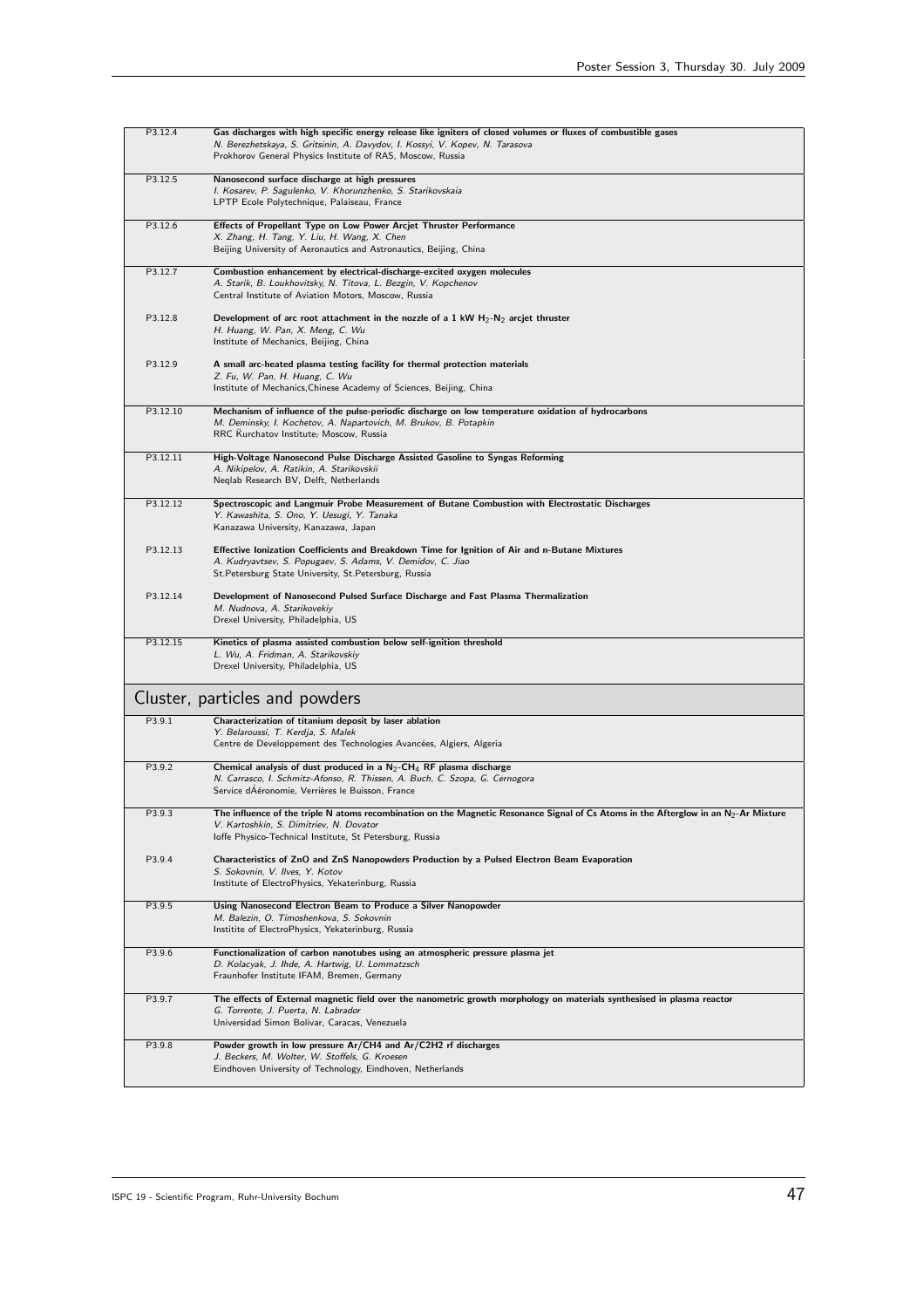| P3.12.4  | Gas discharges with high specific energy release like igniters of closed volumes or fluxes of combustible gases<br>N. Berezhetskaya, S. Gritsinin, A. Davydov, I. Kossyi, V. Kopev, N. Tarasova<br>Prokhorov General Physics Institute of RAS, Moscow, Russia |
|----------|---------------------------------------------------------------------------------------------------------------------------------------------------------------------------------------------------------------------------------------------------------------|
| P3.12.5  | Nanosecond surface discharge at high pressures<br>I. Kosarev, P. Sagulenko, V. Khorunzhenko, S. Starikovskaia<br>LPTP Ecole Polytechnique, Palaiseau, France                                                                                                  |
| P3.12.6  | Effects of Propellant Type on Low Power Arcjet Thruster Performance<br>X. Zhang, H. Tang, Y. Liu, H. Wang, X. Chen<br>Beijing University of Aeronautics and Astronautics, Beijing, China                                                                      |
| P3.12.7  | Combustion enhancement by electrical-discharge-excited oxygen molecules<br>A. Starik, B. Loukhovitsky, N. Titova, L. Bezgin, V. Kopchenov<br>Central Institute of Aviation Motors, Moscow, Russia                                                             |
| P3.12.8  | Development of arc root attachment in the nozzle of a 1 kW $H_2-N_2$ arcjet thruster<br>H. Huang, W. Pan, X. Meng, C. Wu<br>Institute of Mechanics, Beijing, China                                                                                            |
| P3.12.9  | A small arc-heated plasma testing facility for thermal protection materials<br>Z. Fu, W. Pan, H. Huang, C. Wu<br>Institute of Mechanics, Chinese Academy of Sciences, Beijing, China                                                                          |
| P3.12.10 | Mechanism of influence of the pulse-periodic discharge on low temperature oxidation of hydrocarbons<br>M. Deminsky, I. Kochetov, A. Napartovich, M. Brukov, B. Potapkin<br>RRC Kurchatov Institute; Moscow, Russia                                            |
| P3.12.11 | High-Voltage Nanosecond Pulse Discharge Assisted Gasoline to Syngas Reforming<br>A. Nikipelov, A. Ratikin, A. Starikovskii<br>Neqlab Research BV, Delft, Netherlands                                                                                          |
| P3.12.12 | Spectroscopic and Langmuir Probe Measurement of Butane Combustion with Electrostatic Discharges<br>Y. Kawashita, S. Ono, Y. Uesugi, Y. Tanaka<br>Kanazawa University, Kanazawa, Japan                                                                         |
| P3.12.13 | Effective Ionization Coefficients and Breakdown Time for Ignition of Air and n-Butane Mixtures<br>A. Kudryavtsev, S. Popugaev, S. Adams, V. Demidov, C. Jiao<br>St.Petersburg State University, St.Petersburg, Russia                                         |
| P3.12.14 | Development of Nanosecond Pulsed Surface Discharge and Fast Plasma Thermalization<br>M. Nudnova, A. Starikovekiy<br>Drexel University, Philadelphia, US                                                                                                       |
| P3.12.15 | Kinetics of plasma assisted combustion below self-ignition threshold<br>L. Wu, A. Fridman, A. Starikovskiy<br>Drexel University, Philadelphia, US                                                                                                             |
|          | Cluster, particles and powders                                                                                                                                                                                                                                |
| P3.9.1   | Characterization of titanium deposit by laser ablation<br>Y. Belaroussi, T. Kerdja, S. Malek<br>Centre de Developpement des Technologies Avancées, Algiers, Algeria                                                                                           |
| P3.9.2   | Chemical analysis of dust produced in a $N_2$ -CH <sub>4</sub> RF plasma discharge<br>N. Carrasco, I. Schmitz-Afonso, R. Thissen, A. Buch, C. Szopa, G. Cernogora<br>Service dAéronomie, Verrières le Buisson, France                                         |
| P3.9.3   | The influence of the triple N atoms recombination on the Magnetic Resonance Signal of Cs Atoms in the Afterglow in an $N_2$ -Ar Mixture<br>V. Kartoshkin, S. Dimitriev, N. Dovator<br>Ioffe Physico-Technical Institute, St Petersburg, Russia                |
| P3.9.4   | Characteristics of ZnO and ZnS Nanopowders Production by a Pulsed Electron Beam Evaporation<br>S. Sokovnin, V. Ilves, Y. Kotov<br>Institute of ElectroPhysics, Yekaterinburg, Russia                                                                          |
| P3.9.5   | Using Nanosecond Electron Beam to Produce a Silver Nanopowder<br>M. Balezin, O. Timoshenkova, S. Sokovnin<br>Institite of ElectroPhysics, Yekaterinburg, Russia                                                                                               |
| P3.9.6   | Functionalization of carbon nanotubes using an atmospheric pressure plasma jet<br>D. Kolacyak, J. Ihde, A. Hartwig, U. Lommatzsch<br>Fraunhofer Institute IFAM, Bremen, Germany                                                                               |
| P3.9.7   | The effects of External magnetic field over the nanometric growth morphology on materials synthesised in plasma reactor<br>G. Torrente, J. Puerta, N. Labrador<br>Universidad Simon Bolivar, Caracas, Venezuela                                               |
| P3.9.8   | Powder growth in low pressure Ar/CH4 and Ar/C2H2 rf discharges<br>J. Beckers, M. Wolter, W. Stoffels, G. Kroesen<br>Eindhoven University of Technology, Eindhoven, Netherlands                                                                                |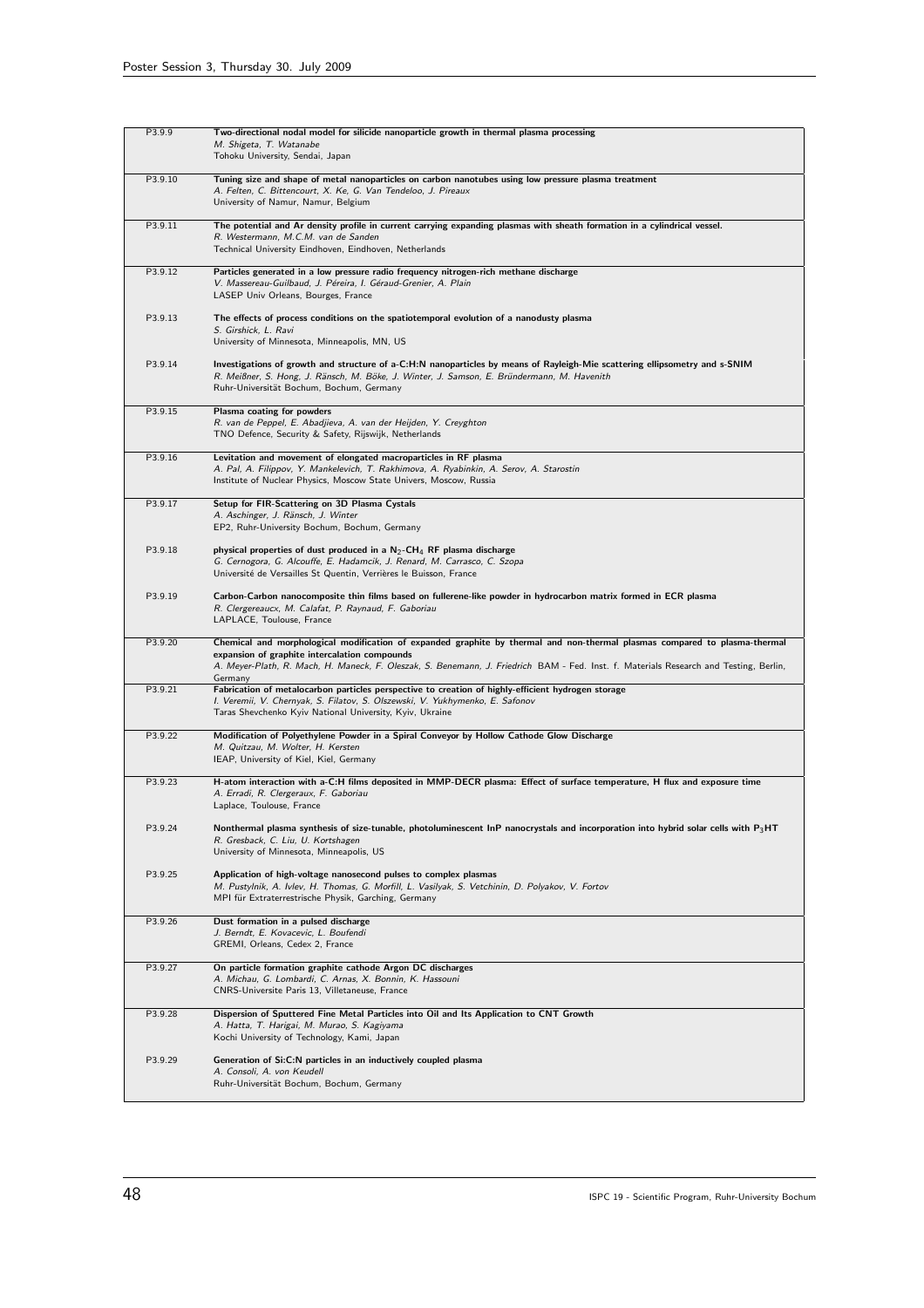| P3.9.9  | Two-directional nodal model for silicide nanoparticle growth in thermal plasma processing<br>M. Shigeta, T. Watanabe<br>Tohoku University, Sendai, Japan                                                                                                                                                                        |
|---------|---------------------------------------------------------------------------------------------------------------------------------------------------------------------------------------------------------------------------------------------------------------------------------------------------------------------------------|
| P3.9.10 | Tuning size and shape of metal nanoparticles on carbon nanotubes using low pressure plasma treatment<br>A. Felten, C. Bittencourt, X. Ke, G. Van Tendeloo, J. Pireaux<br>University of Namur, Namur, Belgium                                                                                                                    |
| P3.9.11 | The potential and Ar density profile in current carrying expanding plasmas with sheath formation in a cylindrical vessel.<br>R. Westermann, M.C.M. van de Sanden<br>Technical University Eindhoven, Eindhoven, Netherlands                                                                                                      |
| P3.9.12 | Particles generated in a low pressure radio frequency nitrogen-rich methane discharge<br>V. Massereau-Guilbaud, J. Péreira, I. Géraud-Grenier, A. Plain<br>LASEP Univ Orleans, Bourges, France                                                                                                                                  |
| P3.9.13 | The effects of process conditions on the spatiotemporal evolution of a nanodusty plasma<br>S. Girshick, L. Ravi<br>University of Minnesota, Minneapolis, MN, US                                                                                                                                                                 |
| P3.9.14 | Investigations of growth and structure of a-C:H:N nanoparticles by means of Rayleigh-Mie scattering ellipsometry and s-SNIM<br>R. Meißner, S. Hong, J. Ränsch, M. Böke, J. Winter, J. Samson, E. Bründermann, M. Havenith<br>Ruhr-Universität Bochum, Bochum, Germany                                                           |
| P3.9.15 | Plasma coating for powders<br>R. van de Peppel, E. Abadjieva, A. van der Heijden, Y. Creyghton<br>TNO Defence, Security & Safety, Rijswijk, Netherlands                                                                                                                                                                         |
| P3.9.16 | Levitation and movement of elongated macroparticles in RF plasma<br>A. Pal, A. Filippov, Y. Mankelevich, T. Rakhimova, A. Ryabinkin, A. Serov, A. Starostin<br>Institute of Nuclear Physics, Moscow State Univers, Moscow, Russia                                                                                               |
| P3.9.17 | Setup for FIR-Scattering on 3D Plasma Cystals<br>A. Aschinger, J. Ränsch, J. Winter<br>EP2, Ruhr-University Bochum, Bochum, Germany                                                                                                                                                                                             |
| P3.9.18 | physical properties of dust produced in a $N_2$ -CH <sub>4</sub> RF plasma discharge<br>G. Cernogora, G. Alcouffe, E. Hadamcik, J. Renard, M. Carrasco, C. Szopa<br>Université de Versailles St Quentin, Verrières le Buisson, France                                                                                           |
| P3.9.19 | Carbon-Carbon nanocomposite thin films based on fullerene-like powder in hydrocarbon matrix formed in ECR plasma<br>R. Clergereaucx, M. Calafat, P. Raynaud, F. Gaboriau<br>LAPLACE, Toulouse, France                                                                                                                           |
| P3.9.20 | Chemical and morphological modification of expanded graphite by thermal and non-thermal plasmas compared to plasma-thermal<br>expansion of graphite intercalation compounds<br>A. Meyer-Plath, R. Mach, H. Maneck, F. Oleszak, S. Benemann, J. Friedrich BAM - Fed. Inst. f. Materials Research and Testing, Berlin,<br>Germany |
| P3.9.21 | Fabrication of metalocarbon particles perspective to creation of highly-efficient hydrogen storage<br>I. Veremii, V. Chernyak, S. Filatov, S. Olszewski, V. Yukhymenko, E. Safonov<br>Taras Shevchenko Kyiv National University, Kyiv, Ukraine                                                                                  |
| P3.9.22 | Modification of Polyethylene Powder in a Spiral Conveyor by Hollow Cathode Glow Discharge<br>M. Quitzau, M. Wolter, H. Kersten<br>IEAP, University of Kiel, Kiel, Germany                                                                                                                                                       |
| P3.9.23 | H-atom interaction with a-C:H films deposited in MMP-DECR plasma: Effect of surface temperature, H flux and exposure time<br>A. Erradi, R. Clergeraux, F. Gaboriau<br>Laplace, Toulouse, France                                                                                                                                 |
| P3.9.24 | Nonthermal plasma synthesis of size-tunable, photoluminescent InP nanocrystals and incorporation into hybrid solar cells with $P_3HT$<br>R. Gresback, C. Liu, U. Kortshagen<br>University of Minnesota, Minneapolis, US                                                                                                         |
| P3.9.25 | Application of high-voltage nanosecond pulses to complex plasmas<br>M. Pustylnik, A. Ivlev, H. Thomas, G. Morfill, L. Vasilyak, S. Vetchinin, D. Polyakov, V. Fortov<br>MPI für Extraterrestrische Physik, Garching, Germany                                                                                                    |
| P3.9.26 | Dust formation in a pulsed discharge<br>J. Berndt, E. Kovacevic, L. Boufendi<br>GREMI, Orleans, Cedex 2, France                                                                                                                                                                                                                 |
| P3.9.27 | On particle formation graphite cathode Argon DC discharges<br>A. Michau, G. Lombardi, C. Arnas, X. Bonnin, K. Hassouni<br>CNRS-Universite Paris 13, Villetaneuse, France                                                                                                                                                        |
| P3.9.28 | Dispersion of Sputtered Fine Metal Particles into Oil and Its Application to CNT Growth<br>A. Hatta, T. Harigai, M. Murao, S. Kagiyama<br>Kochi University of Technology, Kami, Japan                                                                                                                                           |
| P3.9.29 | Generation of Si:C:N particles in an inductively coupled plasma<br>A. Consoli, A. von Keudell<br>Ruhr-Universität Bochum, Bochum, Germany                                                                                                                                                                                       |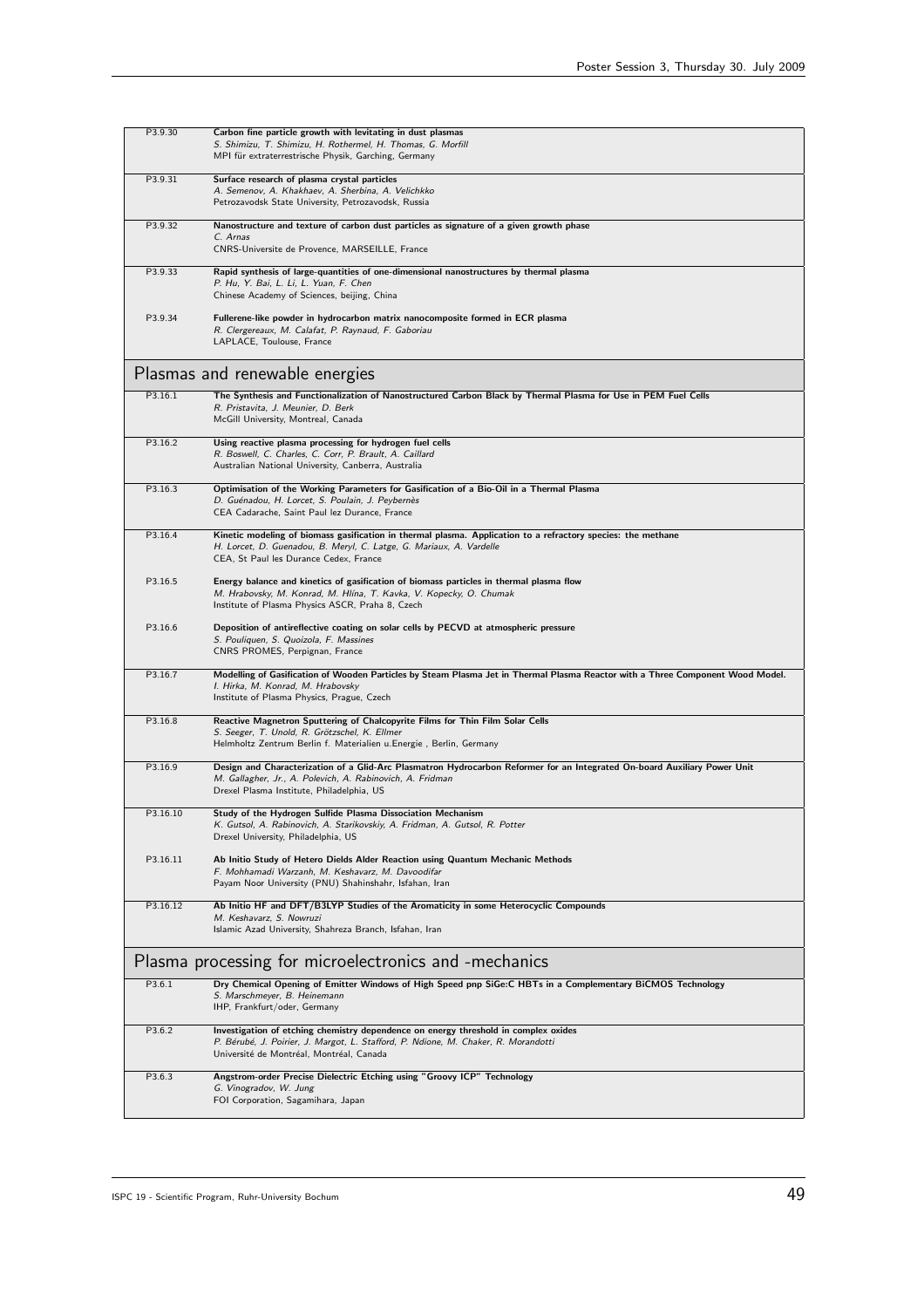| P3.9.30  | Carbon fine particle growth with levitating in dust plasmas<br>S. Shimizu, T. Shimizu, H. Rothermel, H. Thomas, G. Morfill<br>MPI für extraterrestrische Physik, Garching, Germany                                                  |
|----------|-------------------------------------------------------------------------------------------------------------------------------------------------------------------------------------------------------------------------------------|
| P3.9.31  | Surface research of plasma crystal particles<br>A. Semenov, A. Khakhaev, A. Sherbina, A. Velichkko<br>Petrozavodsk State University, Petrozavodsk, Russia                                                                           |
| P3.9.32  | Nanostructure and texture of carbon dust particles as signature of a given growth phase<br>C. Arnas<br>CNRS-Universite de Provence, MARSEILLE, France                                                                               |
| P3.9.33  | Rapid synthesis of large-quantities of one-dimensional nanostructures by thermal plasma<br>P. Hu, Y. Bai, L. Li, L. Yuan, F. Chen<br>Chinese Academy of Sciences, beijing, China                                                    |
| P3.9.34  | Fullerene-like powder in hydrocarbon matrix nanocomposite formed in ECR plasma<br>R. Clergereaux, M. Calafat, P. Raynaud, F. Gaboriau<br>LAPLACE, Toulouse, France                                                                  |
|          | Plasmas and renewable energies                                                                                                                                                                                                      |
| P3.16.1  | The Synthesis and Functionalization of Nanostructured Carbon Black by Thermal Plasma for Use in PEM Fuel Cells<br>R. Pristavita, J. Meunier, D. Berk<br>McGill University, Montreal, Canada                                         |
| P3.16.2  | Using reactive plasma processing for hydrogen fuel cells<br>R. Boswell, C. Charles, C. Corr, P. Brault, A. Caillard<br>Australian National University, Canberra, Australia                                                          |
| P3.16.3  | Optimisation of the Working Parameters for Gasification of a Bio-Oil in a Thermal Plasma<br>D. Guénadou, H. Lorcet, S. Poulain, J. Peybernès<br>CEA Cadarache, Saint Paul lez Durance, France                                       |
| P3.16.4  | Kinetic modeling of biomass gasification in thermal plasma. Application to a refractory species: the methane<br>H. Lorcet, D. Guenadou, B. Meryl, C. Latge, G. Mariaux, A. Vardelle<br>CEA, St Paul les Durance Cedex, France       |
| P3.16.5  | Energy balance and kinetics of gasification of biomass particles in thermal plasma flow<br>M. Hrabovsky, M. Konrad, M. Hlína, T. Kavka, V. Kopecky, O. Chumak<br>Institute of Plasma Physics ASCR, Praha 8, Czech                   |
| P3.16.6  | Deposition of antireflective coating on solar cells by PECVD at atmospheric pressure<br>S. Pouliquen, S. Quoizola, F. Massines<br>CNRS PROMES, Perpignan, France                                                                    |
| P3.16.7  | Modelling of Gasification of Wooden Particles by Steam Plasma Jet in Thermal Plasma Reactor with a Three Component Wood Model.<br>I. Hirka, M. Konrad, M. Hrabovsky<br>Institute of Plasma Physics, Prague, Czech                   |
| P3.16.8  | Reactive Magnetron Sputtering of Chalcopyrite Films for Thin Film Solar Cells<br>S. Seeger, T. Unold, R. Grötzschel, K. Ellmer<br>Helmholtz Zentrum Berlin f. Materialien u.Energie, Berlin, Germany                                |
| P3.16.9  | Design and Characterization of a Glid-Arc Plasmatron Hydrocarbon Reformer for an Integrated On-board Auxiliary Power Unit<br>M. Gallagher, Jr., A. Polevich, A. Rabinovich, A. Fridman<br>Drexel Plasma Institute, Philadelphia, US |
| P3.16.10 | Study of the Hydrogen Sulfide Plasma Dissociation Mechanism<br>K. Gutsol, A. Rabinovich, A. Starikovskiy, A. Fridman, A. Gutsol, R. Potter<br>Drexel University, Philadelphia, US                                                   |
| P3.16.11 | Ab Initio Study of Hetero Dields Alder Reaction using Quantum Mechanic Methods<br>F. Mohhamadi Warzanh, M. Keshavarz, M. Davoodifar<br>Payam Noor University (PNU) Shahinshahr, Isfahan, Iran                                       |
| P3.16.12 | Ab Initio HF and DFT/B3LYP Studies of the Aromaticity in some Heterocyclic Compounds<br>M. Keshavarz, S. Nowruzi<br>Islamic Azad University, Shahreza Branch, Isfahan, Iran                                                         |
|          | Plasma processing for microelectronics and -mechanics                                                                                                                                                                               |
| P3.6.1   | Dry Chemical Opening of Emitter Windows of High Speed pnp SiGe:C HBTs in a Complementary BiCMOS Technology<br>S. Marschmeyer, B. Heinemann<br>IHP, Frankfurt/oder, Germany                                                          |
| P3.6.2   | Investigation of etching chemistry dependence on energy threshold in complex oxides<br>P. Bérubé, J. Poirier, J. Margot, L. Stafford, P. Ndione, M. Chaker, R. Morandotti<br>Université de Montréal, Montréal, Canada               |
| P3.6.3   | Angstrom-order Precise Dielectric Etching using "Groovy ICP" Technology<br>G. Vinogradov, W. Jung<br>FOI Corporation, Sagamihara, Japan                                                                                             |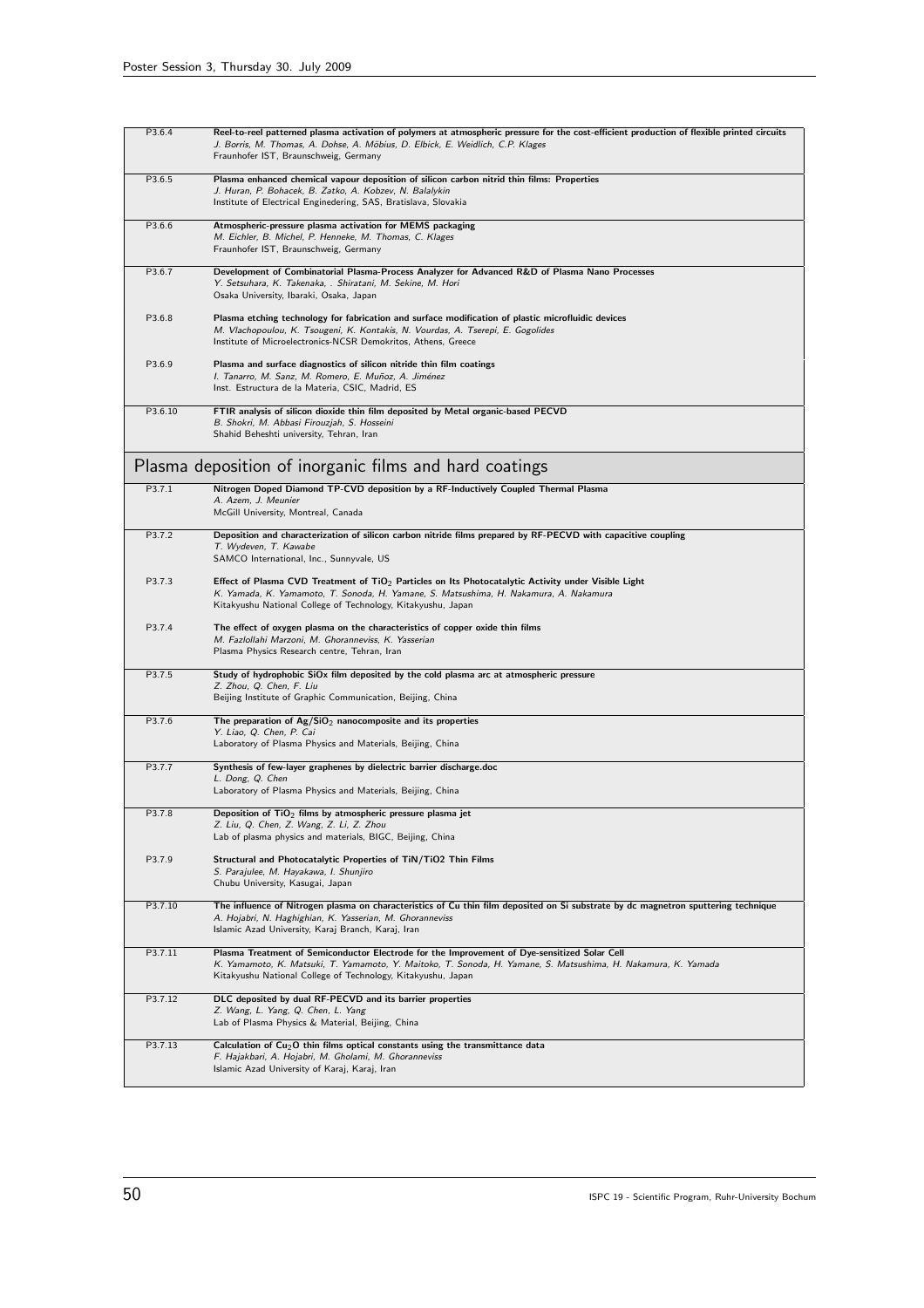| P3.6.4  | Reel-to-reel patterned plasma activation of polymers at atmospheric pressure for the cost-efficient production of flexible printed circuits<br>J. Borris, M. Thomas, A. Dohse, A. Möbius, D. Elbick, E. Weidlich, C.P. Klages<br>Fraunhofer IST, Braunschweig, Germany        |
|---------|-------------------------------------------------------------------------------------------------------------------------------------------------------------------------------------------------------------------------------------------------------------------------------|
| P3.6.5  | Plasma enhanced chemical vapour deposition of silicon carbon nitrid thin films: Properties<br>J. Huran, P. Bohacek, B. Zatko, A. Kobzev, N. Balalykin<br>Institute of Electrical Enginedering, SAS, Bratislava, Slovakia                                                      |
| P3.6.6  | Atmospheric-pressure plasma activation for MEMS packaging<br>M. Eichler, B. Michel, P. Henneke, M. Thomas, C. Klages<br>Fraunhofer IST, Braunschweig, Germany                                                                                                                 |
| P3.6.7  | Development of Combinatorial Plasma-Process Analyzer for Advanced R&D of Plasma Nano Processes<br>Y. Setsuhara, K. Takenaka, . Shiratani, M. Sekine, M. Hori<br>Osaka University, Ibaraki, Osaka, Japan                                                                       |
| P3.6.8  | Plasma etching technology for fabrication and surface modification of plastic microfluidic devices<br>M. Vlachopoulou, K. Tsougeni, K. Kontakis, N. Vourdas, A. Tserepi, E. Gogolides<br>Institute of Microelectronics-NCSR Demokritos, Athens, Greece                        |
| P3.6.9  | Plasma and surface diagnostics of silicon nitride thin film coatings<br>I. Tanarro, M. Sanz, M. Romero, E. Muñoz, A. Jiménez<br>Inst. Estructura de la Materia, CSIC, Madrid, ES                                                                                              |
| P3.6.10 | FTIR analysis of silicon dioxide thin film deposited by Metal organic-based PECVD<br>B. Shokri, M. Abbasi Firouzjah, S. Hosseini<br>Shahid Beheshti university, Tehran, Iran                                                                                                  |
|         | Plasma deposition of inorganic films and hard coatings                                                                                                                                                                                                                        |
| P3.7.1  | Nitrogen Doped Diamond TP-CVD deposition by a RF-Inductively Coupled Thermal Plasma<br>A. Azem, J. Meunier<br>McGill University, Montreal, Canada                                                                                                                             |
| P3.7.2  | Deposition and characterization of silicon carbon nitride films prepared by RF-PECVD with capacitive coupling<br>T. Wydeven, T. Kawabe<br>SAMCO International, Inc., Sunnyvale, US                                                                                            |
| P3.7.3  | Effect of Plasma CVD Treatment of $TiO2$ Particles on Its Photocatalytic Activity under Visible Light<br>K. Yamada, K. Yamamoto, T. Sonoda, H. Yamane, S. Matsushima, H. Nakamura, A. Nakamura<br>Kitakyushu National College of Technology, Kitakyushu, Japan                |
| P3.7.4  | The effect of oxygen plasma on the characteristics of copper oxide thin films<br>M. Fazlollahi Marzoni, M. Ghoranneviss, K. Yasserian<br>Plasma Physics Research centre, Tehran, Iran                                                                                         |
| P3.7.5  | Study of hydrophobic SiOx film deposited by the cold plasma arc at atmospheric pressure<br>Z. Zhou, Q. Chen, F. Liu<br>Beijing Institute of Graphic Communication, Beijing, China                                                                                             |
| P3.7.6  | The preparation of $Ag/SiO2$ nanocomposite and its properties<br>Y. Liao, Q. Chen, P. Cai<br>Laboratory of Plasma Physics and Materials, Beijing, China                                                                                                                       |
| P3.7.7  | Synthesis of few-layer graphenes by dielectric barrier discharge.doc<br>L. Dong, Q. Chen<br>Laboratory of Plasma Physics and Materials, Beijing, China                                                                                                                        |
| P3.7.8  | Deposition of $TiO2$ films by atmospheric pressure plasma jet<br>Z. Liu, Q. Chen, Z. Wang, Z. Li, Z. Zhou<br>Lab of plasma physics and materials, BIGC, Beijing, China                                                                                                        |
| P3.7.9  | Structural and Photocatalytic Properties of TiN/TiO2 Thin Films<br>S. Parajulee, M. Hayakawa, I. Shunjiro<br>Chubu University, Kasugai, Japan                                                                                                                                 |
| P3.7.10 | The influence of Nitrogen plasma on characteristics of Cu thin film deposited on Si substrate by dc magnetron sputtering technique<br>A. Hojabri, N. Haghighian, K. Yasserian, M. Ghoranneviss<br>Islamic Azad University, Karaj Branch, Karaj, Iran                          |
| P3.7.11 | Plasma Treatment of Semiconductor Electrode for the Improvement of Dye-sensitized Solar Cell<br>K. Yamamoto, K. Matsuki, T. Yamamoto, Y. Maitoko, T. Sonoda, H. Yamane, S. Matsushima, H. Nakamura, K. Yamada<br>Kitakyushu National College of Technology, Kitakyushu, Japan |
| P3.7.12 | DLC deposited by dual RF-PECVD and its barrier properties<br>Z. Wang, L. Yang, Q. Chen, L. Yang<br>Lab of Plasma Physics & Material, Beijing, China                                                                                                                           |
| P3.7.13 | Calculation of $Cu2O$ thin films optical constants using the transmittance data<br>F. Hajakbari, A. Hojabri, M. Gholami, M. Ghoranneviss<br>Islamic Azad University of Karaj, Karaj, Iran                                                                                     |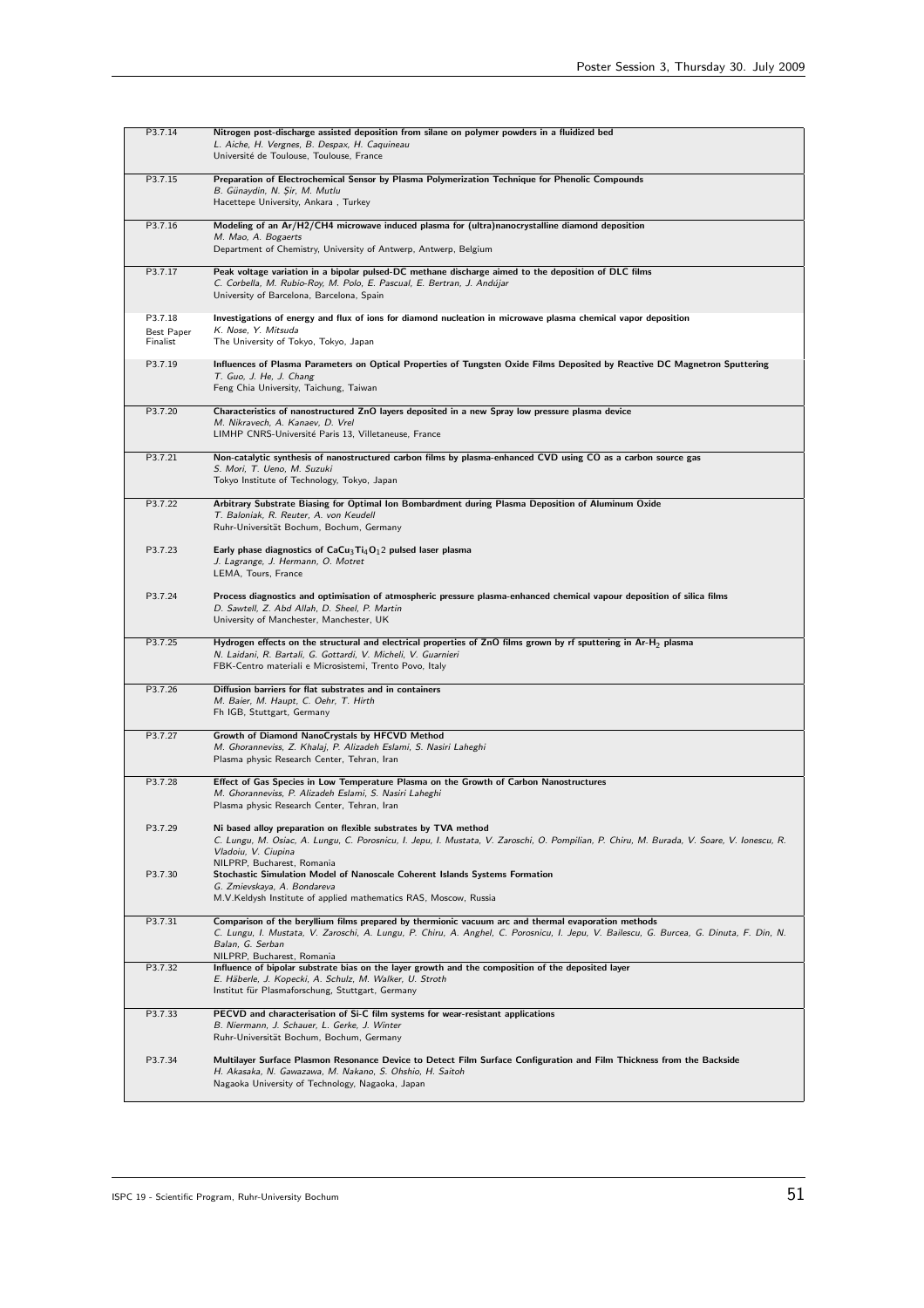| P3.7.14                           | Nitrogen post-discharge assisted deposition from silane on polymer powders in a fluidized bed<br>L. Aiche, H. Vergnes, B. Despax, H. Caquineau<br>Université de Toulouse, Toulouse, France                                                                                                      |
|-----------------------------------|-------------------------------------------------------------------------------------------------------------------------------------------------------------------------------------------------------------------------------------------------------------------------------------------------|
| P3.7.15                           | Preparation of Electrochemical Sensor by Plasma Polymerization Technique for Phenolic Compounds<br>B. Günaydin, N. Şir, M. Mutlu<br>Hacettepe University, Ankara, Turkey                                                                                                                        |
| P3.7.16                           | Modeling of an Ar/H2/CH4 microwave induced plasma for (ultra)nanocrystalline diamond deposition<br>M. Mao, A. Bogaerts<br>Department of Chemistry, University of Antwerp, Antwerp, Belgium                                                                                                      |
| P3.7.17                           | Peak voltage variation in a bipolar pulsed-DC methane discharge aimed to the deposition of DLC films<br>C. Corbella, M. Rubio-Roy, M. Polo, E. Pascual, E. Bertran, J. Andújar<br>University of Barcelona, Barcelona, Spain                                                                     |
| P3.7.18<br>Best Paper<br>Finalist | Investigations of energy and flux of ions for diamond nucleation in microwave plasma chemical vapor deposition<br>K. Nose, Y. Mitsuda<br>The University of Tokyo, Tokyo, Japan                                                                                                                  |
| P3.7.19                           | Influences of Plasma Parameters on Optical Properties of Tungsten Oxide Films Deposited by Reactive DC Magnetron Sputtering<br>T. Guo, J. He, J. Chang<br>Feng Chia University, Taichung, Taiwan                                                                                                |
| P3.7.20                           | Characteristics of nanostructured ZnO layers deposited in a new Spray low pressure plasma device<br>M. Nikravech, A. Kanaev, D. Vrel<br>LIMHP CNRS-Université Paris 13, Villetaneuse, France                                                                                                    |
| P3.7.21                           | Non-catalytic synthesis of nanostructured carbon films by plasma-enhanced CVD using CO as a carbon source gas<br>S. Mori, T. Ueno, M. Suzuki<br>Tokyo Institute of Technology, Tokyo, Japan                                                                                                     |
| P3.7.22                           | Arbitrary Substrate Biasing for Optimal Ion Bombardment during Plasma Deposition of Aluminum Oxide<br>T. Baloniak, R. Reuter, A. von Keudell<br>Ruhr-Universität Bochum, Bochum, Germany                                                                                                        |
| P3.7.23                           | Early phase diagnostics of $CaCu3Ti4O12$ pulsed laser plasma<br>J. Lagrange, J. Hermann, O. Motret<br>LEMA, Tours, France                                                                                                                                                                       |
| P3.7.24                           | Process diagnostics and optimisation of atmospheric pressure plasma-enhanced chemical vapour deposition of silica films<br>D. Sawtell, Z. Abd Allah, D. Sheel, P. Martin<br>University of Manchester, Manchester, UK                                                                            |
| P3.7.25                           | Hydrogen effects on the structural and electrical properties of ZnO films grown by rf sputtering in Ar-H <sub>2</sub> plasma<br>N. Laidani, R. Bartali, G. Gottardi, V. Micheli, V. Guarnieri<br>FBK-Centro materiali e Microsistemi, Trento Povo, Italy                                        |
| P3.7.26                           | Diffusion barriers for flat substrates and in containers<br>M. Baier, M. Haupt, C. Oehr, T. Hirth<br>Fh IGB, Stuttgart, Germany                                                                                                                                                                 |
| P3.7.27                           | Growth of Diamond NanoCrystals by HFCVD Method<br>M. Ghoranneviss, Z. Khalaj, P. Alizadeh Eslami, S. Nasiri Laheghi<br>Plasma physic Research Center, Tehran, Iran                                                                                                                              |
| P3.7.28                           | Effect of Gas Species in Low Temperature Plasma on the Growth of Carbon Nanostructures<br>M. Ghoranneviss, P. Alizadeh Eslami, S. Nasiri Laheghi<br>Plasma physic Research Center, Tehran, Iran                                                                                                 |
| P3.7.29                           | Ni based alloy preparation on flexible substrates by TVA method<br>C. Lungu, M. Osiac, A. Lungu, C. Porosnicu, I. Jepu, I. Mustata, V. Zaroschi, O. Pompilian, P. Chiru, M. Burada, V. Soare, V. Ionescu, R.<br>Vladoiu, V. Ciupina<br>NILPRP, Bucharest, Romania                               |
| P3.7.30                           | Stochastic Simulation Model of Nanoscale Coherent Islands Systems Formation<br>G. Zmievskaya, A. Bondareva<br>M.V.Keldysh Institute of applied mathematics RAS, Moscow, Russia                                                                                                                  |
| P3.7.31                           | Comparison of the beryllium films prepared by thermionic vacuum arc and thermal evaporation methods<br>C. Lungu, I. Mustata, V. Zaroschi, A. Lungu, P. Chiru, A. Anghel, C. Porosnicu, I. Jepu, V. Bailescu, G. Burcea, G. Dinuta, F. Din, N.<br>Balan, G. Serban<br>NILPRP, Bucharest, Romania |
| P3.7.32                           | Influence of bipolar substrate bias on the layer growth and the composition of the deposited layer<br>E. Häberle, J. Kopecki, A. Schulz, M. Walker, U. Stroth<br>Institut für Plasmaforschung, Stuttgart, Germany                                                                               |
| P3.7.33                           | PECVD and characterisation of Si-C film systems for wear-resistant applications<br>B. Niermann, J. Schauer, L. Gerke, J. Winter<br>Ruhr-Universität Bochum, Bochum, Germany                                                                                                                     |
| P3.7.34                           | Multilayer Surface Plasmon Resonance Device to Detect Film Surface Configuration and Film Thickness from the Backside<br>H. Akasaka, N. Gawazawa, M. Nakano, S. Ohshio, H. Saitoh<br>Nagaoka University of Technology, Nagaoka, Japan                                                           |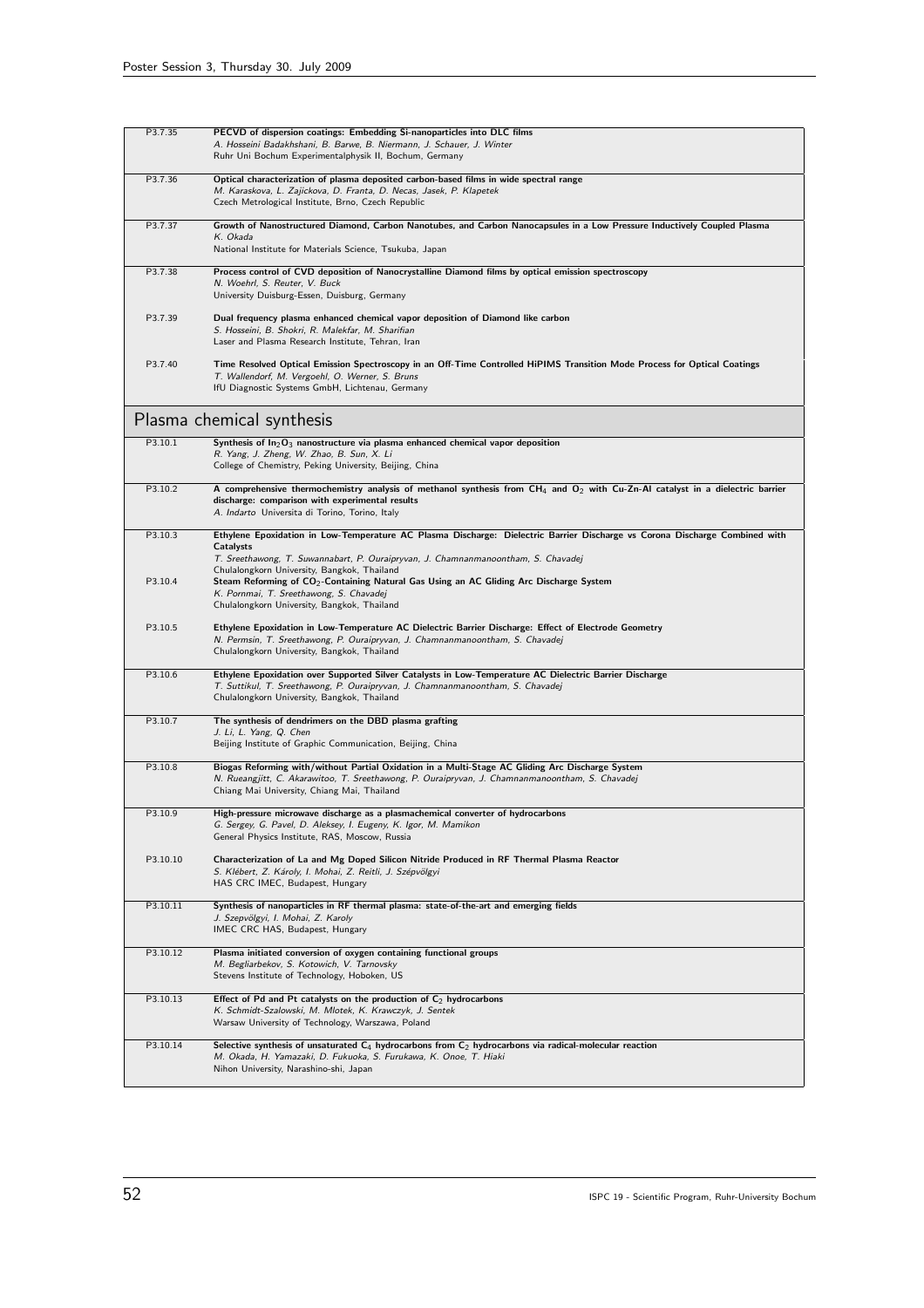| P3.7.35  | PECVD of dispersion coatings: Embedding Si-nanoparticles into DLC films                                                             |
|----------|-------------------------------------------------------------------------------------------------------------------------------------|
|          | A. Hosseini Badakhshani, B. Barwe, B. Niermann, J. Schauer, J. Winter                                                               |
|          | Ruhr Uni Bochum Experimentalphysik II, Bochum, Germany                                                                              |
| P3.7.36  | Optical characterization of plasma deposited carbon-based films in wide spectral range                                              |
|          | M. Karaskova, L. Zajickova, D. Franta, D. Necas, Jasek, P. Klapetek                                                                 |
|          | Czech Metrological Institute, Brno, Czech Republic                                                                                  |
| P3.7.37  | Growth of Nanostructured Diamond, Carbon Nanotubes, and Carbon Nanocapsules in a Low Pressure Inductively Coupled Plasma            |
|          | K. Okada                                                                                                                            |
|          | National Institute for Materials Science, Tsukuba, Japan                                                                            |
| P3.7.38  | Process control of CVD deposition of Nanocrystalline Diamond films by optical emission spectroscopy                                 |
|          | N. Woehrl, S. Reuter, V. Buck                                                                                                       |
|          | University Duisburg-Essen, Duisburg, Germany                                                                                        |
| P3.7.39  | Dual frequency plasma enhanced chemical vapor deposition of Diamond like carbon                                                     |
|          | S. Hosseini, B. Shokri, R. Malekfar, M. Sharifian                                                                                   |
|          | Laser and Plasma Research Institute, Tehran, Iran                                                                                   |
| P3.7.40  | Time Resolved Optical Emission Spectroscopy in an Off-Time Controlled HiPIMS Transition Mode Process for Optical Coatings           |
|          | T. Wallendorf, M. Vergoehl, O. Werner, S. Bruns                                                                                     |
|          | IfU Diagnostic Systems GmbH, Lichtenau, Germany                                                                                     |
|          |                                                                                                                                     |
|          | Plasma chemical synthesis                                                                                                           |
| P3.10.1  | Synthesis of $\ln_2 O_3$ nanostructure via plasma enhanced chemical vapor deposition                                                |
|          | R. Yang, J. Zheng, W. Zhao, B. Sun, X. Li                                                                                           |
|          | College of Chemistry, Peking University, Beijing, China                                                                             |
| P3.10.2  | A comprehensive thermochemistry analysis of methanol synthesis from $CH_4$ and $O_2$ with Cu-Zn-Al catalyst in a dielectric barrier |
|          | discharge: comparison with experimental results                                                                                     |
|          | A. Indarto Universita di Torino, Torino, Italy                                                                                      |
| P3.10.3  | Ethylene Epoxidation in Low-Temperature AC Plasma Discharge: Dielectric Barrier Discharge vs Corona Discharge Combined with         |
|          | Catalysts                                                                                                                           |
|          | T. Sreethawong, T. Suwannabart, P. Ouraipryvan, J. Chamnanmanoontham, S. Chavadej<br>Chulalongkorn University, Bangkok, Thailand    |
| P3.10.4  | Steam Reforming of CO <sub>2</sub> -Containing Natural Gas Using an AC Gliding Arc Discharge System                                 |
|          | K. Pornmai, T. Sreethawong, S. Chavadej                                                                                             |
|          | Chulalongkorn University, Bangkok, Thailand                                                                                         |
| P3.10.5  | Ethylene Epoxidation in Low-Temperature AC Dielectric Barrier Discharge: Effect of Electrode Geometry                               |
|          | N. Permsin, T. Sreethawong, P. Ouraipryvan, J. Chamnanmanoontham, S. Chavadej                                                       |
|          | Chulalongkorn University, Bangkok, Thailand                                                                                         |
| P3.10.6  | Ethylene Epoxidation over Supported Silver Catalysts in Low-Temperature AC Dielectric Barrier Discharge                             |
|          | T. Suttikul, T. Sreethawong, P. Ouraipryvan, J. Chamnanmanoontham, S. Chavadej                                                      |
|          | Chulalongkorn University, Bangkok, Thailand                                                                                         |
| P3.10.7  | The synthesis of dendrimers on the DBD plasma grafting                                                                              |
|          | J. Li, L. Yang, Q. Chen                                                                                                             |
|          | Beijing Institute of Graphic Communication, Beijing, China                                                                          |
| P3.10.8  | Biogas Reforming with/without Partial Oxidation in a Multi-Stage AC Gliding Arc Discharge System                                    |
|          | N. Rueangjitt, C. Akarawitoo, T. Sreethawong, P. Ouraipryvan, J. Chamnanmanoontham, S. Chavadej                                     |
|          | Chiang Mai University, Chiang Mai, Thailand                                                                                         |
| P3.10.9  | High-pressure microwave discharge as a plasmachemical converter of hydrocarbons                                                     |
|          | G. Sergey, G. Pavel, D. Aleksey, I. Eugeny, K. Igor, M. Mamikon                                                                     |
|          | General Physics Institute, RAS, Moscow, Russia                                                                                      |
| P3.10.10 | Characterization of La and Mg Doped Silicon Nitride Produced in RF Thermal Plasma Reactor                                           |
|          | S. Klébert, Z. Károly, I. Mohai, Z. Reitli, J. Szépvölgyi                                                                           |
|          | HAS CRC IMEC, Budapest, Hungary                                                                                                     |
| P3.10.11 | Synthesis of nanoparticles in RF thermal plasma: state-of-the-art and emerging fields                                               |
|          | J. Szepvölgyi, I. Mohai, Z. Karoly                                                                                                  |
|          | IMEC CRC HAS, Budapest, Hungary                                                                                                     |
| P3.10.12 | Plasma initiated conversion of oxygen containing functional groups                                                                  |
|          | M. Begliarbekov, S. Kotowich, V. Tarnovsky                                                                                          |
|          | Stevens Institute of Technology, Hoboken, US                                                                                        |
| P3.10.13 | Effect of Pd and Pt catalysts on the production of $C_2$ hydrocarbons                                                               |
|          | K. Schmidt-Szalowski, M. Mlotek, K. Krawczyk, J. Sentek                                                                             |
|          | Warsaw University of Technology, Warszawa, Poland                                                                                   |
| P3.10.14 | Selective synthesis of unsaturated $C_4$ hydrocarbons from $C_2$ hydrocarbons via radical-molecular reaction                        |
|          | M. Okada, H. Yamazaki, D. Fukuoka, S. Furukawa, K. Onoe, T. Hiaki                                                                   |
|          | Nihon University, Narashino-shi, Japan                                                                                              |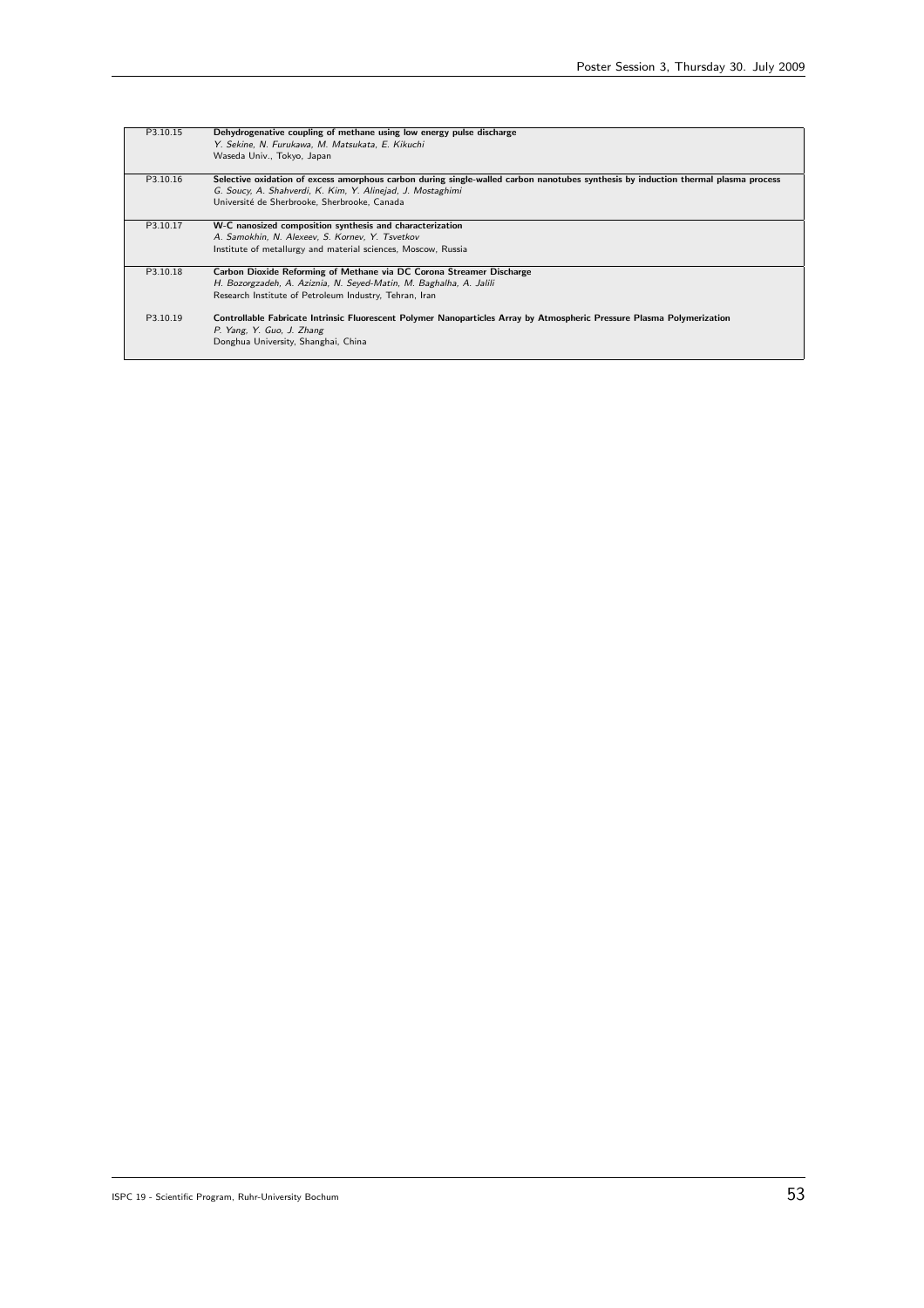| P3.10.15 | Dehydrogenative coupling of methane using low energy pulse discharge                                                               |
|----------|------------------------------------------------------------------------------------------------------------------------------------|
|          | Y. Sekine, N. Furukawa, M. Matsukata, E. Kikuchi                                                                                   |
|          | Waseda Univ., Tokyo, Japan                                                                                                         |
|          |                                                                                                                                    |
| P3.10.16 | Selective oxidation of excess amorphous carbon during single-walled carbon nanotubes synthesis by induction thermal plasma process |
|          | G. Soucy, A. Shahverdi, K. Kim, Y. Alinejad, J. Mostaghimi                                                                         |
|          | Université de Sherbrooke, Sherbrooke, Canada                                                                                       |
|          |                                                                                                                                    |
| P3.10.17 | W-C nanosized composition synthesis and characterization                                                                           |
|          | A. Samokhin, N. Alexeev, S. Kornev, Y. Tsvetkov                                                                                    |
|          | Institute of metallurgy and material sciences, Moscow, Russia                                                                      |
|          |                                                                                                                                    |
| P3.10.18 | Carbon Dioxide Reforming of Methane via DC Corona Streamer Discharge                                                               |
|          | H. Bozorgzadeh, A. Aziznia, N. Seyed-Matin, M. Baghalha, A. Jalili                                                                 |
|          | Research Institute of Petroleum Industry, Tehran, Iran                                                                             |
|          |                                                                                                                                    |
| P3.10.19 | Controllable Fabricate Intrinsic Fluorescent Polymer Nanoparticles Array by Atmospheric Pressure Plasma Polymerization             |
|          | P. Yang, Y. Guo, J. Zhang                                                                                                          |
|          | Donghua University, Shanghai, China                                                                                                |
|          |                                                                                                                                    |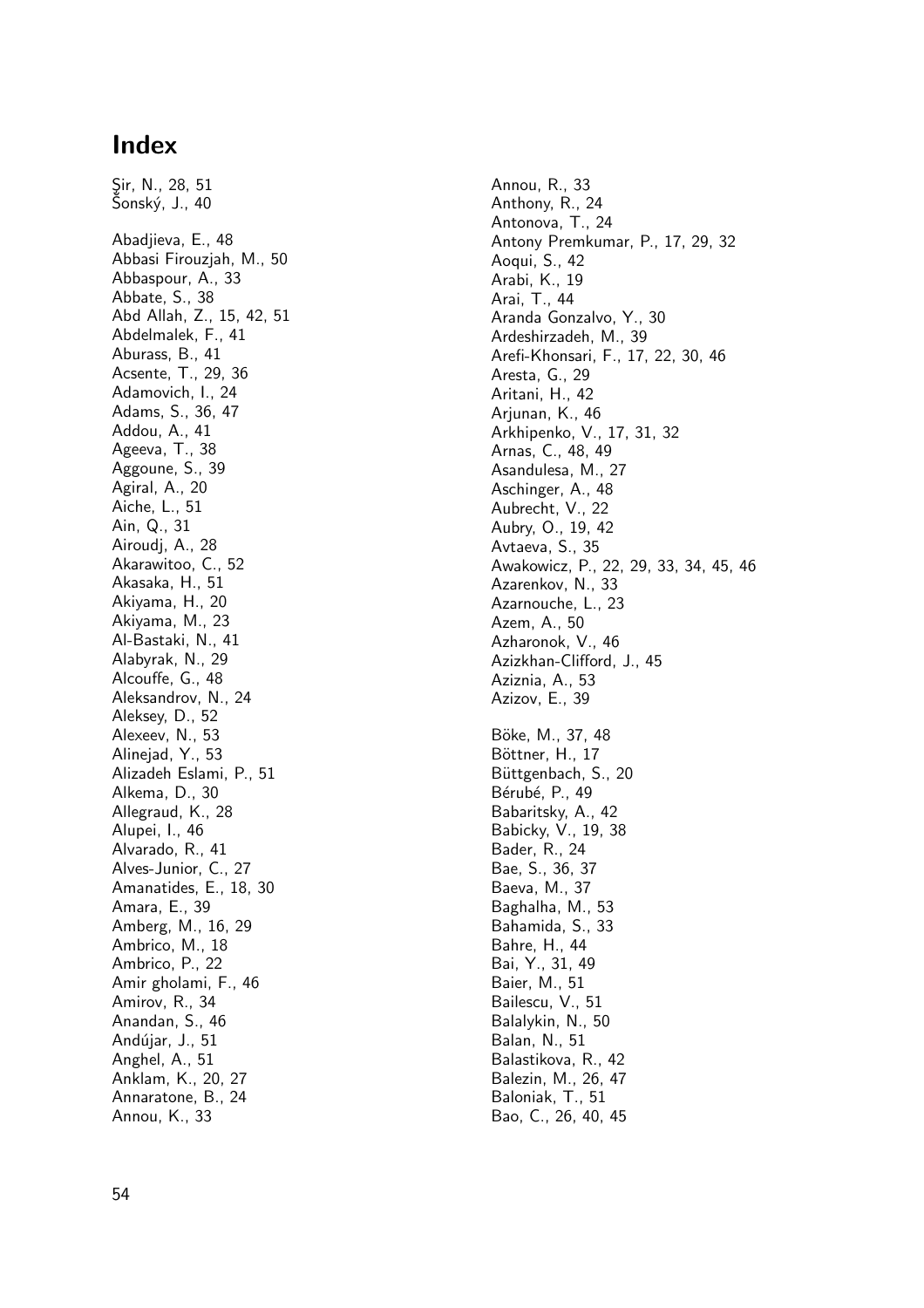## **Index**

Sir, N., 28, 51 Sonský, J., 40 Abadjieva, E., 48 Abbasi Firouzjah, M., 50 Abbaspour, A., 33 Abbate, S., 38 Abd Allah, Z., 15, 42, 51 Abdelmalek, F., 41 Aburass, B., 41 Acsente, T., 29, 36 Adamovich, I., 24 Adams, S., 36, 47 Addou, A., 41 Ageeva, T., 38 Aggoune, S., 39 Agiral, A., 20 Aiche, L., 51 Ain, Q., 31 Airoudj, A., 28 Akarawitoo, C., 52 Akasaka, H., 51 Akiyama, H., 20 Akiyama, M., 23 Al-Bastaki, N., 41 Alabyrak, N., 29 Alcouffe, G., 48 Aleksandrov, N., 24 Aleksey, D., 52 Alexeev, N., 53 Alinejad, Y., 53 Alizadeh Eslami, P., 51 Alkema, D., 30 Allegraud, K., 28 Alupei, I., 46 Alvarado, R., 41 Alves-Junior, C., 27 Amanatides, E., 18, 30 Amara, E., 39 Amberg, M., 16, 29 Ambrico, M., 18 Ambrico, P., 22 Amir gholami, F., 46 Amirov, R., 34 Anandan, S., 46 Andújar, J., 51 Anghel, A., 51 Anklam, K., 20, 27 Annaratone, B., 24 Annou, K., 33

Annou, R., 33 Anthony, R., 24 Antonova, T., 24 Antony Premkumar, P., 17, 29, 32 Aoqui, S., 42 Arabi, K., 19 Arai, T., 44 Aranda Gonzalvo, Y., 30 Ardeshirzadeh, M., 39 Arefi-Khonsari, F., 17, 22, 30, 46 Aresta, G., 29 Aritani, H., 42 Arjunan, K., 46 Arkhipenko, V., 17, 31, 32 Arnas, C., 48, 49 Asandulesa, M., 27 Aschinger, A., 48 Aubrecht, V., 22 Aubry, O., 19, 42 Avtaeva, S., 35 Awakowicz, P., 22, 29, 33, 34, 45, 46 Azarenkov, N., 33 Azarnouche, L., 23 Azem, A., 50 Azharonok, V., 46 Azizkhan-Clifford, J., 45 Aziznia, A., 53 Azizov, E., 39 Böke, M., 37, 48 Böttner, H., 17 Büttgenbach, S., 20 Bérubé, P., 49 Babaritsky, A., 42 Babicky, V., 19, 38 Bader, R., 24 Bae, S., 36, 37 Baeva, M., 37 Baghalha, M., 53 Bahamida, S., 33 Bahre, H., 44 Bai, Y., 31, 49 Baier, M., 51 Bailescu, V., 51 Balalykin, N., 50 Balan, N., 51 Balastikova, R., 42 Balezin, M., 26, 47 Baloniak, T., 51 Bao, C., 26, 40, 45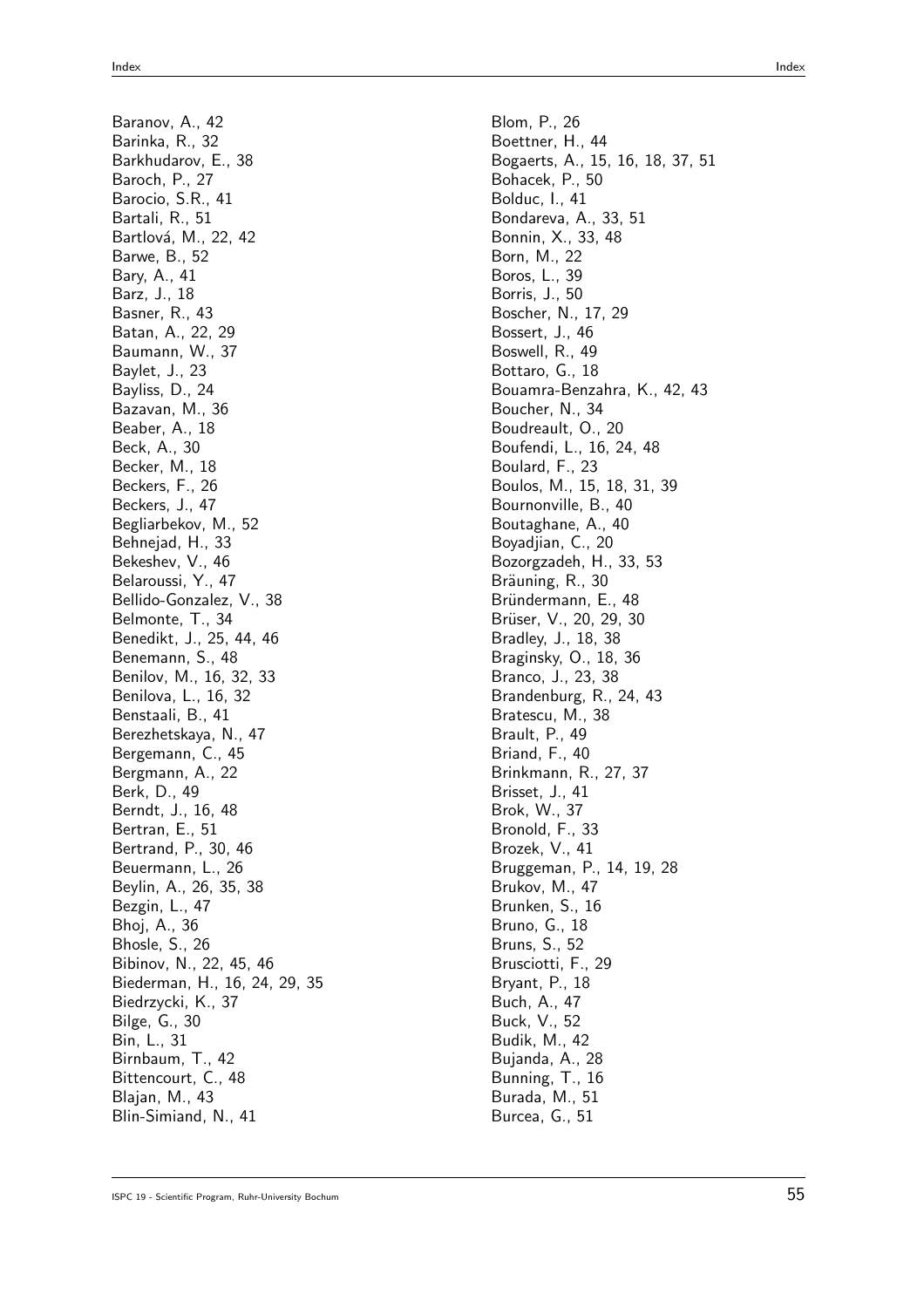Baranov, A., 42 Barinka, R., 32 Barkhudarov, E., 38 Baroch, P., 27 Barocio, S.R., 41 Bartali, R., 51 Bartlová, M., 22, 42 Barwe, B., 52 Bary, A., 41 Barz, J., 18 Basner, R., 43 Batan, A., 22, 29 Baumann, W., 37 Baylet, J., 23 Bayliss, D., 24 Bazavan, M., 36 Beaber, A., 18 Beck, A., 30 Becker, M., 18 Beckers, F., 26 Beckers, J., 47 Begliarbekov, M., 52 Behnejad, H., 33 Bekeshev, V., 46 Belaroussi, Y., 47 Bellido-Gonzalez, V., 38 Belmonte, T., 34 Benedikt, J., 25, 44, 46 Benemann, S., 48 Benilov, M., 16, 32, 33 Benilova, L., 16, 32 Benstaali, B., 41 Berezhetskaya, N., 47 Bergemann, C., 45 Bergmann, A., 22 Berk, D., 49 Berndt, J., 16, 48 Bertran, E., 51 Bertrand, P., 30, 46 Beuermann, L., 26 Beylin, A., 26, 35, 38 Bezgin, L., 47 Bhoj, A., 36 Bhosle, S., 26 Bibinov, N., 22, 45, 46 Biederman, H., 16, 24, 29, 35 Biedrzycki, K., 37 Bilge, G., 30 Bin, L., 31 Birnbaum, T., 42 Bittencourt, C., 48 Blajan, M., 43 Blin-Simiand, N., 41

Blom, P., 26 Boettner, H., 44 Bogaerts, A., 15, 16, 18, 37, 51 Bohacek, P., 50 Bolduc, I., 41 Bondareva, A., 33, 51 Bonnin, X., 33, 48 Born, M., 22 Boros, L., 39 Borris, J., 50 Boscher, N., 17, 29 Bossert, J., 46 Boswell, R., 49 Bottaro, G., 18 Bouamra-Benzahra, K., 42, 43 Boucher, N., 34 Boudreault, O., 20 Boufendi, L., 16, 24, 48 Boulard, F., 23 Boulos, M., 15, 18, 31, 39 Bournonville, B., 40 Boutaghane, A., 40 Boyadjian, C., 20 Bozorgzadeh, H., 33, 53 Bräuning, R., 30 Bründermann, E., 48 Brüser, V., 20, 29, 30 Bradley, J., 18, 38 Braginsky, O., 18, 36 Branco, J., 23, 38 Brandenburg, R., 24, 43 Bratescu, M., 38 Brault, P., 49 Briand, F., 40 Brinkmann, R., 27, 37 Brisset, J., 41 Brok, W., 37 Bronold, F., 33 Brozek, V., 41 Bruggeman, P., 14, 19, 28 Brukov, M., 47 Brunken, S., 16 Bruno, G., 18 Bruns, S., 52 Brusciotti, F., 29 Bryant, P., 18 Buch, A., 47 Buck, V., 52 Budik, M., 42 Bujanda, A., 28 Bunning, T., 16 Burada, M., 51 Burcea, G., 51

```
ISPC 19 - Scientific Program, Ruhr-University Bochum 55
```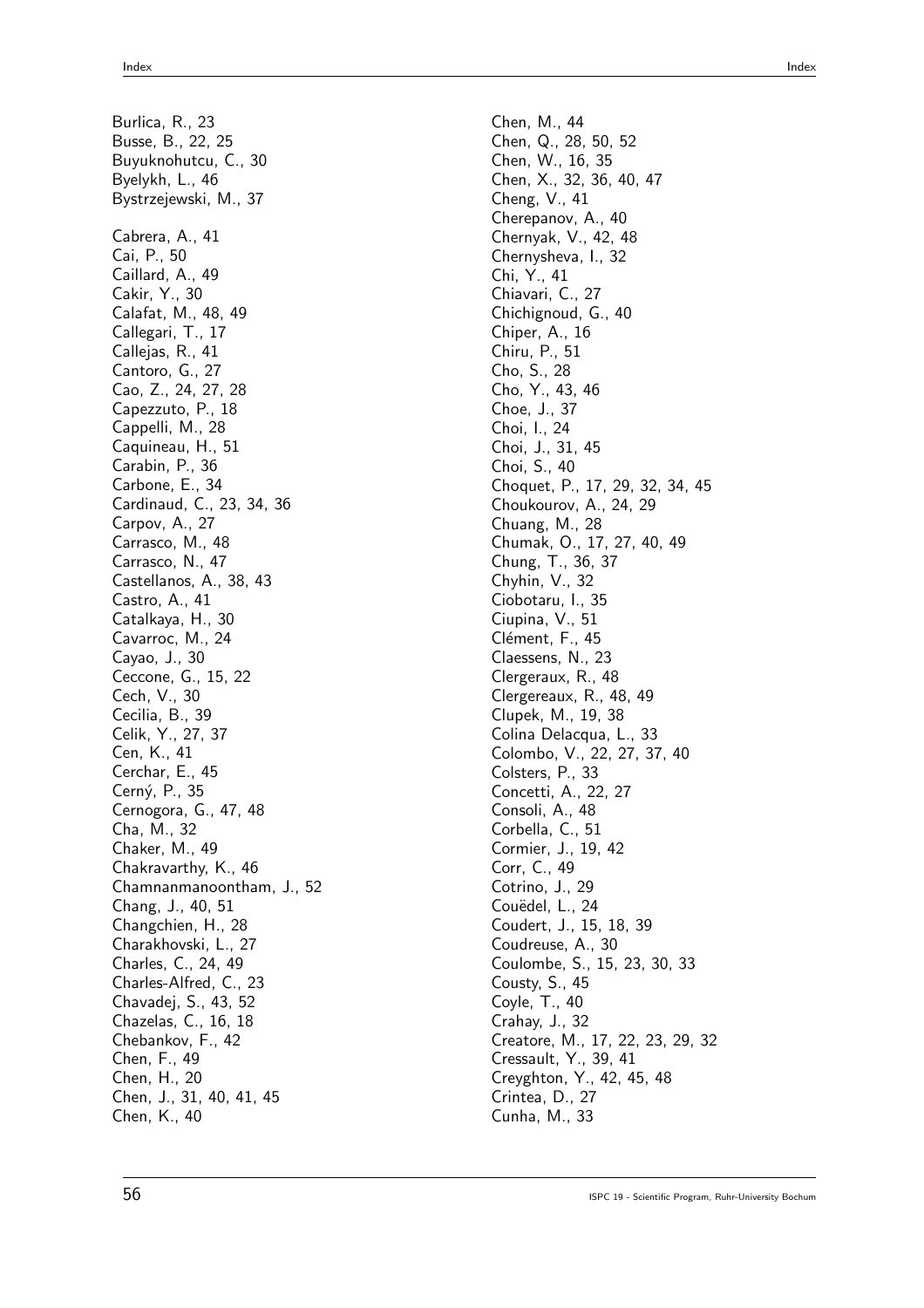Burlica, R., 23 Busse, B., 22, 25 Buyuknohutcu, C., 30 Byelykh, L., 46 Bystrzejewski, M., 37 Cabrera, A., 41 Cai, P., 50 Caillard, A., 49 Cakir, Y., 30 Calafat, M., 48, 49 Callegari, T., 17 Callejas, R., 41 Cantoro, G., 27 Cao, Z., 24, 27, 28 Capezzuto, P., 18 Cappelli, M., 28 Caquineau, H., 51 Carabin, P., 36 Carbone, E., 34 Cardinaud, C., 23, 34, 36 Carpov, A., 27 Carrasco, M., 48 Carrasco, N., 47 Castellanos, A., 38, 43 Castro, A., 41 Catalkaya, H., 30 Cavarroc, M., 24 Cayao, J., 30 Ceccone, G., 15, 22 Cech, V., 30 Cecilia, B., 39 Celik, Y., 27, 37 Cen, K., 41 Cerchar, E., 45 Cern´y, P., 35 Cernogora, G., 47, 48 Cha, M., 32 Chaker, M., 49 Chakravarthy, K., 46 Chamnanmanoontham, J., 52 Chang, J., 40, 51 Changchien, H., 28 Charakhovski, L., 27 Charles, C., 24, 49 Charles-Alfred, C., 23 Chavadej, S., 43, 52 Chazelas, C., 16, 18 Chebankov, F., 42 Chen, F., 49 Chen, H., 20 Chen, J., 31, 40, 41, 45 Chen, K., 40

Chen, M., 44 Chen, Q., 28, 50, 52 Chen, W., 16, 35 Chen, X., 32, 36, 40, 47 Cheng, V., 41 Cherepanov, A., 40 Chernyak, V., 42, 48 Chernysheva, I., 32 Chi, Y., 41 Chiavari, C., 27 Chichignoud, G., 40 Chiper, A., 16 Chiru, P., 51 Cho, S., 28 Cho, Y., 43, 46 Choe, J., 37 Choi, I., 24 Choi, J., 31, 45 Choi, S., 40 Choquet, P., 17, 29, 32, 34, 45 Choukourov, A., 24, 29 Chuang, M., 28 Chumak, O., 17, 27, 40, 49 Chung, T., 36, 37 Chyhin, V., 32 Ciobotaru, I., 35 Ciupina, V., 51 Clément, F., 45 Claessens, N., 23 Clergeraux, R., 48 Clergereaux, R., 48, 49 Clupek, M., 19, 38 Colina Delacqua, L., 33 Colombo, V., 22, 27, 37, 40 Colsters, P., 33 Concetti, A., 22, 27 Consoli, A., 48 Corbella, C., 51 Cormier, J., 19, 42 Corr, C., 49 Cotrino, J., 29 Couëdel, L., 24 Coudert, J., 15, 18, 39 Coudreuse, A., 30 Coulombe, S., 15, 23, 30, 33 Cousty, S., 45 Coyle, T., 40 Crahay, J., 32 Creatore, M., 17, 22, 23, 29, 32 Cressault, Y., 39, 41 Creyghton, Y., 42, 45, 48 Crintea, D., 27 Cunha, M., 33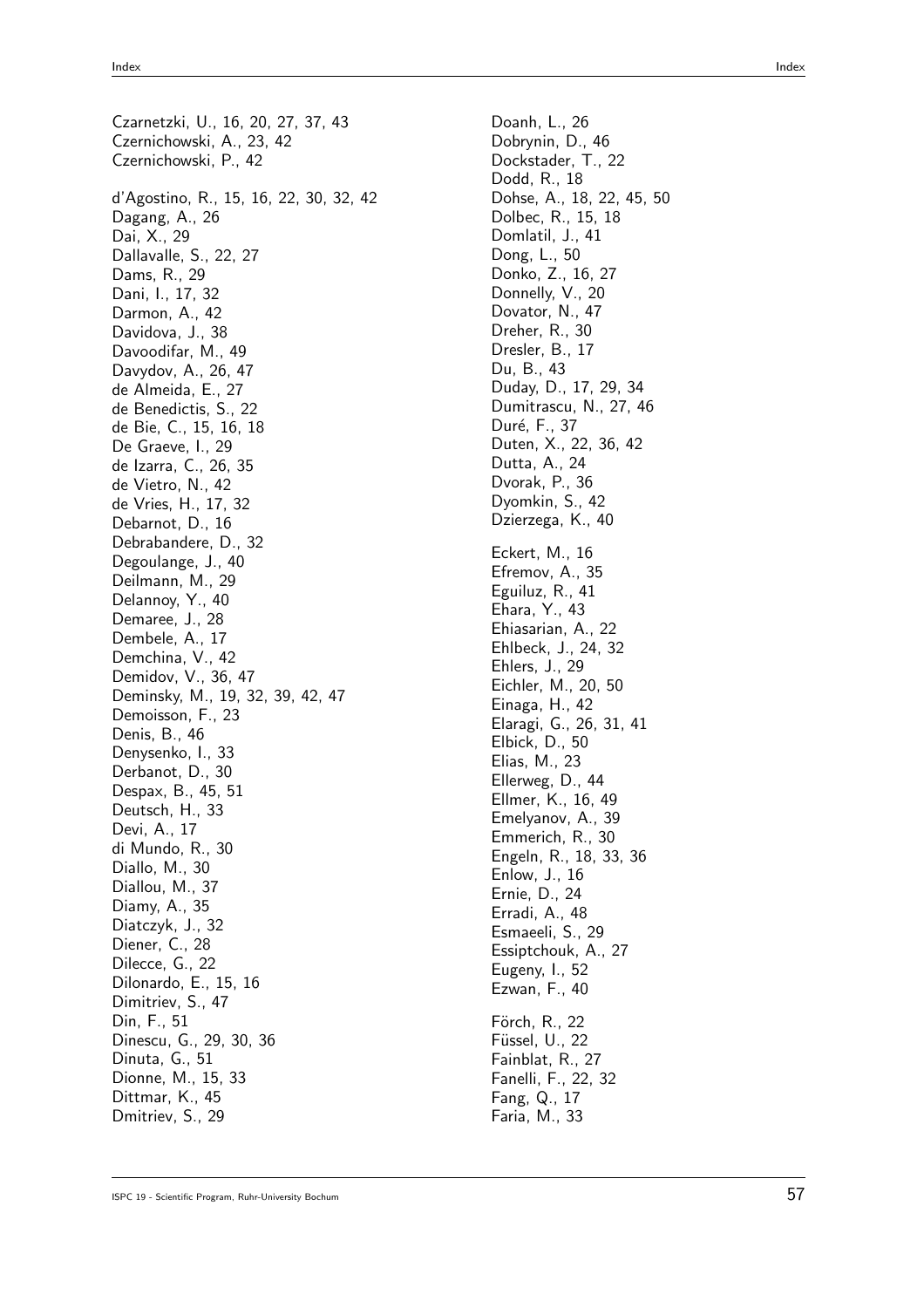Czarnetzki, U., 16, 20, 27, 37, 43 Czernichowski, A., 23, 42 Czernichowski, P., 42 d'Agostino, R., 15, 16, 22, 30, 32, 42 Dagang, A., 26 Dai, X., 29 Dallavalle, S., 22, 27 Dams, R., 29 Dani, I., 17, 32 Darmon, A., 42 Davidova, J., 38 Davoodifar, M., 49 Davydov, A., 26, 47 de Almeida, E., 27 de Benedictis, S., 22 de Bie, C., 15, 16, 18 De Graeve, I., 29 de Izarra, C., 26, 35 de Vietro, N., 42 de Vries, H., 17, 32 Debarnot, D., 16 Debrabandere, D., 32 Degoulange, J., 40 Deilmann, M., 29 Delannoy, Y., 40 Demaree, J., 28 Dembele, A., 17 Demchina, V., 42 Demidov, V., 36, 47 Deminsky, M., 19, 32, 39, 42, 47 Demoisson, F., 23 Denis, B., 46 Denysenko, I., 33 Derbanot, D., 30 Despax, B., 45, 51 Deutsch, H., 33 Devi, A., 17 di Mundo, R., 30 Diallo, M., 30 Diallou, M., 37 Diamy, A., 35 Diatczyk, J., 32 Diener, C., 28 Dilecce, G., 22 Dilonardo, E., 15, 16 Dimitriev, S., 47 Din, F., 51 Dinescu, G., 29, 30, 36 Dinuta, G., 51 Dionne, M., 15, 33 Dittmar, K., 45 Dmitriev, S., 29

Doanh, L., 26 Dobrynin, D., 46 Dockstader, T., 22 Dodd, R., 18 Dohse, A., 18, 22, 45, 50 Dolbec, R., 15, 18 Domlatil, J., 41 Dong, L., 50 Donko, Z., 16, 27 Donnelly, V., 20 Dovator, N., 47 Dreher, R., 30 Dresler, B., 17 Du, B., 43 Duday, D., 17, 29, 34 Dumitrascu, N., 27, 46 Duré, F., 37 Duten, X., 22, 36, 42 Dutta, A., 24 Dvorak, P., 36 Dyomkin, S., 42 Dzierzega, K., 40 Eckert, M., 16 Efremov, A., 35 Eguiluz, R., 41 Ehara, Y., 43 Ehiasarian, A., 22 Ehlbeck, J., 24, 32 Ehlers, J., 29 Eichler, M., 20, 50 Einaga, H., 42 Elaragi, G., 26, 31, 41 Elbick, D., 50 Elias, M., 23 Ellerweg, D., 44 Ellmer, K., 16, 49 Emelyanov, A., 39 Emmerich, R., 30 Engeln, R., 18, 33, 36 Enlow, J., 16 Ernie, D., 24 Erradi, A., 48 Esmaeeli, S., 29 Essiptchouk, A., 27 Eugeny, I., 52 Ezwan, F., 40 Förch, R., 22 Füssel, U., 22 Fainblat, R., 27 Fanelli, F., 22, 32 Fang, Q., 17 Faria, M., 33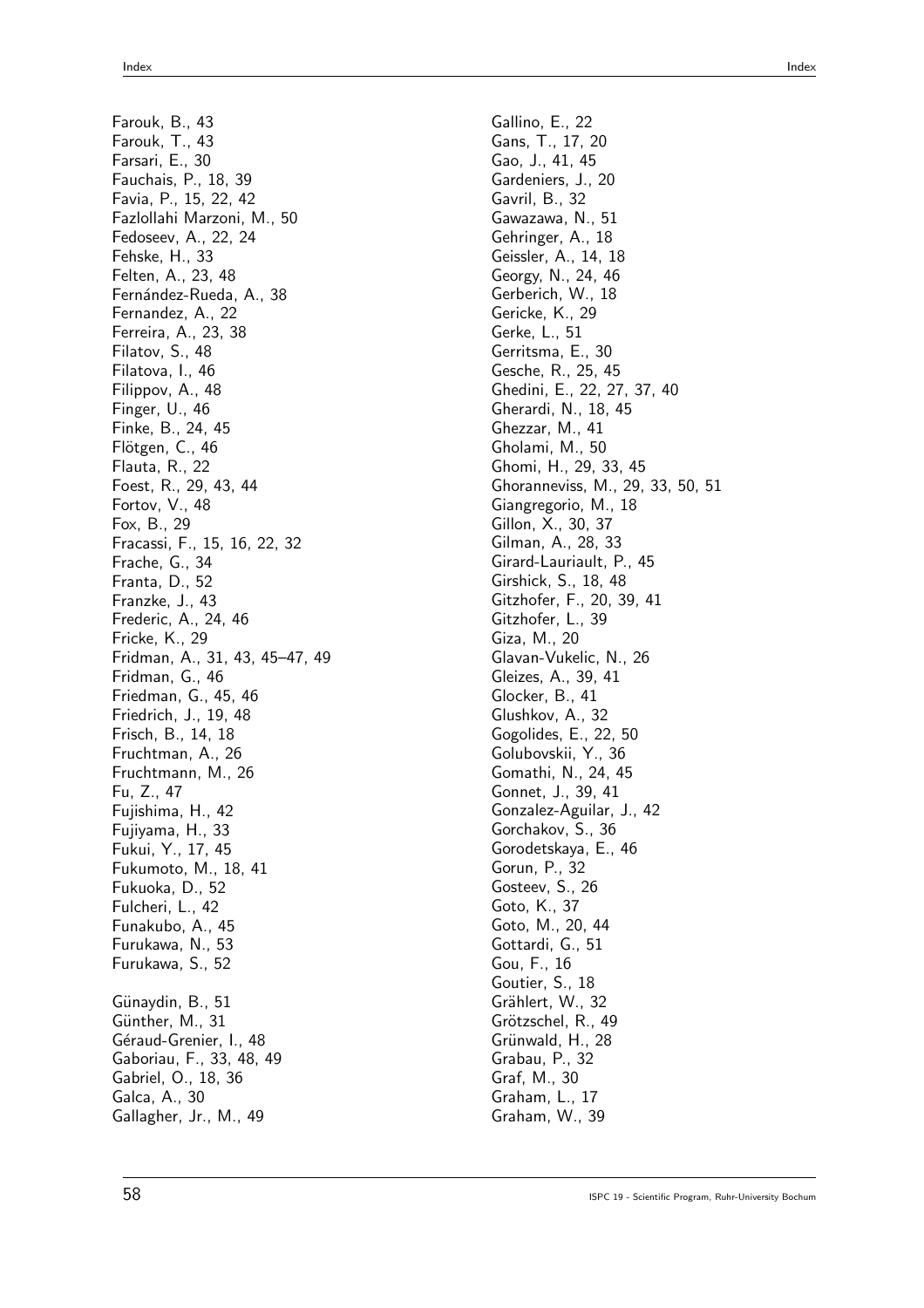Farouk, B., 43 Farouk, T., 43 Farsari, E., 30 Fauchais, P., 18, 39 Favia, P., 15, 22, 42 Fazlollahi Marzoni, M., 50 Fedoseev, A., 22, 24 Fehske, H., 33 Felten, A., 23, 48 Fernández-Rueda, A., 38 Fernandez, A., 22 Ferreira, A., 23, 38 Filatov, S., 48 Filatova, I., 46 Filippov, A., 48 Finger, U., 46 Finke, B., 24, 45 Flötgen, C., 46 Flauta, R., 22 Foest, R., 29, 43, 44 Fortov, V., 48 Fox, B., 29 Fracassi, F., 15, 16, 22, 32 Frache, G., 34 Franta, D., 52 Franzke, J., 43 Frederic, A., 24, 46 Fricke, K., 29 Fridman, A., 31, 43, 45–47, 49 Fridman, G., 46 Friedman, G., 45, 46 Friedrich, J., 19, 48 Frisch, B., 14, 18 Fruchtman, A., 26 Fruchtmann, M., 26 Fu, Z., 47 Fujishima, H., 42 Fujiyama, H., 33 Fukui, Y., 17, 45 Fukumoto, M., 18, 41 Fukuoka, D., 52 Fulcheri, L., 42 Funakubo, A., 45 Furukawa, N., 53 Furukawa, S., 52 Günaydin, B., 51 Günther, M., 31 Géraud-Grenier, I., 48 Gaboriau, F., 33, 48, 49 Gabriel, O., 18, 36 Galca, A., 30 Gallagher, Jr., M., 49

Gallino, E., 22 Gans, T., 17, 20 Gao, J., 41, 45 Gardeniers, J., 20 Gavril, B., 32 Gawazawa, N., 51 Gehringer, A., 18 Geissler, A., 14, 18 Georgy, N., 24, 46 Gerberich, W., 18 Gericke, K., 29 Gerke, L., 51 Gerritsma, E., 30 Gesche, R., 25, 45 Ghedini, E., 22, 27, 37, 40 Gherardi, N., 18, 45 Ghezzar, M., 41 Gholami, M., 50 Ghomi, H., 29, 33, 45 Ghoranneviss, M., 29, 33, 50, 51 Giangregorio, M., 18 Gillon, X., 30, 37 Gilman, A., 28, 33 Girard-Lauriault, P., 45 Girshick, S., 18, 48 Gitzhofer, F., 20, 39, 41 Gitzhofer, L., 39 Giza, M., 20 Glavan-Vukelic, N., 26 Gleizes, A., 39, 41 Glocker, B., 41 Glushkov, A., 32 Gogolides, E., 22, 50 Golubovskii, Y., 36 Gomathi, N., 24, 45 Gonnet, J., 39, 41 Gonzalez-Aguilar, J., 42 Gorchakov, S., 36 Gorodetskaya, E., 46 Gorun, P., 32 Gosteev, S., 26 Goto, K., 37 Goto, M., 20, 44 Gottardi, G., 51 Gou, F., 16 Goutier, S., 18 Grählert, W., 32 Grötzschel, R., 49 Grünwald, H., 28 Grabau, P., 32 Graf, M., 30 Graham, L., 17 Graham, W., 39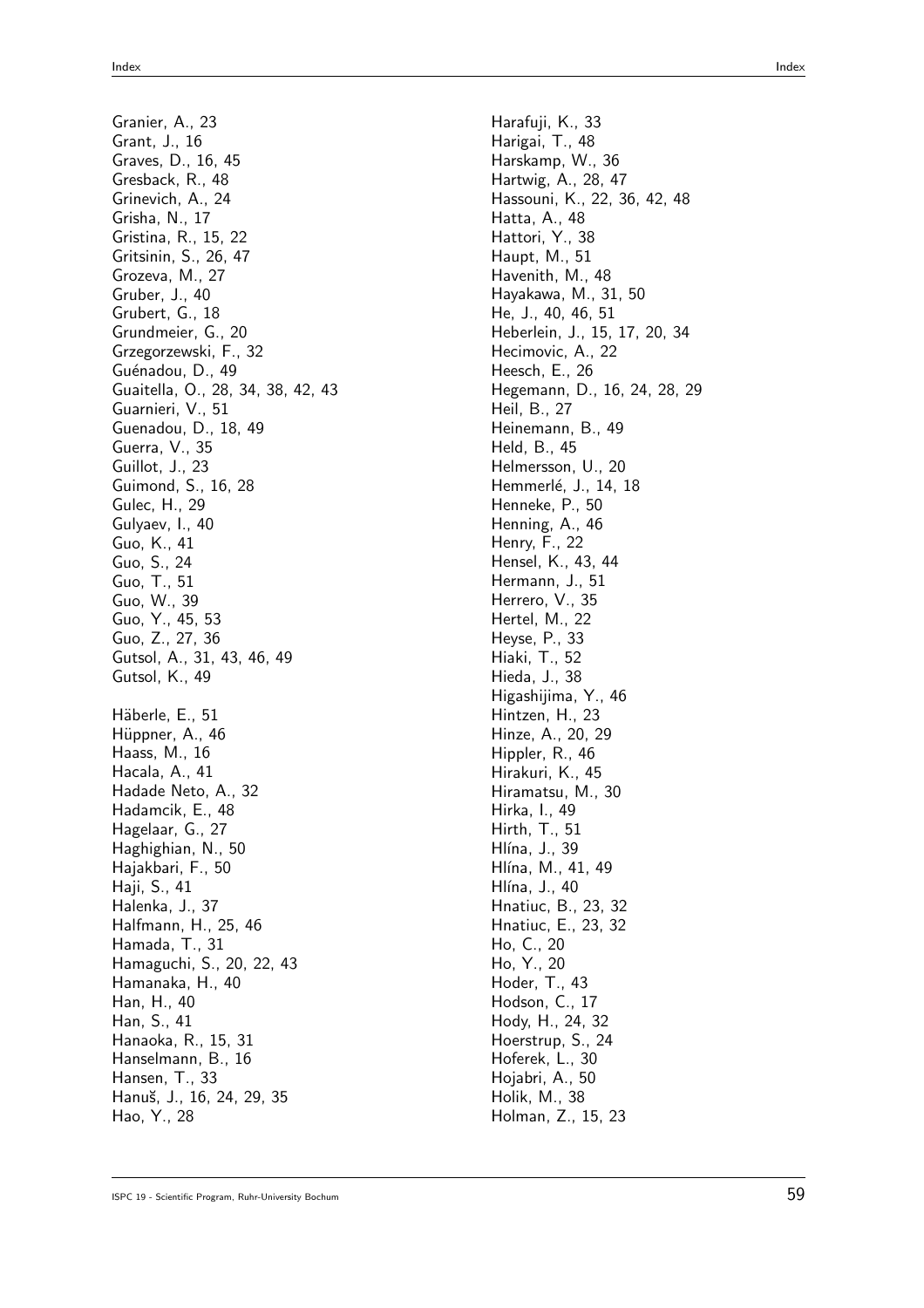Granier, A., 23 Grant, J., 16 Graves, D., 16, 45 Gresback, R., 48 Grinevich, A., 24 Grisha, N., 17 Gristina, R., 15, 22 Gritsinin, S., 26, 47 Grozeva, M., 27 Gruber, J., 40 Grubert, G., 18 Grundmeier, G., 20 Grzegorzewski, F., 32 Guénadou, D., 49 Guaitella, O., 28, 34, 38, 42, 43 Guarnieri, V., 51 Guenadou, D., 18, 49 Guerra, V., 35 Guillot, J., 23 Guimond, S., 16, 28 Gulec, H., 29 Gulyaev, I., 40 Guo, K., 41 Guo, S., 24 Guo, T., 51 Guo, W., 39 Guo, Y., 45, 53 Guo, Z., 27, 36 Gutsol, A., 31, 43, 46, 49 Gutsol, K., 49 Häberle, E., 51 Hüppner, A., 46 Haass, M., 16 Hacala, A., 41 Hadade Neto, A., 32 Hadamcik, E., 48 Hagelaar, G., 27 Haghighian, N., 50 Hajakbari, F., 50 Haji, S., 41 Halenka, J., 37 Halfmann, H., 25, 46 Hamada, T., 31 Hamaguchi, S., 20, 22, 43 Hamanaka, H., 40 Han, H., 40 Han, S., 41 Hanaoka, R., 15, 31 Hanselmann, B., 16 Hansen, T., 33 Hanu˘s, J., 16, 24, 29, 35 Hao, Y., 28

Harafuji, K., 33 Harigai, T., 48 Harskamp, W., 36 Hartwig, A., 28, 47 Hassouni, K., 22, 36, 42, 48 Hatta, A., 48 Hattori, Y., 38 Haupt, M., 51 Havenith, M., 48 Hayakawa, M., 31, 50 He, J., 40, 46, 51 Heberlein, J., 15, 17, 20, 34 Hecimovic, A., 22 Heesch, E., 26 Hegemann, D., 16, 24, 28, 29 Heil, B., 27 Heinemann, B., 49 Held, B., 45 Helmersson, U., 20 Hemmerlé, J., 14, 18 Henneke, P., 50 Henning, A., 46 Henry, F., 22 Hensel, K., 43, 44 Hermann, J., 51 Herrero, V., 35 Hertel, M., 22 Heyse, P., 33 Hiaki, T., 52 Hieda, J., 38 Higashijima, Y., 46 Hintzen, H., 23 Hinze, A., 20, 29 Hippler, R., 46 Hirakuri, K., 45 Hiramatsu, M., 30 Hirka, I., 49 Hirth, T., 51 Hlína, J., 39 Hlína, M., 41, 49 Hlína, J., 40 Hnatiuc, B., 23, 32 Hnatiuc, E., 23, 32 Ho, C., 20 Ho, Y., 20 Hoder, T., 43 Hodson, C., 17 Hody, H., 24, 32 Hoerstrup, S., 24 Hoferek, L., 30 Hojabri, A., 50 Holik, M., 38 Holman, Z., 15, 23

```
ISPC 19 - Scientific Program, Ruhr-University Bochum 59
```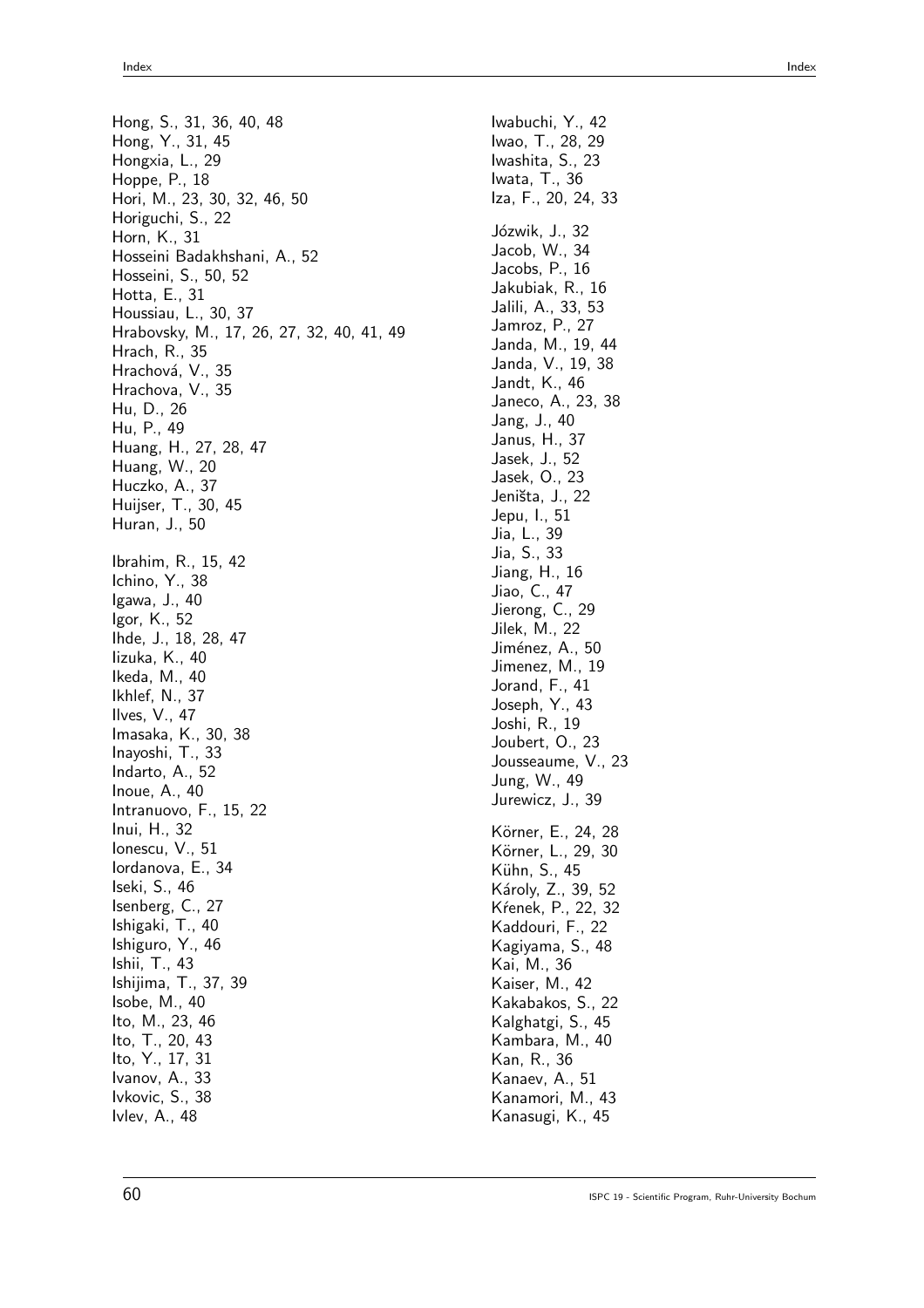Hong, S., 31, 36, 40, 48 Hong, Y., 31, 45 Hongxia, L., 29 Hoppe, P., 18 Hori, M., 23, 30, 32, 46, 50 Horiguchi, S., 22 Horn, K., 31 Hosseini Badakhshani, A., 52 Hosseini, S., 50, 52 Hotta, E., 31 Houssiau, L., 30, 37 Hrabovsky, M., 17, 26, 27, 32, 40, 41, 49 Hrach, R., 35 Hrachová, V., 35 Hrachova, V., 35 Hu, D., 26 Hu, P., 49 Huang, H., 27, 28, 47 Huang, W., 20 Huczko, A., 37 Huijser, T., 30, 45 Huran, J., 50 Ibrahim, R., 15, 42 Ichino, Y., 38 Igawa, J., 40 Igor, K., 52 Ihde, J., 18, 28, 47 Iizuka, K., 40 Ikeda, M., 40 Ikhlef, N., 37 Ilves, V., 47 Imasaka, K., 30, 38 Inayoshi, T., 33 Indarto, A., 52 Inoue, A., 40 Intranuovo, F., 15, 22 Inui, H., 32 Ionescu, V., 51 Iordanova, E., 34 Iseki, S., 46 Isenberg, C., 27 Ishigaki, T., 40 Ishiguro, Y., 46 Ishii, T., 43 Ishijima, T., 37, 39 Isobe, M., 40 Ito, M., 23, 46 Ito, T., 20, 43 Ito, Y., 17, 31 Ivanov, A., 33 Ivkovic, S., 38 Ivlev, A., 48

Iwabuchi, Y., 42 Iwao, T., 28, 29 Iwashita, S., 23 Iwata, T., 36 Iza, F., 20, 24, 33 Józwik, J., 32 Jacob, W., 34 Jacobs, P., 16 Jakubiak, R., 16 Jalili, A., 33, 53 Jamroz, P., 27 Janda, M., 19, 44 Janda, V., 19, 38 Jandt, K., 46 Janeco, A., 23, 38 Jang, J., 40 Janus, H., 37 Jasek, J., 52 Jasek, O., 23 Jeništa, J., 22 Jepu, I., 51 Jia, L., 39 Jia, S., 33 Jiang, H., 16 Jiao, C., 47 Jierong, C., 29 Jilek, M., 22 Jiménez, A., 50 Jimenez, M., 19 Jorand, F., 41 Joseph, Y., 43 Joshi, R., 19 Joubert, O., 23 Jousseaume, V., 23 Jung, W., 49 Jurewicz, J., 39 Körner, E., 24, 28 Körner, L., 29, 30 Kühn, S., 45 Károly, Z., 39, 52 Kŕenek, P., 22, 32 Kaddouri, F., 22 Kagiyama, S., 48 Kai, M., 36 Kaiser, M., 42 Kakabakos, S., 22 Kalghatgi, S., 45 Kambara, M., 40 Kan, R., 36 Kanaev, A., 51 Kanamori, M., 43 Kanasugi, K., 45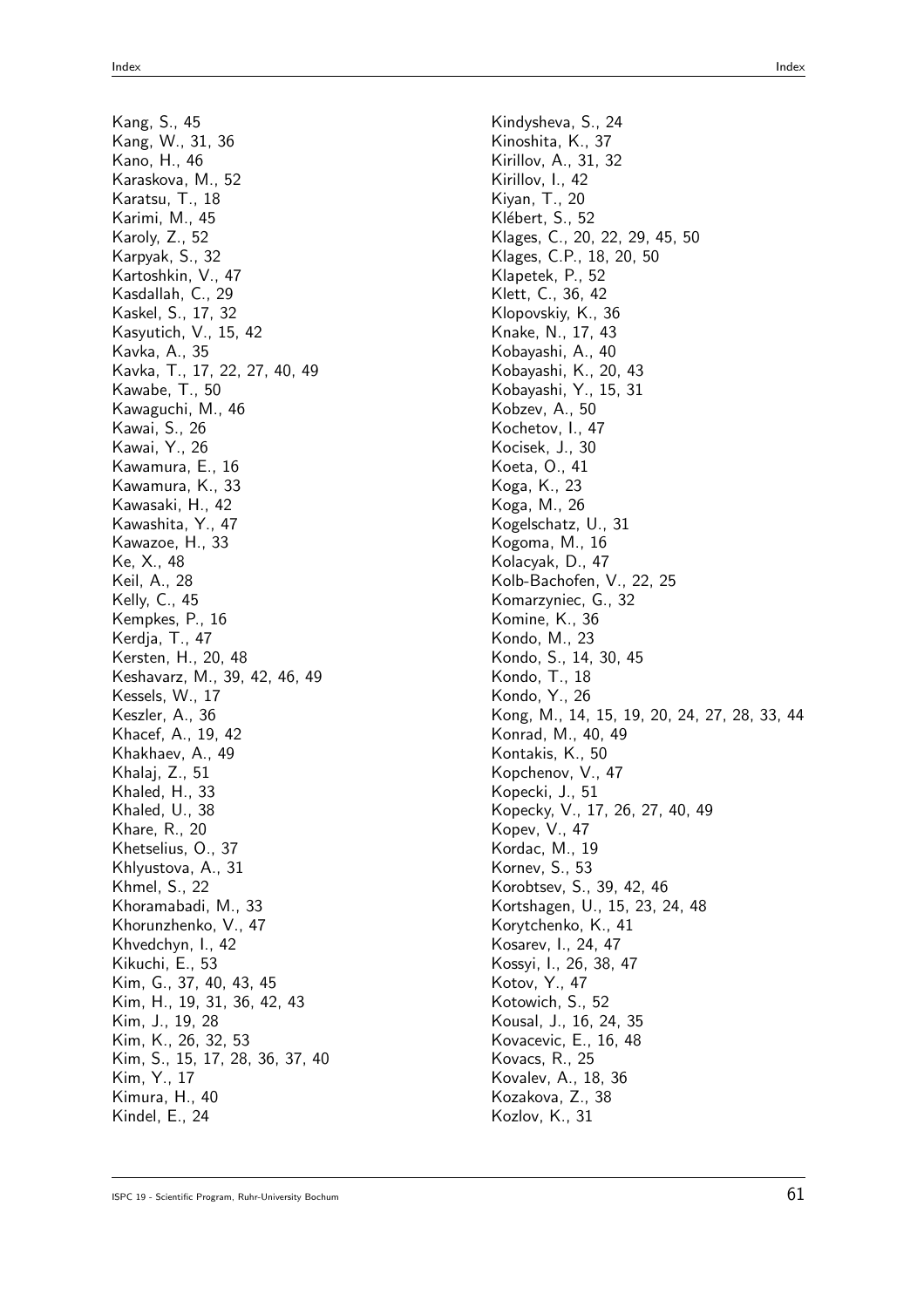Kang, S., 45 Kang, W., 31, 36 Kano, H., 46 Karaskova, M., 52 Karatsu, T., 18 Karimi, M., 45 Karoly, Z., 52 Karpyak, S., 32 Kartoshkin, V., 47 Kasdallah, C., 29 Kaskel, S., 17, 32 Kasyutich, V., 15, 42 Kavka, A., 35 Kavka, T., 17, 22, 27, 40, 49 Kawabe, T., 50 Kawaguchi, M., 46 Kawai, S., 26 Kawai, Y., 26 Kawamura, E., 16 Kawamura, K., 33 Kawasaki, H., 42 Kawashita, Y., 47 Kawazoe, H., 33 Ke, X., 48 Keil, A., 28 Kelly, C., 45 Kempkes, P., 16 Kerdja, T., 47 Kersten, H., 20, 48 Keshavarz, M., 39, 42, 46, 49 Kessels, W., 17 Keszler, A., 36 Khacef, A., 19, 42 Khakhaev, A., 49 Khalaj, Z., 51 Khaled, H., 33 Khaled, U., 38 Khare, R., 20 Khetselius, O., 37 Khlyustova, A., 31 Khmel, S., 22 Khoramabadi, M., 33 Khorunzhenko, V., 47 Khvedchyn, I., 42 Kikuchi, E., 53 Kim, G., 37, 40, 43, 45 Kim, H., 19, 31, 36, 42, 43 Kim, J., 19, 28 Kim, K., 26, 32, 53 Kim, S., 15, 17, 28, 36, 37, 40 Kim, Y., 17 Kimura, H., 40 Kindel, E., 24

Klages, C., 20, 22, 29, 45, 50 Klages, C.P., 18, 20, 50 Kobayashi, K., 20, 43 Kobayashi, Y., 15, 31 Kogelschatz, U., 31 Kolb-Bachofen, V., 22, 25 Komarzyniec, G., 32 Kondo, S., 14, 30, 45 Kong, M., 14, 15, 19, 20, 24, 27, 28, 33, 44 Konrad, M., 40, 49 Kopecky, V., 17, 26, 27, 40, 49

Kindysheva, S., 24 Kinoshita, K., 37 Kirillov, A., 31, 32 Kirillov, I., 42 Kiyan, T., 20 Klébert, S., 52

Klapetek, P., 52 Klett, C., 36, 42 Klopovskiy, K., 36 Knake, N., 17, 43 Kobayashi, A., 40

Kobzev, A., 50 Kochetov, I., 47 Kocisek, J., 30 Koeta, O., 41 Koga, K., 23 Koga, M., 26

Kogoma, M., 16 Kolacyak, D., 47

Komine, K., 36 Kondo, M., 23

Kondo, T., 18 Kondo, Y., 26

Kontakis, K., 50 Kopchenov, V., 47 Kopecki, J., 51

Kopev, V., 47 Kordac, M., 19 Kornev, S., 53

Kotov, Y., 47 Kotowich, S., 52 Kousal, J., 16, 24, 35 Kovacevic, E., 16, 48 Kovacs, R., 25 Kovalev, A., 18, 36 Kozakova, Z., 38 Kozlov, K., 31

Korobtsev, S., 39, 42, 46 Kortshagen, U., 15, 23, 24, 48

Korytchenko, K., 41 Kosarev, I., 24, 47 Kossyi, I., 26, 38, 47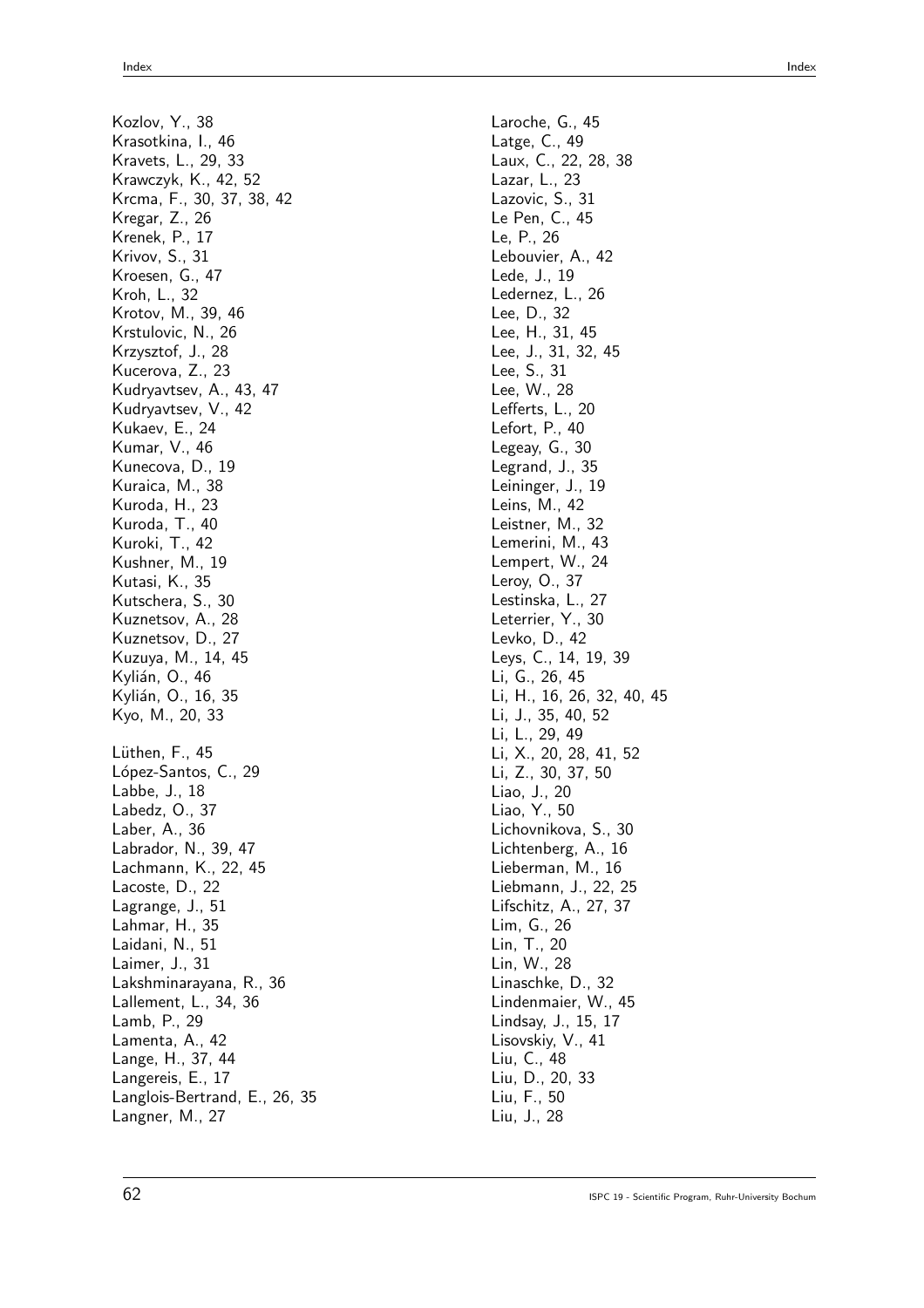Kozlov, Y., 38 Krasotkina, I., 46 Kravets, L., 29, 33 Krawczyk, K., 42, 52 Krcma, F., 30, 37, 38, 42 Kregar, Z., 26 Krenek, P., 17 Krivov, S., 31 Kroesen, G., 47 Kroh, L., 32 Krotov, M., 39, 46 Krstulovic, N., 26 Krzysztof, J., 28 Kucerova, Z., 23 Kudryavtsev, A., 43, 47 Kudryavtsev, V., 42 Kukaev, E., 24 Kumar, V., 46 Kunecova, D., 19 Kuraica, M., 38 Kuroda, H., 23 Kuroda, T., 40 Kuroki, T., 42 Kushner, M., 19 Kutasi, K., 35 Kutschera, S., 30 Kuznetsov, A., 28 Kuznetsov, D., 27 Kuzuya, M., 14, 45 Kylián, O., 46 Kylián, O., 16, 35 Kyo, M., 20, 33 Lüthen, F., 45 López-Santos, C., 29 Labbe, J., 18 Labedz, O., 37 Laber, A., 36 Labrador, N., 39, 47 Lachmann, K., 22, 45 Lacoste, D., 22 Lagrange, J., 51 Lahmar, H., 35 Laidani, N., 51 Laimer, J., 31 Lakshminarayana, R., 36 Lallement, L., 34, 36 Lamb, P., 29 Lamenta, A., 42 Lange, H., 37, 44 Langereis, E., 17 Langlois-Bertrand, E., 26, 35 Langner, M., 27

Laroche, G., 45 Latge, C., 49 Laux, C., 22, 28, 38 Lazar, L., 23 Lazovic, S., 31 Le Pen, C., 45 Le, P., 26 Lebouvier, A., 42 Lede, J., 19 Ledernez, L., 26 Lee, D., 32 Lee, H., 31, 45 Lee, J., 31, 32, 45 Lee, S., 31 Lee, W., 28 Lefferts, L., 20 Lefort, P., 40 Legeay, G., 30 Legrand, J., 35 Leininger, J., 19 Leins, M., 42 Leistner, M., 32 Lemerini, M., 43 Lempert, W., 24 Leroy, O., 37 Lestinska, L., 27 Leterrier, Y., 30 Levko, D., 42 Leys, C., 14, 19, 39 Li, G., 26, 45 Li, H., 16, 26, 32, 40, 45 Li, J., 35, 40, 52 Li, L., 29, 49 Li, X., 20, 28, 41, 52 Li, Z., 30, 37, 50 Liao, J., 20 Liao, Y., 50 Lichovnikova, S., 30 Lichtenberg, A., 16 Lieberman, M., 16 Liebmann, J., 22, 25 Lifschitz, A., 27, 37 Lim, G., 26 Lin, T., 20 Lin, W., 28 Linaschke, D., 32 Lindenmaier, W., 45 Lindsay, J., 15, 17 Lisovskiy, V., 41 Liu, C., 48 Liu, D., 20, 33 Liu, F., 50 Liu, J., 28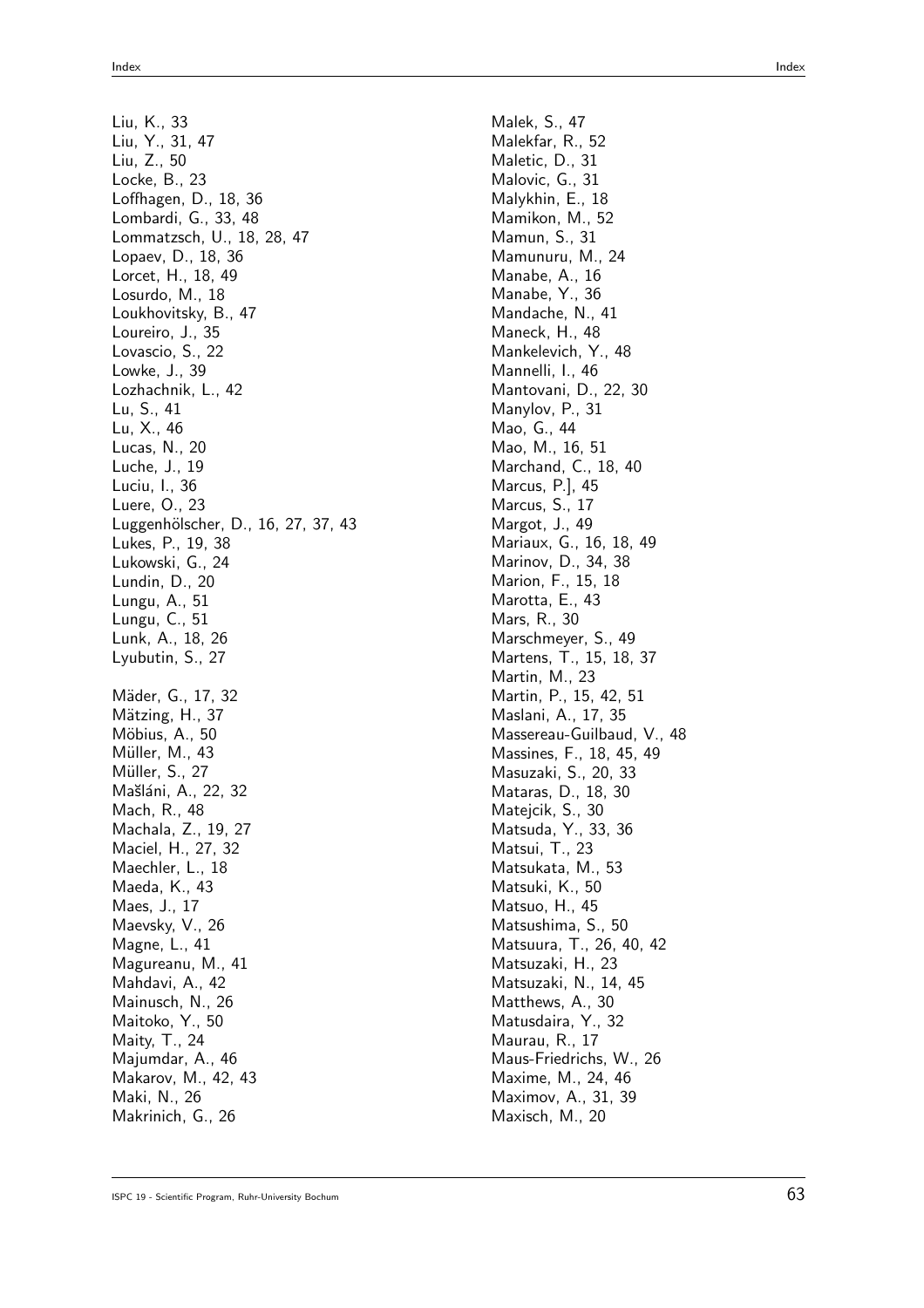Liu, K., 33

Liu, Y., 31, 47 Liu, Z., 50 Locke, B., 23 Loffhagen, D., 18, 36 Lombardi, G., 33, 48 Lommatzsch, U., 18, 28, 47 Lopaev, D., 18, 36 Lorcet, H., 18, 49 Losurdo, M., 18 Loukhovitsky, B., 47 Loureiro, J., 35 Lovascio, S., 22 Lowke, J., 39 Lozhachnik, L., 42 Lu, S., 41 Lu, X., 46 Lucas, N., 20 Luche, J., 19 Luciu, I., 36 Luere, O., 23 Luggenhölscher, D., 16, 27, 37, 43 Lukes, P., 19, 38 Lukowski, G., 24 Lundin, D., 20 Lungu, A., 51 Lungu, C., 51 Lunk, A., 18, 26 Lyubutin, S., 27 Mäder, G., 17, 32 Mätzing, H., 37 Möbius, A., 50 Müller, M., 43 Müller, S., 27 Mašláni, A., 22, 32 Mach, R., 48 Machala, Z., 19, 27 Maciel, H., 27, 32 Maechler, L., 18 Maeda, K., 43 Maes, J., 17 Maevsky, V., 26 Magne, L., 41 Magureanu, M., 41 Mahdavi, A., 42 Mainusch, N., 26 Maitoko, Y., 50 Maity, T., 24 Majumdar, A., 46 Makarov, M., 42, 43

Maki, N., 26 Makrinich, G., 26

Index Index

Malek, S., 47 Malekfar, R., 52 Maletic, D., 31 Malovic, G., 31 Malykhin, E., 18 Mamikon, M., 52 Mamun, S., 31 Mamunuru, M., 24 Manabe, A., 16 Manabe, Y., 36 Mandache, N., 41 Maneck, H., 48 Mankelevich, Y., 48 Mannelli, I., 46 Mantovani, D., 22, 30 Manylov, P., 31 Mao, G., 44 Mao, M., 16, 51 Marchand, C., 18, 40 Marcus, P.], 45 Marcus, S., 17 Margot, J., 49 Mariaux, G., 16, 18, 49 Marinov, D., 34, 38 Marion, F., 15, 18 Marotta, E., 43 Mars, R., 30 Marschmeyer, S., 49 Martens, T., 15, 18, 37 Martin, M., 23 Martin, P., 15, 42, 51 Maslani, A., 17, 35 Massereau-Guilbaud, V., 48 Massines, F., 18, 45, 49 Masuzaki, S., 20, 33 Mataras, D., 18, 30 Matejcik, S., 30 Matsuda, Y., 33, 36 Matsui, T., 23 Matsukata, M., 53 Matsuki, K., 50 Matsuo, H., 45 Matsushima, S., 50 Matsuura, T., 26, 40, 42 Matsuzaki, H., 23 Matsuzaki, N., 14, 45 Matthews, A., 30 Matusdaira, Y., 32 Maurau, R., 17 Maus-Friedrichs, W., 26 Maxime, M., 24, 46 Maximov, A., 31, 39 Maxisch, M., 20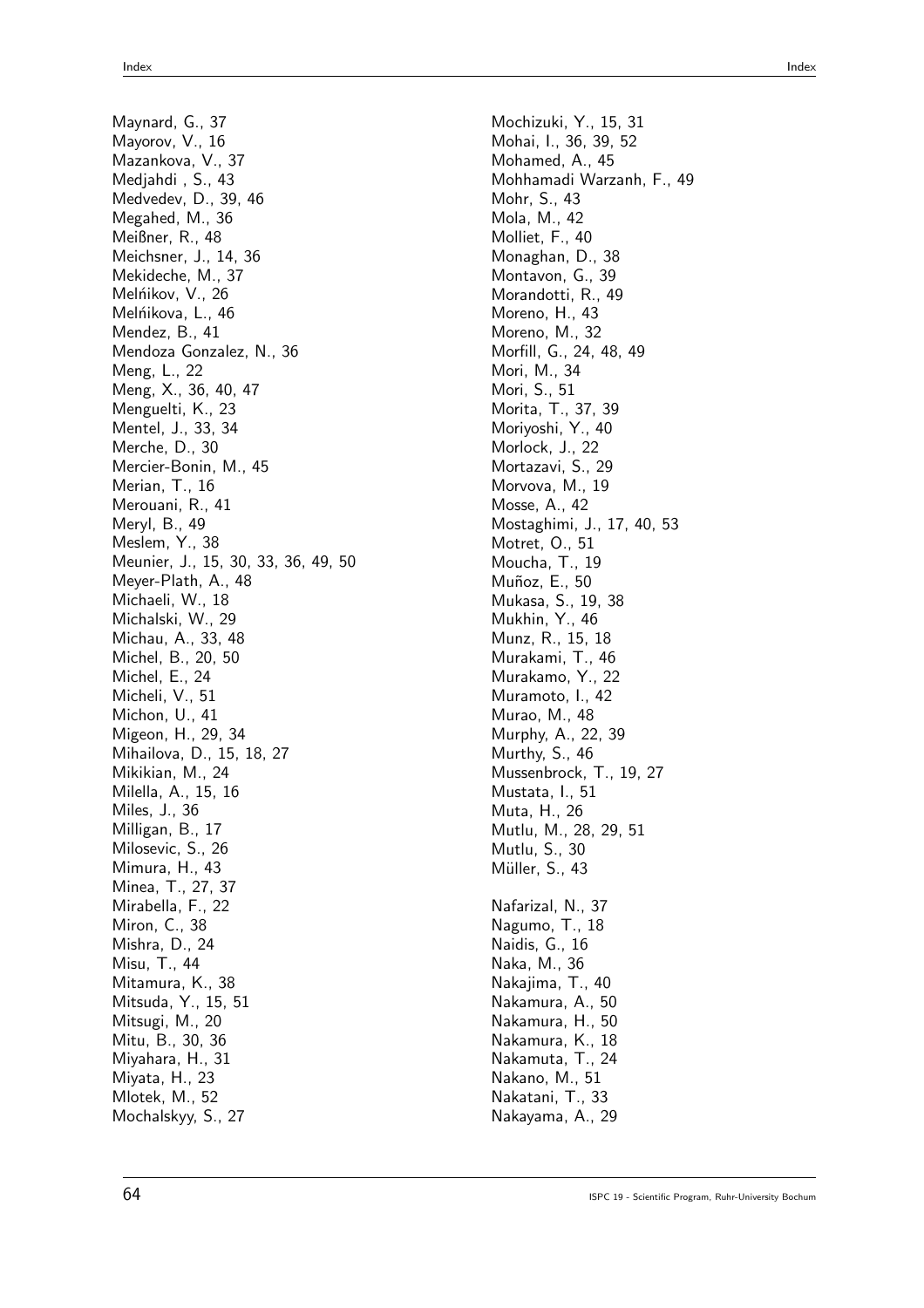Maynard, G., 37 Mayorov, V., 16 Mazankova, V., 37 Medjahdi , S., 43 Medvedev, D., 39, 46 Megahed, M., 36 Meißner, R., 48 Meichsner, J., 14, 36 Mekideche, M., 37 Melńikov, V., 26 Melńikova, L., 46 Mendez, B., 41 Mendoza Gonzalez, N., 36 Meng, L., 22 Meng, X., 36, 40, 47 Menguelti, K., 23 Mentel, J., 33, 34 Merche, D., 30 Mercier-Bonin, M., 45 Merian, T., 16 Merouani, R., 41 Meryl, B., 49 Meslem, Y., 38 Meunier, J., 15, 30, 33, 36, 49, 50 Meyer-Plath, A., 48 Michaeli, W., 18 Michalski, W., 29 Michau, A., 33, 48 Michel, B., 20, 50 Michel, E., 24 Micheli, V., 51 Michon, U., 41 Migeon, H., 29, 34 Mihailova, D., 15, 18, 27 Mikikian, M., 24 Milella, A., 15, 16 Miles, J., 36 Milligan, B., 17 Milosevic, S., 26 Mimura, H., 43 Minea, T., 27, 37 Mirabella, F., 22 Miron, C., 38 Mishra, D., 24 Misu, T., 44 Mitamura, K., 38 Mitsuda, Y., 15, 51 Mitsugi, M., 20 Mitu, B., 30, 36 Miyahara, H., 31 Miyata, H., 23 Mlotek, M., 52 Mochalskyy, S., 27

Mochizuki, Y., 15, 31 Mohai, I., 36, 39, 52 Mohamed, A., 45 Mohhamadi Warzanh, F., 49 Mohr, S., 43 Mola, M., 42 Molliet, F., 40 Monaghan, D., 38 Montavon, G., 39 Morandotti, R., 49 Moreno, H., 43 Moreno, M., 32 Morfill, G., 24, 48, 49 Mori, M., 34 Mori, S., 51 Morita, T., 37, 39 Moriyoshi, Y., 40 Morlock, J., 22 Mortazavi, S., 29 Morvova, M., 19 Mosse, A., 42 Mostaghimi, J., 17, 40, 53 Motret, O., 51 Moucha, T., 19 Muñoz, E., 50 Mukasa, S., 19, 38 Mukhin, Y., 46 Munz, R., 15, 18 Murakami, T., 46 Murakamo, Y., 22 Muramoto, I., 42 Murao, M., 48 Murphy, A., 22, 39 Murthy, S., 46 Mussenbrock, T., 19, 27 Mustata, I., 51 Muta, H., 26 Mutlu, M., 28, 29, 51 Mutlu, S., 30 Müller, S., 43 Nafarizal, N., 37 Nagumo, T., 18 Naidis, G., 16 Naka, M., 36 Nakajima, T., 40 Nakamura, A., 50 Nakamura, H., 50 Nakamura, K., 18 Nakamuta, T., 24 Nakano, M., 51 Nakatani, T., 33 Nakayama, A., 29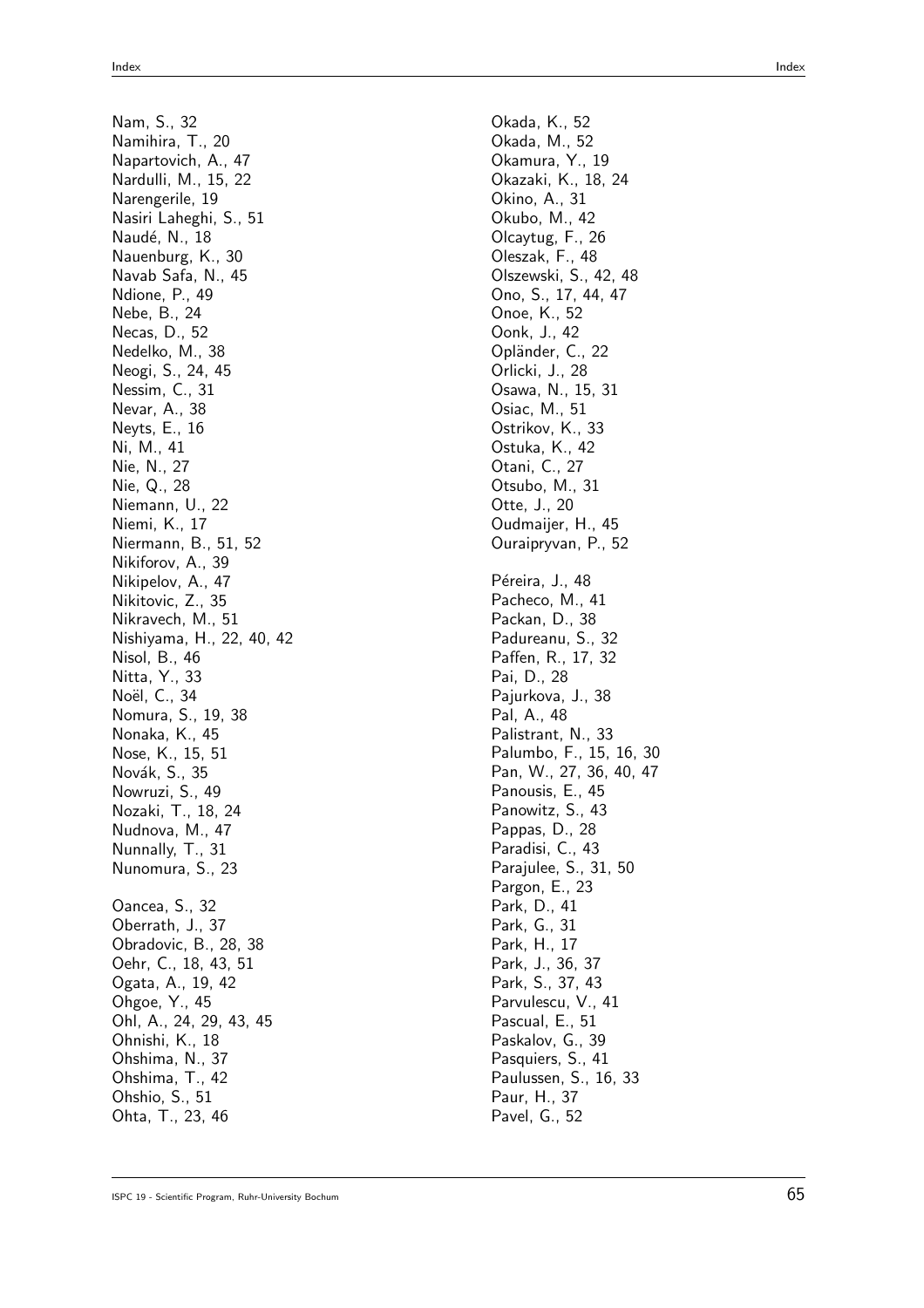Nam, S., 32 Namihira, T., 20 Napartovich, A., 47 Nardulli, M., 15, 22 Narengerile, 19 Nasiri Laheghi, S., 51 Naudé, N., 18 Nauenburg, K., 30 Navab Safa, N., 45 Ndione, P., 49 Nebe, B., 24 Necas, D., 52 Nedelko, M., 38 Neogi, S., 24, 45 Nessim, C., 31 Nevar, A., 38 Neyts, E., 16 Ni, M., 41 Nie, N., 27 Nie, Q., 28 Niemann, U., 22 Niemi, K., 17 Niermann, B., 51, 52 Nikiforov, A., 39 Nikipelov, A., 47 Nikitovic, Z., 35 Nikravech, M., 51 Nishiyama, H., 22, 40, 42 Nisol, B., 46 Nitta, Y., 33 Noël, C., 34 Nomura, S., 19, 38 Nonaka, K., 45 Nose, K., 15, 51 Novák, S., 35 Nowruzi, S., 49 Nozaki, T., 18, 24 Nudnova, M., 47 Nunnally, T., 31 Nunomura, S., 23 Oancea, S., 32 Oberrath, J., 37 Obradovic, B., 28, 38 Oehr, C., 18, 43, 51 Ogata, A., 19, 42 Ohgoe, Y., 45 Ohl, A., 24, 29, 43, 45 Ohnishi, K., 18 Ohshima, N., 37 Ohshima, T., 42 Ohshio, S., 51 Ohta, T., 23, 46

Okada, K., 52 Okada, M., 52 Okamura, Y., 19 Okazaki, K., 18, 24 Okino, A., 31 Okubo, M., 42 Olcaytug, F., 26 Oleszak, F., 48 Olszewski, S., 42, 48 Ono, S., 17, 44, 47 Onoe, K., 52 Oonk, J., 42 Opländer, C., 22 Orlicki, J., 28 Osawa, N., 15, 31 Osiac, M., 51 Ostrikov, K., 33 Ostuka, K., 42 Otani, C., 27 Otsubo, M., 31 Otte, J., 20 Oudmaijer, H., 45 Ouraipryvan, P., 52 Péreira, J., 48 Pacheco, M., 41 Packan, D., 38 Padureanu, S., 32 Paffen, R., 17, 32 Pai, D., 28 Pajurkova, J., 38 Pal, A., 48 Palistrant, N., 33 Palumbo, F., 15, 16, 30 Pan, W., 27, 36, 40, 47 Panousis, E., 45 Panowitz, S., 43 Pappas, D., 28 Paradisi, C., 43 Parajulee, S., 31, 50 Pargon, E., 23 Park, D., 41 Park, G., 31 Park, H., 17 Park, J., 36, 37 Park, S., 37, 43 Parvulescu, V., 41 Pascual, E., 51 Paskalov, G., 39 Pasquiers, S., 41 Paulussen, S., 16, 33 Paur, H., 37 Pavel, G., 52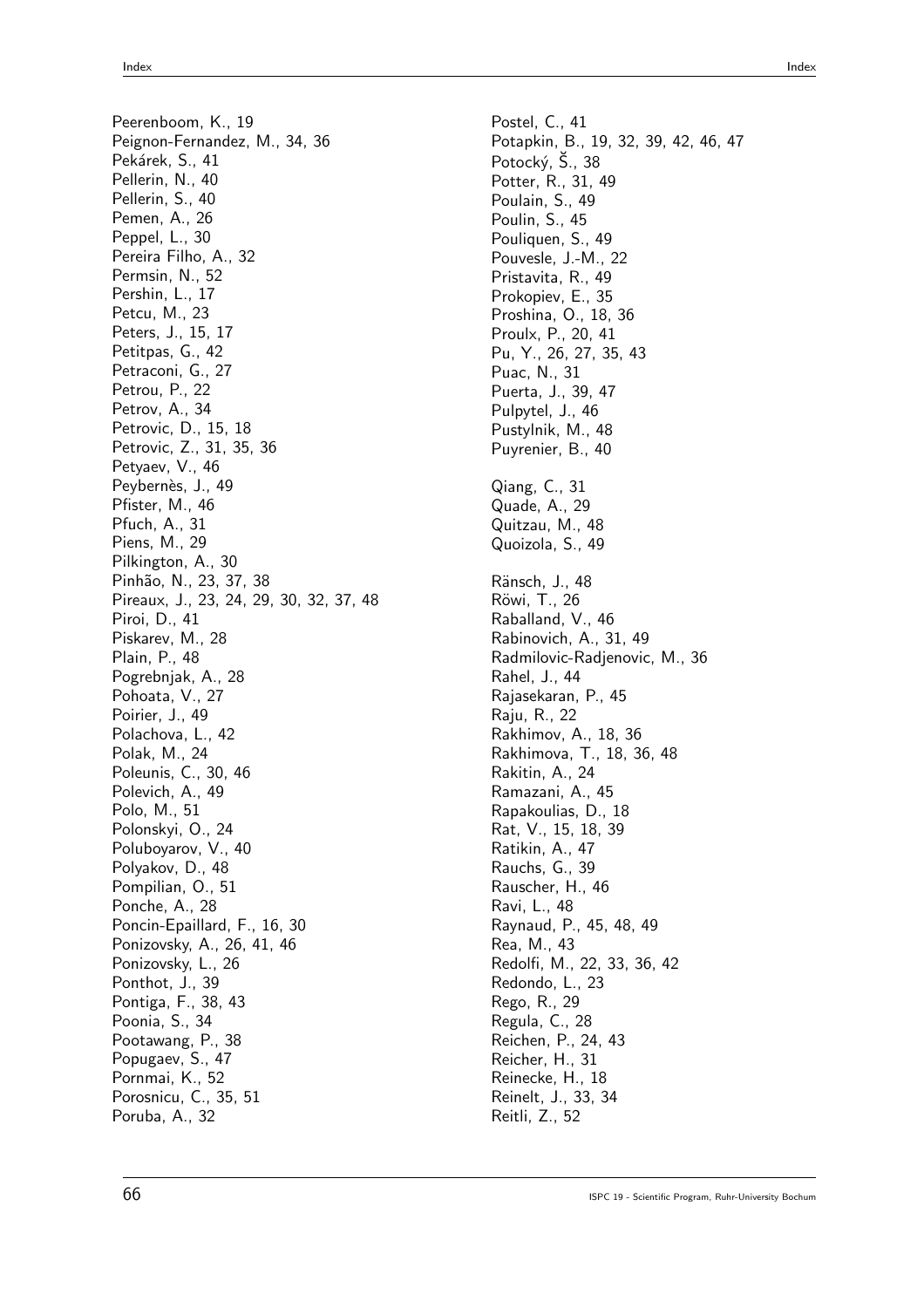Peerenboom, K., 19 Peignon-Fernandez, M., 34, 36 Pekárek, S., 41 Pellerin, N., 40 Pellerin, S., 40 Pemen, A., 26 Peppel, L., 30 Pereira Filho, A., 32 Permsin, N., 52 Pershin, L., 17 Petcu, M., 23 Peters, J., 15, 17 Petitpas, G., 42 Petraconi, G., 27 Petrou, P., 22 Petrov, A., 34 Petrovic, D., 15, 18 Petrovic, Z., 31, 35, 36 Petyaev, V., 46 Peybernès, J., 49 Pfister, M., 46 Pfuch, A., 31 Piens, M., 29 Pilkington, A., 30 Pinhão, N., 23, 37, 38 Pireaux, J., 23, 24, 29, 30, 32, 37, 48 Piroi, D., 41 Piskarev, M., 28 Plain, P., 48 Pogrebnjak, A., 28 Pohoata, V., 27 Poirier, J., 49 Polachova, L., 42 Polak, M., 24 Poleunis, C., 30, 46 Polevich, A., 49 Polo, M., 51 Polonskyi, O., 24 Poluboyarov, V., 40 Polyakov, D., 48 Pompilian, O., 51 Ponche, A., 28 Poncin-Epaillard, F., 16, 30 Ponizovsky, A., 26, 41, 46 Ponizovsky, L., 26 Ponthot, J., 39 Pontiga, F., 38, 43 Poonia, S., 34 Pootawang, P., 38 Popugaev, S., 47 Pornmai, K., 52 Porosnicu, C., 35, 51 Poruba, A., 32

Postel, C., 41 Potapkin, B., 19, 32, 39, 42, 46, 47 Potocký, Š., 38 Potter, R., 31, 49 Poulain, S., 49 Poulin, S., 45 Pouliquen, S., 49 Pouvesle, J.-M., 22 Pristavita, R., 49 Prokopiev, E., 35 Proshina, O., 18, 36 Proulx, P., 20, 41 Pu, Y., 26, 27, 35, 43 Puac, N., 31 Puerta, J., 39, 47 Pulpytel, J., 46 Pustylnik, M., 48 Puyrenier, B., 40 Qiang, C., 31 Quade, A., 29 Quitzau, M., 48 Quoizola, S., 49 Ränsch, J., 48 Röwi, T., 26 Raballand, V., 46 Rabinovich, A., 31, 49 Radmilovic-Radjenovic, M., 36 Rahel, J., 44 Rajasekaran, P., 45 Raju, R., 22 Rakhimov, A., 18, 36 Rakhimova, T., 18, 36, 48 Rakitin, A., 24 Ramazani, A., 45 Rapakoulias, D., 18 Rat, V., 15, 18, 39 Ratikin, A., 47 Rauchs, G., 39 Rauscher, H., 46 Ravi, L., 48 Raynaud, P., 45, 48, 49 Rea, M., 43 Redolfi, M., 22, 33, 36, 42 Redondo, L., 23 Rego, R., 29 Regula, C., 28 Reichen, P., 24, 43 Reicher, H., 31 Reinecke, H., 18 Reinelt, J., 33, 34 Reitli, Z., 52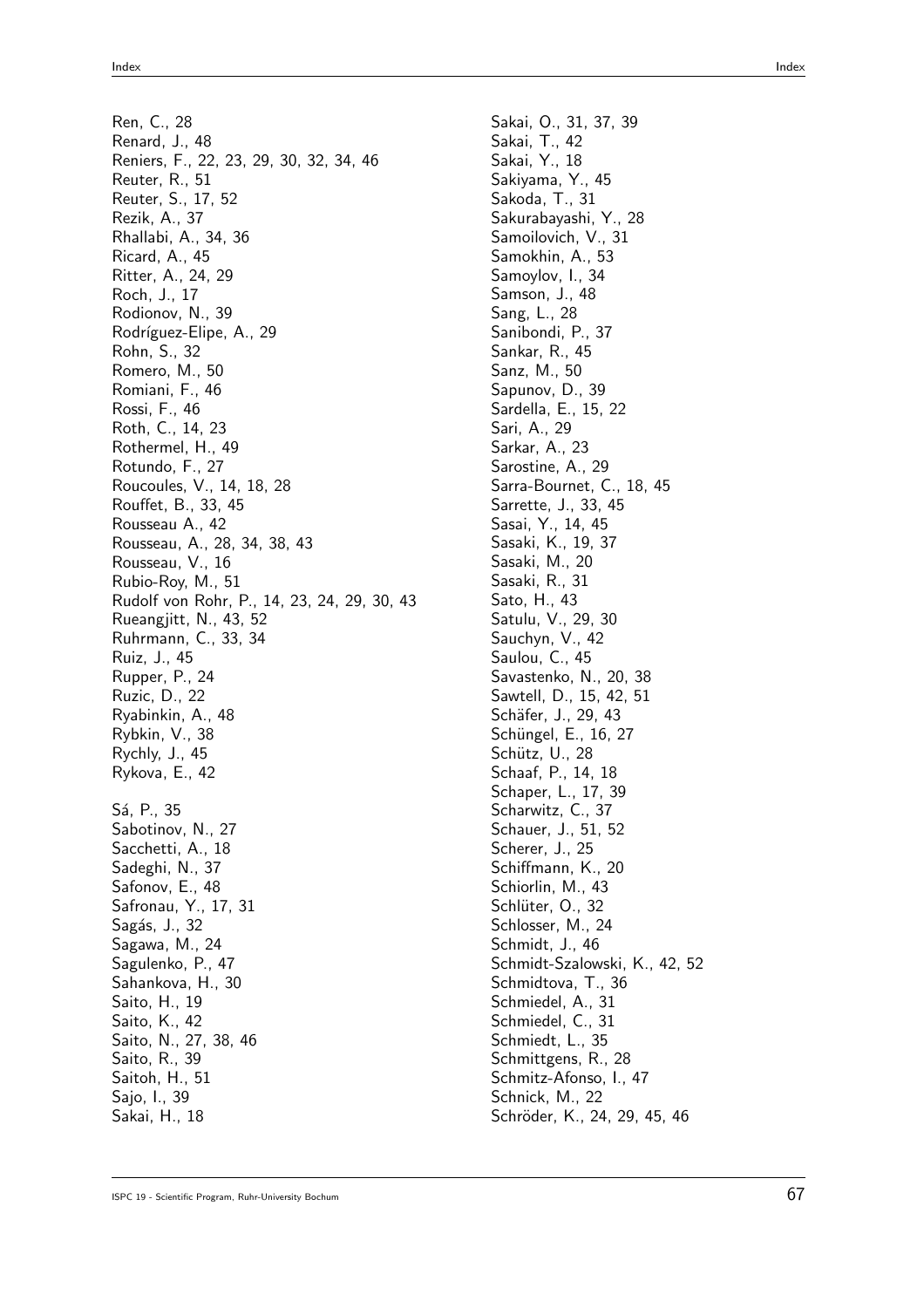Ren, C., 28 Renard, J., 48 Reniers, F., 22, 23, 29, 30, 32, 34, 46 Reuter, R., 51 Reuter, S., 17, 52 Rezik, A., 37 Rhallabi, A., 34, 36 Ricard, A., 45 Ritter, A., 24, 29 Roch, J., 17 Rodionov, N., 39 Rodríguez-Elipe, A., 29 Rohn, S., 32 Romero, M., 50 Romiani, F., 46 Rossi, F., 46 Roth, C., 14, 23 Rothermel, H., 49 Rotundo, F., 27 Roucoules, V., 14, 18, 28 Rouffet, B., 33, 45 Rousseau A., 42 Rousseau, A., 28, 34, 38, 43 Rousseau, V., 16 Rubio-Roy, M., 51 Rudolf von Rohr, P., 14, 23, 24, 29, 30, 43 Rueangjitt, N., 43, 52 Ruhrmann, C., 33, 34 Ruiz, J., 45 Rupper, P., 24 Ruzic, D., 22 Ryabinkin, A., 48 Rybkin, V., 38 Rychly, J., 45 Rykova, E., 42 Sá, P., 35 Sabotinov, N., 27 Sacchetti, A., 18 Sadeghi, N., 37 Safonov, E., 48 Safronau, Y., 17, 31 Sagás, J., 32 Sagawa, M., 24 Sagulenko, P., 47 Sahankova, H., 30 Saito, H., 19 Saito, K., 42 Saito, N., 27, 38, 46 Saito, R., 39 Saitoh, H., 51 Sajo, I., 39 Sakai, H., 18

Sakai, O., 31, 37, 39 Sakai, T., 42 Sakai, Y., 18 Sakiyama, Y., 45 Sakoda, T., 31 Sakurabayashi, Y., 28 Samoilovich, V., 31 Samokhin, A., 53 Samoylov, I., 34 Samson, J., 48 Sang, L., 28 Sanibondi, P., 37 Sankar, R., 45 Sanz, M., 50 Sapunov, D., 39 Sardella, E., 15, 22 Sari, A., 29 Sarkar, A., 23 Sarostine, A., 29 Sarra-Bournet, C., 18, 45 Sarrette, J., 33, 45 Sasai, Y., 14, 45 Sasaki, K., 19, 37 Sasaki, M., 20 Sasaki, R., 31 Sato, H., 43 Satulu, V., 29, 30 Sauchyn, V., 42 Saulou, C., 45 Savastenko, N., 20, 38 Sawtell, D., 15, 42, 51 Schäfer, J., 29, 43 Schüngel, E., 16, 27 Schütz, U., 28 Schaaf, P., 14, 18 Schaper, L., 17, 39 Scharwitz, C., 37 Schauer, J., 51, 52 Scherer, J., 25 Schiffmann, K., 20 Schiorlin, M., 43 Schlüter, O., 32 Schlosser, M., 24 Schmidt, J., 46 Schmidt-Szalowski, K., 42, 52 Schmidtova, T., 36 Schmiedel, A., 31 Schmiedel, C., 31 Schmiedt, L., 35 Schmittgens, R., 28 Schmitz-Afonso, I., 47 Schnick, M., 22 Schröder, K., 24, 29, 45, 46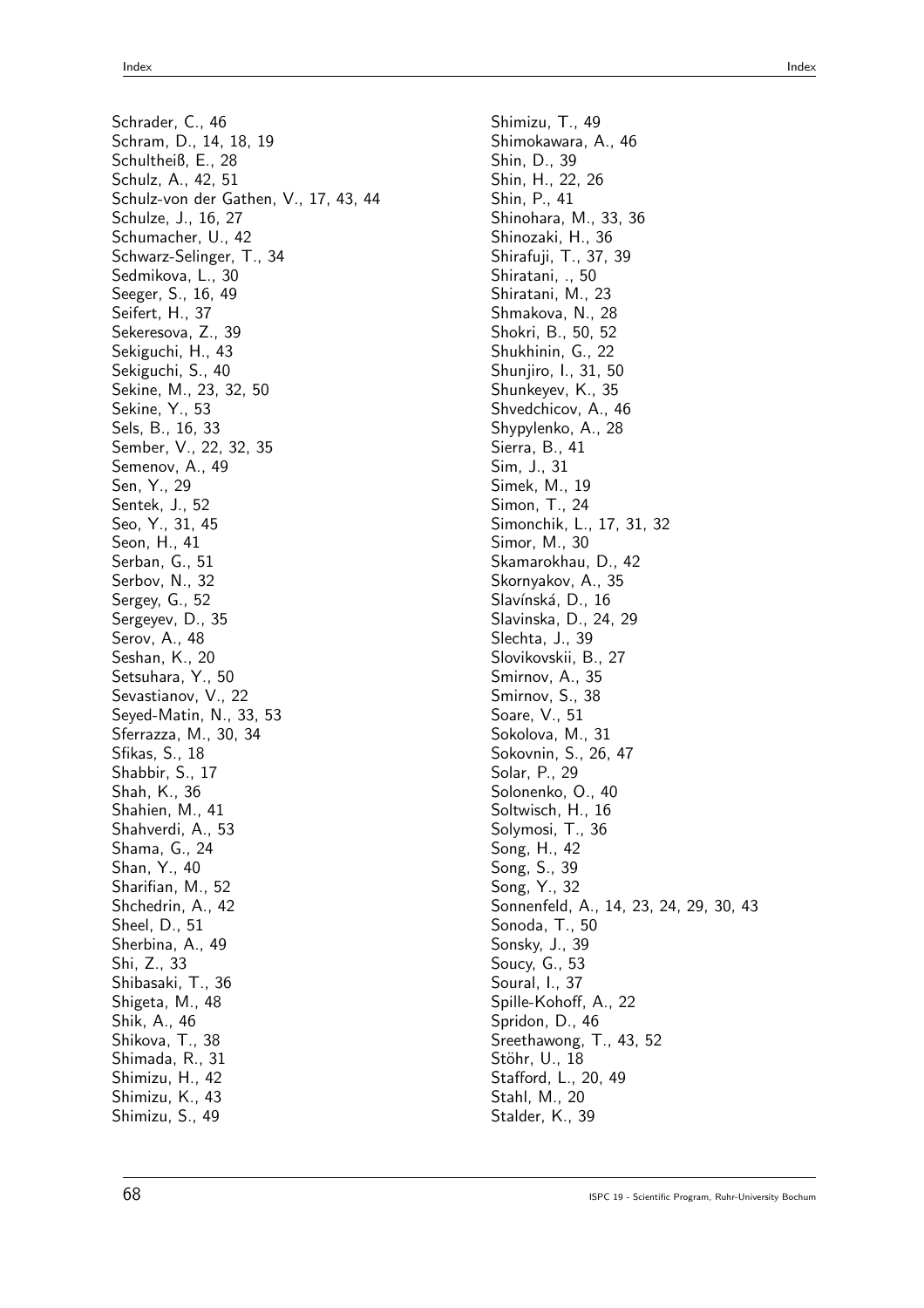Schrader, C., 46 Schram, D., 14, 18, 19 Schultheiß, E., 28 Schulz, A., 42, 51 Schulz-von der Gathen, V., 17, 43, 44 Schulze, J., 16, 27 Schumacher, U., 42 Schwarz-Selinger, T., 34 Sedmikova, L., 30 Seeger, S., 16, 49 Seifert, H., 37 Sekeresova, Z., 39 Sekiguchi, H., 43 Sekiguchi, S., 40 Sekine, M., 23, 32, 50 Sekine, Y., 53 Sels, B., 16, 33 Sember, V., 22, 32, 35 Semenov, A., 49 Sen, Y., 29 Sentek, J., 52 Seo, Y., 31, 45 Seon, H., 41 Serban, G., 51 Serbov, N., 32 Sergey, G., 52 Sergeyev, D., 35 Serov, A., 48 Seshan, K., 20 Setsuhara, Y., 50 Sevastianov, V., 22 Seyed-Matin, N., 33, 53 Sferrazza, M., 30, 34 Sfikas, S., 18 Shabbir, S., 17 Shah, K., 36 Shahien, M., 41 Shahverdi, A., 53 Shama, G., 24 Shan, Y., 40 Sharifian, M., 52 Shchedrin, A., 42 Sheel, D., 51 Sherbina, A., 49 Shi, Z., 33 Shibasaki, T., 36 Shigeta, M., 48 Shik, A., 46 Shikova, T., 38 Shimada, R., 31 Shimizu, H., 42 Shimizu, K., 43 Shimizu, S., 49

Shimizu, T., 49 Shimokawara, A., 46 Shin, D., 39 Shin, H., 22, 26 Shin, P., 41 Shinohara, M., 33, 36 Shinozaki, H., 36 Shirafuji, T., 37, 39 Shiratani, ., 50 Shiratani, M., 23 Shmakova, N., 28 Shokri, B., 50, 52 Shukhinin, G., 22 Shunjiro, I., 31, 50 Shunkeyev, K., 35 Shvedchicov, A., 46 Shypylenko, A., 28 Sierra, B., 41 Sim, J., 31 Simek, M., 19 Simon, T., 24 Simonchik, L., 17, 31, 32 Simor, M., 30 Skamarokhau, D., 42 Skornyakov, A., 35 Slavínská, D., 16 Slavinska, D., 24, 29 Slechta, J., 39 Slovikovskii, B., 27 Smirnov, A., 35 Smirnov, S., 38 Soare, V., 51 Sokolova, M., 31 Sokovnin, S., 26, 47 Solar, P., 29 Solonenko, O., 40 Soltwisch, H., 16 Solymosi, T., 36 Song, H., 42 Song, S., 39 Song, Y., 32 Sonnenfeld, A., 14, 23, 24, 29, 30, 43 Sonoda, T., 50 Sonsky, J., 39 Soucy, G., 53 Soural, I., 37 Spille-Kohoff, A., 22 Spridon, D., 46 Sreethawong, T., 43, 52 Stöhr, U., 18 Stafford, L., 20, 49 Stahl, M., 20 Stalder, K., 39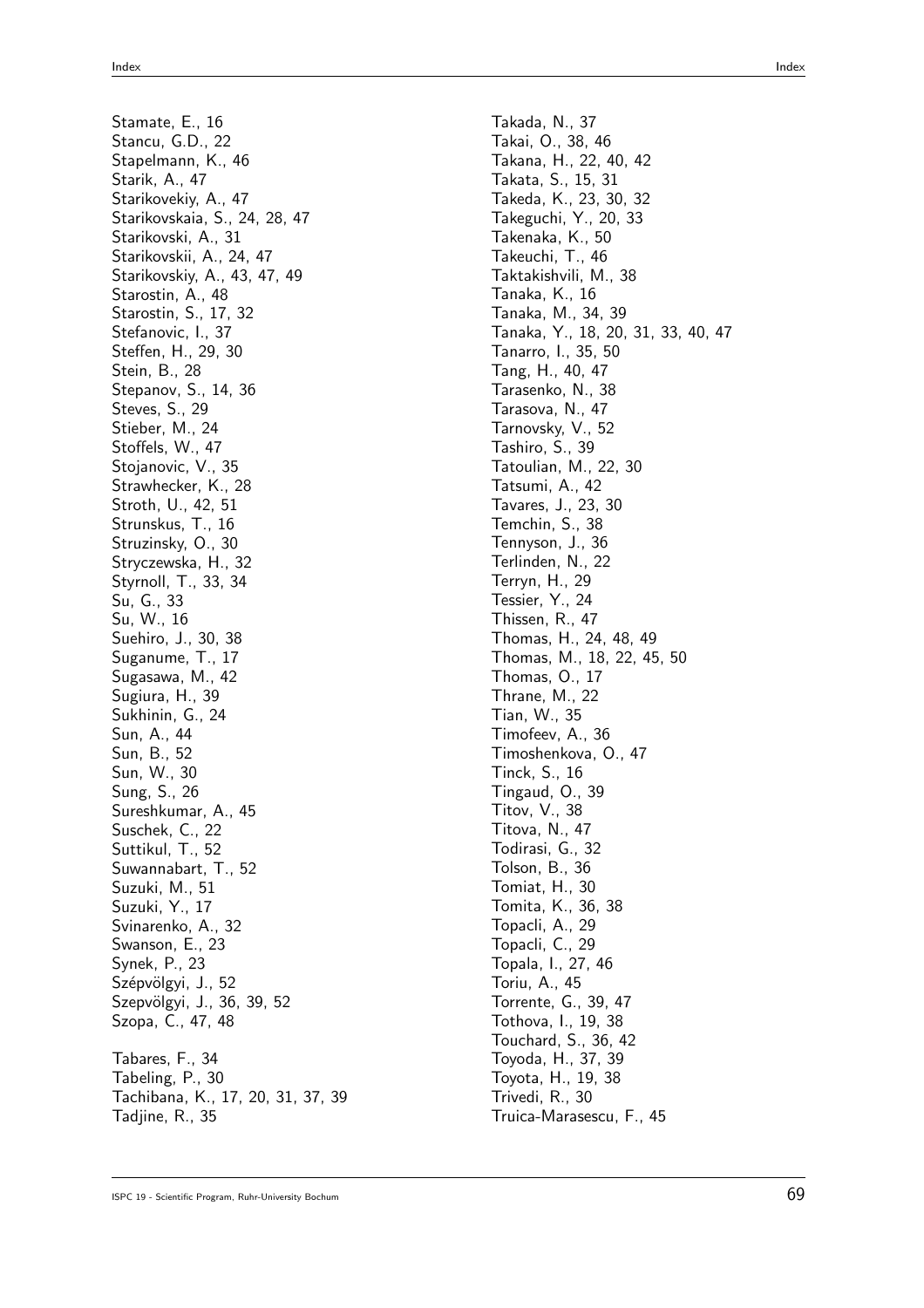Stamate, E., 16 Stancu, G.D., 22 Stapelmann, K., 46 Starik, A., 47 Starikovekiy, A., 47 Starikovskaia, S., 24, 28, 47 Starikovski, A., 31 Starikovskii, A., 24, 47 Starikovskiy, A., 43, 47, 49 Starostin, A., 48 Starostin, S., 17, 32 Stefanovic, I., 37 Steffen, H., 29, 30 Stein, B., 28 Stepanov, S., 14, 36 Steves, S., 29 Stieber, M., 24 Stoffels, W., 47 Stojanovic, V., 35 Strawhecker, K., 28 Stroth, U., 42, 51 Strunskus, T., 16 Struzinsky, O., 30 Stryczewska, H., 32 Styrnoll, T., 33, 34 Su, G., 33 Su, W., 16 Suehiro, J., 30, 38 Suganume, T., 17 Sugasawa, M., 42 Sugiura, H., 39 Sukhinin, G., 24 Sun, A., 44 Sun, B., 52 Sun, W., 30 Sung, S., 26 Sureshkumar, A., 45 Suschek, C., 22 Suttikul, T., 52 Suwannabart, T., 52 Suzuki, M., 51 Suzuki, Y., 17 Svinarenko, A., 32 Swanson, E., 23 Synek, P., 23 Szépvölgyi, J., 52 Szepvölgyi, J., 36, 39, 52 Szopa, C., 47, 48 Tabares, F., 34 Tabeling, P., 30 Tachibana, K., 17, 20, 31, 37, 39 Tadjine, R., 35

Takada, N., 37 Takai, O., 38, 46 Takana, H., 22, 40, 42 Takata, S., 15, 31 Takeda, K., 23, 30, 32 Takeguchi, Y., 20, 33 Takenaka, K., 50 Takeuchi, T., 46 Taktakishvili, M., 38 Tanaka, K., 16 Tanaka, M., 34, 39 Tanaka, Y., 18, 20, 31, 33, 40, 47 Tanarro, I., 35, 50 Tang, H., 40, 47 Tarasenko, N., 38 Tarasova, N., 47 Tarnovsky, V., 52 Tashiro, S., 39 Tatoulian, M., 22, 30 Tatsumi, A., 42 Tavares, J., 23, 30 Temchin, S., 38 Tennyson, J., 36 Terlinden, N., 22 Terryn, H., 29 Tessier, Y., 24 Thissen, R., 47 Thomas, H., 24, 48, 49 Thomas, M., 18, 22, 45, 50 Thomas, O., 17 Thrane, M., 22 Tian, W., 35 Timofeev, A., 36 Timoshenkova, O., 47 Tinck, S., 16 Tingaud, O., 39 Titov, V., 38 Titova, N., 47 Todirasi, G., 32 Tolson, B., 36 Tomiat, H., 30 Tomita, K., 36, 38 Topacli, A., 29 Topacli, C., 29 Topala, I., 27, 46 Toriu, A., 45 Torrente, G., 39, 47 Tothova, I., 19, 38 Touchard, S., 36, 42 Toyoda, H., 37, 39 Toyota, H., 19, 38 Trivedi, R., 30 Truica-Marasescu, F., 45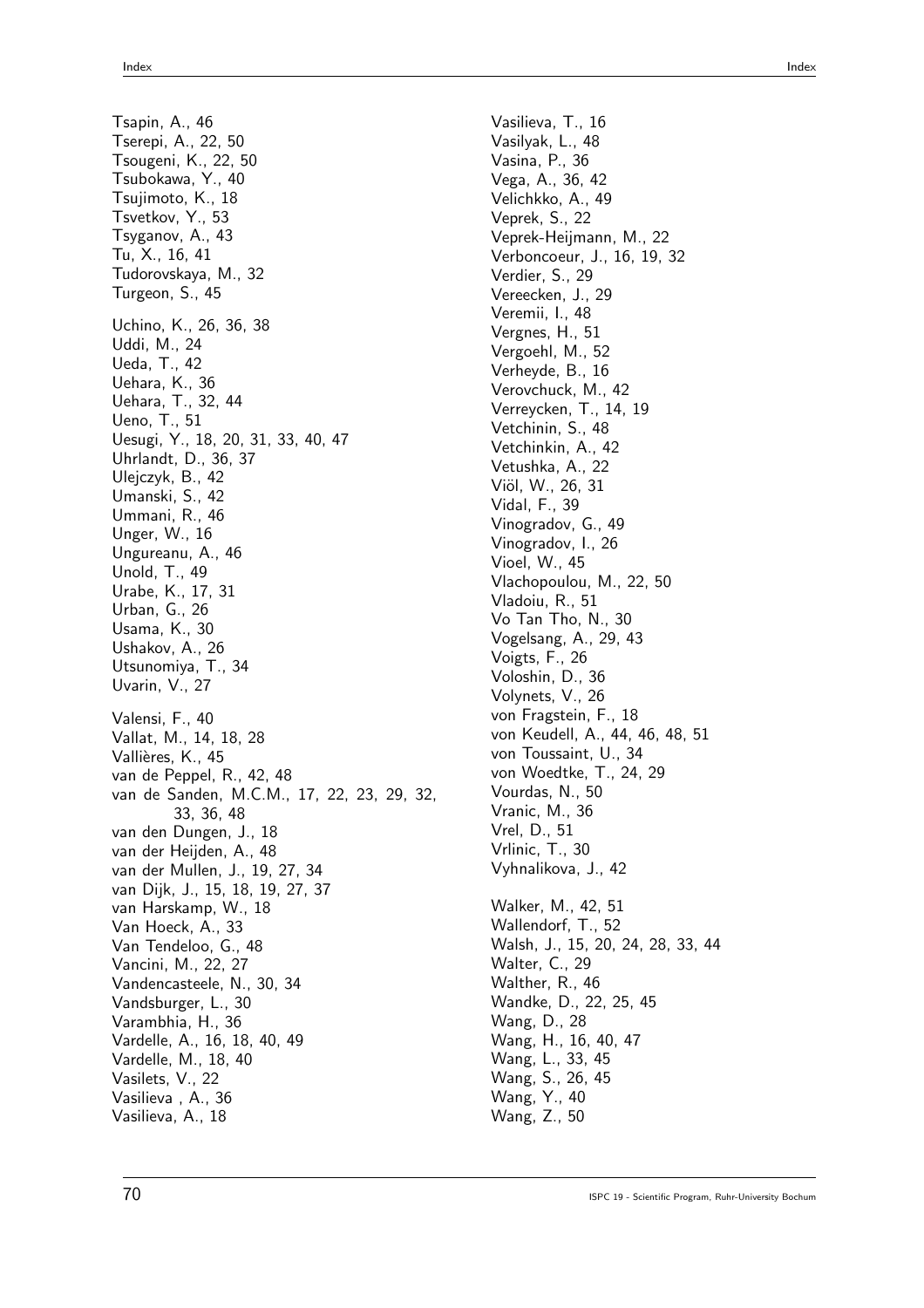Tsapin, A., 46 Tserepi, A., 22, 50 Tsougeni, K., 22, 50 Tsubokawa, Y., 40 Tsujimoto, K., 18 Tsvetkov, Y., 53 Tsyganov, A., 43 Tu, X., 16, 41 Tudorovskaya, M., 32 Turgeon, S., 45 Uchino, K., 26, 36, 38 Uddi, M., 24 Ueda, T., 42 Uehara, K., 36 Uehara, T., 32, 44 Ueno, T., 51 Uesugi, Y., 18, 20, 31, 33, 40, 47 Uhrlandt, D., 36, 37 Ulejczyk, B., 42 Umanski, S., 42 Ummani, R., 46 Unger, W., 16 Ungureanu, A., 46 Unold, T., 49 Urabe, K., 17, 31 Urban, G., 26 Usama, K., 30 Ushakov, A., 26 Utsunomiya, T., 34 Uvarin, V., 27 Valensi, F., 40 Vallat, M., 14, 18, 28 Vallières, K., 45 van de Peppel, R., 42, 48 van de Sanden, M.C.M., 17, 22, 23, 29, 32, 33, 36, 48 van den Dungen, J., 18 van der Heijden, A., 48 van der Mullen, J., 19, 27, 34 van Dijk, J., 15, 18, 19, 27, 37 van Harskamp, W., 18 Van Hoeck, A., 33 Van Tendeloo, G., 48 Vancini, M., 22, 27 Vandencasteele, N., 30, 34 Vandsburger, L., 30 Varambhia, H., 36 Vardelle, A., 16, 18, 40, 49 Vardelle, M., 18, 40 Vasilets, V., 22 Vasilieva , A., 36 Vasilieva, A., 18

Vasilieva, T., 16 Vasilyak, L., 48 Vasina, P., 36 Vega, A., 36, 42 Velichkko, A., 49 Veprek, S., 22 Veprek-Heijmann, M., 22 Verboncoeur, J., 16, 19, 32 Verdier, S., 29 Vereecken, J., 29 Veremii, I., 48 Vergnes, H., 51 Vergoehl, M., 52 Verheyde, B., 16 Verovchuck, M., 42 Verreycken, T., 14, 19 Vetchinin, S., 48 Vetchinkin, A., 42 Vetushka, A., 22 Viöl, W., 26, 31 Vidal, F., 39 Vinogradov, G., 49 Vinogradov, I., 26 Vioel, W., 45 Vlachopoulou, M., 22, 50 Vladoiu, R., 51 Vo Tan Tho, N., 30 Vogelsang, A., 29, 43 Voigts, F., 26 Voloshin, D., 36 Volynets, V., 26 von Fragstein, F., 18 von Keudell, A., 44, 46, 48, 51 von Toussaint, U., 34 von Woedtke, T., 24, 29 Vourdas, N., 50 Vranic, M., 36 Vrel, D., 51 Vrlinic, T., 30 Vyhnalikova, J., 42 Walker, M., 42, 51 Wallendorf, T., 52 Walsh, J., 15, 20, 24, 28, 33, 44 Walter, C., 29 Walther, R., 46 Wandke, D., 22, 25, 45 Wang, D., 28 Wang, H., 16, 40, 47 Wang, L., 33, 45 Wang, S., 26, 45 Wang, Y., 40 Wang, Z., 50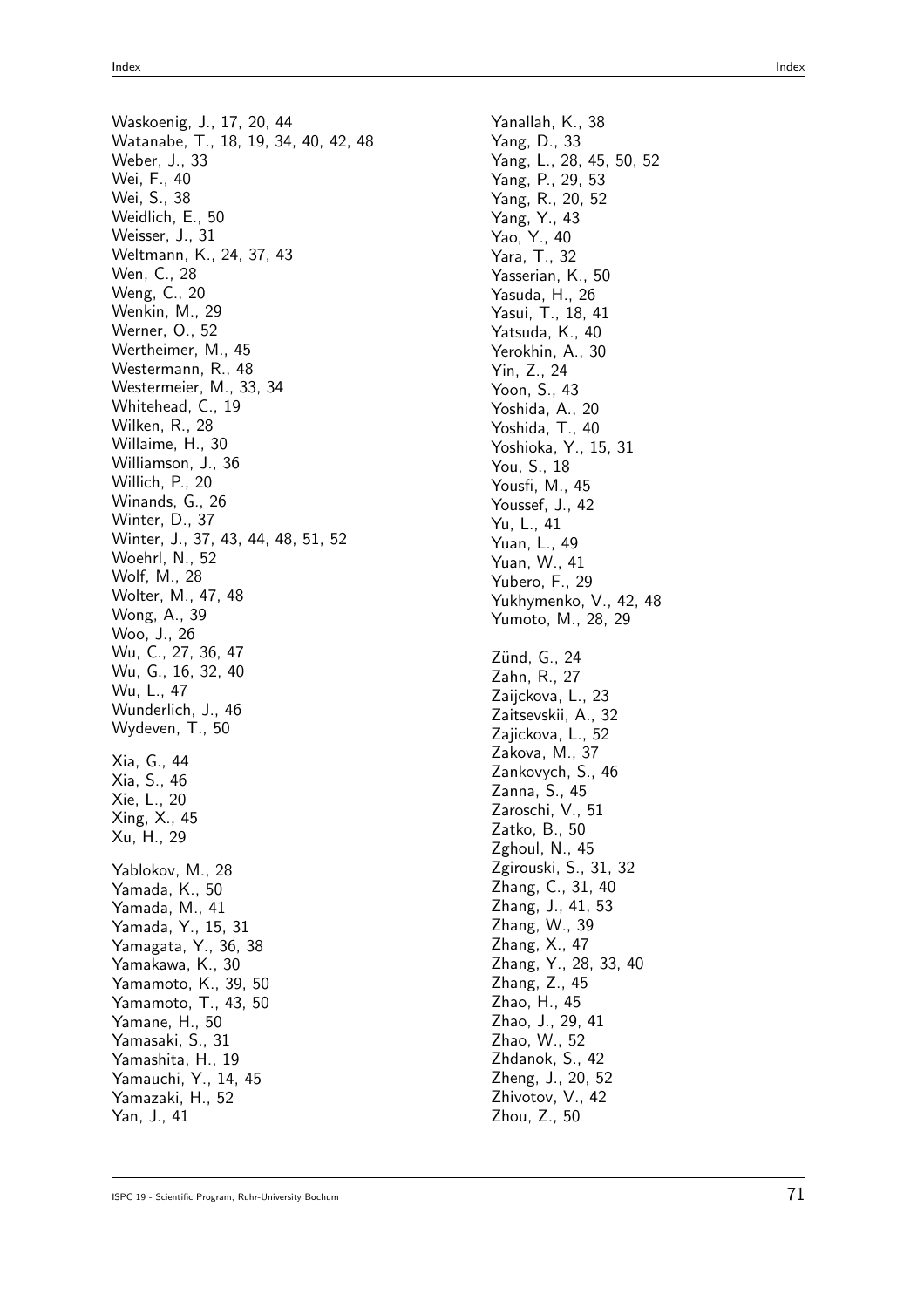Waskoenig, J., 17, 20, 44 Watanabe, T., 18, 19, 34, 40, 42, 48 Weber, J., 33 Wei, F., 40 Wei, S., 38 Weidlich, E., 50 Weisser, J., 31 Weltmann, K., 24, 37, 43 Wen, C., 28 Weng, C., 20 Wenkin, M., 29 Werner, O., 52 Wertheimer, M., 45 Westermann, R., 48 Westermeier, M., 33, 34 Whitehead, C., 19 Wilken, R., 28 Willaime, H., 30 Williamson, J., 36 Willich, P., 20 Winands, G., 26 Winter, D., 37 Winter, J., 37, 43, 44, 48, 51, 52 Woehrl, N., 52 Wolf, M., 28 Wolter, M., 47, 48 Wong, A., 39 Woo, J., 26 Wu, C., 27, 36, 47 Wu, G., 16, 32, 40 Wu, L., 47 Wunderlich, J., 46 Wydeven, T., 50 Xia, G., 44 Xia, S., 46 Xie, L., 20 Xing, X., 45 Xu, H., 29 Yablokov, M., 28 Yamada, K., 50 Yamada, M., 41 Yamada, Y., 15, 31 Yamagata, Y., 36, 38 Yamakawa, K., 30 Yamamoto, K., 39, 50 Yamamoto, T., 43, 50 Yamane, H., 50 Yamasaki, S., 31 Yamashita, H., 19 Yamauchi, Y., 14, 45 Yamazaki, H., 52 Yan, J., 41

Yanallah, K., 38 Yang, D., 33 Yang, L., 28, 45, 50, 52 Yang, P., 29, 53 Yang, R., 20, 52 Yang, Y., 43 Yao, Y., 40 Yara, T., 32 Yasserian, K., 50 Yasuda, H., 26 Yasui, T., 18, 41 Yatsuda, K., 40 Yerokhin, A., 30 Yin, Z., 24 Yoon, S., 43 Yoshida, A., 20 Yoshida, T., 40 Yoshioka, Y., 15, 31 You, S., 18 Yousfi, M., 45 Youssef, J., 42 Yu, L., 41 Yuan, L., 49 Yuan, W., 41 Yubero, F., 29 Yukhymenko, V., 42, 48 Yumoto, M., 28, 29 Zünd, G., 24 Zahn, R., 27 Zaijckova, L., 23 Zaitsevskii, A., 32 Zajickova, L., 52 Zakova, M., 37 Zankovych, S., 46 Zanna, S., 45 Zaroschi, V., 51 Zatko, B., 50 Zghoul, N., 45 Zgirouski, S., 31, 32 Zhang, C., 31, 40 Zhang, J., 41, 53 Zhang, W., 39 Zhang, X., 47 Zhang, Y., 28, 33, 40 Zhang, Z., 45 Zhao, H., 45 Zhao, J., 29, 41 Zhao, W., 52 Zhdanok, S., 42 Zheng, J., 20, 52 Zhivotov, V., 42 Zhou, Z., 50